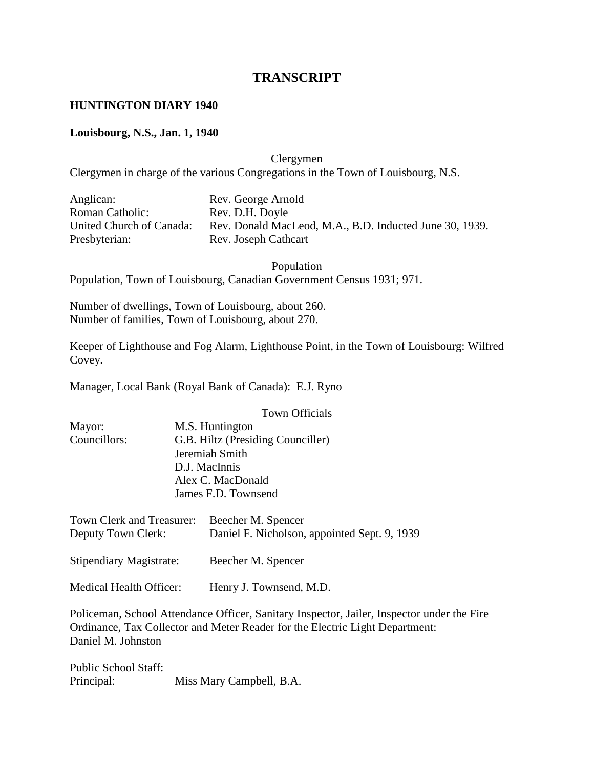# **TRANSCRIPT**

#### **HUNTINGTON DIARY 1940**

#### **Louisbourg, N.S., Jan. 1, 1940**

Clergymen

Clergymen in charge of the various Congregations in the Town of Louisbourg, N.S.

| Anglican:                | Rev. George Arnold                                      |
|--------------------------|---------------------------------------------------------|
| <b>Roman Catholic:</b>   | Rev. D.H. Doyle                                         |
| United Church of Canada: | Rev. Donald MacLeod, M.A., B.D. Inducted June 30, 1939. |
| Presbyterian:            | Rev. Joseph Cathcart                                    |

Population Population, Town of Louisbourg, Canadian Government Census 1931; 971.

Number of dwellings, Town of Louisbourg, about 260. Number of families, Town of Louisbourg, about 270.

Keeper of Lighthouse and Fog Alarm, Lighthouse Point, in the Town of Louisbourg: Wilfred Covey.

Manager, Local Bank (Royal Bank of Canada): E.J. Ryno

|                                                 | <b>Town Officials</b>                                              |
|-------------------------------------------------|--------------------------------------------------------------------|
| Mayor:                                          | M.S. Huntington                                                    |
| Councillors:                                    | G.B. Hiltz (Presiding Counciller)                                  |
|                                                 | Jeremiah Smith                                                     |
|                                                 | D.J. MacInnis                                                      |
|                                                 | Alex C. MacDonald                                                  |
|                                                 | James F.D. Townsend                                                |
| Town Clerk and Treasurer:<br>Deputy Town Clerk: | Beecher M. Spencer<br>Daniel F. Nicholson, appointed Sept. 9, 1939 |
| <b>Stipendiary Magistrate:</b>                  | Beecher M. Spencer                                                 |

Medical Health Officer: Henry J. Townsend, M.D.

Policeman, School Attendance Officer, Sanitary Inspector, Jailer, Inspector under the Fire Ordinance, Tax Collector and Meter Reader for the Electric Light Department: Daniel M. Johnston

Public School Staff: Principal: Miss Mary Campbell, B.A.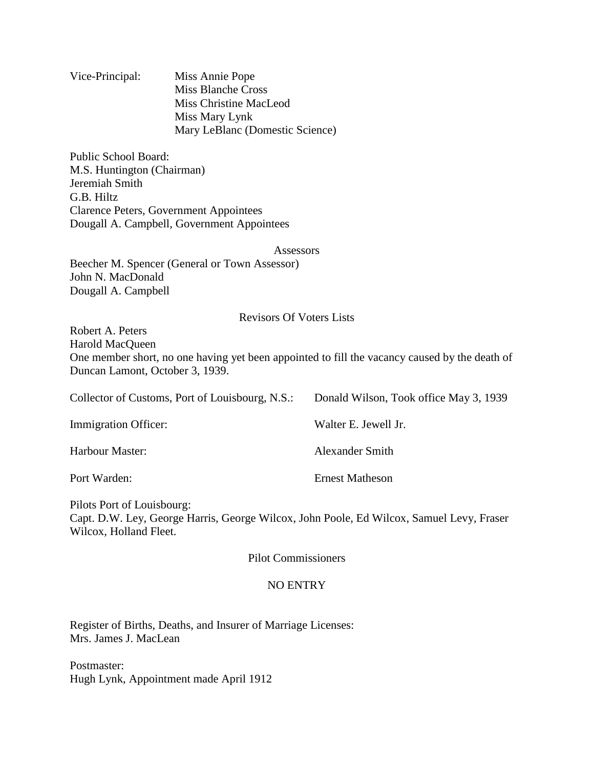| Vice-Principal: | Miss Annie Pope                 |
|-----------------|---------------------------------|
|                 | Miss Blanche Cross              |
|                 | Miss Christine MacLeod          |
|                 | Miss Mary Lynk                  |
|                 | Mary LeBlanc (Domestic Science) |

Public School Board: M.S. Huntington (Chairman) Jeremiah Smith G.B. Hiltz Clarence Peters, Government Appointees Dougall A. Campbell, Government Appointees

Assessors

Beecher M. Spencer (General or Town Assessor) John N. MacDonald Dougall A. Campbell

#### Revisors Of Voters Lists

Robert A. Peters Harold MacQueen One member short, no one having yet been appointed to fill the vacancy caused by the death of Duncan Lamont, October 3, 1939.

Collector of Customs, Port of Louisbourg, N.S.: Donald Wilson, Took office May 3, 1939

| Immigration Officer: | Walter E. Jewell Jr.   |
|----------------------|------------------------|
| Harbour Master:      | Alexander Smith        |
| Port Warden:         | <b>Ernest Matheson</b> |

Pilots Port of Louisbourg: Capt. D.W. Ley, George Harris, George Wilcox, John Poole, Ed Wilcox, Samuel Levy, Fraser Wilcox, Holland Fleet.

Pilot Commissioners

# NO ENTRY

Register of Births, Deaths, and Insurer of Marriage Licenses: Mrs. James J. MacLean

Postmaster: Hugh Lynk, Appointment made April 1912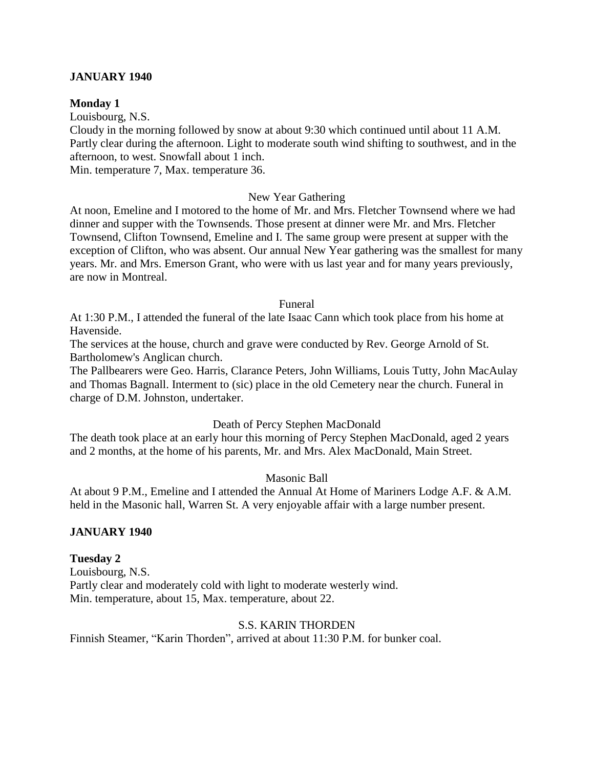#### **JANUARY 1940**

#### **Monday 1**

Louisbourg, N.S.

Cloudy in the morning followed by snow at about 9:30 which continued until about 11 A.M. Partly clear during the afternoon. Light to moderate south wind shifting to southwest, and in the afternoon, to west. Snowfall about 1 inch.

Min. temperature 7, Max. temperature 36.

#### New Year Gathering

At noon, Emeline and I motored to the home of Mr. and Mrs. Fletcher Townsend where we had dinner and supper with the Townsends. Those present at dinner were Mr. and Mrs. Fletcher Townsend, Clifton Townsend, Emeline and I. The same group were present at supper with the exception of Clifton, who was absent. Our annual New Year gathering was the smallest for many years. Mr. and Mrs. Emerson Grant, who were with us last year and for many years previously, are now in Montreal.

#### Funeral

At 1:30 P.M., I attended the funeral of the late Isaac Cann which took place from his home at Havenside.

The services at the house, church and grave were conducted by Rev. George Arnold of St. Bartholomew's Anglican church.

The Pallbearers were Geo. Harris, Clarance Peters, John Williams, Louis Tutty, John MacAulay and Thomas Bagnall. Interment to (sic) place in the old Cemetery near the church. Funeral in charge of D.M. Johnston, undertaker.

# Death of Percy Stephen MacDonald

The death took place at an early hour this morning of Percy Stephen MacDonald, aged 2 years and 2 months, at the home of his parents, Mr. and Mrs. Alex MacDonald, Main Street.

Masonic Ball

At about 9 P.M., Emeline and I attended the Annual At Home of Mariners Lodge A.F. & A.M. held in the Masonic hall, Warren St. A very enjoyable affair with a large number present.

# **JANUARY 1940**

#### **Tuesday 2**

Louisbourg, N.S. Partly clear and moderately cold with light to moderate westerly wind. Min. temperature, about 15, Max. temperature, about 22.

# S.S. KARIN THORDEN

Finnish Steamer, "Karin Thorden", arrived at about 11:30 P.M. for bunker coal.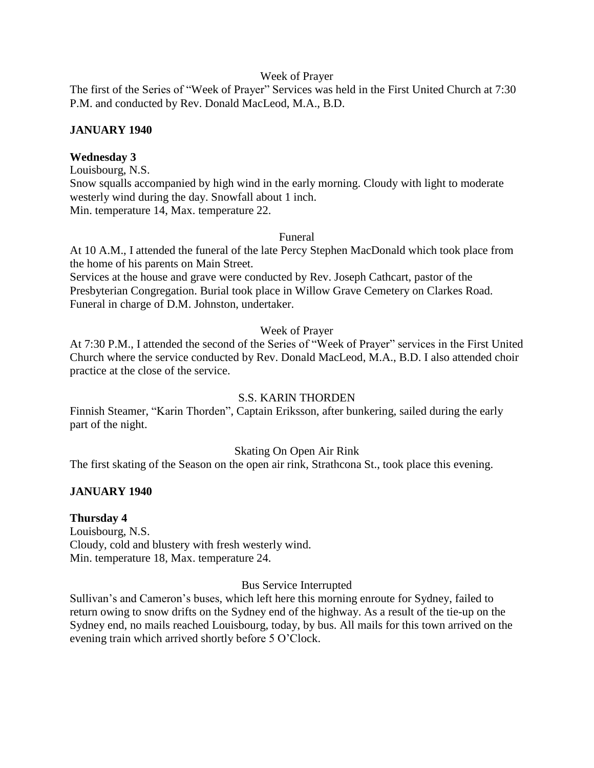#### Week of Prayer

The first of the Series of "Week of Prayer" Services was held in the First United Church at 7:30 P.M. and conducted by Rev. Donald MacLeod, M.A., B.D.

# **JANUARY 1940**

# **Wednesday 3**

Louisbourg, N.S. Snow squalls accompanied by high wind in the early morning. Cloudy with light to moderate westerly wind during the day. Snowfall about 1 inch. Min. temperature 14, Max. temperature 22.

#### Funeral

At 10 A.M., I attended the funeral of the late Percy Stephen MacDonald which took place from the home of his parents on Main Street.

Services at the house and grave were conducted by Rev. Joseph Cathcart, pastor of the Presbyterian Congregation. Burial took place in Willow Grave Cemetery on Clarkes Road. Funeral in charge of D.M. Johnston, undertaker.

# Week of Prayer

At 7:30 P.M., I attended the second of the Series of "Week of Prayer" services in the First United Church where the service conducted by Rev. Donald MacLeod, M.A., B.D. I also attended choir practice at the close of the service.

# S.S. KARIN THORDEN

Finnish Steamer, "Karin Thorden", Captain Eriksson, after bunkering, sailed during the early part of the night.

# Skating On Open Air Rink

The first skating of the Season on the open air rink, Strathcona St., took place this evening.

# **JANUARY 1940**

# **Thursday 4**

Louisbourg, N.S. Cloudy, cold and blustery with fresh westerly wind. Min. temperature 18, Max. temperature 24.

# Bus Service Interrupted

Sullivan's and Cameron's buses, which left here this morning enroute for Sydney, failed to return owing to snow drifts on the Sydney end of the highway. As a result of the tie-up on the Sydney end, no mails reached Louisbourg, today, by bus. All mails for this town arrived on the evening train which arrived shortly before 5 O'Clock.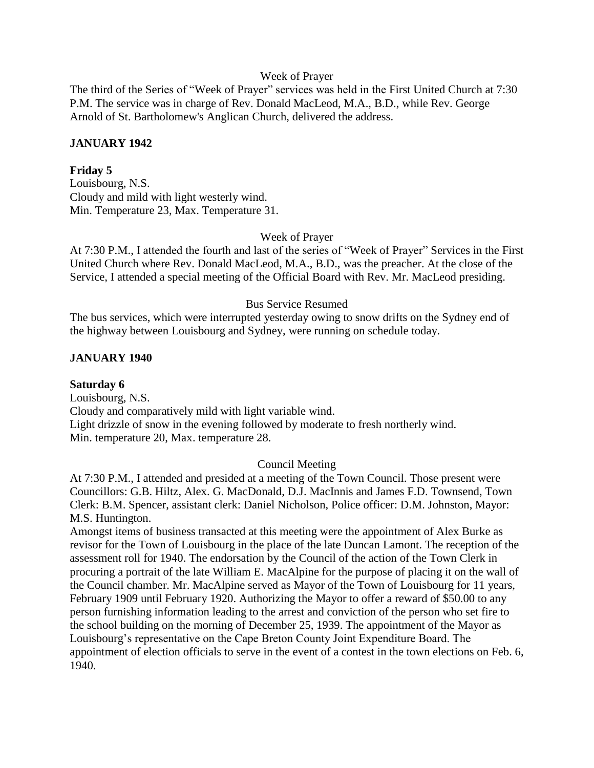#### Week of Prayer

The third of the Series of "Week of Prayer" services was held in the First United Church at 7:30 P.M. The service was in charge of Rev. Donald MacLeod, M.A., B.D., while Rev. George Arnold of St. Bartholomew's Anglican Church, delivered the address.

# **JANUARY 1942**

# **Friday 5**

Louisbourg, N.S. Cloudy and mild with light westerly wind. Min. Temperature 23, Max. Temperature 31.

#### Week of Prayer

At 7:30 P.M., I attended the fourth and last of the series of "Week of Prayer" Services in the First United Church where Rev. Donald MacLeod, M.A., B.D., was the preacher. At the close of the Service, I attended a special meeting of the Official Board with Rev. Mr. MacLeod presiding.

#### Bus Service Resumed

The bus services, which were interrupted yesterday owing to snow drifts on the Sydney end of the highway between Louisbourg and Sydney, were running on schedule today.

# **JANUARY 1940**

**Saturday 6** Louisbourg, N.S. Cloudy and comparatively mild with light variable wind. Light drizzle of snow in the evening followed by moderate to fresh northerly wind. Min. temperature 20, Max. temperature 28.

# Council Meeting

At 7:30 P.M., I attended and presided at a meeting of the Town Council. Those present were Councillors: G.B. Hiltz, Alex. G. MacDonald, D.J. MacInnis and James F.D. Townsend, Town Clerk: B.M. Spencer, assistant clerk: Daniel Nicholson, Police officer: D.M. Johnston, Mayor: M.S. Huntington.

Amongst items of business transacted at this meeting were the appointment of Alex Burke as revisor for the Town of Louisbourg in the place of the late Duncan Lamont. The reception of the assessment roll for 1940. The endorsation by the Council of the action of the Town Clerk in procuring a portrait of the late William E. MacAlpine for the purpose of placing it on the wall of the Council chamber. Mr. MacAlpine served as Mayor of the Town of Louisbourg for 11 years, February 1909 until February 1920. Authorizing the Mayor to offer a reward of \$50.00 to any person furnishing information leading to the arrest and conviction of the person who set fire to the school building on the morning of December 25, 1939. The appointment of the Mayor as Louisbourg's representative on the Cape Breton County Joint Expenditure Board. The appointment of election officials to serve in the event of a contest in the town elections on Feb. 6, 1940.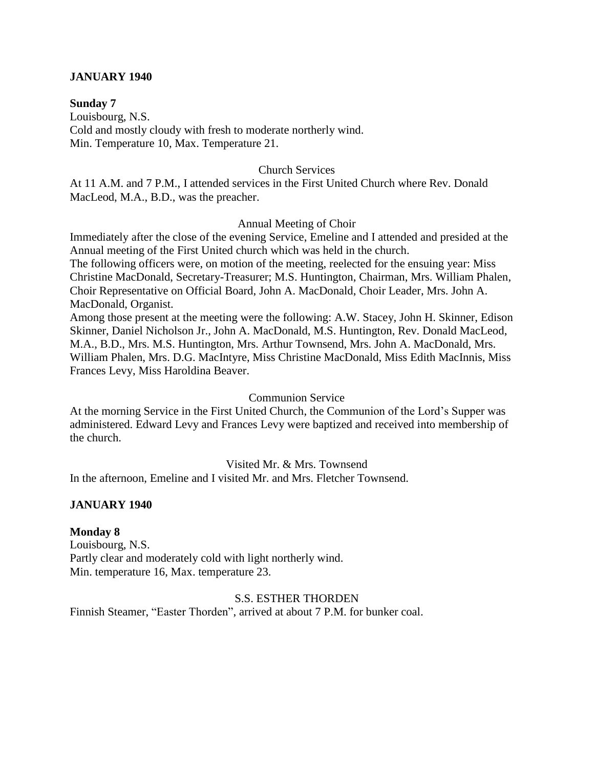#### **JANUARY 1940**

**Sunday 7** Louisbourg, N.S. Cold and mostly cloudy with fresh to moderate northerly wind. Min. Temperature 10, Max. Temperature 21.

#### Church Services

At 11 A.M. and 7 P.M., I attended services in the First United Church where Rev. Donald MacLeod, M.A., B.D., was the preacher.

#### Annual Meeting of Choir

Immediately after the close of the evening Service, Emeline and I attended and presided at the Annual meeting of the First United church which was held in the church.

The following officers were, on motion of the meeting, reelected for the ensuing year: Miss Christine MacDonald, Secretary-Treasurer; M.S. Huntington, Chairman, Mrs. William Phalen, Choir Representative on Official Board, John A. MacDonald, Choir Leader, Mrs. John A. MacDonald, Organist.

Among those present at the meeting were the following: A.W. Stacey, John H. Skinner, Edison Skinner, Daniel Nicholson Jr., John A. MacDonald, M.S. Huntington, Rev. Donald MacLeod, M.A., B.D., Mrs. M.S. Huntington, Mrs. Arthur Townsend, Mrs. John A. MacDonald, Mrs. William Phalen, Mrs. D.G. MacIntyre, Miss Christine MacDonald, Miss Edith MacInnis, Miss Frances Levy, Miss Haroldina Beaver.

#### Communion Service

At the morning Service in the First United Church, the Communion of the Lord's Supper was administered. Edward Levy and Frances Levy were baptized and received into membership of the church.

Visited Mr. & Mrs. Townsend

In the afternoon, Emeline and I visited Mr. and Mrs. Fletcher Townsend.

#### **JANUARY 1940**

#### **Monday 8**

Louisbourg, N.S. Partly clear and moderately cold with light northerly wind. Min. temperature 16, Max. temperature 23.

#### S.S. ESTHER THORDEN

Finnish Steamer, "Easter Thorden", arrived at about 7 P.M. for bunker coal.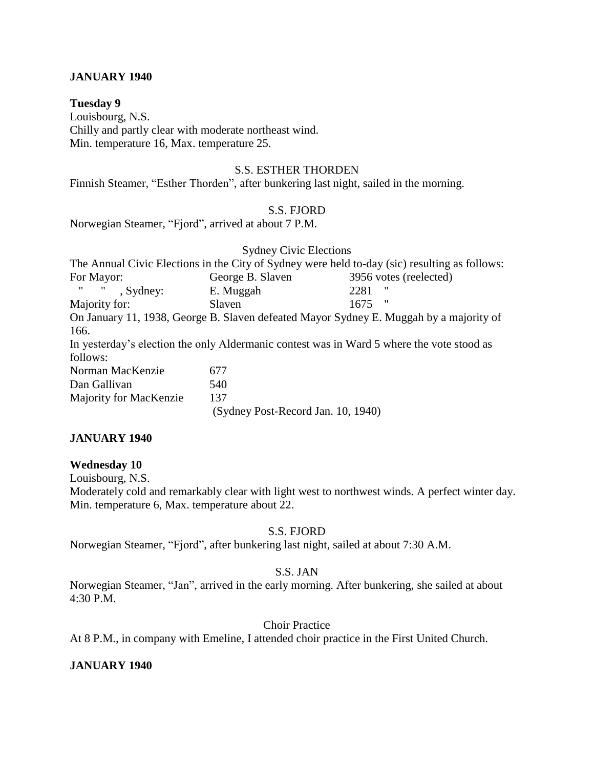#### **JANUARY 1940**

#### **Tuesday 9**

Louisbourg, N.S. Chilly and partly clear with moderate northeast wind. Min. temperature 16, Max. temperature 25.

#### S.S. ESTHER THORDEN

Finnish Steamer, "Esther Thorden", after bunkering last night, sailed in the morning.

# S.S. FJORD

Norwegian Steamer, "Fjord", arrived at about 7 P.M.

# Sydney Civic Elections

|                           |                                    | The Annual Civic Elections in the City of Sydney were held to-day (sic) resulting as follows: |
|---------------------------|------------------------------------|-----------------------------------------------------------------------------------------------|
| For Mayor:                | George B. Slaven                   | 3956 votes (reelected)                                                                        |
| $\mathbf{H}$<br>, Sydney: | E. Muggah                          | "<br>2281                                                                                     |
| Majority for:             | Slaven                             | "<br>1675                                                                                     |
|                           |                                    | On January 11, 1938, George B. Slaven defeated Mayor Sydney E. Muggah by a majority of        |
| 166.                      |                                    |                                                                                               |
|                           |                                    | In yesterday's election the only Aldermanic contest was in Ward 5 where the vote stood as     |
| follows:                  |                                    |                                                                                               |
| Norman MacKenzie          | 677                                |                                                                                               |
| Dan Gallivan              | 540                                |                                                                                               |
| Majority for MacKenzie    | 137                                |                                                                                               |
|                           | (Sydney Post-Record Jan. 10, 1940) |                                                                                               |

# **JANUARY 1940**

#### **Wednesday 10**

Louisbourg, N.S.

Moderately cold and remarkably clear with light west to northwest winds. A perfect winter day. Min. temperature 6, Max. temperature about 22.

#### S.S. FJORD

Norwegian Steamer, "Fjord", after bunkering last night, sailed at about 7:30 A.M.

# S.S. JAN

Norwegian Steamer, "Jan", arrived in the early morning. After bunkering, she sailed at about 4:30 P.M.

# Choir Practice

At 8 P.M., in company with Emeline, I attended choir practice in the First United Church.

# **JANUARY 1940**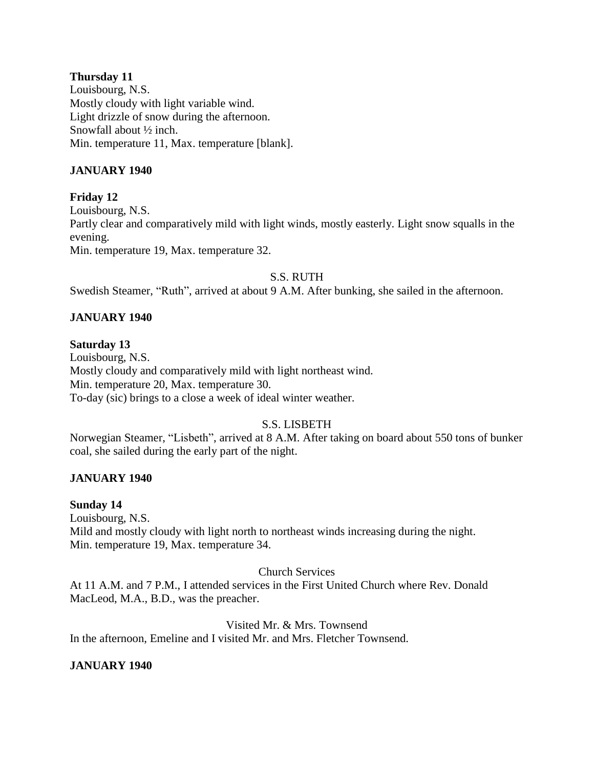# **Thursday 11**

Louisbourg, N.S. Mostly cloudy with light variable wind. Light drizzle of snow during the afternoon. Snowfall about ½ inch. Min. temperature 11, Max. temperature [blank].

# **JANUARY 1940**

# **Friday 12** Louisbourg, N.S. Partly clear and comparatively mild with light winds, mostly easterly. Light snow squalls in the evening. Min. temperature 19, Max. temperature 32.

# S.S. RUTH

Swedish Steamer, "Ruth", arrived at about 9 A.M. After bunking, she sailed in the afternoon.

# **JANUARY 1940**

# **Saturday 13**

Louisbourg, N.S. Mostly cloudy and comparatively mild with light northeast wind. Min. temperature 20, Max. temperature 30. To-day (sic) brings to a close a week of ideal winter weather.

# S.S. LISBETH

Norwegian Steamer, "Lisbeth", arrived at 8 A.M. After taking on board about 550 tons of bunker coal, she sailed during the early part of the night.

# **JANUARY 1940**

# **Sunday 14**

Louisbourg, N.S. Mild and mostly cloudy with light north to northeast winds increasing during the night. Min. temperature 19, Max. temperature 34.

# Church Services

At 11 A.M. and 7 P.M., I attended services in the First United Church where Rev. Donald MacLeod, M.A., B.D., was the preacher.

Visited Mr. & Mrs. Townsend

In the afternoon, Emeline and I visited Mr. and Mrs. Fletcher Townsend.

# **JANUARY 1940**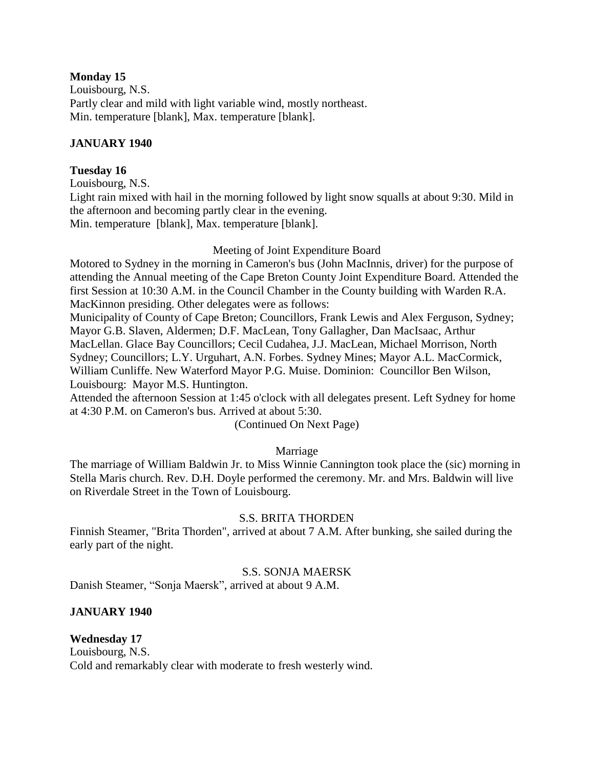# **Monday 15**

Louisbourg, N.S. Partly clear and mild with light variable wind, mostly northeast. Min. temperature [blank], Max. temperature [blank].

# **JANUARY 1940**

# **Tuesday 16**

Louisbourg, N.S.

Light rain mixed with hail in the morning followed by light snow squalls at about 9:30. Mild in the afternoon and becoming partly clear in the evening. Min. temperature [blank], Max. temperature [blank].

# Meeting of Joint Expenditure Board

Motored to Sydney in the morning in Cameron's bus (John MacInnis, driver) for the purpose of attending the Annual meeting of the Cape Breton County Joint Expenditure Board. Attended the first Session at 10:30 A.M. in the Council Chamber in the County building with Warden R.A. MacKinnon presiding. Other delegates were as follows:

Municipality of County of Cape Breton; Councillors, Frank Lewis and Alex Ferguson, Sydney; Mayor G.B. Slaven, Aldermen; D.F. MacLean, Tony Gallagher, Dan MacIsaac, Arthur MacLellan. Glace Bay Councillors; Cecil Cudahea, J.J. MacLean, Michael Morrison, North Sydney; Councillors; L.Y. Urguhart, A.N. Forbes. Sydney Mines; Mayor A.L. MacCormick, William Cunliffe. New Waterford Mayor P.G. Muise. Dominion: Councillor Ben Wilson, Louisbourg: Mayor M.S. Huntington.

Attended the afternoon Session at 1:45 o'clock with all delegates present. Left Sydney for home at 4:30 P.M. on Cameron's bus. Arrived at about 5:30.

(Continued On Next Page)

# Marriage

The marriage of William Baldwin Jr. to Miss Winnie Cannington took place the (sic) morning in Stella Maris church. Rev. D.H. Doyle performed the ceremony. Mr. and Mrs. Baldwin will live on Riverdale Street in the Town of Louisbourg.

# S.S. BRITA THORDEN

Finnish Steamer, "Brita Thorden", arrived at about 7 A.M. After bunking, she sailed during the early part of the night.

# S.S. SONJA MAERSK

Danish Steamer, "Sonja Maersk", arrived at about 9 A.M.

# **JANUARY 1940**

# **Wednesday 17**

Louisbourg, N.S. Cold and remarkably clear with moderate to fresh westerly wind.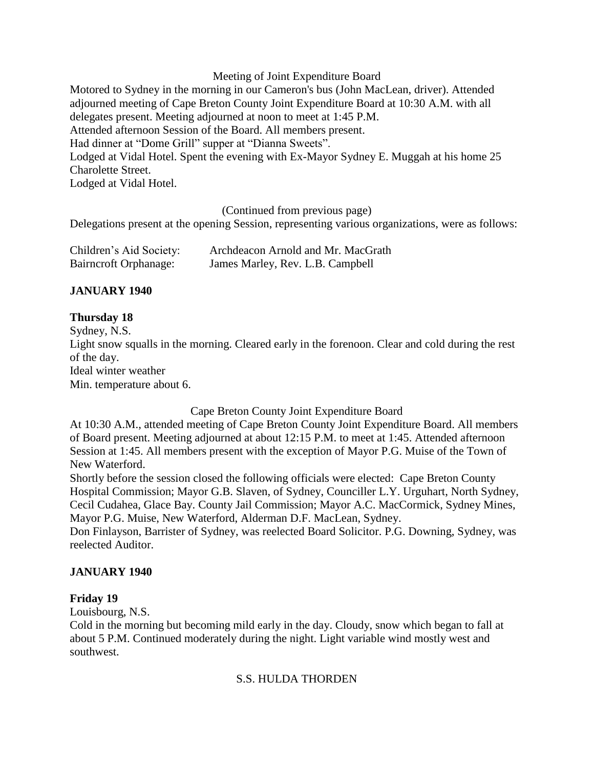#### Meeting of Joint Expenditure Board

Motored to Sydney in the morning in our Cameron's bus (John MacLean, driver). Attended adjourned meeting of Cape Breton County Joint Expenditure Board at 10:30 A.M. with all delegates present. Meeting adjourned at noon to meet at 1:45 P.M. Attended afternoon Session of the Board. All members present. Had dinner at "Dome Grill" supper at "Dianna Sweets". Lodged at Vidal Hotel. Spent the evening with Ex-Mayor Sydney E. Muggah at his home 25 Charolette Street. Lodged at Vidal Hotel.

(Continued from previous page)

Delegations present at the opening Session, representing various organizations, were as follows:

| Children's Aid Society: | Archdeacon Arnold and Mr. MacGrath |
|-------------------------|------------------------------------|
| Bairncroft Orphanage:   | James Marley, Rev. L.B. Campbell   |

# **JANUARY 1940**

# **Thursday 18**

Sydney, N.S.

Light snow squalls in the morning. Cleared early in the forenoon. Clear and cold during the rest of the day.

Ideal winter weather

Min. temperature about 6.

Cape Breton County Joint Expenditure Board

At 10:30 A.M., attended meeting of Cape Breton County Joint Expenditure Board. All members of Board present. Meeting adjourned at about 12:15 P.M. to meet at 1:45. Attended afternoon Session at 1:45. All members present with the exception of Mayor P.G. Muise of the Town of New Waterford.

Shortly before the session closed the following officials were elected: Cape Breton County Hospital Commission; Mayor G.B. Slaven, of Sydney, Counciller L.Y. Urguhart, North Sydney, Cecil Cudahea, Glace Bay. County Jail Commission; Mayor A.C. MacCormick, Sydney Mines, Mayor P.G. Muise, New Waterford, Alderman D.F. MacLean, Sydney.

Don Finlayson, Barrister of Sydney, was reelected Board Solicitor. P.G. Downing, Sydney, was reelected Auditor.

# **JANUARY 1940**

# **Friday 19**

Louisbourg, N.S.

Cold in the morning but becoming mild early in the day. Cloudy, snow which began to fall at about 5 P.M. Continued moderately during the night. Light variable wind mostly west and southwest.

# S.S. HULDA THORDEN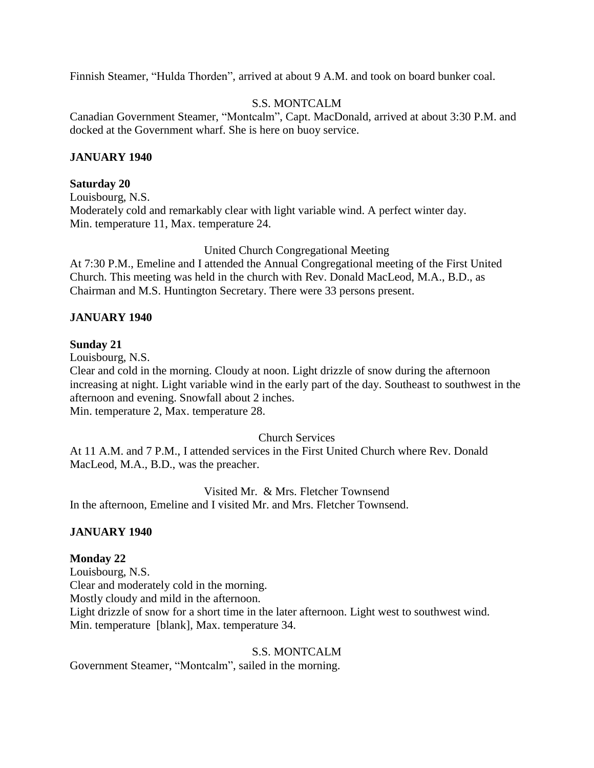Finnish Steamer, "Hulda Thorden", arrived at about 9 A.M. and took on board bunker coal.

# S.S. MONTCALM

Canadian Government Steamer, "Montcalm", Capt. MacDonald, arrived at about 3:30 P.M. and docked at the Government wharf. She is here on buoy service.

#### **JANUARY 1940**

#### **Saturday 20**

Louisbourg, N.S. Moderately cold and remarkably clear with light variable wind. A perfect winter day. Min. temperature 11, Max. temperature 24.

#### United Church Congregational Meeting

At 7:30 P.M., Emeline and I attended the Annual Congregational meeting of the First United Church. This meeting was held in the church with Rev. Donald MacLeod, M.A., B.D., as Chairman and M.S. Huntington Secretary. There were 33 persons present.

# **JANUARY 1940**

#### **Sunday 21**

Louisbourg, N.S.

Clear and cold in the morning. Cloudy at noon. Light drizzle of snow during the afternoon increasing at night. Light variable wind in the early part of the day. Southeast to southwest in the afternoon and evening. Snowfall about 2 inches. Min. temperature 2, Max. temperature 28.

Church Services

At 11 A.M. and 7 P.M., I attended services in the First United Church where Rev. Donald MacLeod, M.A., B.D., was the preacher.

Visited Mr. & Mrs. Fletcher Townsend In the afternoon, Emeline and I visited Mr. and Mrs. Fletcher Townsend.

# **JANUARY 1940**

#### **Monday 22**

Louisbourg, N.S. Clear and moderately cold in the morning. Mostly cloudy and mild in the afternoon. Light drizzle of snow for a short time in the later afternoon. Light west to southwest wind. Min. temperature [blank], Max. temperature 34.

#### S.S. MONTCALM

Government Steamer, "Montcalm", sailed in the morning.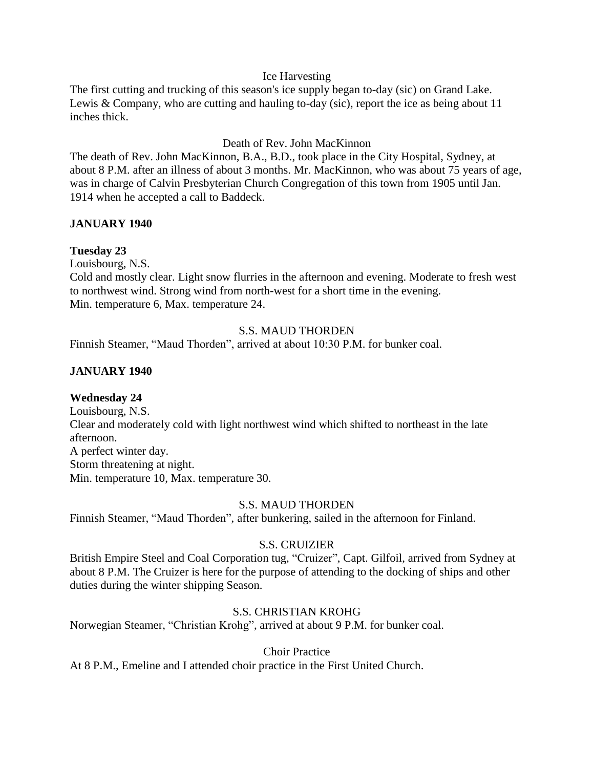# Ice Harvesting

The first cutting and trucking of this season's ice supply began to-day (sic) on Grand Lake. Lewis & Company, who are cutting and hauling to-day (sic), report the ice as being about 11 inches thick.

# Death of Rev. John MacKinnon

The death of Rev. John MacKinnon, B.A., B.D., took place in the City Hospital, Sydney, at about 8 P.M. after an illness of about 3 months. Mr. MacKinnon, who was about 75 years of age, was in charge of Calvin Presbyterian Church Congregation of this town from 1905 until Jan. 1914 when he accepted a call to Baddeck.

# **JANUARY 1940**

# **Tuesday 23**

Louisbourg, N.S.

Cold and mostly clear. Light snow flurries in the afternoon and evening. Moderate to fresh west to northwest wind. Strong wind from north-west for a short time in the evening. Min. temperature 6, Max. temperature 24.

# S.S. MAUD THORDEN

Finnish Steamer, "Maud Thorden", arrived at about 10:30 P.M. for bunker coal.

# **JANUARY 1940**

# **Wednesday 24**

Louisbourg, N.S. Clear and moderately cold with light northwest wind which shifted to northeast in the late afternoon. A perfect winter day. Storm threatening at night. Min. temperature 10, Max. temperature 30.

#### S.S. MAUD THORDEN

Finnish Steamer, "Maud Thorden", after bunkering, sailed in the afternoon for Finland.

# S.S. CRUIZIER

British Empire Steel and Coal Corporation tug, "Cruizer", Capt. Gilfoil, arrived from Sydney at about 8 P.M. The Cruizer is here for the purpose of attending to the docking of ships and other duties during the winter shipping Season.

# S.S. CHRISTIAN KROHG

Norwegian Steamer, "Christian Krohg", arrived at about 9 P.M. for bunker coal.

Choir Practice

At 8 P.M., Emeline and I attended choir practice in the First United Church.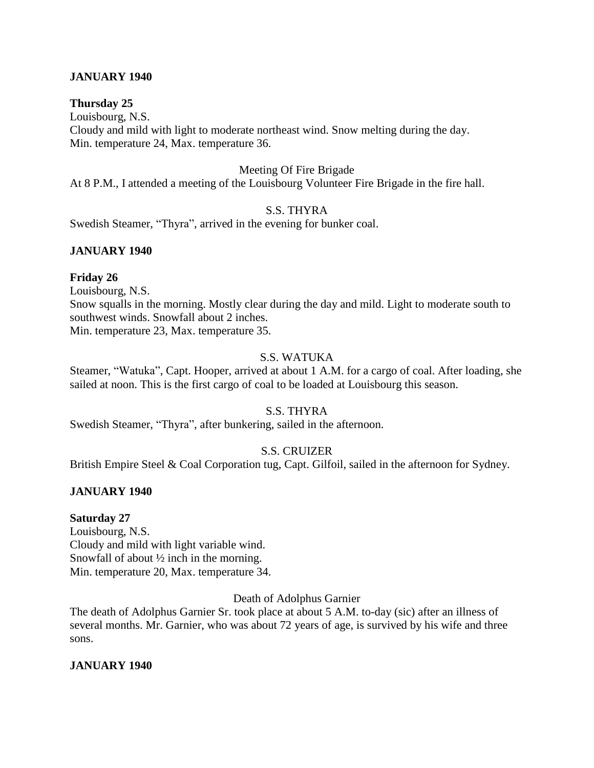# **JANUARY 1940**

# **Thursday 25**

Louisbourg, N.S. Cloudy and mild with light to moderate northeast wind. Snow melting during the day. Min. temperature 24, Max. temperature 36.

#### Meeting Of Fire Brigade

At 8 P.M., I attended a meeting of the Louisbourg Volunteer Fire Brigade in the fire hall.

# S.S. THYRA

Swedish Steamer, "Thyra", arrived in the evening for bunker coal.

# **JANUARY 1940**

#### **Friday 26**

Louisbourg, N.S. Snow squalls in the morning. Mostly clear during the day and mild. Light to moderate south to southwest winds. Snowfall about 2 inches. Min. temperature 23, Max. temperature 35.

# S.S. WATUKA

Steamer, "Watuka", Capt. Hooper, arrived at about 1 A.M. for a cargo of coal. After loading, she sailed at noon. This is the first cargo of coal to be loaded at Louisbourg this season.

# S.S. THYRA

Swedish Steamer, "Thyra", after bunkering, sailed in the afternoon.

# S.S. CRUIZER

British Empire Steel & Coal Corporation tug, Capt. Gilfoil, sailed in the afternoon for Sydney.

# **JANUARY 1940**

#### **Saturday 27**

Louisbourg, N.S. Cloudy and mild with light variable wind. Snowfall of about ½ inch in the morning. Min. temperature 20, Max. temperature 34.

Death of Adolphus Garnier

The death of Adolphus Garnier Sr. took place at about 5 A.M. to-day (sic) after an illness of several months. Mr. Garnier, who was about 72 years of age, is survived by his wife and three sons.

# **JANUARY 1940**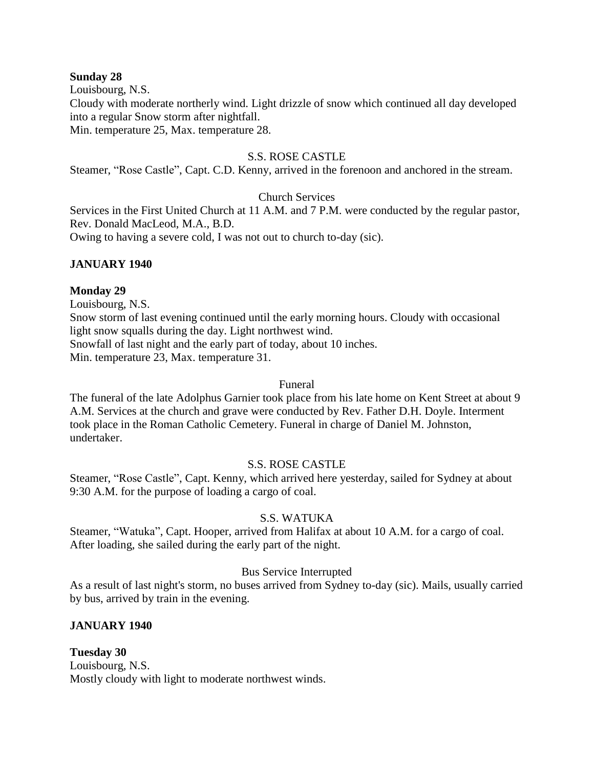#### **Sunday 28**

Louisbourg, N.S.

Cloudy with moderate northerly wind. Light drizzle of snow which continued all day developed into a regular Snow storm after nightfall.

Min. temperature 25, Max. temperature 28.

# S.S. ROSE CASTLE

Steamer, "Rose Castle", Capt. C.D. Kenny, arrived in the forenoon and anchored in the stream.

# Church Services

Services in the First United Church at 11 A.M. and 7 P.M. were conducted by the regular pastor, Rev. Donald MacLeod, M.A., B.D.

Owing to having a severe cold, I was not out to church to-day (sic).

# **JANUARY 1940**

# **Monday 29**

Louisbourg, N.S.

Snow storm of last evening continued until the early morning hours. Cloudy with occasional light snow squalls during the day. Light northwest wind. Snowfall of last night and the early part of today, about 10 inches.

Min. temperature 23, Max. temperature 31.

# Funeral

The funeral of the late Adolphus Garnier took place from his late home on Kent Street at about 9 A.M. Services at the church and grave were conducted by Rev. Father D.H. Doyle. Interment took place in the Roman Catholic Cemetery. Funeral in charge of Daniel M. Johnston, undertaker.

# S.S. ROSE CASTLE

Steamer, "Rose Castle", Capt. Kenny, which arrived here yesterday, sailed for Sydney at about 9:30 A.M. for the purpose of loading a cargo of coal.

# S.S. WATUKA

Steamer, "Watuka", Capt. Hooper, arrived from Halifax at about 10 A.M. for a cargo of coal. After loading, she sailed during the early part of the night.

# Bus Service Interrupted

As a result of last night's storm, no buses arrived from Sydney to-day (sic). Mails, usually carried by bus, arrived by train in the evening.

# **JANUARY 1940**

**Tuesday 30** Louisbourg, N.S. Mostly cloudy with light to moderate northwest winds.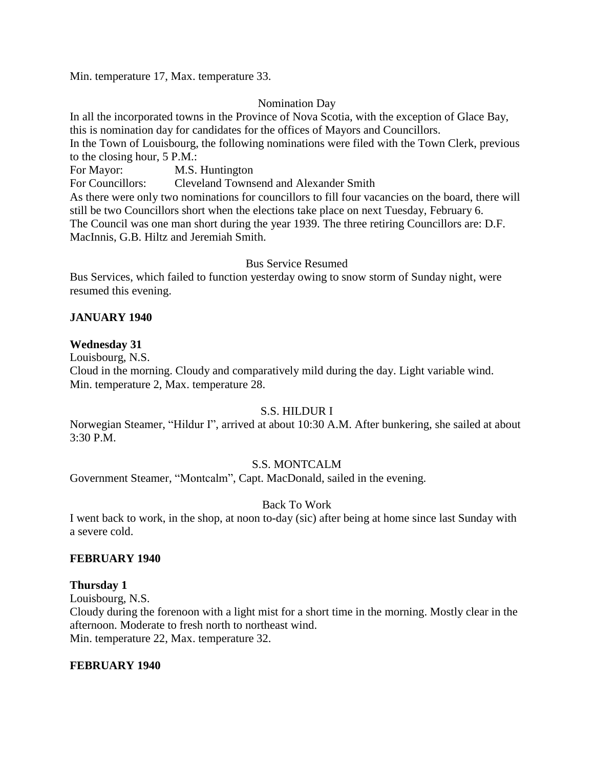Min. temperature 17, Max. temperature 33.

# Nomination Day

In all the incorporated towns in the Province of Nova Scotia, with the exception of Glace Bay, this is nomination day for candidates for the offices of Mayors and Councillors. In the Town of Louisbourg, the following nominations were filed with the Town Clerk, previous to the closing hour, 5 P.M.: For Mayor: M.S. Huntington For Councillors: Cleveland Townsend and Alexander Smith As there were only two nominations for councillors to fill four vacancies on the board, there will still be two Councillors short when the elections take place on next Tuesday, February 6. The Council was one man short during the year 1939. The three retiring Councillors are: D.F. MacInnis, G.B. Hiltz and Jeremiah Smith.

# Bus Service Resumed

Bus Services, which failed to function yesterday owing to snow storm of Sunday night, were resumed this evening.

# **JANUARY 1940**

# **Wednesday 31**

Louisbourg, N.S.

Cloud in the morning. Cloudy and comparatively mild during the day. Light variable wind. Min. temperature 2, Max. temperature 28.

# S.S. HILDUR I

Norwegian Steamer, "Hildur I", arrived at about 10:30 A.M. After bunkering, she sailed at about 3:30 P.M.

# S.S. MONTCALM

Government Steamer, "Montcalm", Capt. MacDonald, sailed in the evening.

# Back To Work

I went back to work, in the shop, at noon to-day (sic) after being at home since last Sunday with a severe cold.

# **FEBRUARY 1940**

# **Thursday 1**

Louisbourg, N.S.

Cloudy during the forenoon with a light mist for a short time in the morning. Mostly clear in the afternoon. Moderate to fresh north to northeast wind. Min. temperature 22, Max. temperature 32.

# **FEBRUARY 1940**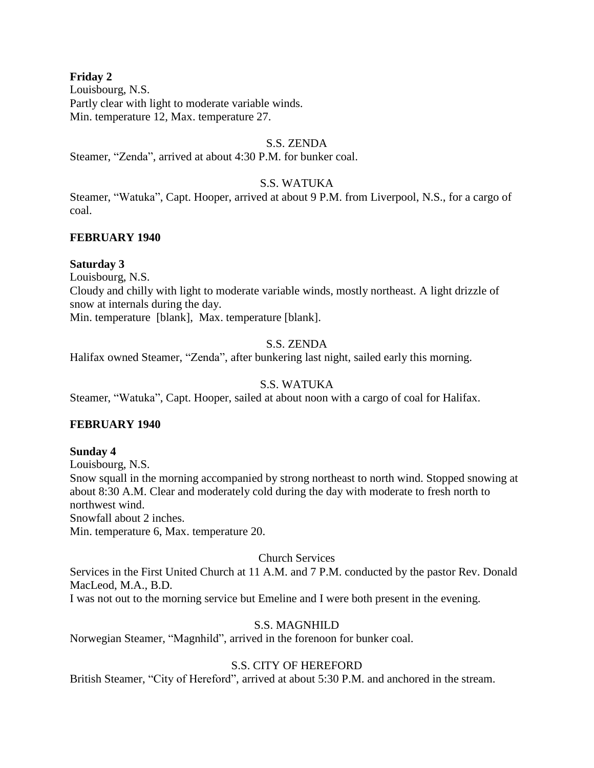# **Friday 2**

Louisbourg, N.S. Partly clear with light to moderate variable winds. Min. temperature 12, Max. temperature 27.

# S.S. ZENDA

Steamer, "Zenda", arrived at about 4:30 P.M. for bunker coal.

# S.S. WATUKA

Steamer, "Watuka", Capt. Hooper, arrived at about 9 P.M. from Liverpool, N.S., for a cargo of coal.

# **FEBRUARY 1940**

# **Saturday 3**

Louisbourg, N.S.

Cloudy and chilly with light to moderate variable winds, mostly northeast. A light drizzle of snow at internals during the day.

Min. temperature [blank], Max. temperature [blank].

# S.S. ZENDA

Halifax owned Steamer, "Zenda", after bunkering last night, sailed early this morning.

# S.S. WATUKA

Steamer, "Watuka", Capt. Hooper, sailed at about noon with a cargo of coal for Halifax.

# **FEBRUARY 1940**

# **Sunday 4**

Louisbourg, N.S. Snow squall in the morning accompanied by strong northeast to north wind. Stopped snowing at about 8:30 A.M. Clear and moderately cold during the day with moderate to fresh north to northwest wind. Snowfall about 2 inches.

Min. temperature 6, Max. temperature 20.

# Church Services

Services in the First United Church at 11 A.M. and 7 P.M. conducted by the pastor Rev. Donald MacLeod, M.A., B.D.

I was not out to the morning service but Emeline and I were both present in the evening.

# S.S. MAGNHILD

Norwegian Steamer, "Magnhild", arrived in the forenoon for bunker coal.

# S.S. CITY OF HEREFORD

British Steamer, "City of Hereford", arrived at about 5:30 P.M. and anchored in the stream.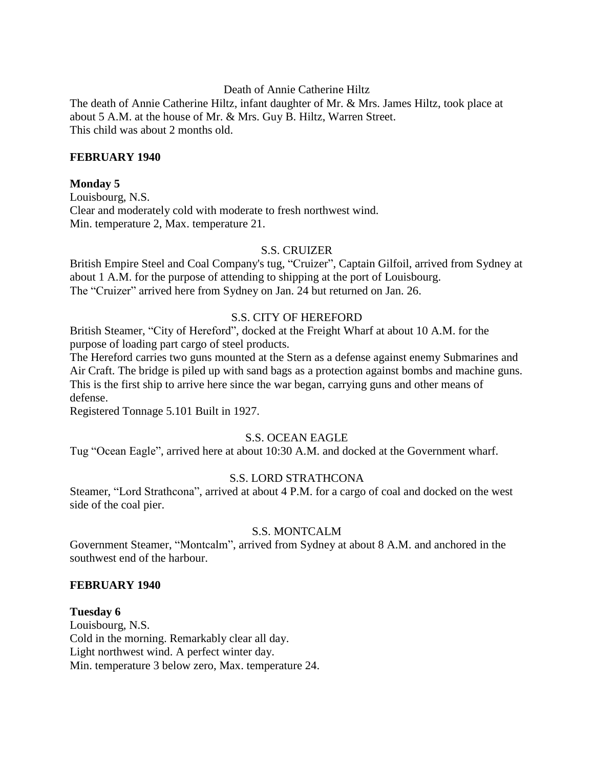Death of Annie Catherine Hiltz

The death of Annie Catherine Hiltz, infant daughter of Mr. & Mrs. James Hiltz, took place at about 5 A.M. at the house of Mr. & Mrs. Guy B. Hiltz, Warren Street. This child was about 2 months old.

# **FEBRUARY 1940**

# **Monday 5**

Louisbourg, N.S. Clear and moderately cold with moderate to fresh northwest wind. Min. temperature 2, Max. temperature 21.

# S.S. CRUIZER

British Empire Steel and Coal Company's tug, "Cruizer", Captain Gilfoil, arrived from Sydney at about 1 A.M. for the purpose of attending to shipping at the port of Louisbourg. The "Cruizer" arrived here from Sydney on Jan. 24 but returned on Jan. 26.

# S.S. CITY OF HEREFORD

British Steamer, "City of Hereford", docked at the Freight Wharf at about 10 A.M. for the purpose of loading part cargo of steel products.

The Hereford carries two guns mounted at the Stern as a defense against enemy Submarines and Air Craft. The bridge is piled up with sand bags as a protection against bombs and machine guns. This is the first ship to arrive here since the war began, carrying guns and other means of defense.

Registered Tonnage 5.101 Built in 1927.

# S.S. OCEAN EAGLE

Tug "Ocean Eagle", arrived here at about 10:30 A.M. and docked at the Government wharf.

# S.S. LORD STRATHCONA

Steamer, "Lord Strathcona", arrived at about 4 P.M. for a cargo of coal and docked on the west side of the coal pier.

# S.S. MONTCALM

Government Steamer, "Montcalm", arrived from Sydney at about 8 A.M. and anchored in the southwest end of the harbour.

# **FEBRUARY 1940**

**Tuesday 6** Louisbourg, N.S. Cold in the morning. Remarkably clear all day. Light northwest wind. A perfect winter day. Min. temperature 3 below zero, Max. temperature 24.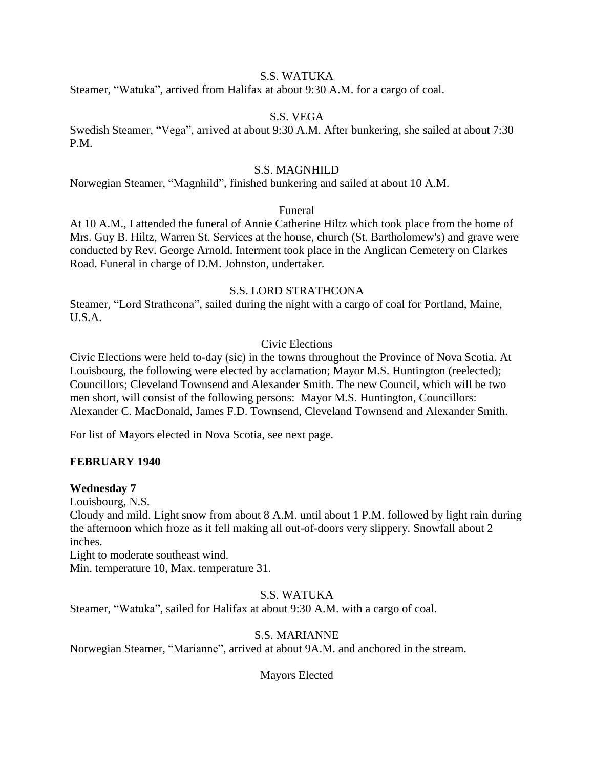# S.S. WATUKA

Steamer, "Watuka", arrived from Halifax at about 9:30 A.M. for a cargo of coal.

# S.S. VEGA

Swedish Steamer, "Vega", arrived at about 9:30 A.M. After bunkering, she sailed at about 7:30 P.M.

# S.S. MAGNHILD

Norwegian Steamer, "Magnhild", finished bunkering and sailed at about 10 A.M.

# Funeral

At 10 A.M., I attended the funeral of Annie Catherine Hiltz which took place from the home of Mrs. Guy B. Hiltz, Warren St. Services at the house, church (St. Bartholomew's) and grave were conducted by Rev. George Arnold. Interment took place in the Anglican Cemetery on Clarkes Road. Funeral in charge of D.M. Johnston, undertaker.

# S.S. LORD STRATHCONA

Steamer, "Lord Strathcona", sailed during the night with a cargo of coal for Portland, Maine, U.S.A.

# Civic Elections

Civic Elections were held to-day (sic) in the towns throughout the Province of Nova Scotia. At Louisbourg, the following were elected by acclamation; Mayor M.S. Huntington (reelected); Councillors; Cleveland Townsend and Alexander Smith. The new Council, which will be two men short, will consist of the following persons: Mayor M.S. Huntington, Councillors: Alexander C. MacDonald, James F.D. Townsend, Cleveland Townsend and Alexander Smith.

For list of Mayors elected in Nova Scotia, see next page.

# **FEBRUARY 1940**

# **Wednesday 7**

Louisbourg, N.S.

Cloudy and mild. Light snow from about 8 A.M. until about 1 P.M. followed by light rain during the afternoon which froze as it fell making all out-of-doors very slippery. Snowfall about 2 inches.

Light to moderate southeast wind.

Min. temperature 10, Max. temperature 31.

# S.S. WATUKA

Steamer, "Watuka", sailed for Halifax at about 9:30 A.M. with a cargo of coal.

# S.S. MARIANNE

Norwegian Steamer, "Marianne", arrived at about 9A.M. and anchored in the stream.

Mayors Elected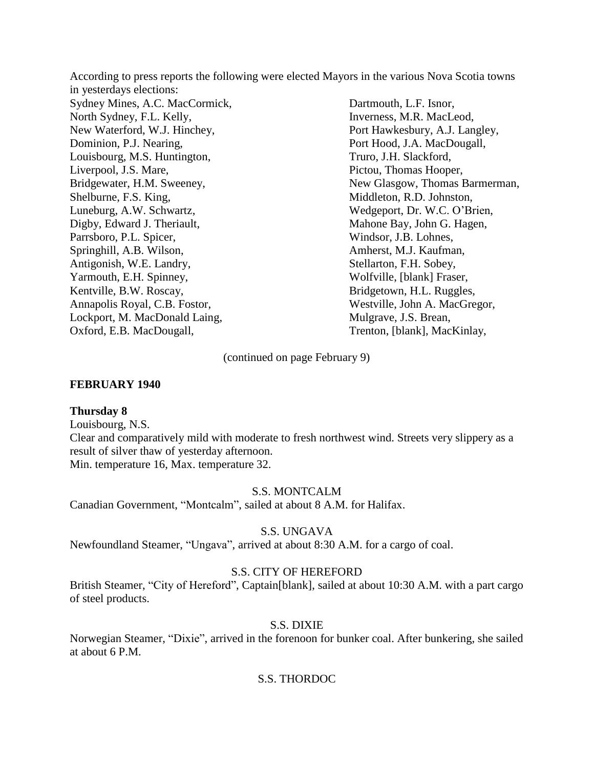According to press reports the following were elected Mayors in the various Nova Scotia towns in yesterdays elections: Sydney Mines, A.C. MacCormick, Dartmouth, L.F. Isnor, North Sydney, F.L. Kelly, Inverness, M.R. MacLeod, New Waterford, W.J. Hinchey, Port Hawkesbury, A.J. Langley, Dominion, P.J. Nearing, Providence and Port Hood, J.A. MacDougall, Louisbourg, M.S. Huntington, Truro, J.H. Slackford, Liverpool, J.S. Mare, Pictou, Thomas Hooper, Bridgewater, H.M. Sweeney, New Glasgow, Thomas Barmerman, Shelburne, F.S. King, Middleton, R.D. Johnston, Luneburg, A.W. Schwartz, Wedgeport, Dr. W.C. O'Brien, Digby, Edward J. Theriault, Mahone Bay, John G. Hagen, Parrsboro, P.L. Spicer, Windsor, J.B. Lohnes, Springhill, A.B. Wilson, Amherst, M.J. Kaufman, Antigonish, W.E. Landry, Stellarton, F.H. Sobey, Yarmouth, E.H. Spinney, Wolfville, [blank] Fraser, Kentville, B.W. Roscay, Bridgetown, H.L. Ruggles, Annapolis Royal, C.B. Fostor, Westville, John A. MacGregor, Lockport, M. MacDonald Laing, Mulgrave, J.S. Brean,

(continued on page February 9)

Oxford, E.B. MacDougall, Trenton, [blank], MacKinlay,

#### **FEBRUARY 1940**

#### **Thursday 8**

Louisbourg, N.S.

Clear and comparatively mild with moderate to fresh northwest wind. Streets very slippery as a result of silver thaw of yesterday afternoon. Min. temperature 16, Max. temperature 32.

#### S.S. MONTCALM

Canadian Government, "Montcalm", sailed at about 8 A.M. for Halifax.

#### S.S. UNGAVA

Newfoundland Steamer, "Ungava", arrived at about 8:30 A.M. for a cargo of coal.

#### S.S. CITY OF HEREFORD

British Steamer, "City of Hereford", Captain[blank], sailed at about 10:30 A.M. with a part cargo of steel products.

#### S.S. DIXIE

Norwegian Steamer, "Dixie", arrived in the forenoon for bunker coal. After bunkering, she sailed at about 6 P.M.

#### S.S. THORDOC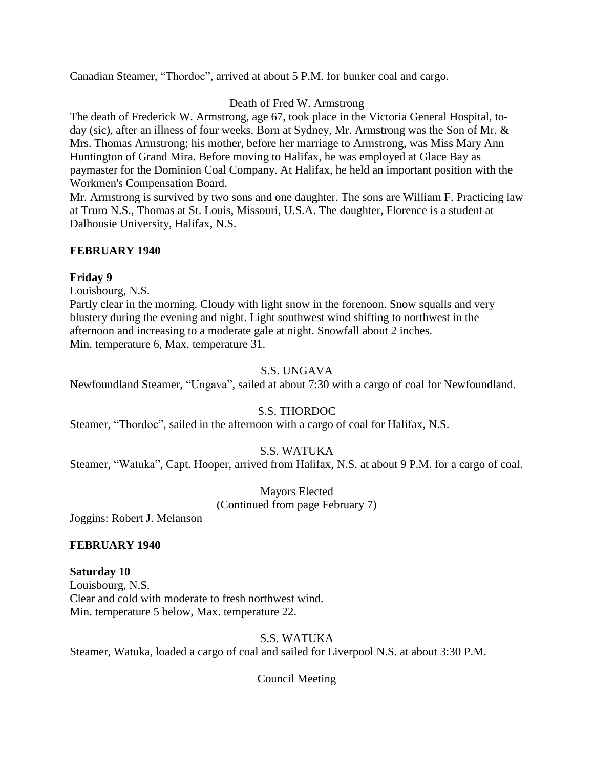Canadian Steamer, "Thordoc", arrived at about 5 P.M. for bunker coal and cargo.

# Death of Fred W. Armstrong

The death of Frederick W. Armstrong, age 67, took place in the Victoria General Hospital, today (sic), after an illness of four weeks. Born at Sydney, Mr. Armstrong was the Son of Mr. & Mrs. Thomas Armstrong; his mother, before her marriage to Armstrong, was Miss Mary Ann Huntington of Grand Mira. Before moving to Halifax, he was employed at Glace Bay as paymaster for the Dominion Coal Company. At Halifax, he held an important position with the Workmen's Compensation Board.

Mr. Armstrong is survived by two sons and one daughter. The sons are William F. Practicing law at Truro N.S., Thomas at St. Louis, Missouri, U.S.A. The daughter, Florence is a student at Dalhousie University, Halifax, N.S.

# **FEBRUARY 1940**

# **Friday 9**

Louisbourg, N.S.

Partly clear in the morning. Cloudy with light snow in the forenoon. Snow squalls and very blustery during the evening and night. Light southwest wind shifting to northwest in the afternoon and increasing to a moderate gale at night. Snowfall about 2 inches. Min. temperature 6, Max. temperature 31.

# S.S. UNGAVA

Newfoundland Steamer, "Ungava", sailed at about 7:30 with a cargo of coal for Newfoundland.

# S.S. THORDOC

Steamer, "Thordoc", sailed in the afternoon with a cargo of coal for Halifax, N.S.

# S.S. WATUKA

Steamer, "Watuka", Capt. Hooper, arrived from Halifax, N.S. at about 9 P.M. for a cargo of coal.

Mayors Elected (Continued from page February 7)

Joggins: Robert J. Melanson

# **FEBRUARY 1940**

# **Saturday 10**

Louisbourg, N.S. Clear and cold with moderate to fresh northwest wind. Min. temperature 5 below, Max. temperature 22.

# S.S. WATUKA

Steamer, Watuka, loaded a cargo of coal and sailed for Liverpool N.S. at about 3:30 P.M.

Council Meeting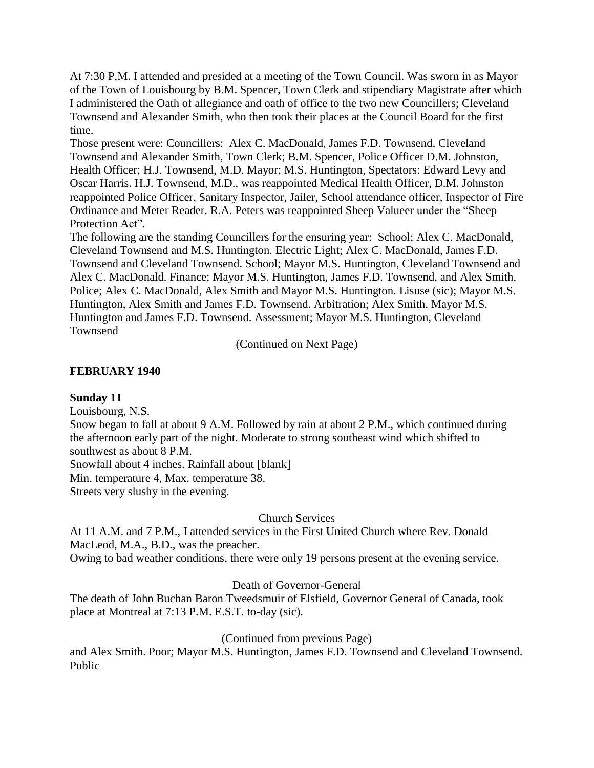At 7:30 P.M. I attended and presided at a meeting of the Town Council. Was sworn in as Mayor of the Town of Louisbourg by B.M. Spencer, Town Clerk and stipendiary Magistrate after which I administered the Oath of allegiance and oath of office to the two new Councillers; Cleveland Townsend and Alexander Smith, who then took their places at the Council Board for the first time.

Those present were: Councillers: Alex C. MacDonald, James F.D. Townsend, Cleveland Townsend and Alexander Smith, Town Clerk; B.M. Spencer, Police Officer D.M. Johnston, Health Officer; H.J. Townsend, M.D. Mayor; M.S. Huntington, Spectators: Edward Levy and Oscar Harris. H.J. Townsend, M.D., was reappointed Medical Health Officer, D.M. Johnston reappointed Police Officer, Sanitary Inspector, Jailer, School attendance officer, Inspector of Fire Ordinance and Meter Reader. R.A. Peters was reappointed Sheep Valueer under the "Sheep Protection Act".

The following are the standing Councillers for the ensuring year: School; Alex C. MacDonald, Cleveland Townsend and M.S. Huntington. Electric Light; Alex C. MacDonald, James F.D. Townsend and Cleveland Townsend. School; Mayor M.S. Huntington, Cleveland Townsend and Alex C. MacDonald. Finance; Mayor M.S. Huntington, James F.D. Townsend, and Alex Smith. Police; Alex C. MacDonald, Alex Smith and Mayor M.S. Huntington. Lisuse (sic); Mayor M.S. Huntington, Alex Smith and James F.D. Townsend. Arbitration; Alex Smith, Mayor M.S. Huntington and James F.D. Townsend. Assessment; Mayor M.S. Huntington, Cleveland Townsend

(Continued on Next Page)

# **FEBRUARY 1940**

# **Sunday 11**

Louisbourg, N.S.

Snow began to fall at about 9 A.M. Followed by rain at about 2 P.M., which continued during the afternoon early part of the night. Moderate to strong southeast wind which shifted to southwest as about 8 P.M.

Snowfall about 4 inches. Rainfall about [blank]

Min. temperature 4, Max. temperature 38.

Streets very slushy in the evening.

# Church Services

At 11 A.M. and 7 P.M., I attended services in the First United Church where Rev. Donald MacLeod, M.A., B.D., was the preacher.

Owing to bad weather conditions, there were only 19 persons present at the evening service.

# Death of Governor-General

The death of John Buchan Baron Tweedsmuir of Elsfield, Governor General of Canada, took place at Montreal at 7:13 P.M. E.S.T. to-day (sic).

(Continued from previous Page)

and Alex Smith. Poor; Mayor M.S. Huntington, James F.D. Townsend and Cleveland Townsend. Public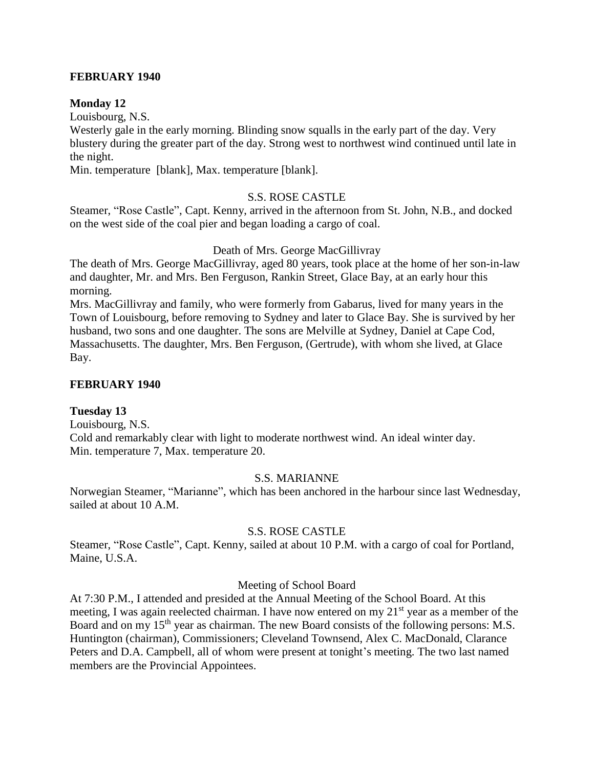# **FEBRUARY 1940**

# **Monday 12**

Louisbourg, N.S.

Westerly gale in the early morning. Blinding snow squalls in the early part of the day. Very blustery during the greater part of the day. Strong west to northwest wind continued until late in the night.

Min. temperature [blank], Max. temperature [blank].

# S.S. ROSE CASTLE

Steamer, "Rose Castle", Capt. Kenny, arrived in the afternoon from St. John, N.B., and docked on the west side of the coal pier and began loading a cargo of coal.

# Death of Mrs. George MacGillivray

The death of Mrs. George MacGillivray, aged 80 years, took place at the home of her son-in-law and daughter, Mr. and Mrs. Ben Ferguson, Rankin Street, Glace Bay, at an early hour this morning.

Mrs. MacGillivray and family, who were formerly from Gabarus, lived for many years in the Town of Louisbourg, before removing to Sydney and later to Glace Bay. She is survived by her husband, two sons and one daughter. The sons are Melville at Sydney, Daniel at Cape Cod, Massachusetts. The daughter, Mrs. Ben Ferguson, (Gertrude), with whom she lived, at Glace Bay.

# **FEBRUARY 1940**

# **Tuesday 13**

Louisbourg, N.S. Cold and remarkably clear with light to moderate northwest wind. An ideal winter day. Min. temperature 7, Max. temperature 20.

# S.S. MARIANNE

Norwegian Steamer, "Marianne", which has been anchored in the harbour since last Wednesday, sailed at about 10 A.M.

# S.S. ROSE CASTLE

Steamer, "Rose Castle", Capt. Kenny, sailed at about 10 P.M. with a cargo of coal for Portland, Maine, U.S.A.

# Meeting of School Board

At 7:30 P.M., I attended and presided at the Annual Meeting of the School Board. At this meeting, I was again reelected chairman. I have now entered on my 21<sup>st</sup> year as a member of the Board and on my 15<sup>th</sup> year as chairman. The new Board consists of the following persons: M.S. Huntington (chairman), Commissioners; Cleveland Townsend, Alex C. MacDonald, Clarance Peters and D.A. Campbell, all of whom were present at tonight's meeting. The two last named members are the Provincial Appointees.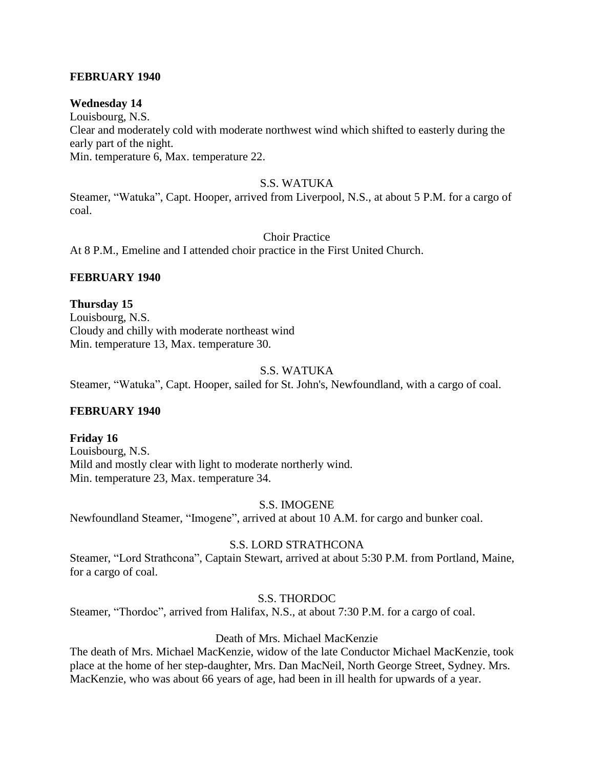# **FEBRUARY 1940**

# **Wednesday 14**

Louisbourg, N.S. Clear and moderately cold with moderate northwest wind which shifted to easterly during the early part of the night. Min. temperature 6, Max. temperature 22.

# S.S. WATUKA

Steamer, "Watuka", Capt. Hooper, arrived from Liverpool, N.S., at about 5 P.M. for a cargo of coal.

Choir Practice

At 8 P.M., Emeline and I attended choir practice in the First United Church.

# **FEBRUARY 1940**

# **Thursday 15**

Louisbourg, N.S. Cloudy and chilly with moderate northeast wind Min. temperature 13, Max. temperature 30.

# S.S. WATUKA

Steamer, "Watuka", Capt. Hooper, sailed for St. John's, Newfoundland, with a cargo of coal.

# **FEBRUARY 1940**

**Friday 16** Louisbourg, N.S. Mild and mostly clear with light to moderate northerly wind. Min. temperature 23, Max. temperature 34.

# S.S. IMOGENE

Newfoundland Steamer, "Imogene", arrived at about 10 A.M. for cargo and bunker coal.

# S.S. LORD STRATHCONA

Steamer, "Lord Strathcona", Captain Stewart, arrived at about 5:30 P.M. from Portland, Maine, for a cargo of coal.

# S.S. THORDOC

Steamer, "Thordoc", arrived from Halifax, N.S., at about 7:30 P.M. for a cargo of coal.

# Death of Mrs. Michael MacKenzie

The death of Mrs. Michael MacKenzie, widow of the late Conductor Michael MacKenzie, took place at the home of her step-daughter, Mrs. Dan MacNeil, North George Street, Sydney. Mrs. MacKenzie, who was about 66 years of age, had been in ill health for upwards of a year.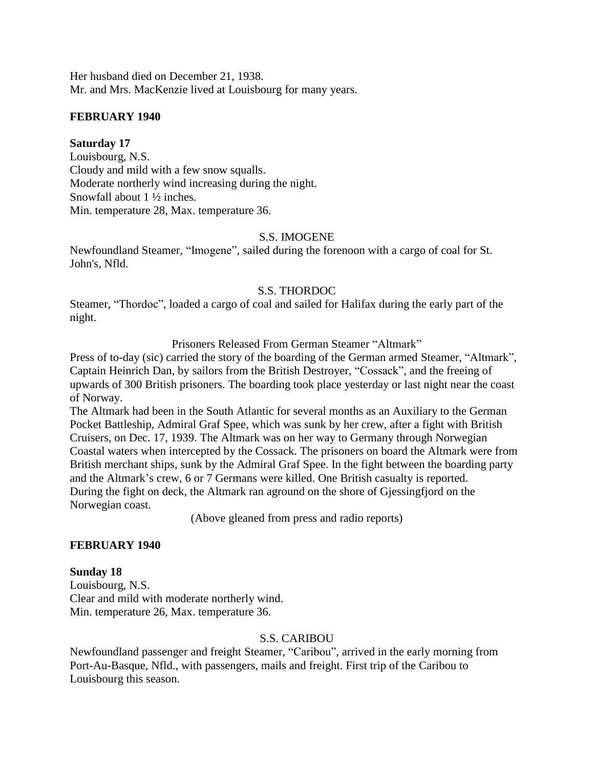Her husband died on December 21, 1938. Mr. and Mrs. MacKenzie lived at Louisbourg for many years.

# **FEBRUARY 1940**

#### **Saturday 17**

Louisbourg, N.S. Cloudy and mild with a few snow squalls. Moderate northerly wind increasing during the night. Snowfall about 1 ½ inches. Min. temperature 28, Max. temperature 36.

#### S.S. IMOGENE

Newfoundland Steamer, "Imogene", sailed during the forenoon with a cargo of coal for St. John's, Nfld.

# S.S. THORDOC

Steamer, "Thordoc", loaded a cargo of coal and sailed for Halifax during the early part of the night.

Prisoners Released From German Steamer "Altmark"

Press of to-day (sic) carried the story of the boarding of the German armed Steamer, "Altmark", Captain Heinrich Dan, by sailors from the British Destroyer, "Cossack", and the freeing of upwards of 300 British prisoners. The boarding took place yesterday or last night near the coast of Norway.

The Altmark had been in the South Atlantic for several months as an Auxiliary to the German Pocket Battleship, Admiral Graf Spee, which was sunk by her crew, after a fight with British Cruisers, on Dec. 17, 1939. The Altmark was on her way to Germany through Norwegian Coastal waters when intercepted by the Cossack. The prisoners on board the Altmark were from British merchant ships, sunk by the Admiral Graf Spee. In the fight between the boarding party and the Altmark's crew, 6 or 7 Germans were killed. One British casualty is reported. During the fight on deck, the Altmark ran aground on the shore of Gjessingfjord on the Norwegian coast.

(Above gleaned from press and radio reports)

# **FEBRUARY 1940**

# **Sunday 18**

Louisbourg, N.S. Clear and mild with moderate northerly wind. Min. temperature 26, Max. temperature 36.

#### S.S. CARIBOU

Newfoundland passenger and freight Steamer, "Caribou", arrived in the early morning from Port-Au-Basque, Nfld., with passengers, mails and freight. First trip of the Caribou to Louisbourg this season.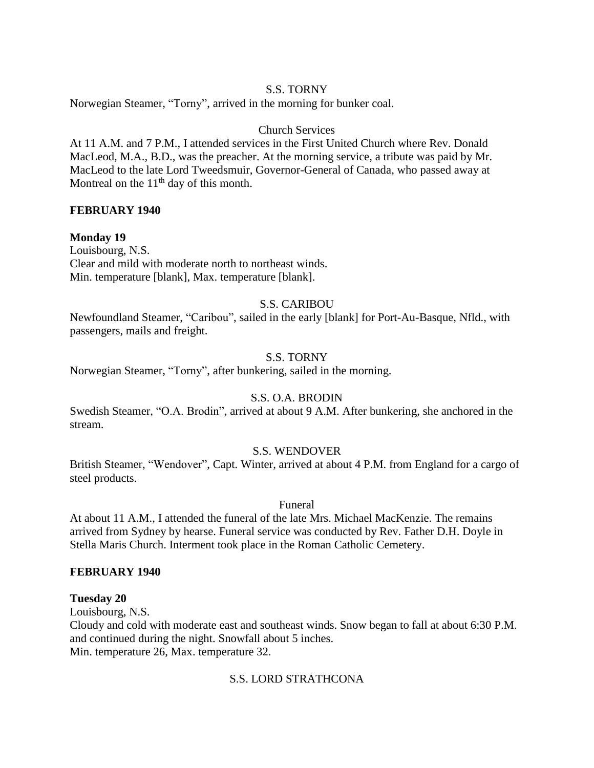# S.S. TORNY

Norwegian Steamer, "Torny", arrived in the morning for bunker coal.

# Church Services

At 11 A.M. and 7 P.M., I attended services in the First United Church where Rev. Donald MacLeod, M.A., B.D., was the preacher. At the morning service, a tribute was paid by Mr. MacLeod to the late Lord Tweedsmuir, Governor-General of Canada, who passed away at Montreal on the  $11<sup>th</sup>$  day of this month.

#### **FEBRUARY 1940**

#### **Monday 19**

Louisbourg, N.S. Clear and mild with moderate north to northeast winds. Min. temperature [blank], Max. temperature [blank].

# S.S. CARIBOU

Newfoundland Steamer, "Caribou", sailed in the early [blank] for Port-Au-Basque, Nfld., with passengers, mails and freight.

# S.S. TORNY

Norwegian Steamer, "Torny", after bunkering, sailed in the morning.

# S.S. O.A. BRODIN

Swedish Steamer, "O.A. Brodin", arrived at about 9 A.M. After bunkering, she anchored in the stream.

#### S.S. WENDOVER

British Steamer, "Wendover", Capt. Winter, arrived at about 4 P.M. from England for a cargo of steel products.

Funeral

At about 11 A.M., I attended the funeral of the late Mrs. Michael MacKenzie. The remains arrived from Sydney by hearse. Funeral service was conducted by Rev. Father D.H. Doyle in Stella Maris Church. Interment took place in the Roman Catholic Cemetery.

#### **FEBRUARY 1940**

#### **Tuesday 20**

Louisbourg, N.S.

Cloudy and cold with moderate east and southeast winds. Snow began to fall at about 6:30 P.M. and continued during the night. Snowfall about 5 inches. Min. temperature 26, Max. temperature 32.

# S.S. LORD STRATHCONA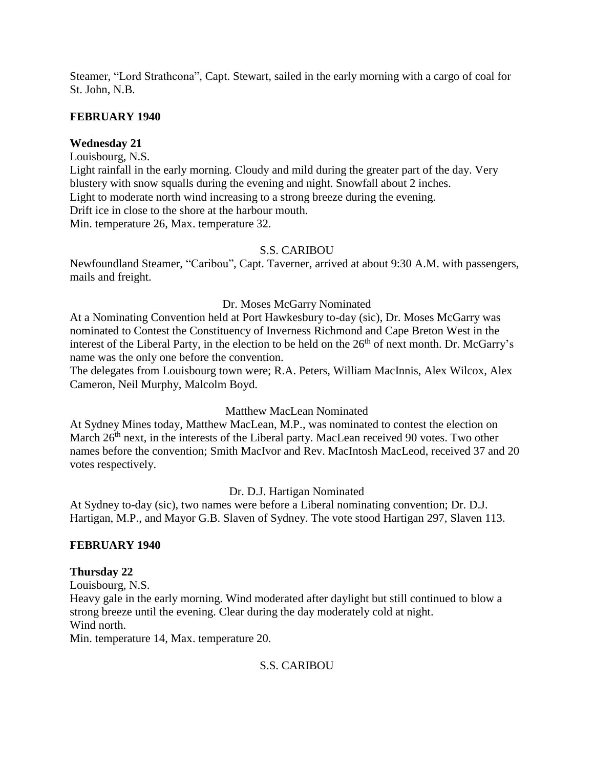Steamer, "Lord Strathcona", Capt. Stewart, sailed in the early morning with a cargo of coal for St. John, N.B.

# **FEBRUARY 1940**

# **Wednesday 21**

Louisbourg, N.S.

Light rainfall in the early morning. Cloudy and mild during the greater part of the day. Very blustery with snow squalls during the evening and night. Snowfall about 2 inches. Light to moderate north wind increasing to a strong breeze during the evening. Drift ice in close to the shore at the harbour mouth. Min. temperature 26, Max. temperature 32.

# S.S. CARIBOU

Newfoundland Steamer, "Caribou", Capt. Taverner, arrived at about 9:30 A.M. with passengers, mails and freight.

# Dr. Moses McGarry Nominated

At a Nominating Convention held at Port Hawkesbury to-day (sic), Dr. Moses McGarry was nominated to Contest the Constituency of Inverness Richmond and Cape Breton West in the interest of the Liberal Party, in the election to be held on the 26<sup>th</sup> of next month. Dr. McGarry's name was the only one before the convention.

The delegates from Louisbourg town were; R.A. Peters, William MacInnis, Alex Wilcox, Alex Cameron, Neil Murphy, Malcolm Boyd.

# Matthew MacLean Nominated

At Sydney Mines today, Matthew MacLean, M.P., was nominated to contest the election on March 26<sup>th</sup> next, in the interests of the Liberal party. MacLean received 90 votes. Two other names before the convention; Smith MacIvor and Rev. MacIntosh MacLeod, received 37 and 20 votes respectively.

Dr. D.J. Hartigan Nominated

At Sydney to-day (sic), two names were before a Liberal nominating convention; Dr. D.J. Hartigan, M.P., and Mayor G.B. Slaven of Sydney. The vote stood Hartigan 297, Slaven 113.

# **FEBRUARY 1940**

# **Thursday 22**

Louisbourg, N.S. Heavy gale in the early morning. Wind moderated after daylight but still continued to blow a strong breeze until the evening. Clear during the day moderately cold at night. Wind north. Min. temperature 14, Max. temperature 20.

# S.S. CARIBOU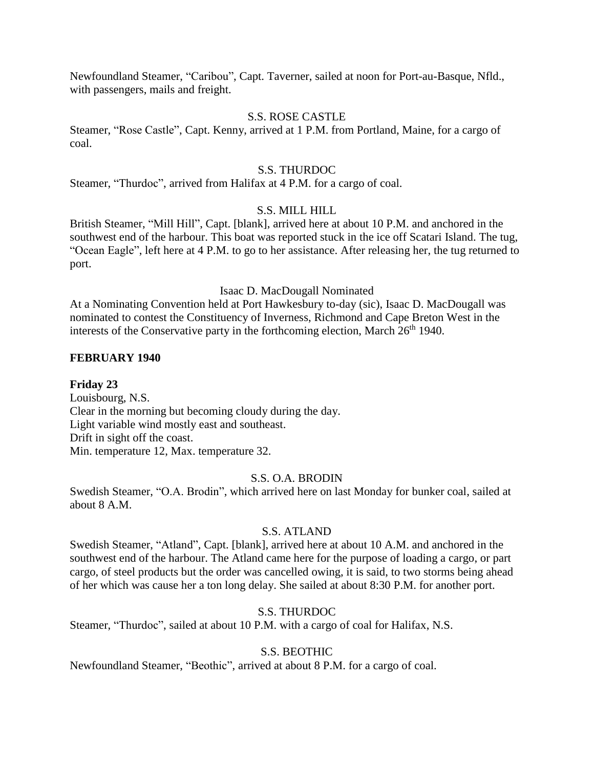Newfoundland Steamer, "Caribou", Capt. Taverner, sailed at noon for Port-au-Basque, Nfld., with passengers, mails and freight.

#### S.S. ROSE CASTLE

Steamer, "Rose Castle", Capt. Kenny, arrived at 1 P.M. from Portland, Maine, for a cargo of coal.

#### S.S. THURDOC

Steamer, "Thurdoc", arrived from Halifax at 4 P.M. for a cargo of coal.

#### S.S. MILL HILL

British Steamer, "Mill Hill", Capt. [blank], arrived here at about 10 P.M. and anchored in the southwest end of the harbour. This boat was reported stuck in the ice off Scatari Island. The tug, "Ocean Eagle", left here at 4 P.M. to go to her assistance. After releasing her, the tug returned to port.

#### Isaac D. MacDougall Nominated

At a Nominating Convention held at Port Hawkesbury to-day (sic), Isaac D. MacDougall was nominated to contest the Constituency of Inverness, Richmond and Cape Breton West in the interests of the Conservative party in the forthcoming election, March  $26<sup>th</sup> 1940$ .

#### **FEBRUARY 1940**

#### **Friday 23**

Louisbourg, N.S. Clear in the morning but becoming cloudy during the day. Light variable wind mostly east and southeast. Drift in sight off the coast. Min. temperature 12, Max. temperature 32.

#### S.S. O.A. BRODIN

Swedish Steamer, "O.A. Brodin", which arrived here on last Monday for bunker coal, sailed at about 8 A.M.

#### S.S. ATLAND

Swedish Steamer, "Atland", Capt. [blank], arrived here at about 10 A.M. and anchored in the southwest end of the harbour. The Atland came here for the purpose of loading a cargo, or part cargo, of steel products but the order was cancelled owing, it is said, to two storms being ahead of her which was cause her a ton long delay. She sailed at about 8:30 P.M. for another port.

#### S.S. THURDOC

Steamer, "Thurdoc", sailed at about 10 P.M. with a cargo of coal for Halifax, N.S.

#### S.S. BEOTHIC

Newfoundland Steamer, "Beothic", arrived at about 8 P.M. for a cargo of coal.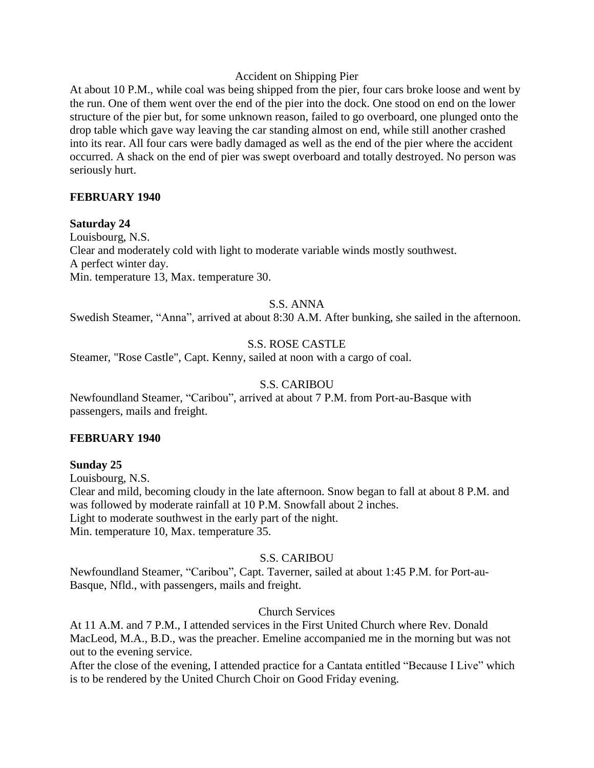# Accident on Shipping Pier

At about 10 P.M., while coal was being shipped from the pier, four cars broke loose and went by the run. One of them went over the end of the pier into the dock. One stood on end on the lower structure of the pier but, for some unknown reason, failed to go overboard, one plunged onto the drop table which gave way leaving the car standing almost on end, while still another crashed into its rear. All four cars were badly damaged as well as the end of the pier where the accident occurred. A shack on the end of pier was swept overboard and totally destroyed. No person was seriously hurt.

# **FEBRUARY 1940**

#### **Saturday 24**

Louisbourg, N.S. Clear and moderately cold with light to moderate variable winds mostly southwest. A perfect winter day. Min. temperature 13, Max. temperature 30.

# S.S. ANNA

Swedish Steamer, "Anna", arrived at about 8:30 A.M. After bunking, she sailed in the afternoon.

# S.S. ROSE CASTLE

Steamer, "Rose Castle", Capt. Kenny, sailed at noon with a cargo of coal.

# S.S. CARIBOU

Newfoundland Steamer, "Caribou", arrived at about 7 P.M. from Port-au-Basque with passengers, mails and freight.

# **FEBRUARY 1940**

# **Sunday 25**

Louisbourg, N.S. Clear and mild, becoming cloudy in the late afternoon. Snow began to fall at about 8 P.M. and was followed by moderate rainfall at 10 P.M. Snowfall about 2 inches. Light to moderate southwest in the early part of the night. Min. temperature 10, Max. temperature 35.

# S.S. CARIBOU

Newfoundland Steamer, "Caribou", Capt. Taverner, sailed at about 1:45 P.M. for Port-au-Basque, Nfld., with passengers, mails and freight.

# Church Services

At 11 A.M. and 7 P.M., I attended services in the First United Church where Rev. Donald MacLeod, M.A., B.D., was the preacher. Emeline accompanied me in the morning but was not out to the evening service.

After the close of the evening, I attended practice for a Cantata entitled "Because I Live" which is to be rendered by the United Church Choir on Good Friday evening.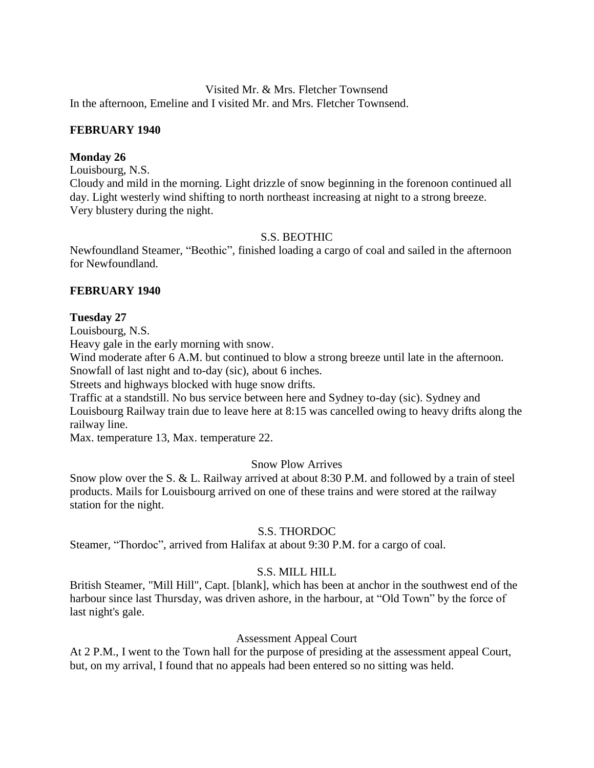Visited Mr. & Mrs. Fletcher Townsend In the afternoon, Emeline and I visited Mr. and Mrs. Fletcher Townsend.

# **FEBRUARY 1940**

# **Monday 26**

Louisbourg, N.S.

Cloudy and mild in the morning. Light drizzle of snow beginning in the forenoon continued all day. Light westerly wind shifting to north northeast increasing at night to a strong breeze. Very blustery during the night.

# S.S. BEOTHIC

Newfoundland Steamer, "Beothic", finished loading a cargo of coal and sailed in the afternoon for Newfoundland.

# **FEBRUARY 1940**

# **Tuesday 27**

Louisbourg, N.S.

Heavy gale in the early morning with snow.

Wind moderate after 6 A.M. but continued to blow a strong breeze until late in the afternoon. Snowfall of last night and to-day (sic), about 6 inches.

Streets and highways blocked with huge snow drifts.

Traffic at a standstill. No bus service between here and Sydney to-day (sic). Sydney and Louisbourg Railway train due to leave here at 8:15 was cancelled owing to heavy drifts along the railway line.

Max. temperature 13, Max. temperature 22.

# Snow Plow Arrives

Snow plow over the S. & L. Railway arrived at about 8:30 P.M. and followed by a train of steel products. Mails for Louisbourg arrived on one of these trains and were stored at the railway station for the night.

# S.S. THORDOC

Steamer, "Thordoc", arrived from Halifax at about 9:30 P.M. for a cargo of coal.

# S.S. MILL HILL

British Steamer, "Mill Hill", Capt. [blank], which has been at anchor in the southwest end of the harbour since last Thursday, was driven ashore, in the harbour, at "Old Town" by the force of last night's gale.

# Assessment Appeal Court

At 2 P.M., I went to the Town hall for the purpose of presiding at the assessment appeal Court, but, on my arrival, I found that no appeals had been entered so no sitting was held.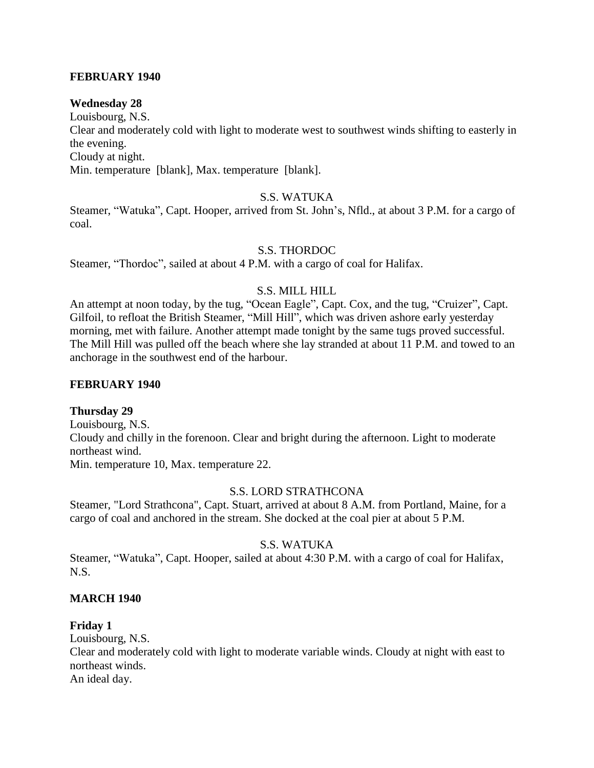# **FEBRUARY 1940**

# **Wednesday 28**

Louisbourg, N.S. Clear and moderately cold with light to moderate west to southwest winds shifting to easterly in the evening. Cloudy at night. Min. temperature [blank], Max. temperature [blank].

# S.S. WATUKA

Steamer, "Watuka", Capt. Hooper, arrived from St. John's, Nfld., at about 3 P.M. for a cargo of coal.

# S.S. THORDOC

Steamer, "Thordoc", sailed at about 4 P.M. with a cargo of coal for Halifax.

# S.S. MILL HILL

An attempt at noon today, by the tug, "Ocean Eagle", Capt. Cox, and the tug, "Cruizer", Capt. Gilfoil, to refloat the British Steamer, "Mill Hill", which was driven ashore early yesterday morning, met with failure. Another attempt made tonight by the same tugs proved successful. The Mill Hill was pulled off the beach where she lay stranded at about 11 P.M. and towed to an anchorage in the southwest end of the harbour.

# **FEBRUARY 1940**

# **Thursday 29**

Louisbourg, N.S. Cloudy and chilly in the forenoon. Clear and bright during the afternoon. Light to moderate northeast wind. Min. temperature 10, Max. temperature 22.

# S.S. LORD STRATHCONA

Steamer, "Lord Strathcona", Capt. Stuart, arrived at about 8 A.M. from Portland, Maine, for a cargo of coal and anchored in the stream. She docked at the coal pier at about 5 P.M.

# S.S. WATUKA

Steamer, "Watuka", Capt. Hooper, sailed at about 4:30 P.M. with a cargo of coal for Halifax, N.S.

# **MARCH 1940**

# **Friday 1**

Louisbourg, N.S. Clear and moderately cold with light to moderate variable winds. Cloudy at night with east to northeast winds. An ideal day.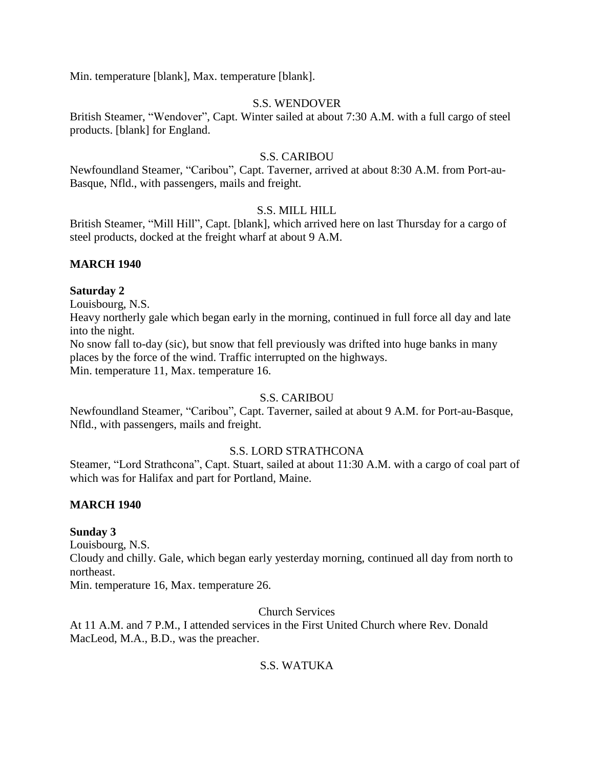Min. temperature [blank], Max. temperature [blank].

# S.S. WENDOVER

British Steamer, "Wendover", Capt. Winter sailed at about 7:30 A.M. with a full cargo of steel products. [blank] for England.

# S.S. CARIBOU

Newfoundland Steamer, "Caribou", Capt. Taverner, arrived at about 8:30 A.M. from Port-au-Basque, Nfld., with passengers, mails and freight.

# S.S. MILL HILL

British Steamer, "Mill Hill", Capt. [blank], which arrived here on last Thursday for a cargo of steel products, docked at the freight wharf at about 9 A.M.

# **MARCH 1940**

# **Saturday 2**

Louisbourg, N.S.

Heavy northerly gale which began early in the morning, continued in full force all day and late into the night.

No snow fall to-day (sic), but snow that fell previously was drifted into huge banks in many places by the force of the wind. Traffic interrupted on the highways.

Min. temperature 11, Max. temperature 16.

# S.S. CARIBOU

Newfoundland Steamer, "Caribou", Capt. Taverner, sailed at about 9 A.M. for Port-au-Basque, Nfld., with passengers, mails and freight.

# S.S. LORD STRATHCONA

Steamer, "Lord Strathcona", Capt. Stuart, sailed at about 11:30 A.M. with a cargo of coal part of which was for Halifax and part for Portland, Maine.

# **MARCH 1940**

# **Sunday 3**

Louisbourg, N.S.

Cloudy and chilly. Gale, which began early yesterday morning, continued all day from north to northeast.

Min. temperature 16, Max. temperature 26.

Church Services

At 11 A.M. and 7 P.M., I attended services in the First United Church where Rev. Donald MacLeod, M.A., B.D., was the preacher.

# S.S. WATUKA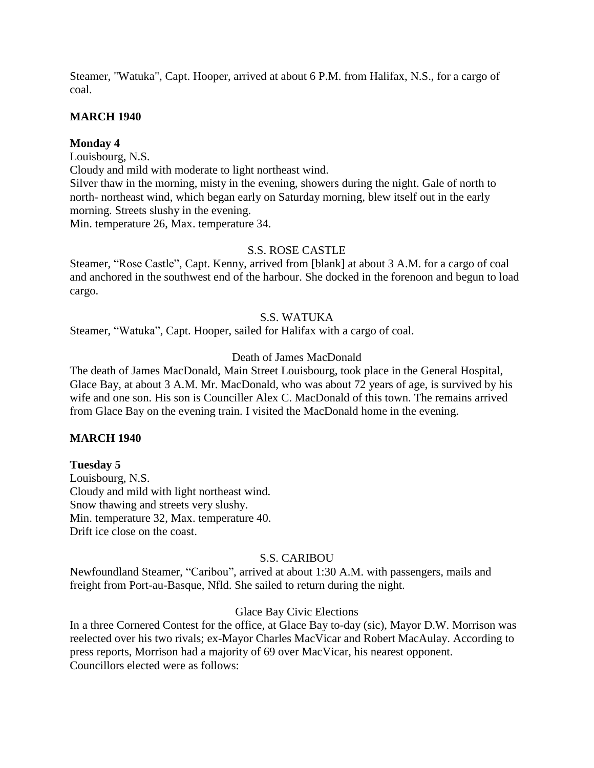Steamer, "Watuka", Capt. Hooper, arrived at about 6 P.M. from Halifax, N.S., for a cargo of coal.

# **MARCH 1940**

# **Monday 4**

Louisbourg, N.S.

Cloudy and mild with moderate to light northeast wind.

Silver thaw in the morning, misty in the evening, showers during the night. Gale of north to north- northeast wind, which began early on Saturday morning, blew itself out in the early morning. Streets slushy in the evening.

Min. temperature 26, Max. temperature 34.

# S.S. ROSE CASTLE

Steamer, "Rose Castle", Capt. Kenny, arrived from [blank] at about 3 A.M. for a cargo of coal and anchored in the southwest end of the harbour. She docked in the forenoon and begun to load cargo.

# S.S. WATUKA

Steamer, "Watuka", Capt. Hooper, sailed for Halifax with a cargo of coal.

# Death of James MacDonald

The death of James MacDonald, Main Street Louisbourg, took place in the General Hospital, Glace Bay, at about 3 A.M. Mr. MacDonald, who was about 72 years of age, is survived by his wife and one son. His son is Counciller Alex C. MacDonald of this town. The remains arrived from Glace Bay on the evening train. I visited the MacDonald home in the evening.

# **MARCH 1940**

# **Tuesday 5**

Louisbourg, N.S. Cloudy and mild with light northeast wind. Snow thawing and streets very slushy. Min. temperature 32, Max. temperature 40. Drift ice close on the coast.

# S.S. CARIBOU

Newfoundland Steamer, "Caribou", arrived at about 1:30 A.M. with passengers, mails and freight from Port-au-Basque, Nfld. She sailed to return during the night.

# Glace Bay Civic Elections

In a three Cornered Contest for the office, at Glace Bay to-day (sic), Mayor D.W. Morrison was reelected over his two rivals; ex-Mayor Charles MacVicar and Robert MacAulay. According to press reports, Morrison had a majority of 69 over MacVicar, his nearest opponent. Councillors elected were as follows: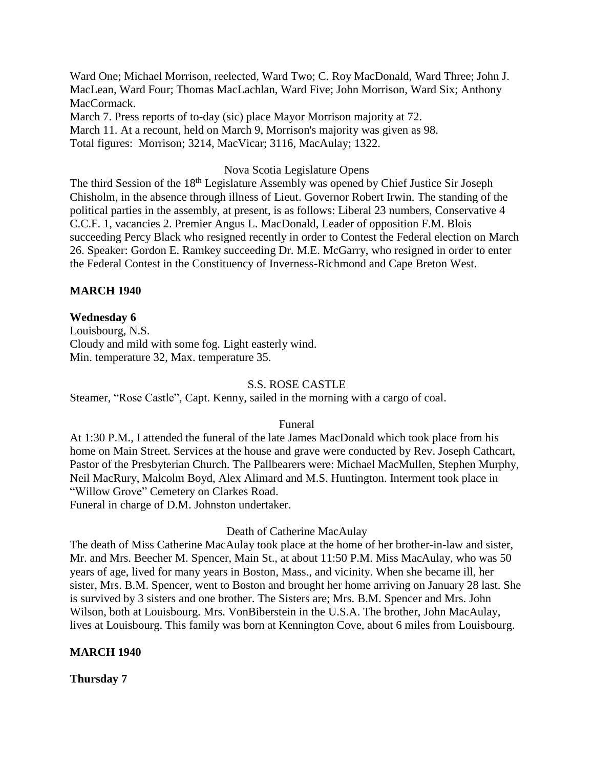Ward One; Michael Morrison, reelected, Ward Two; C. Roy MacDonald, Ward Three; John J. MacLean, Ward Four; Thomas MacLachlan, Ward Five; John Morrison, Ward Six; Anthony MacCormack.

March 7. Press reports of to-day (sic) place Mayor Morrison majority at 72. March 11. At a recount, held on March 9, Morrison's majority was given as 98. Total figures: Morrison; 3214, MacVicar; 3116, MacAulay; 1322.

#### Nova Scotia Legislature Opens

The third Session of the 18<sup>th</sup> Legislature Assembly was opened by Chief Justice Sir Joseph Chisholm, in the absence through illness of Lieut. Governor Robert Irwin. The standing of the political parties in the assembly, at present, is as follows: Liberal 23 numbers, Conservative 4 C.C.F. 1, vacancies 2. Premier Angus L. MacDonald, Leader of opposition F.M. Blois succeeding Percy Black who resigned recently in order to Contest the Federal election on March 26. Speaker: Gordon E. Ramkey succeeding Dr. M.E. McGarry, who resigned in order to enter the Federal Contest in the Constituency of Inverness-Richmond and Cape Breton West.

# **MARCH 1940**

# **Wednesday 6**

Louisbourg, N.S. Cloudy and mild with some fog. Light easterly wind. Min. temperature 32, Max. temperature 35.

#### S.S. ROSE CASTLE

Steamer, "Rose Castle", Capt. Kenny, sailed in the morning with a cargo of coal.

#### Funeral

At 1:30 P.M., I attended the funeral of the late James MacDonald which took place from his home on Main Street. Services at the house and grave were conducted by Rev. Joseph Cathcart, Pastor of the Presbyterian Church. The Pallbearers were: Michael MacMullen, Stephen Murphy, Neil MacRury, Malcolm Boyd, Alex Alimard and M.S. Huntington. Interment took place in "Willow Grove" Cemetery on Clarkes Road. Funeral in charge of D.M. Johnston undertaker.

#### Death of Catherine MacAulay

The death of Miss Catherine MacAulay took place at the home of her brother-in-law and sister, Mr. and Mrs. Beecher M. Spencer, Main St., at about 11:50 P.M. Miss MacAulay, who was 50 years of age, lived for many years in Boston, Mass., and vicinity. When she became ill, her sister, Mrs. B.M. Spencer, went to Boston and brought her home arriving on January 28 last. She is survived by 3 sisters and one brother. The Sisters are; Mrs. B.M. Spencer and Mrs. John Wilson, both at Louisbourg. Mrs. VonBiberstein in the U.S.A. The brother, John MacAulay, lives at Louisbourg. This family was born at Kennington Cove, about 6 miles from Louisbourg.

#### **MARCH 1940**

**Thursday 7**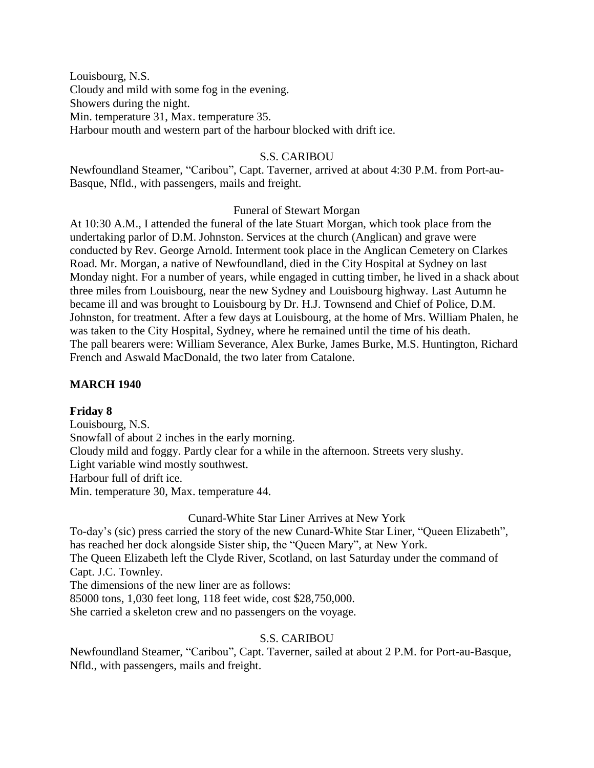Louisbourg, N.S. Cloudy and mild with some fog in the evening. Showers during the night. Min. temperature 31, Max. temperature 35. Harbour mouth and western part of the harbour blocked with drift ice.

# S.S. CARIBOU

Newfoundland Steamer, "Caribou", Capt. Taverner, arrived at about 4:30 P.M. from Port-au-Basque, Nfld., with passengers, mails and freight.

# Funeral of Stewart Morgan

At 10:30 A.M., I attended the funeral of the late Stuart Morgan, which took place from the undertaking parlor of D.M. Johnston. Services at the church (Anglican) and grave were conducted by Rev. George Arnold. Interment took place in the Anglican Cemetery on Clarkes Road. Mr. Morgan, a native of Newfoundland, died in the City Hospital at Sydney on last Monday night. For a number of years, while engaged in cutting timber, he lived in a shack about three miles from Louisbourg, near the new Sydney and Louisbourg highway. Last Autumn he became ill and was brought to Louisbourg by Dr. H.J. Townsend and Chief of Police, D.M. Johnston, for treatment. After a few days at Louisbourg, at the home of Mrs. William Phalen, he was taken to the City Hospital, Sydney, where he remained until the time of his death. The pall bearers were: William Severance, Alex Burke, James Burke, M.S. Huntington, Richard French and Aswald MacDonald, the two later from Catalone.

# **MARCH 1940**

# **Friday 8**

Louisbourg, N.S. Snowfall of about 2 inches in the early morning. Cloudy mild and foggy. Partly clear for a while in the afternoon. Streets very slushy. Light variable wind mostly southwest. Harbour full of drift ice. Min. temperature 30, Max. temperature 44.

#### Cunard-White Star Liner Arrives at New York

To-day's (sic) press carried the story of the new Cunard-White Star Liner, "Queen Elizabeth", has reached her dock alongside Sister ship, the "Queen Mary", at New York. The Queen Elizabeth left the Clyde River, Scotland, on last Saturday under the command of Capt. J.C. Townley.

The dimensions of the new liner are as follows:

85000 tons, 1,030 feet long, 118 feet wide, cost \$28,750,000.

She carried a skeleton crew and no passengers on the voyage.

# S.S. CARIBOU

Newfoundland Steamer, "Caribou", Capt. Taverner, sailed at about 2 P.M. for Port-au-Basque, Nfld., with passengers, mails and freight.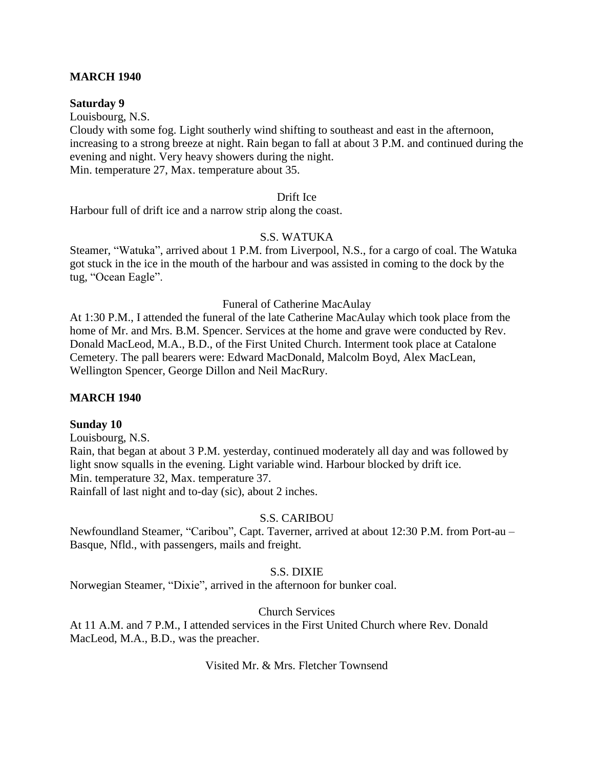# **MARCH 1940**

#### **Saturday 9**

Louisbourg, N.S.

Cloudy with some fog. Light southerly wind shifting to southeast and east in the afternoon, increasing to a strong breeze at night. Rain began to fall at about 3 P.M. and continued during the evening and night. Very heavy showers during the night. Min. temperature 27, Max. temperature about 35.

Drift Ice

Harbour full of drift ice and a narrow strip along the coast.

#### S.S. WATUKA

Steamer, "Watuka", arrived about 1 P.M. from Liverpool, N.S., for a cargo of coal. The Watuka got stuck in the ice in the mouth of the harbour and was assisted in coming to the dock by the tug, "Ocean Eagle".

#### Funeral of Catherine MacAulay

At 1:30 P.M., I attended the funeral of the late Catherine MacAulay which took place from the home of Mr. and Mrs. B.M. Spencer. Services at the home and grave were conducted by Rev. Donald MacLeod, M.A., B.D., of the First United Church. Interment took place at Catalone Cemetery. The pall bearers were: Edward MacDonald, Malcolm Boyd, Alex MacLean, Wellington Spencer, George Dillon and Neil MacRury.

#### **MARCH 1940**

#### **Sunday 10**

Louisbourg, N.S.

Rain, that began at about 3 P.M. yesterday, continued moderately all day and was followed by light snow squalls in the evening. Light variable wind. Harbour blocked by drift ice. Min. temperature 32, Max. temperature 37. Rainfall of last night and to-day (sic), about 2 inches.

#### S.S. CARIBOU

Newfoundland Steamer, "Caribou", Capt. Taverner, arrived at about 12:30 P.M. from Port-au – Basque, Nfld., with passengers, mails and freight.

# S.S. DIXIE

Norwegian Steamer, "Dixie", arrived in the afternoon for bunker coal.

# Church Services

At 11 A.M. and 7 P.M., I attended services in the First United Church where Rev. Donald MacLeod, M.A., B.D., was the preacher.

Visited Mr. & Mrs. Fletcher Townsend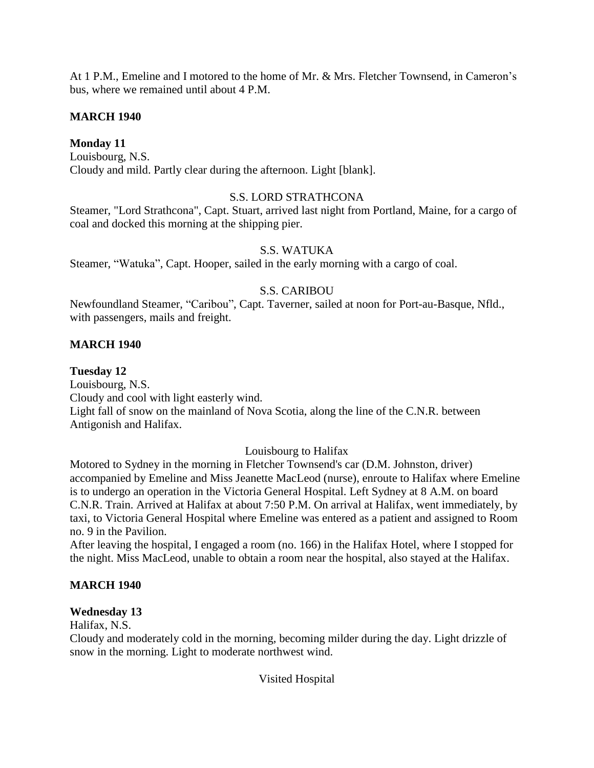At 1 P.M., Emeline and I motored to the home of Mr. & Mrs. Fletcher Townsend, in Cameron's bus, where we remained until about 4 P.M.

# **MARCH 1940**

# **Monday 11**

Louisbourg, N.S. Cloudy and mild. Partly clear during the afternoon. Light [blank].

# S.S. LORD STRATHCONA

Steamer, "Lord Strathcona", Capt. Stuart, arrived last night from Portland, Maine, for a cargo of coal and docked this morning at the shipping pier.

# S.S. WATUKA

Steamer, "Watuka", Capt. Hooper, sailed in the early morning with a cargo of coal.

# S.S. CARIBOU

Newfoundland Steamer, "Caribou", Capt. Taverner, sailed at noon for Port-au-Basque, Nfld., with passengers, mails and freight.

# **MARCH 1940**

# **Tuesday 12**

Louisbourg, N.S. Cloudy and cool with light easterly wind. Light fall of snow on the mainland of Nova Scotia, along the line of the C.N.R. between Antigonish and Halifax.

# Louisbourg to Halifax

Motored to Sydney in the morning in Fletcher Townsend's car (D.M. Johnston, driver) accompanied by Emeline and Miss Jeanette MacLeod (nurse), enroute to Halifax where Emeline is to undergo an operation in the Victoria General Hospital. Left Sydney at 8 A.M. on board C.N.R. Train. Arrived at Halifax at about 7:50 P.M. On arrival at Halifax, went immediately, by taxi, to Victoria General Hospital where Emeline was entered as a patient and assigned to Room no. 9 in the Pavilion.

After leaving the hospital, I engaged a room (no. 166) in the Halifax Hotel, where I stopped for the night. Miss MacLeod, unable to obtain a room near the hospital, also stayed at the Halifax.

# **MARCH 1940**

# **Wednesday 13**

Halifax, N.S.

Cloudy and moderately cold in the morning, becoming milder during the day. Light drizzle of snow in the morning. Light to moderate northwest wind.

Visited Hospital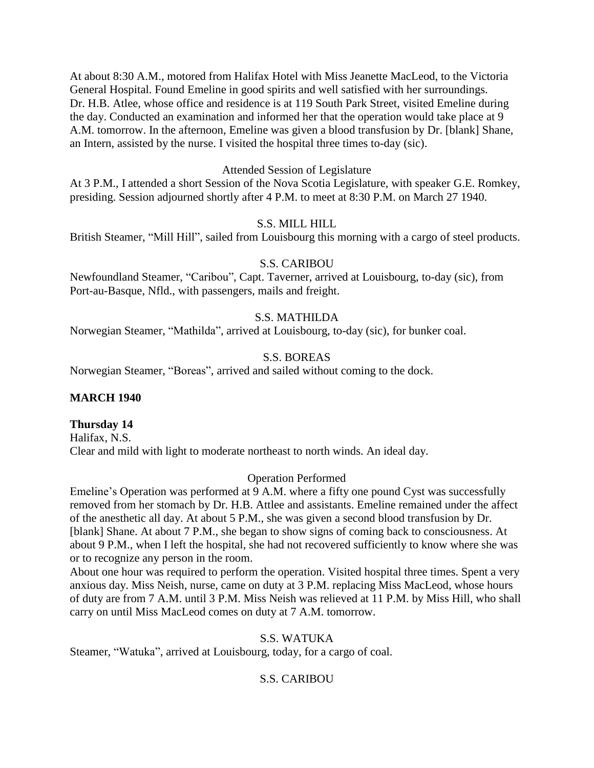At about 8:30 A.M., motored from Halifax Hotel with Miss Jeanette MacLeod, to the Victoria General Hospital. Found Emeline in good spirits and well satisfied with her surroundings. Dr. H.B. Atlee, whose office and residence is at 119 South Park Street, visited Emeline during the day. Conducted an examination and informed her that the operation would take place at 9 A.M. tomorrow. In the afternoon, Emeline was given a blood transfusion by Dr. [blank] Shane, an Intern, assisted by the nurse. I visited the hospital three times to-day (sic).

### Attended Session of Legislature

At 3 P.M., I attended a short Session of the Nova Scotia Legislature, with speaker G.E. Romkey, presiding. Session adjourned shortly after 4 P.M. to meet at 8:30 P.M. on March 27 1940.

# S.S. MILL HILL

British Steamer, "Mill Hill", sailed from Louisbourg this morning with a cargo of steel products.

### S.S. CARIBOU

Newfoundland Steamer, "Caribou", Capt. Taverner, arrived at Louisbourg, to-day (sic), from Port-au-Basque, Nfld., with passengers, mails and freight.

# S.S. MATHILDA

Norwegian Steamer, "Mathilda", arrived at Louisbourg, to-day (sic), for bunker coal.

### S.S. BOREAS

Norwegian Steamer, "Boreas", arrived and sailed without coming to the dock.

#### **MARCH 1940**

#### **Thursday 14**

Halifax, N.S. Clear and mild with light to moderate northeast to north winds. An ideal day.

#### Operation Performed

Emeline's Operation was performed at 9 A.M. where a fifty one pound Cyst was successfully removed from her stomach by Dr. H.B. Attlee and assistants. Emeline remained under the affect of the anesthetic all day. At about 5 P.M., she was given a second blood transfusion by Dr. [blank] Shane. At about 7 P.M., she began to show signs of coming back to consciousness. At about 9 P.M., when I left the hospital, she had not recovered sufficiently to know where she was or to recognize any person in the room.

About one hour was required to perform the operation. Visited hospital three times. Spent a very anxious day. Miss Neish, nurse, came on duty at 3 P.M. replacing Miss MacLeod, whose hours of duty are from 7 A.M. until 3 P.M. Miss Neish was relieved at 11 P.M. by Miss Hill, who shall carry on until Miss MacLeod comes on duty at 7 A.M. tomorrow.

# S.S. WATUKA

Steamer, "Watuka", arrived at Louisbourg, today, for a cargo of coal.

# S.S. CARIBOU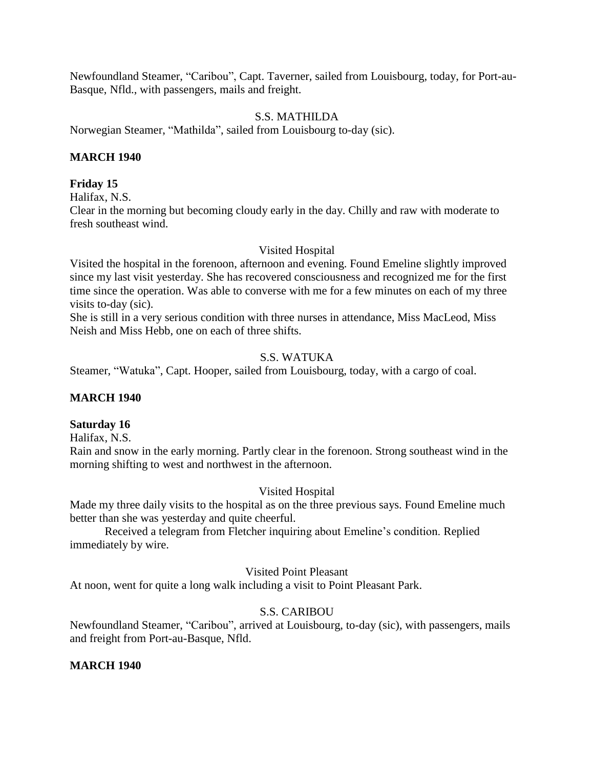Newfoundland Steamer, "Caribou", Capt. Taverner, sailed from Louisbourg, today, for Port-au-Basque, Nfld., with passengers, mails and freight.

### S.S. MATHILDA

Norwegian Steamer, "Mathilda", sailed from Louisbourg to-day (sic).

#### **MARCH 1940**

#### **Friday 15**

Halifax, N.S.

Clear in the morning but becoming cloudy early in the day. Chilly and raw with moderate to fresh southeast wind.

#### Visited Hospital

Visited the hospital in the forenoon, afternoon and evening. Found Emeline slightly improved since my last visit yesterday. She has recovered consciousness and recognized me for the first time since the operation. Was able to converse with me for a few minutes on each of my three visits to-day (sic).

She is still in a very serious condition with three nurses in attendance, Miss MacLeod, Miss Neish and Miss Hebb, one on each of three shifts.

# S.S. WATUKA

Steamer, "Watuka", Capt. Hooper, sailed from Louisbourg, today, with a cargo of coal.

#### **MARCH 1940**

#### **Saturday 16**

Halifax, N.S.

Rain and snow in the early morning. Partly clear in the forenoon. Strong southeast wind in the morning shifting to west and northwest in the afternoon.

#### Visited Hospital

Made my three daily visits to the hospital as on the three previous says. Found Emeline much better than she was yesterday and quite cheerful.

Received a telegram from Fletcher inquiring about Emeline's condition. Replied immediately by wire.

#### Visited Point Pleasant

At noon, went for quite a long walk including a visit to Point Pleasant Park.

#### S.S. CARIBOU

Newfoundland Steamer, "Caribou", arrived at Louisbourg, to-day (sic), with passengers, mails and freight from Port-au-Basque, Nfld.

#### **MARCH 1940**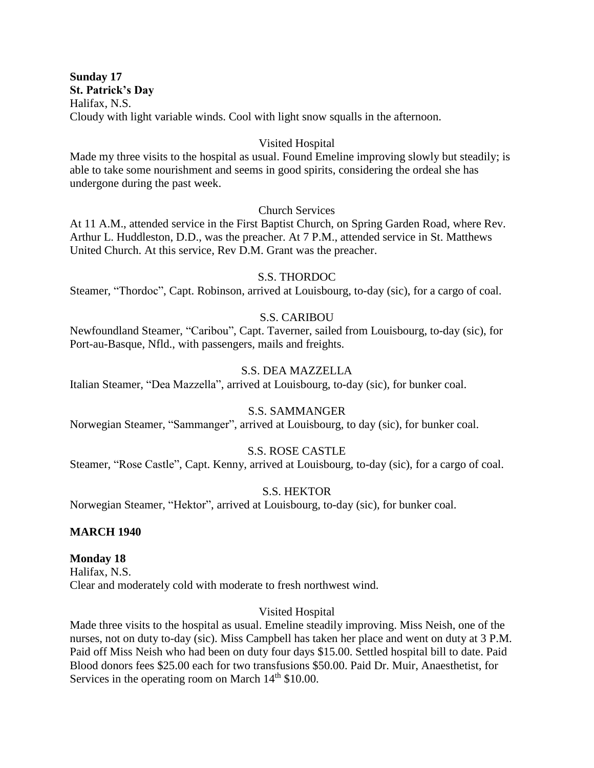**Sunday 17 St. Patrick's Day** Halifax, N.S. Cloudy with light variable winds. Cool with light snow squalls in the afternoon.

#### Visited Hospital

Made my three visits to the hospital as usual. Found Emeline improving slowly but steadily; is able to take some nourishment and seems in good spirits, considering the ordeal she has undergone during the past week.

### Church Services

At 11 A.M., attended service in the First Baptist Church, on Spring Garden Road, where Rev. Arthur L. Huddleston, D.D., was the preacher. At 7 P.M., attended service in St. Matthews United Church. At this service, Rev D.M. Grant was the preacher.

### S.S. THORDOC

Steamer, "Thordoc", Capt. Robinson, arrived at Louisbourg, to-day (sic), for a cargo of coal.

### S.S. CARIBOU

Newfoundland Steamer, "Caribou", Capt. Taverner, sailed from Louisbourg, to-day (sic), for Port-au-Basque, Nfld., with passengers, mails and freights.

### S.S. DEA MAZZELLA

Italian Steamer, "Dea Mazzella", arrived at Louisbourg, to-day (sic), for bunker coal.

### S.S. SAMMANGER

Norwegian Steamer, "Sammanger", arrived at Louisbourg, to day (sic), for bunker coal.

#### S.S. ROSE CASTLE

Steamer, "Rose Castle", Capt. Kenny, arrived at Louisbourg, to-day (sic), for a cargo of coal.

# S.S. HEKTOR

Norwegian Steamer, "Hektor", arrived at Louisbourg, to-day (sic), for bunker coal.

#### **MARCH 1940**

#### **Monday 18**

Halifax, N.S. Clear and moderately cold with moderate to fresh northwest wind.

#### Visited Hospital

Made three visits to the hospital as usual. Emeline steadily improving. Miss Neish, one of the nurses, not on duty to-day (sic). Miss Campbell has taken her place and went on duty at 3 P.M. Paid off Miss Neish who had been on duty four days \$15.00. Settled hospital bill to date. Paid Blood donors fees \$25.00 each for two transfusions \$50.00. Paid Dr. Muir, Anaesthetist, for Services in the operating room on March  $14<sup>th</sup>$  \$10.00.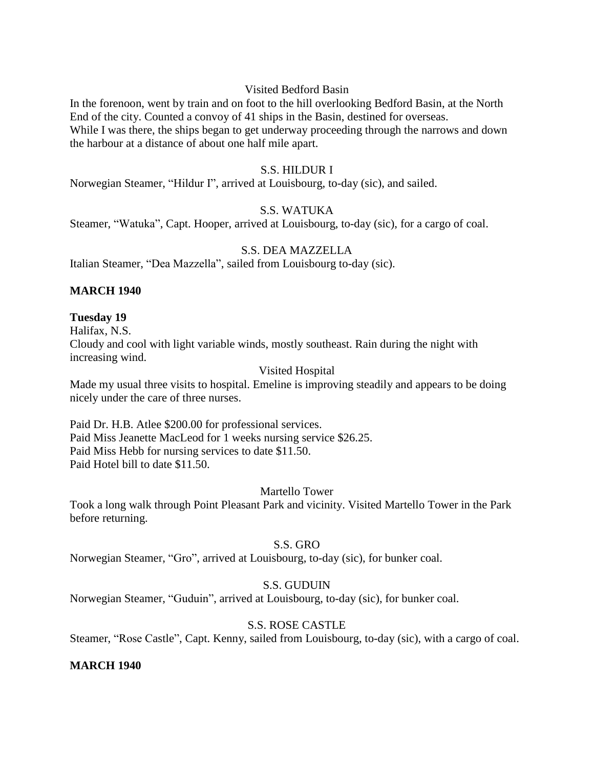#### Visited Bedford Basin

In the forenoon, went by train and on foot to the hill overlooking Bedford Basin, at the North End of the city. Counted a convoy of 41 ships in the Basin, destined for overseas. While I was there, the ships began to get underway proceeding through the narrows and down the harbour at a distance of about one half mile apart.

# S.S. HILDUR I

Norwegian Steamer, "Hildur I", arrived at Louisbourg, to-day (sic), and sailed.

#### S.S. WATUKA

Steamer, "Watuka", Capt. Hooper, arrived at Louisbourg, to-day (sic), for a cargo of coal.

# S.S. DEA MAZZELLA

Italian Steamer, "Dea Mazzella", sailed from Louisbourg to-day (sic).

#### **MARCH 1940**

# **Tuesday 19**

Halifax, N.S.

Cloudy and cool with light variable winds, mostly southeast. Rain during the night with increasing wind.

### Visited Hospital

Made my usual three visits to hospital. Emeline is improving steadily and appears to be doing nicely under the care of three nurses.

Paid Dr. H.B. Atlee \$200.00 for professional services. Paid Miss Jeanette MacLeod for 1 weeks nursing service \$26.25. Paid Miss Hebb for nursing services to date \$11.50. Paid Hotel bill to date \$11.50.

#### Martello Tower

Took a long walk through Point Pleasant Park and vicinity. Visited Martello Tower in the Park before returning.

#### S.S. GRO

Norwegian Steamer, "Gro", arrived at Louisbourg, to-day (sic), for bunker coal.

#### S.S. GUDUIN

Norwegian Steamer, "Guduin", arrived at Louisbourg, to-day (sic), for bunker coal.

# S.S. ROSE CASTLE

Steamer, "Rose Castle", Capt. Kenny, sailed from Louisbourg, to-day (sic), with a cargo of coal.

#### **MARCH 1940**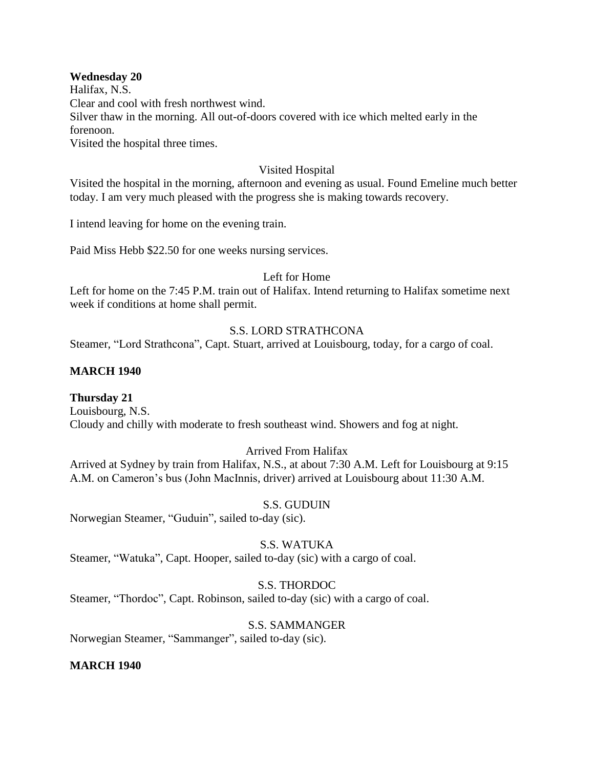#### **Wednesday 20**

Halifax, N.S.

Clear and cool with fresh northwest wind.

Silver thaw in the morning. All out-of-doors covered with ice which melted early in the forenoon.

Visited the hospital three times.

# Visited Hospital

Visited the hospital in the morning, afternoon and evening as usual. Found Emeline much better today. I am very much pleased with the progress she is making towards recovery.

I intend leaving for home on the evening train.

Paid Miss Hebb \$22.50 for one weeks nursing services.

### Left for Home

Left for home on the 7:45 P.M. train out of Halifax. Intend returning to Halifax sometime next week if conditions at home shall permit.

# S.S. LORD STRATHCONA

Steamer, "Lord Strathcona", Capt. Stuart, arrived at Louisbourg, today, for a cargo of coal.

# **MARCH 1940**

# **Thursday 21**

Louisbourg, N.S. Cloudy and chilly with moderate to fresh southeast wind. Showers and fog at night.

# Arrived From Halifax

Arrived at Sydney by train from Halifax, N.S., at about 7:30 A.M. Left for Louisbourg at 9:15 A.M. on Cameron's bus (John MacInnis, driver) arrived at Louisbourg about 11:30 A.M.

# S.S. GUDUIN

Norwegian Steamer, "Guduin", sailed to-day (sic).

# S.S. WATUKA

Steamer, "Watuka", Capt. Hooper, sailed to-day (sic) with a cargo of coal.

# S.S. THORDOC

Steamer, "Thordoc", Capt. Robinson, sailed to-day (sic) with a cargo of coal.

# S.S. SAMMANGER

Norwegian Steamer, "Sammanger", sailed to-day (sic).

# **MARCH 1940**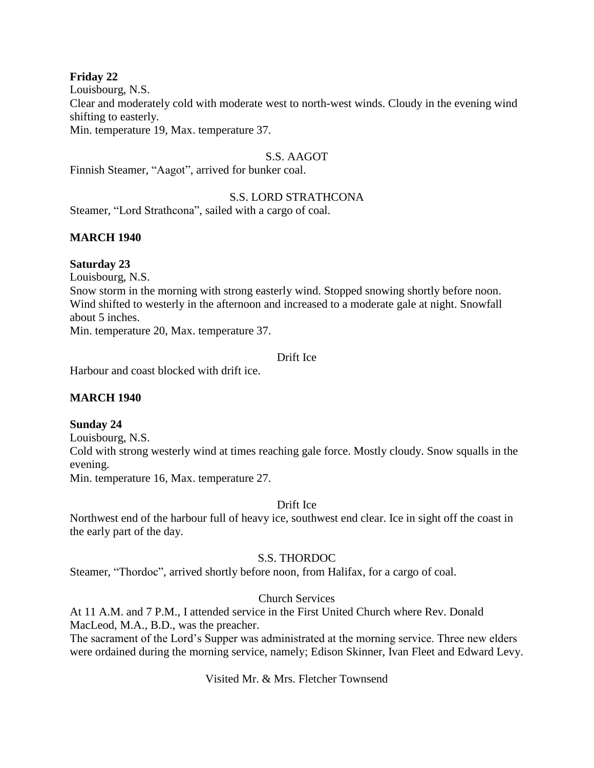#### **Friday 22**

Louisbourg, N.S. Clear and moderately cold with moderate west to north-west winds. Cloudy in the evening wind shifting to easterly. Min. temperature 19, Max. temperature 37.

#### S.S. AAGOT

Finnish Steamer, "Aagot", arrived for bunker coal.

#### S.S. LORD STRATHCONA

Steamer, "Lord Strathcona", sailed with a cargo of coal.

### **MARCH 1940**

#### **Saturday 23**

Louisbourg, N.S.

Snow storm in the morning with strong easterly wind. Stopped snowing shortly before noon. Wind shifted to westerly in the afternoon and increased to a moderate gale at night. Snowfall about 5 inches.

Min. temperature 20, Max. temperature 37.

# Drift Ice

Harbour and coast blocked with drift ice.

# **MARCH 1940**

#### **Sunday 24**

Louisbourg, N.S. Cold with strong westerly wind at times reaching gale force. Mostly cloudy. Snow squalls in the evening. Min. temperature 16, Max. temperature 27.

Drift Ice

Northwest end of the harbour full of heavy ice, southwest end clear. Ice in sight off the coast in the early part of the day.

#### S.S. THORDOC

Steamer, "Thordoc", arrived shortly before noon, from Halifax, for a cargo of coal.

#### Church Services

At 11 A.M. and 7 P.M., I attended service in the First United Church where Rev. Donald MacLeod, M.A., B.D., was the preacher.

The sacrament of the Lord's Supper was administrated at the morning service. Three new elders were ordained during the morning service, namely; Edison Skinner, Ivan Fleet and Edward Levy.

Visited Mr. & Mrs. Fletcher Townsend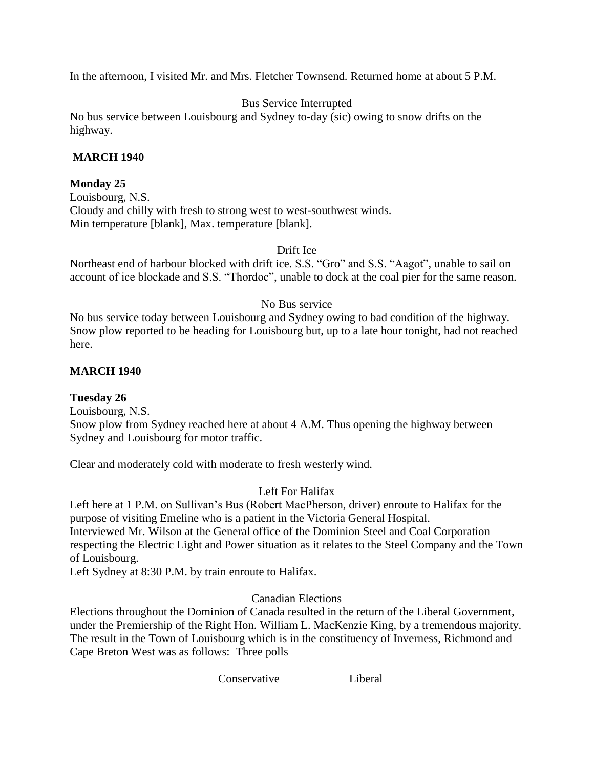In the afternoon, I visited Mr. and Mrs. Fletcher Townsend. Returned home at about 5 P.M.

# Bus Service Interrupted

No bus service between Louisbourg and Sydney to-day (sic) owing to snow drifts on the highway.

### **MARCH 1940**

# **Monday 25**

Louisbourg, N.S. Cloudy and chilly with fresh to strong west to west-southwest winds. Min temperature [blank], Max. temperature [blank].

#### Drift Ice

Northeast end of harbour blocked with drift ice. S.S. "Gro" and S.S. "Aagot", unable to sail on account of ice blockade and S.S. "Thordoc", unable to dock at the coal pier for the same reason.

### No Bus service

No bus service today between Louisbourg and Sydney owing to bad condition of the highway. Snow plow reported to be heading for Louisbourg but, up to a late hour tonight, had not reached here.

### **MARCH 1940**

# **Tuesday 26**

Louisbourg, N.S. Snow plow from Sydney reached here at about 4 A.M. Thus opening the highway between Sydney and Louisbourg for motor traffic.

Clear and moderately cold with moderate to fresh westerly wind.

# Left For Halifax

Left here at 1 P.M. on Sullivan's Bus (Robert MacPherson, driver) enroute to Halifax for the purpose of visiting Emeline who is a patient in the Victoria General Hospital. Interviewed Mr. Wilson at the General office of the Dominion Steel and Coal Corporation

respecting the Electric Light and Power situation as it relates to the Steel Company and the Town of Louisbourg.

Left Sydney at 8:30 P.M. by train enroute to Halifax.

Canadian Elections

Elections throughout the Dominion of Canada resulted in the return of the Liberal Government, under the Premiership of the Right Hon. William L. MacKenzie King, by a tremendous majority. The result in the Town of Louisbourg which is in the constituency of Inverness, Richmond and Cape Breton West was as follows: Three polls

Conservative Liberal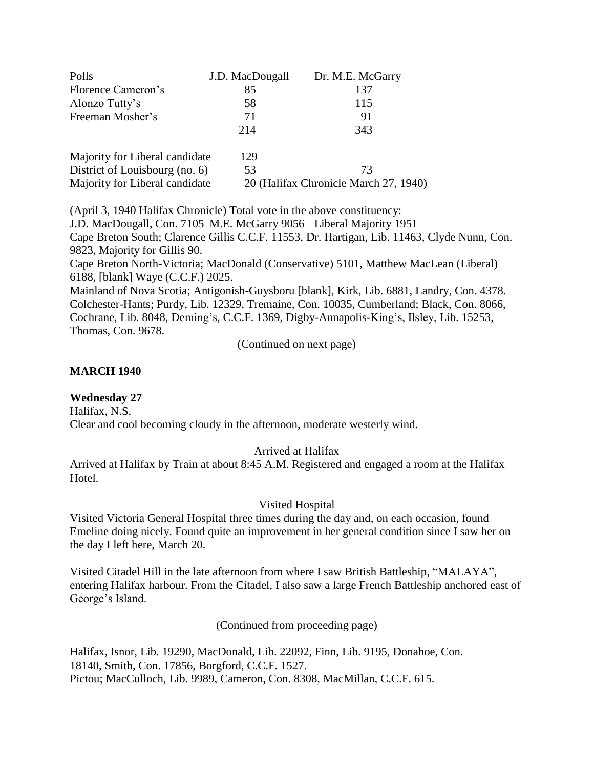| Polls<br>Florence Cameron's    | J.D. MacDougall<br>85 | Dr. M.E. McGarry<br>137               |  |
|--------------------------------|-----------------------|---------------------------------------|--|
| Alonzo Tutty's                 | 58                    | 115                                   |  |
| Freeman Mosher's               | 71                    | 91                                    |  |
|                                | 214                   | 343                                   |  |
| Majority for Liberal candidate | 129                   |                                       |  |
| District of Louisbourg (no. 6) | 53                    | 73                                    |  |
| Majority for Liberal candidate |                       | 20 (Halifax Chronicle March 27, 1940) |  |

(April 3, 1940 Halifax Chronicle) Total vote in the above constituency:

J.D. MacDougall, Con. 7105 M.E. McGarry 9056 Liberal Majority 1951

Cape Breton South; Clarence Gillis C.C.F. 11553, Dr. Hartigan, Lib. 11463, Clyde Nunn, Con. 9823, Majority for Gillis 90.

Cape Breton North-Victoria; MacDonald (Conservative) 5101, Matthew MacLean (Liberal) 6188, [blank] Waye (C.C.F.) 2025.

Mainland of Nova Scotia; Antigonish-Guysboru [blank], Kirk, Lib. 6881, Landry, Con. 4378. Colchester-Hants; Purdy, Lib. 12329, Tremaine, Con. 10035, Cumberland; Black, Con. 8066, Cochrane, Lib. 8048, Deming's, C.C.F. 1369, Digby-Annapolis-King's, Ilsley, Lib. 15253, Thomas, Con. 9678.

(Continued on next page)

### **MARCH 1940**

# **Wednesday 27**

Halifax, N.S.

Clear and cool becoming cloudy in the afternoon, moderate westerly wind.

#### Arrived at Halifax

Arrived at Halifax by Train at about 8:45 A.M. Registered and engaged a room at the Halifax Hotel.

#### Visited Hospital

Visited Victoria General Hospital three times during the day and, on each occasion, found Emeline doing nicely. Found quite an improvement in her general condition since I saw her on the day I left here, March 20.

Visited Citadel Hill in the late afternoon from where I saw British Battleship, "MALAYA", entering Halifax harbour. From the Citadel, I also saw a large French Battleship anchored east of George's Island.

(Continued from proceeding page)

Halifax, Isnor, Lib. 19290, MacDonald, Lib. 22092, Finn, Lib. 9195, Donahoe, Con. 18140, Smith, Con. 17856, Borgford, C.C.F. 1527. Pictou; MacCulloch, Lib. 9989, Cameron, Con. 8308, MacMillan, C.C.F. 615.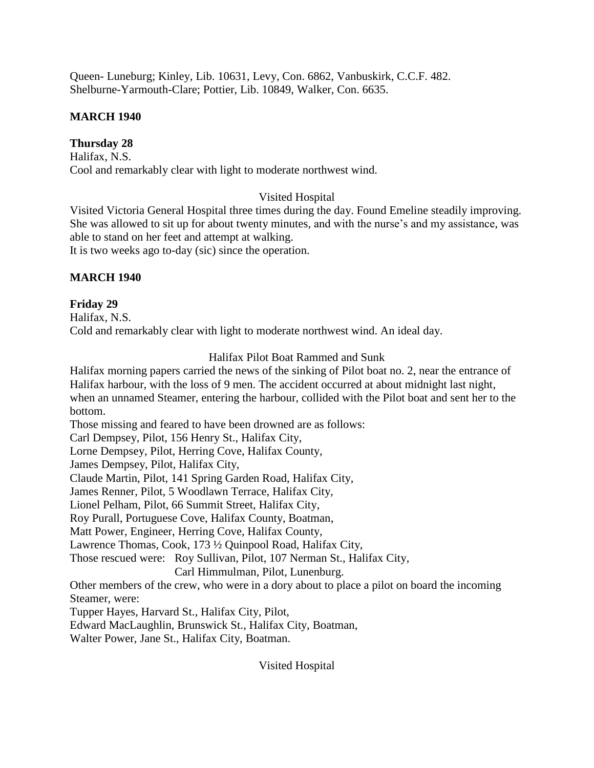Queen- Luneburg; Kinley, Lib. 10631, Levy, Con. 6862, Vanbuskirk, C.C.F. 482. Shelburne-Yarmouth-Clare; Pottier, Lib. 10849, Walker, Con. 6635.

# **MARCH 1940**

# **Thursday 28**

Halifax, N.S. Cool and remarkably clear with light to moderate northwest wind.

# Visited Hospital

Visited Victoria General Hospital three times during the day. Found Emeline steadily improving. She was allowed to sit up for about twenty minutes, and with the nurse's and my assistance, was able to stand on her feet and attempt at walking.

It is two weeks ago to-day (sic) since the operation.

# **MARCH 1940**

# **Friday 29**

Halifax, N.S. Cold and remarkably clear with light to moderate northwest wind. An ideal day.

# Halifax Pilot Boat Rammed and Sunk

Halifax morning papers carried the news of the sinking of Pilot boat no. 2, near the entrance of Halifax harbour, with the loss of 9 men. The accident occurred at about midnight last night, when an unnamed Steamer, entering the harbour, collided with the Pilot boat and sent her to the bottom.

Those missing and feared to have been drowned are as follows:

Carl Dempsey, Pilot, 156 Henry St., Halifax City,

Lorne Dempsey, Pilot, Herring Cove, Halifax County,

James Dempsey, Pilot, Halifax City,

Claude Martin, Pilot, 141 Spring Garden Road, Halifax City,

James Renner, Pilot, 5 Woodlawn Terrace, Halifax City,

Lionel Pelham, Pilot, 66 Summit Street, Halifax City,

Roy Purall, Portuguese Cove, Halifax County, Boatman,

Matt Power, Engineer, Herring Cove, Halifax County,

Lawrence Thomas, Cook, 173 ½ Quinpool Road, Halifax City,

Those rescued were: Roy Sullivan, Pilot, 107 Nerman St., Halifax City,

Carl Himmulman, Pilot, Lunenburg.

Other members of the crew, who were in a dory about to place a pilot on board the incoming Steamer, were:

Tupper Hayes, Harvard St., Halifax City, Pilot,

Edward MacLaughlin, Brunswick St., Halifax City, Boatman,

Walter Power, Jane St., Halifax City, Boatman.

Visited Hospital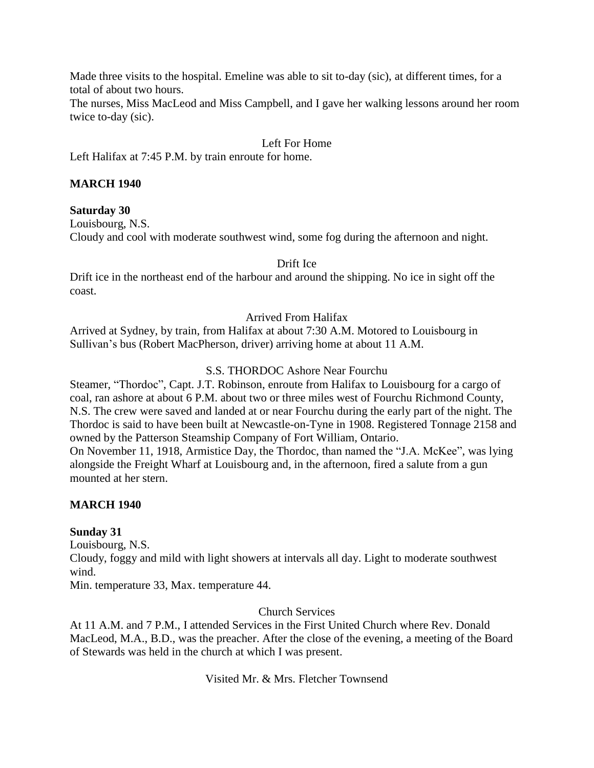Made three visits to the hospital. Emeline was able to sit to-day (sic), at different times, for a total of about two hours.

The nurses, Miss MacLeod and Miss Campbell, and I gave her walking lessons around her room twice to-day (sic).

# Left For Home

Left Halifax at 7:45 P.M. by train enroute for home.

### **MARCH 1940**

#### **Saturday 30**

Louisbourg, N.S.

Cloudy and cool with moderate southwest wind, some fog during the afternoon and night.

Drift Ice

Drift ice in the northeast end of the harbour and around the shipping. No ice in sight off the coast.

#### Arrived From Halifax

Arrived at Sydney, by train, from Halifax at about 7:30 A.M. Motored to Louisbourg in Sullivan's bus (Robert MacPherson, driver) arriving home at about 11 A.M.

#### S.S. THORDOC Ashore Near Fourchu

Steamer, "Thordoc", Capt. J.T. Robinson, enroute from Halifax to Louisbourg for a cargo of coal, ran ashore at about 6 P.M. about two or three miles west of Fourchu Richmond County, N.S. The crew were saved and landed at or near Fourchu during the early part of the night. The Thordoc is said to have been built at Newcastle-on-Tyne in 1908. Registered Tonnage 2158 and owned by the Patterson Steamship Company of Fort William, Ontario.

On November 11, 1918, Armistice Day, the Thordoc, than named the "J.A. McKee", was lying alongside the Freight Wharf at Louisbourg and, in the afternoon, fired a salute from a gun mounted at her stern.

#### **MARCH 1940**

#### **Sunday 31**

Louisbourg, N.S.

Cloudy, foggy and mild with light showers at intervals all day. Light to moderate southwest wind.

Min. temperature 33, Max. temperature 44.

#### Church Services

At 11 A.M. and 7 P.M., I attended Services in the First United Church where Rev. Donald MacLeod, M.A., B.D., was the preacher. After the close of the evening, a meeting of the Board of Stewards was held in the church at which I was present.

Visited Mr. & Mrs. Fletcher Townsend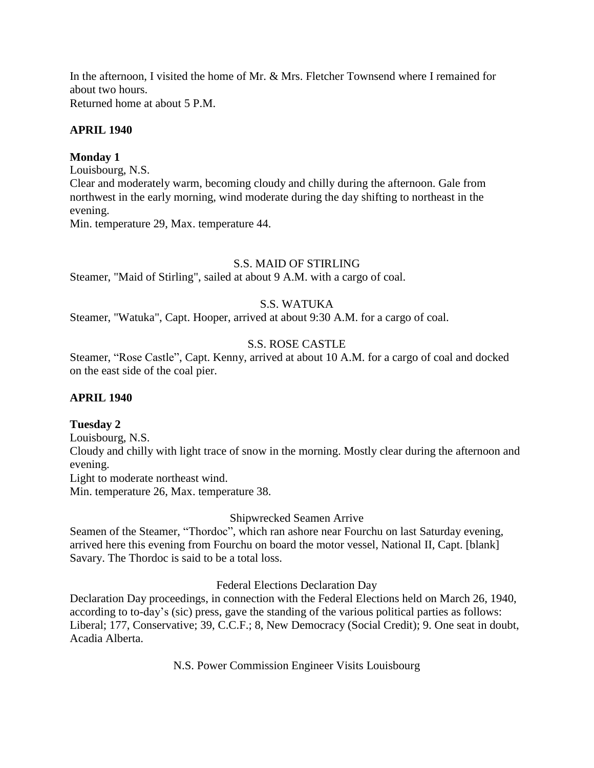In the afternoon, I visited the home of Mr. & Mrs. Fletcher Townsend where I remained for about two hours.

Returned home at about 5 P.M.

### **APRIL 1940**

### **Monday 1**

Louisbourg, N.S.

Clear and moderately warm, becoming cloudy and chilly during the afternoon. Gale from northwest in the early morning, wind moderate during the day shifting to northeast in the evening.

Min. temperature 29, Max. temperature 44.

#### S.S. MAID OF STIRLING

Steamer, "Maid of Stirling", sailed at about 9 A.M. with a cargo of coal.

# S.S. WATUKA

Steamer, "Watuka", Capt. Hooper, arrived at about 9:30 A.M. for a cargo of coal.

# S.S. ROSE CASTLE

Steamer, "Rose Castle", Capt. Kenny, arrived at about 10 A.M. for a cargo of coal and docked on the east side of the coal pier.

#### **APRIL 1940**

#### **Tuesday 2**

Louisbourg, N.S.

Cloudy and chilly with light trace of snow in the morning. Mostly clear during the afternoon and evening.

Light to moderate northeast wind.

Min. temperature 26, Max. temperature 38.

#### Shipwrecked Seamen Arrive

Seamen of the Steamer, "Thordoc", which ran ashore near Fourchu on last Saturday evening, arrived here this evening from Fourchu on board the motor vessel, National II, Capt. [blank] Savary. The Thordoc is said to be a total loss.

Federal Elections Declaration Day

Declaration Day proceedings, in connection with the Federal Elections held on March 26, 1940, according to to-day's (sic) press, gave the standing of the various political parties as follows: Liberal; 177, Conservative; 39, C.C.F.; 8, New Democracy (Social Credit); 9. One seat in doubt, Acadia Alberta.

N.S. Power Commission Engineer Visits Louisbourg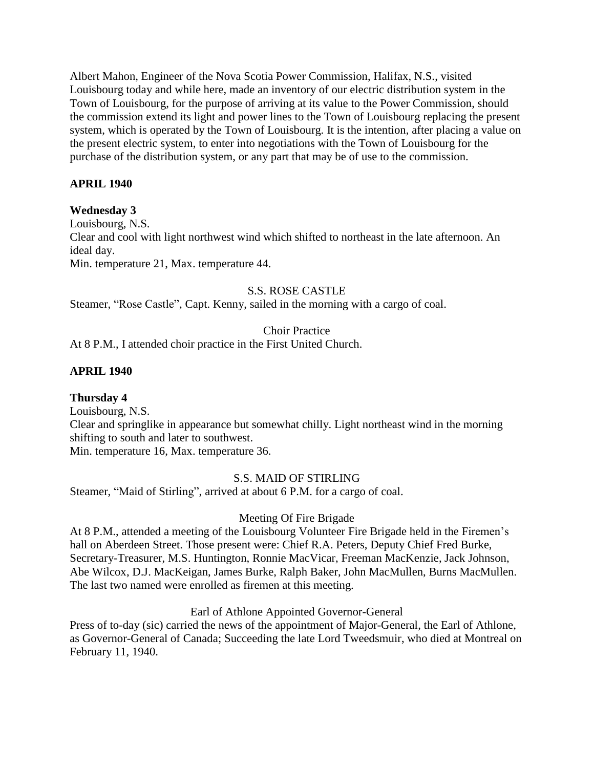Albert Mahon, Engineer of the Nova Scotia Power Commission, Halifax, N.S., visited Louisbourg today and while here, made an inventory of our electric distribution system in the Town of Louisbourg, for the purpose of arriving at its value to the Power Commission, should the commission extend its light and power lines to the Town of Louisbourg replacing the present system, which is operated by the Town of Louisbourg. It is the intention, after placing a value on the present electric system, to enter into negotiations with the Town of Louisbourg for the purchase of the distribution system, or any part that may be of use to the commission.

# **APRIL 1940**

# **Wednesday 3**

Louisbourg, N.S. Clear and cool with light northwest wind which shifted to northeast in the late afternoon. An ideal day. Min. temperature 21, Max. temperature 44.

### S.S. ROSE CASTLE

Steamer, "Rose Castle", Capt. Kenny, sailed in the morning with a cargo of coal.

Choir Practice

At 8 P.M., I attended choir practice in the First United Church.

# **APRIL 1940**

# **Thursday 4**

Louisbourg, N.S.

Clear and springlike in appearance but somewhat chilly. Light northeast wind in the morning shifting to south and later to southwest.

Min. temperature 16, Max. temperature 36.

# S.S. MAID OF STIRLING

Steamer, "Maid of Stirling", arrived at about 6 P.M. for a cargo of coal.

#### Meeting Of Fire Brigade

At 8 P.M., attended a meeting of the Louisbourg Volunteer Fire Brigade held in the Firemen's hall on Aberdeen Street. Those present were: Chief R.A. Peters, Deputy Chief Fred Burke, Secretary-Treasurer, M.S. Huntington, Ronnie MacVicar, Freeman MacKenzie, Jack Johnson, Abe Wilcox, D.J. MacKeigan, James Burke, Ralph Baker, John MacMullen, Burns MacMullen. The last two named were enrolled as firemen at this meeting.

#### Earl of Athlone Appointed Governor-General

Press of to-day (sic) carried the news of the appointment of Major-General, the Earl of Athlone, as Governor-General of Canada; Succeeding the late Lord Tweedsmuir, who died at Montreal on February 11, 1940.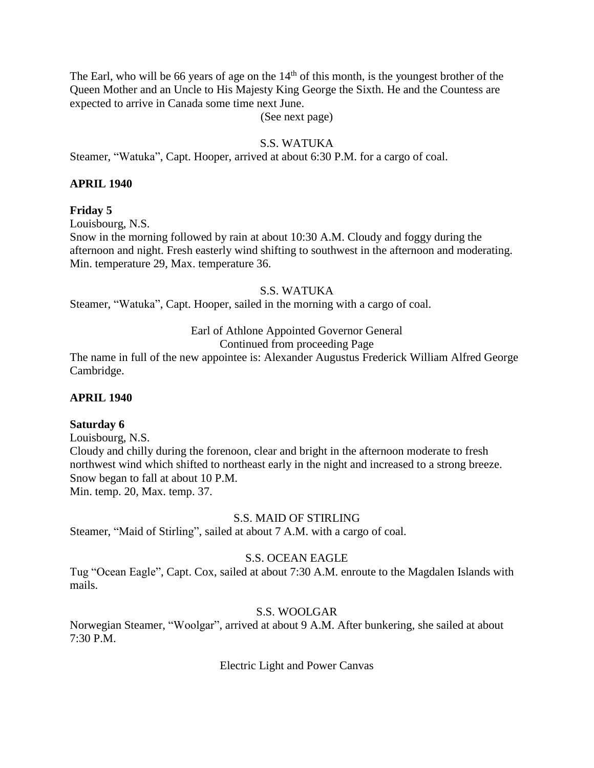The Earl, who will be 66 years of age on the  $14<sup>th</sup>$  of this month, is the youngest brother of the Queen Mother and an Uncle to His Majesty King George the Sixth. He and the Countess are expected to arrive in Canada some time next June.

(See next page)

# S.S. WATUKA

Steamer, "Watuka", Capt. Hooper, arrived at about 6:30 P.M. for a cargo of coal.

#### **APRIL 1940**

#### **Friday 5**

Louisbourg, N.S.

Snow in the morning followed by rain at about 10:30 A.M. Cloudy and foggy during the afternoon and night. Fresh easterly wind shifting to southwest in the afternoon and moderating. Min. temperature 29, Max. temperature 36.

#### S.S. WATUKA

Steamer, "Watuka", Capt. Hooper, sailed in the morning with a cargo of coal.

# Earl of Athlone Appointed Governor General

Continued from proceeding Page

The name in full of the new appointee is: Alexander Augustus Frederick William Alfred George Cambridge.

#### **APRIL 1940**

#### **Saturday 6**

Louisbourg, N.S. Cloudy and chilly during the forenoon, clear and bright in the afternoon moderate to fresh northwest wind which shifted to northeast early in the night and increased to a strong breeze. Snow began to fall at about 10 P.M. Min. temp. 20, Max. temp. 37.

#### S.S. MAID OF STIRLING

Steamer, "Maid of Stirling", sailed at about 7 A.M. with a cargo of coal.

#### S.S. OCEAN EAGLE

Tug "Ocean Eagle", Capt. Cox, sailed at about 7:30 A.M. enroute to the Magdalen Islands with mails.

#### S.S. WOOLGAR

Norwegian Steamer, "Woolgar", arrived at about 9 A.M. After bunkering, she sailed at about 7:30 P.M.

Electric Light and Power Canvas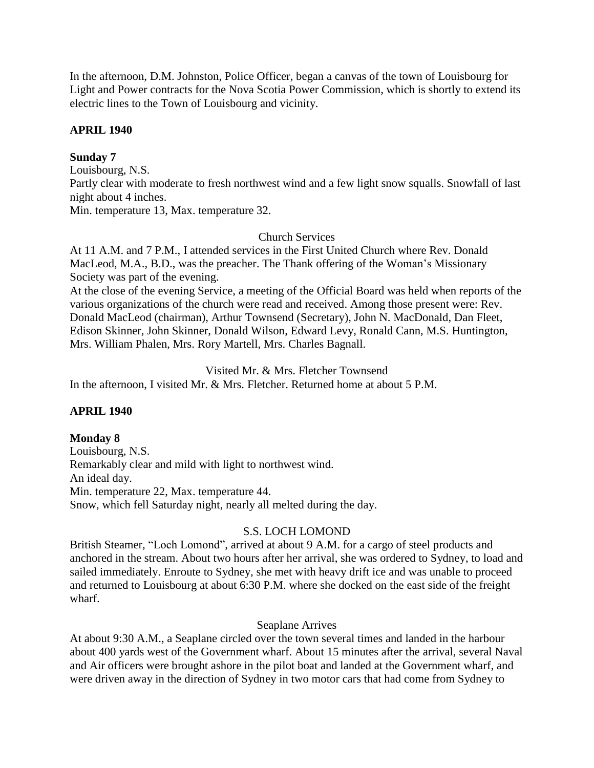In the afternoon, D.M. Johnston, Police Officer, began a canvas of the town of Louisbourg for Light and Power contracts for the Nova Scotia Power Commission, which is shortly to extend its electric lines to the Town of Louisbourg and vicinity.

# **APRIL 1940**

# **Sunday 7**

Louisbourg, N.S. Partly clear with moderate to fresh northwest wind and a few light snow squalls. Snowfall of last night about 4 inches. Min. temperature 13, Max. temperature 32.

#### Church Services

At 11 A.M. and 7 P.M., I attended services in the First United Church where Rev. Donald MacLeod, M.A., B.D., was the preacher. The Thank offering of the Woman's Missionary Society was part of the evening.

At the close of the evening Service, a meeting of the Official Board was held when reports of the various organizations of the church were read and received. Among those present were: Rev. Donald MacLeod (chairman), Arthur Townsend (Secretary), John N. MacDonald, Dan Fleet, Edison Skinner, John Skinner, Donald Wilson, Edward Levy, Ronald Cann, M.S. Huntington, Mrs. William Phalen, Mrs. Rory Martell, Mrs. Charles Bagnall.

Visited Mr. & Mrs. Fletcher Townsend

In the afternoon, I visited Mr. & Mrs. Fletcher. Returned home at about 5 P.M.

#### **APRIL 1940**

#### **Monday 8**

Louisbourg, N.S. Remarkably clear and mild with light to northwest wind. An ideal day. Min. temperature 22, Max. temperature 44. Snow, which fell Saturday night, nearly all melted during the day.

#### S.S. LOCH LOMOND

British Steamer, "Loch Lomond", arrived at about 9 A.M. for a cargo of steel products and anchored in the stream. About two hours after her arrival, she was ordered to Sydney, to load and sailed immediately. Enroute to Sydney, she met with heavy drift ice and was unable to proceed and returned to Louisbourg at about 6:30 P.M. where she docked on the east side of the freight wharf.

#### Seaplane Arrives

At about 9:30 A.M., a Seaplane circled over the town several times and landed in the harbour about 400 yards west of the Government wharf. About 15 minutes after the arrival, several Naval and Air officers were brought ashore in the pilot boat and landed at the Government wharf, and were driven away in the direction of Sydney in two motor cars that had come from Sydney to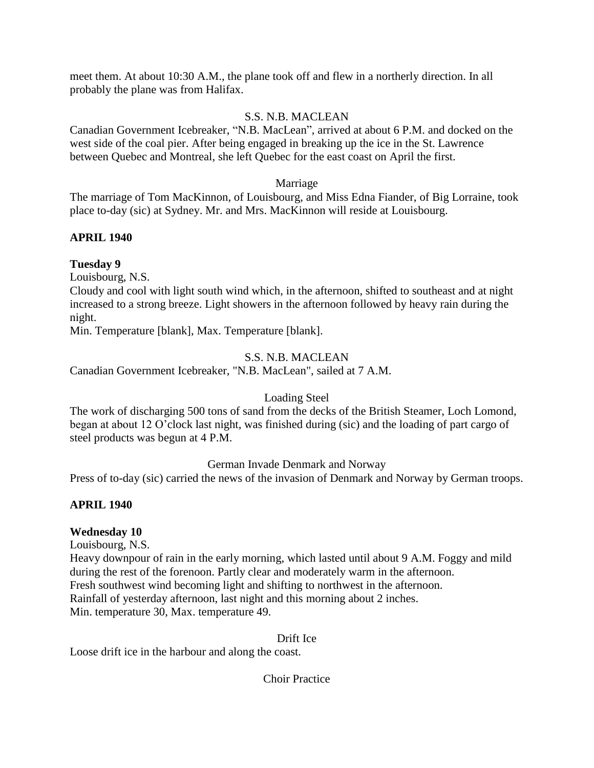meet them. At about 10:30 A.M., the plane took off and flew in a northerly direction. In all probably the plane was from Halifax.

# S.S. N.B. MACLEAN

Canadian Government Icebreaker, "N.B. MacLean", arrived at about 6 P.M. and docked on the west side of the coal pier. After being engaged in breaking up the ice in the St. Lawrence between Quebec and Montreal, she left Quebec for the east coast on April the first.

#### Marriage

The marriage of Tom MacKinnon, of Louisbourg, and Miss Edna Fiander, of Big Lorraine, took place to-day (sic) at Sydney. Mr. and Mrs. MacKinnon will reside at Louisbourg.

### **APRIL 1940**

### **Tuesday 9**

Louisbourg, N.S.

Cloudy and cool with light south wind which, in the afternoon, shifted to southeast and at night increased to a strong breeze. Light showers in the afternoon followed by heavy rain during the night.

Min. Temperature [blank], Max. Temperature [blank].

### S.S. N.B. MACLEAN

Canadian Government Icebreaker, "N.B. MacLean", sailed at 7 A.M.

#### Loading Steel

The work of discharging 500 tons of sand from the decks of the British Steamer, Loch Lomond, began at about 12 O'clock last night, was finished during (sic) and the loading of part cargo of steel products was begun at 4 P.M.

#### German Invade Denmark and Norway

Press of to-day (sic) carried the news of the invasion of Denmark and Norway by German troops.

# **APRIL 1940**

#### **Wednesday 10**

Louisbourg, N.S.

Heavy downpour of rain in the early morning, which lasted until about 9 A.M. Foggy and mild during the rest of the forenoon. Partly clear and moderately warm in the afternoon. Fresh southwest wind becoming light and shifting to northwest in the afternoon. Rainfall of yesterday afternoon, last night and this morning about 2 inches. Min. temperature 30, Max. temperature 49.

#### Drift Ice

Loose drift ice in the harbour and along the coast.

Choir Practice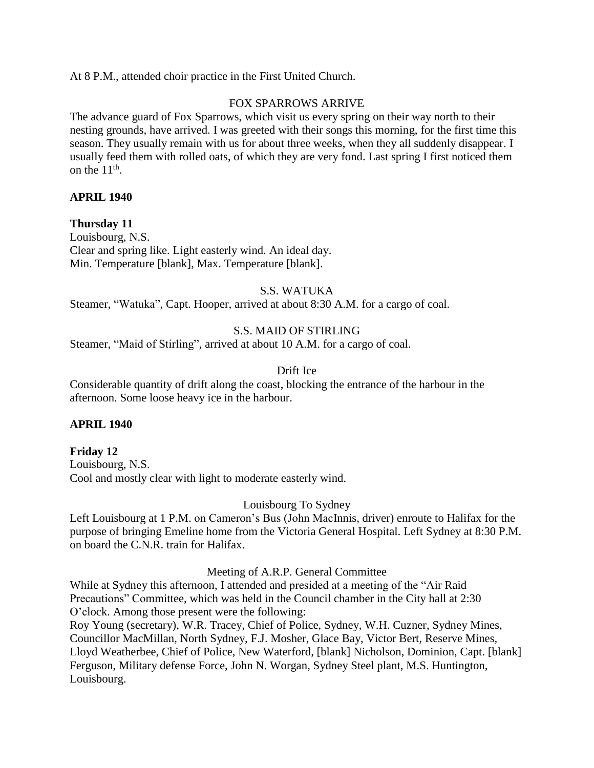At 8 P.M., attended choir practice in the First United Church.

#### FOX SPARROWS ARRIVE

The advance guard of Fox Sparrows, which visit us every spring on their way north to their nesting grounds, have arrived. I was greeted with their songs this morning, for the first time this season. They usually remain with us for about three weeks, when they all suddenly disappear. I usually feed them with rolled oats, of which they are very fond. Last spring I first noticed them on the  $11<sup>th</sup>$ .

#### **APRIL 1940**

### **Thursday 11**

Louisbourg, N.S. Clear and spring like. Light easterly wind. An ideal day. Min. Temperature [blank], Max. Temperature [blank].

#### S.S. WATUKA

Steamer, "Watuka", Capt. Hooper, arrived at about 8:30 A.M. for a cargo of coal.

#### S.S. MAID OF STIRLING

Steamer, "Maid of Stirling", arrived at about 10 A.M. for a cargo of coal.

#### Drift Ice

Considerable quantity of drift along the coast, blocking the entrance of the harbour in the afternoon. Some loose heavy ice in the harbour.

#### **APRIL 1940**

# **Friday 12**

Louisbourg, N.S. Cool and mostly clear with light to moderate easterly wind.

#### Louisbourg To Sydney

Left Louisbourg at 1 P.M. on Cameron's Bus (John MacInnis, driver) enroute to Halifax for the purpose of bringing Emeline home from the Victoria General Hospital. Left Sydney at 8:30 P.M. on board the C.N.R. train for Halifax.

#### Meeting of A.R.P. General Committee

While at Sydney this afternoon, I attended and presided at a meeting of the "Air Raid Precautions" Committee, which was held in the Council chamber in the City hall at 2:30 O'clock. Among those present were the following:

Roy Young (secretary), W.R. Tracey, Chief of Police, Sydney, W.H. Cuzner, Sydney Mines, Councillor MacMillan, North Sydney, F.J. Mosher, Glace Bay, Victor Bert, Reserve Mines, Lloyd Weatherbee, Chief of Police, New Waterford, [blank] Nicholson, Dominion, Capt. [blank] Ferguson, Military defense Force, John N. Worgan, Sydney Steel plant, M.S. Huntington, Louisbourg.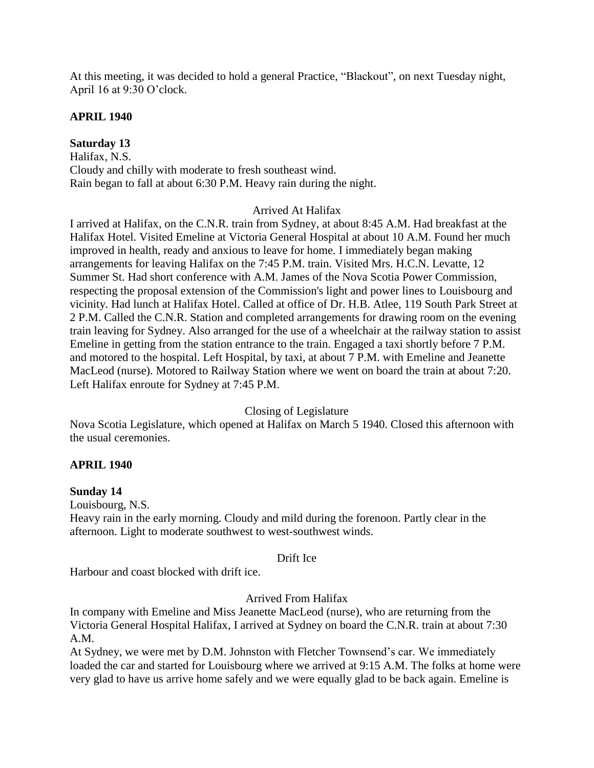At this meeting, it was decided to hold a general Practice, "Blackout", on next Tuesday night, April 16 at 9:30 O'clock.

# **APRIL 1940**

**Saturday 13** Halifax, N.S. Cloudy and chilly with moderate to fresh southeast wind. Rain began to fall at about 6:30 P.M. Heavy rain during the night.

#### Arrived At Halifax

I arrived at Halifax, on the C.N.R. train from Sydney, at about 8:45 A.M. Had breakfast at the Halifax Hotel. Visited Emeline at Victoria General Hospital at about 10 A.M. Found her much improved in health, ready and anxious to leave for home. I immediately began making arrangements for leaving Halifax on the 7:45 P.M. train. Visited Mrs. H.C.N. Levatte, 12 Summer St. Had short conference with A.M. James of the Nova Scotia Power Commission, respecting the proposal extension of the Commission's light and power lines to Louisbourg and vicinity. Had lunch at Halifax Hotel. Called at office of Dr. H.B. Atlee, 119 South Park Street at 2 P.M. Called the C.N.R. Station and completed arrangements for drawing room on the evening train leaving for Sydney. Also arranged for the use of a wheelchair at the railway station to assist Emeline in getting from the station entrance to the train. Engaged a taxi shortly before 7 P.M. and motored to the hospital. Left Hospital, by taxi, at about 7 P.M. with Emeline and Jeanette MacLeod (nurse). Motored to Railway Station where we went on board the train at about 7:20. Left Halifax enroute for Sydney at 7:45 P.M.

#### Closing of Legislature

Nova Scotia Legislature, which opened at Halifax on March 5 1940. Closed this afternoon with the usual ceremonies.

#### **APRIL 1940**

#### **Sunday 14**

Louisbourg, N.S.

Heavy rain in the early morning. Cloudy and mild during the forenoon. Partly clear in the afternoon. Light to moderate southwest to west-southwest winds.

#### Drift Ice

Harbour and coast blocked with drift ice.

#### Arrived From Halifax

In company with Emeline and Miss Jeanette MacLeod (nurse), who are returning from the Victoria General Hospital Halifax, I arrived at Sydney on board the C.N.R. train at about 7:30 A.M.

At Sydney, we were met by D.M. Johnston with Fletcher Townsend's car. We immediately loaded the car and started for Louisbourg where we arrived at 9:15 A.M. The folks at home were very glad to have us arrive home safely and we were equally glad to be back again. Emeline is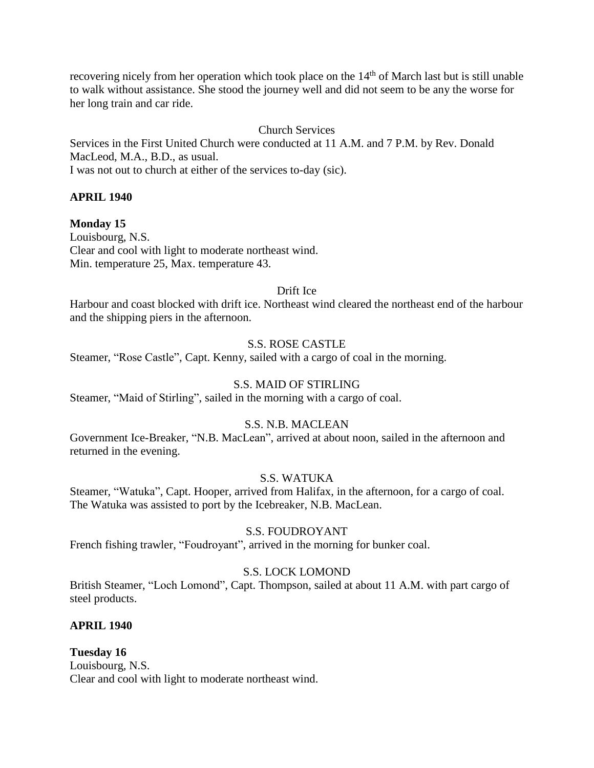recovering nicely from her operation which took place on the  $14<sup>th</sup>$  of March last but is still unable to walk without assistance. She stood the journey well and did not seem to be any the worse for her long train and car ride.

# Church Services

Services in the First United Church were conducted at 11 A.M. and 7 P.M. by Rev. Donald MacLeod, M.A., B.D., as usual. I was not out to church at either of the services to-day (sic).

### **APRIL 1940**

**Monday 15** Louisbourg, N.S. Clear and cool with light to moderate northeast wind. Min. temperature 25, Max. temperature 43.

### Drift Ice

Harbour and coast blocked with drift ice. Northeast wind cleared the northeast end of the harbour and the shipping piers in the afternoon.

### S.S. ROSE CASTLE

Steamer, "Rose Castle", Capt. Kenny, sailed with a cargo of coal in the morning.

# S.S. MAID OF STIRLING

Steamer, "Maid of Stirling", sailed in the morning with a cargo of coal.

#### S.S. N.B. MACLEAN

Government Ice-Breaker, "N.B. MacLean", arrived at about noon, sailed in the afternoon and returned in the evening.

#### S.S. WATUKA

Steamer, "Watuka", Capt. Hooper, arrived from Halifax, in the afternoon, for a cargo of coal. The Watuka was assisted to port by the Icebreaker, N.B. MacLean.

#### S.S. FOUDROYANT

French fishing trawler, "Foudroyant", arrived in the morning for bunker coal.

# S.S. LOCK LOMOND

British Steamer, "Loch Lomond", Capt. Thompson, sailed at about 11 A.M. with part cargo of steel products.

# **APRIL 1940**

**Tuesday 16** Louisbourg, N.S. Clear and cool with light to moderate northeast wind.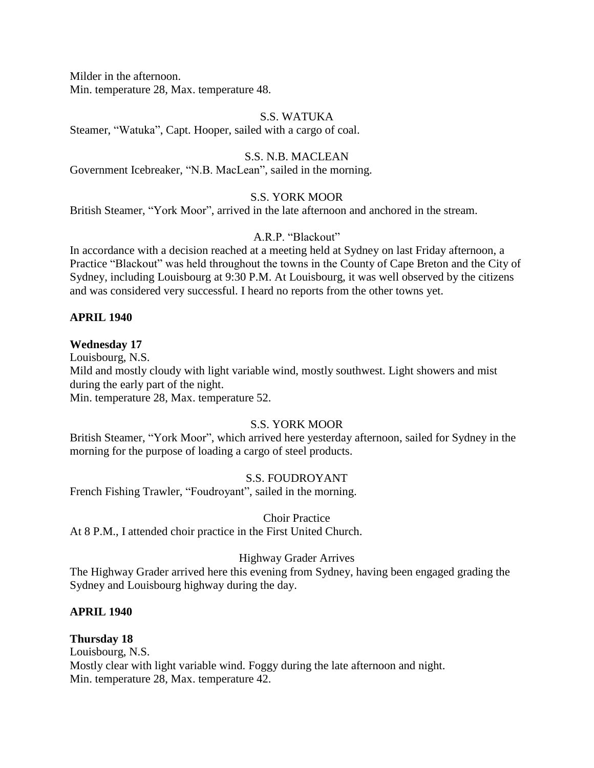Milder in the afternoon. Min. temperature 28, Max. temperature 48.

#### S.S. WATUKA

Steamer, "Watuka", Capt. Hooper, sailed with a cargo of coal.

#### S.S. N.B. MACLEAN

Government Icebreaker, "N.B. MacLean", sailed in the morning.

#### S.S. YORK MOOR

British Steamer, "York Moor", arrived in the late afternoon and anchored in the stream.

#### A.R.P. "Blackout"

In accordance with a decision reached at a meeting held at Sydney on last Friday afternoon, a Practice "Blackout" was held throughout the towns in the County of Cape Breton and the City of Sydney, including Louisbourg at 9:30 P.M. At Louisbourg, it was well observed by the citizens and was considered very successful. I heard no reports from the other towns yet.

#### **APRIL 1940**

#### **Wednesday 17**

Louisbourg, N.S. Mild and mostly cloudy with light variable wind, mostly southwest. Light showers and mist during the early part of the night. Min. temperature 28, Max. temperature 52.

#### S.S. YORK MOOR

British Steamer, "York Moor", which arrived here yesterday afternoon, sailed for Sydney in the morning for the purpose of loading a cargo of steel products.

#### S.S. FOUDROYANT

French Fishing Trawler, "Foudroyant", sailed in the morning.

#### Choir Practice

At 8 P.M., I attended choir practice in the First United Church.

#### Highway Grader Arrives

The Highway Grader arrived here this evening from Sydney, having been engaged grading the Sydney and Louisbourg highway during the day.

#### **APRIL 1940**

#### **Thursday 18**

Louisbourg, N.S. Mostly clear with light variable wind. Foggy during the late afternoon and night. Min. temperature 28, Max. temperature 42.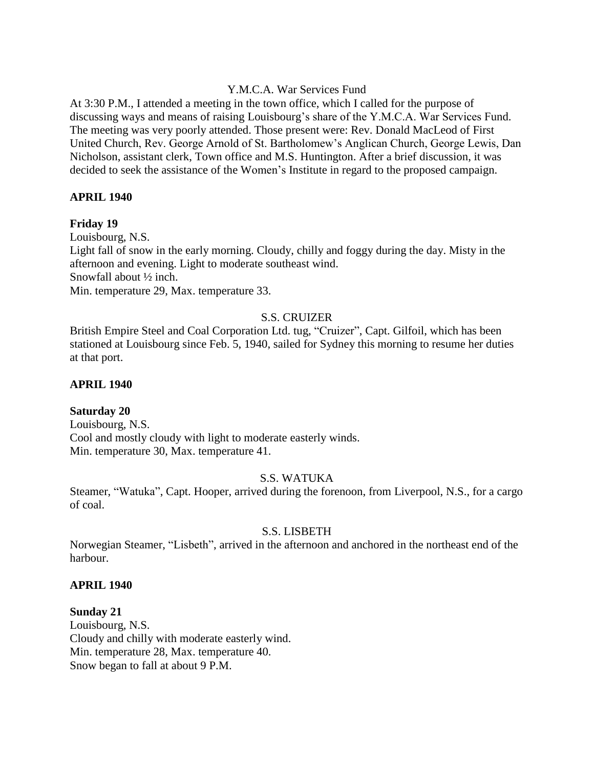#### Y.M.C.A. War Services Fund

At 3:30 P.M., I attended a meeting in the town office, which I called for the purpose of discussing ways and means of raising Louisbourg's share of the Y.M.C.A. War Services Fund. The meeting was very poorly attended. Those present were: Rev. Donald MacLeod of First United Church, Rev. George Arnold of St. Bartholomew's Anglican Church, George Lewis, Dan Nicholson, assistant clerk, Town office and M.S. Huntington. After a brief discussion, it was decided to seek the assistance of the Women's Institute in regard to the proposed campaign.

### **APRIL 1940**

### **Friday 19**

Louisbourg, N.S.

Light fall of snow in the early morning. Cloudy, chilly and foggy during the day. Misty in the afternoon and evening. Light to moderate southeast wind. Snowfall about ½ inch.

Min. temperature 29, Max. temperature 33.

# S.S. CRUIZER

British Empire Steel and Coal Corporation Ltd. tug, "Cruizer", Capt. Gilfoil, which has been stationed at Louisbourg since Feb. 5, 1940, sailed for Sydney this morning to resume her duties at that port.

#### **APRIL 1940**

# **Saturday 20**

Louisbourg, N.S. Cool and mostly cloudy with light to moderate easterly winds. Min. temperature 30, Max. temperature 41.

#### S.S. WATUKA

Steamer, "Watuka", Capt. Hooper, arrived during the forenoon, from Liverpool, N.S., for a cargo of coal.

#### S.S. LISBETH

Norwegian Steamer, "Lisbeth", arrived in the afternoon and anchored in the northeast end of the harbour.

#### **APRIL 1940**

**Sunday 21** Louisbourg, N.S. Cloudy and chilly with moderate easterly wind. Min. temperature 28, Max. temperature 40. Snow began to fall at about 9 P.M.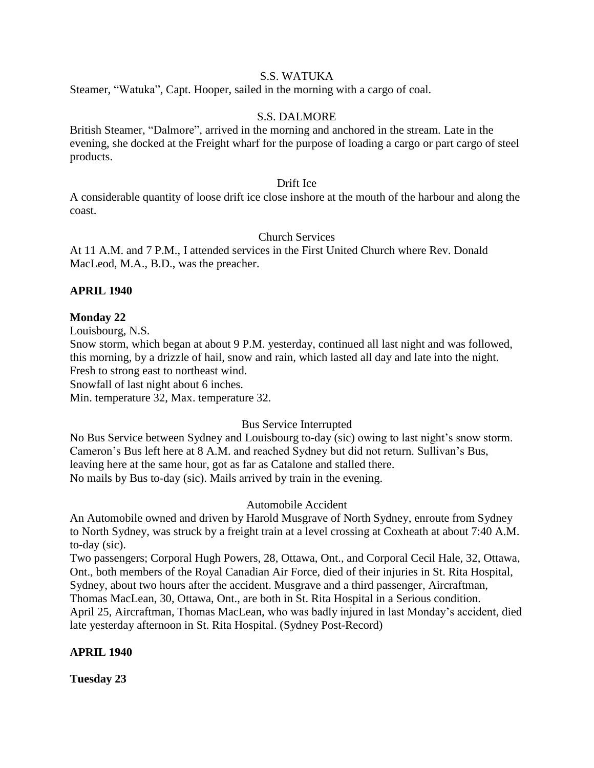### S.S. WATUKA

Steamer, "Watuka", Capt. Hooper, sailed in the morning with a cargo of coal.

#### S.S. DALMORE

British Steamer, "Dalmore", arrived in the morning and anchored in the stream. Late in the evening, she docked at the Freight wharf for the purpose of loading a cargo or part cargo of steel products.

#### Drift Ice

A considerable quantity of loose drift ice close inshore at the mouth of the harbour and along the coast.

#### Church Services

At 11 A.M. and 7 P.M., I attended services in the First United Church where Rev. Donald MacLeod, M.A., B.D., was the preacher.

#### **APRIL 1940**

**Monday 22**

Louisbourg, N.S.

Snow storm, which began at about 9 P.M. yesterday, continued all last night and was followed, this morning, by a drizzle of hail, snow and rain, which lasted all day and late into the night. Fresh to strong east to northeast wind.

Snowfall of last night about 6 inches.

Min. temperature 32, Max. temperature 32.

#### Bus Service Interrupted

No Bus Service between Sydney and Louisbourg to-day (sic) owing to last night's snow storm. Cameron's Bus left here at 8 A.M. and reached Sydney but did not return. Sullivan's Bus, leaving here at the same hour, got as far as Catalone and stalled there. No mails by Bus to-day (sic). Mails arrived by train in the evening.

#### Automobile Accident

An Automobile owned and driven by Harold Musgrave of North Sydney, enroute from Sydney to North Sydney, was struck by a freight train at a level crossing at Coxheath at about 7:40 A.M. to-day (sic).

Two passengers; Corporal Hugh Powers, 28, Ottawa, Ont., and Corporal Cecil Hale, 32, Ottawa, Ont., both members of the Royal Canadian Air Force, died of their injuries in St. Rita Hospital,

Sydney, about two hours after the accident. Musgrave and a third passenger, Aircraftman, Thomas MacLean, 30, Ottawa, Ont., are both in St. Rita Hospital in a Serious condition.

April 25, Aircraftman, Thomas MacLean, who was badly injured in last Monday's accident, died

late yesterday afternoon in St. Rita Hospital. (Sydney Post-Record)

#### **APRIL 1940**

**Tuesday 23**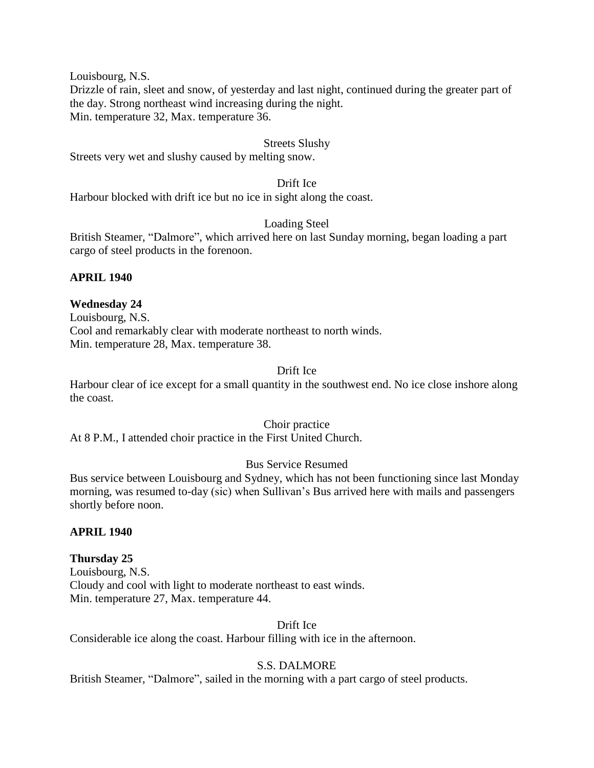Louisbourg, N.S.

Drizzle of rain, sleet and snow, of yesterday and last night, continued during the greater part of the day. Strong northeast wind increasing during the night. Min. temperature 32, Max. temperature 36.

#### Streets Slushy

Streets very wet and slushy caused by melting snow.

#### Drift Ice

Harbour blocked with drift ice but no ice in sight along the coast.

#### Loading Steel

British Steamer, "Dalmore", which arrived here on last Sunday morning, began loading a part cargo of steel products in the forenoon.

### **APRIL 1940**

# **Wednesday 24**

Louisbourg, N.S. Cool and remarkably clear with moderate northeast to north winds. Min. temperature 28, Max. temperature 38.

### Drift Ice

Harbour clear of ice except for a small quantity in the southwest end. No ice close inshore along the coast.

#### Choir practice

At 8 P.M., I attended choir practice in the First United Church.

# Bus Service Resumed

Bus service between Louisbourg and Sydney, which has not been functioning since last Monday morning, was resumed to-day (sic) when Sullivan's Bus arrived here with mails and passengers shortly before noon.

#### **APRIL 1940**

#### **Thursday 25**

Louisbourg, N.S. Cloudy and cool with light to moderate northeast to east winds. Min. temperature 27, Max. temperature 44.

Drift Ice

Considerable ice along the coast. Harbour filling with ice in the afternoon.

# S.S. DALMORE

British Steamer, "Dalmore", sailed in the morning with a part cargo of steel products.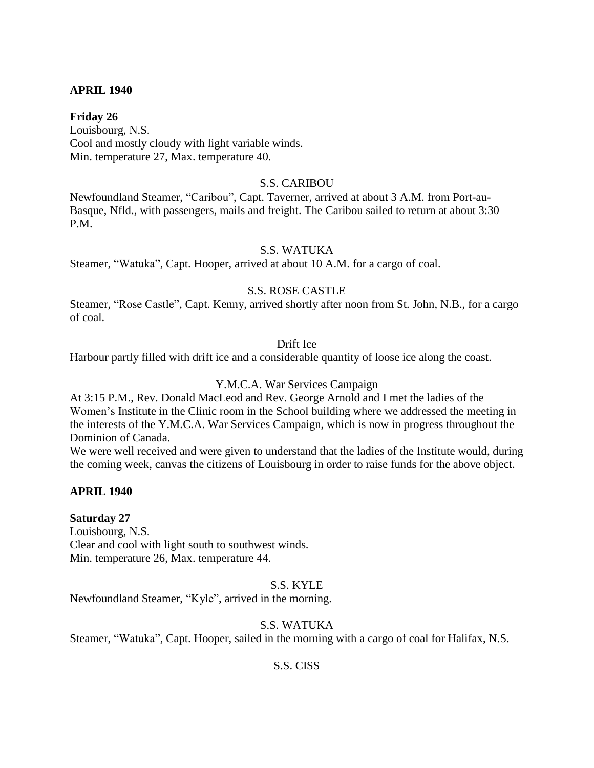#### **APRIL 1940**

**Friday 26** Louisbourg, N.S. Cool and mostly cloudy with light variable winds. Min. temperature 27, Max. temperature 40.

#### S.S. CARIBOU

Newfoundland Steamer, "Caribou", Capt. Taverner, arrived at about 3 A.M. from Port-au-Basque, Nfld., with passengers, mails and freight. The Caribou sailed to return at about 3:30 P.M.

### S.S. WATUKA

Steamer, "Watuka", Capt. Hooper, arrived at about 10 A.M. for a cargo of coal.

### S.S. ROSE CASTLE

Steamer, "Rose Castle", Capt. Kenny, arrived shortly after noon from St. John, N.B., for a cargo of coal.

#### Drift Ice

Harbour partly filled with drift ice and a considerable quantity of loose ice along the coast.

#### Y.M.C.A. War Services Campaign

At 3:15 P.M., Rev. Donald MacLeod and Rev. George Arnold and I met the ladies of the Women's Institute in the Clinic room in the School building where we addressed the meeting in the interests of the Y.M.C.A. War Services Campaign, which is now in progress throughout the Dominion of Canada.

We were well received and were given to understand that the ladies of the Institute would, during the coming week, canvas the citizens of Louisbourg in order to raise funds for the above object.

#### **APRIL 1940**

#### **Saturday 27**

Louisbourg, N.S. Clear and cool with light south to southwest winds. Min. temperature 26, Max. temperature 44.

#### S.S. KYLE

Newfoundland Steamer, "Kyle", arrived in the morning.

# S.S. WATUKA

Steamer, "Watuka", Capt. Hooper, sailed in the morning with a cargo of coal for Halifax, N.S.

#### S.S. CISS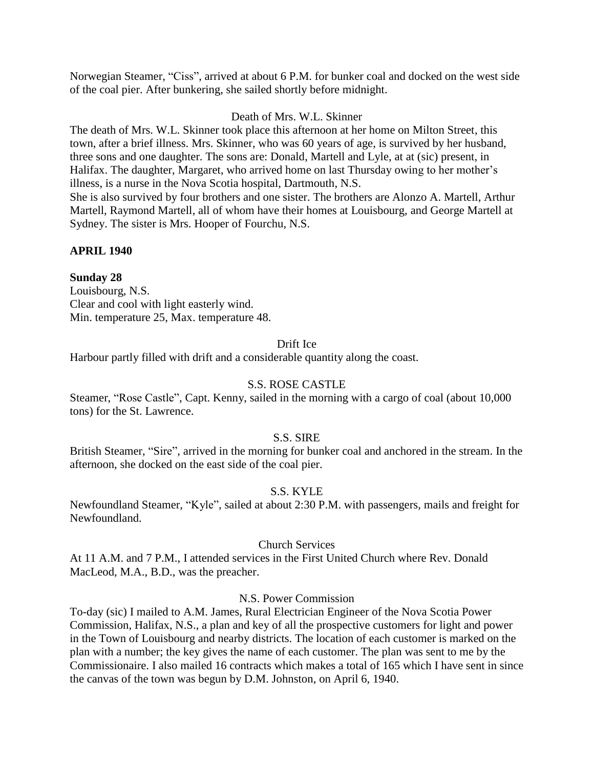Norwegian Steamer, "Ciss", arrived at about 6 P.M. for bunker coal and docked on the west side of the coal pier. After bunkering, she sailed shortly before midnight.

### Death of Mrs. W.L. Skinner

The death of Mrs. W.L. Skinner took place this afternoon at her home on Milton Street, this town, after a brief illness. Mrs. Skinner, who was 60 years of age, is survived by her husband, three sons and one daughter. The sons are: Donald, Martell and Lyle, at at (sic) present, in Halifax. The daughter, Margaret, who arrived home on last Thursday owing to her mother's illness, is a nurse in the Nova Scotia hospital, Dartmouth, N.S. She is also survived by four brothers and one sister. The brothers are Alonzo A. Martell, Arthur

Martell, Raymond Martell, all of whom have their homes at Louisbourg, and George Martell at Sydney. The sister is Mrs. Hooper of Fourchu, N.S.

### **APRIL 1940**

#### **Sunday 28**

Louisbourg, N.S. Clear and cool with light easterly wind. Min. temperature 25, Max. temperature 48.

#### Drift Ice

Harbour partly filled with drift and a considerable quantity along the coast.

#### S.S. ROSE CASTLE

Steamer, "Rose Castle", Capt. Kenny, sailed in the morning with a cargo of coal (about 10,000 tons) for the St. Lawrence.

#### S.S. SIRE

British Steamer, "Sire", arrived in the morning for bunker coal and anchored in the stream. In the afternoon, she docked on the east side of the coal pier.

#### S.S. KYLE

Newfoundland Steamer, "Kyle", sailed at about 2:30 P.M. with passengers, mails and freight for Newfoundland.

#### Church Services

At 11 A.M. and 7 P.M., I attended services in the First United Church where Rev. Donald MacLeod, M.A., B.D., was the preacher.

#### N.S. Power Commission

To-day (sic) I mailed to A.M. James, Rural Electrician Engineer of the Nova Scotia Power Commission, Halifax, N.S., a plan and key of all the prospective customers for light and power in the Town of Louisbourg and nearby districts. The location of each customer is marked on the plan with a number; the key gives the name of each customer. The plan was sent to me by the Commissionaire. I also mailed 16 contracts which makes a total of 165 which I have sent in since the canvas of the town was begun by D.M. Johnston, on April 6, 1940.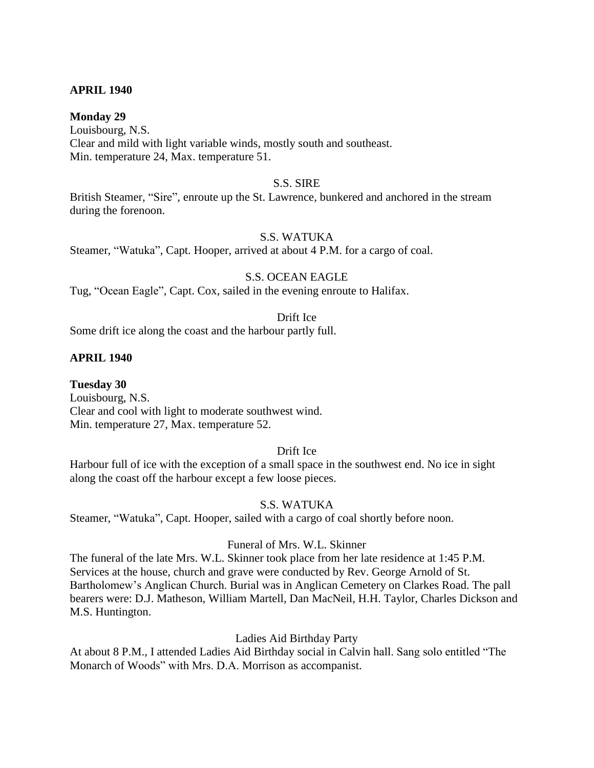#### **APRIL 1940**

#### **Monday 29**

Louisbourg, N.S. Clear and mild with light variable winds, mostly south and southeast. Min. temperature 24, Max. temperature 51.

#### S.S. SIRE

British Steamer, "Sire", enroute up the St. Lawrence, bunkered and anchored in the stream during the forenoon.

#### S.S. WATUKA

Steamer, "Watuka", Capt. Hooper, arrived at about 4 P.M. for a cargo of coal.

#### S.S. OCEAN EAGLE

Tug, "Ocean Eagle", Capt. Cox, sailed in the evening enroute to Halifax.

#### Drift Ice

Some drift ice along the coast and the harbour partly full.

#### **APRIL 1940**

**Tuesday 30** Louisbourg, N.S. Clear and cool with light to moderate southwest wind. Min. temperature 27, Max. temperature 52.

#### Drift Ice

Harbour full of ice with the exception of a small space in the southwest end. No ice in sight along the coast off the harbour except a few loose pieces.

#### S.S. WATUKA

Steamer, "Watuka", Capt. Hooper, sailed with a cargo of coal shortly before noon.

#### Funeral of Mrs. W.L. Skinner

The funeral of the late Mrs. W.L. Skinner took place from her late residence at 1:45 P.M. Services at the house, church and grave were conducted by Rev. George Arnold of St. Bartholomew's Anglican Church. Burial was in Anglican Cemetery on Clarkes Road. The pall bearers were: D.J. Matheson, William Martell, Dan MacNeil, H.H. Taylor, Charles Dickson and M.S. Huntington.

#### Ladies Aid Birthday Party

At about 8 P.M., I attended Ladies Aid Birthday social in Calvin hall. Sang solo entitled "The Monarch of Woods" with Mrs. D.A. Morrison as accompanist.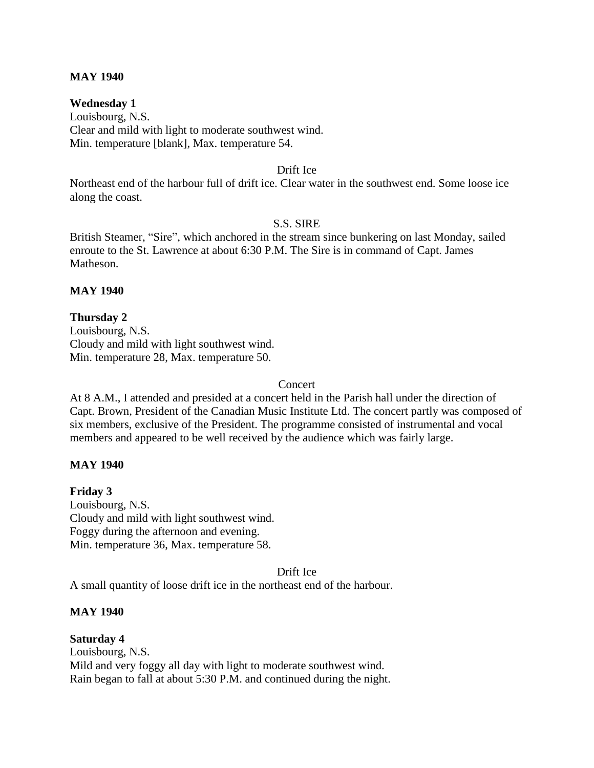#### **MAY 1940**

#### **Wednesday 1**

Louisbourg, N.S. Clear and mild with light to moderate southwest wind. Min. temperature [blank], Max. temperature 54.

#### Drift Ice

Northeast end of the harbour full of drift ice. Clear water in the southwest end. Some loose ice along the coast.

#### S.S. SIRE

British Steamer, "Sire", which anchored in the stream since bunkering on last Monday, sailed enroute to the St. Lawrence at about 6:30 P.M. The Sire is in command of Capt. James Matheson.

#### **MAY 1940**

#### **Thursday 2** Louisbourg, N.S. Cloudy and mild with light southwest wind. Min. temperature 28, Max. temperature 50.

#### Concert

At 8 A.M., I attended and presided at a concert held in the Parish hall under the direction of Capt. Brown, President of the Canadian Music Institute Ltd. The concert partly was composed of six members, exclusive of the President. The programme consisted of instrumental and vocal members and appeared to be well received by the audience which was fairly large.

#### **MAY 1940**

**Friday 3** Louisbourg, N.S. Cloudy and mild with light southwest wind. Foggy during the afternoon and evening. Min. temperature 36, Max. temperature 58.

#### Drift Ice

A small quantity of loose drift ice in the northeast end of the harbour.

#### **MAY 1940**

**Saturday 4** Louisbourg, N.S. Mild and very foggy all day with light to moderate southwest wind. Rain began to fall at about 5:30 P.M. and continued during the night.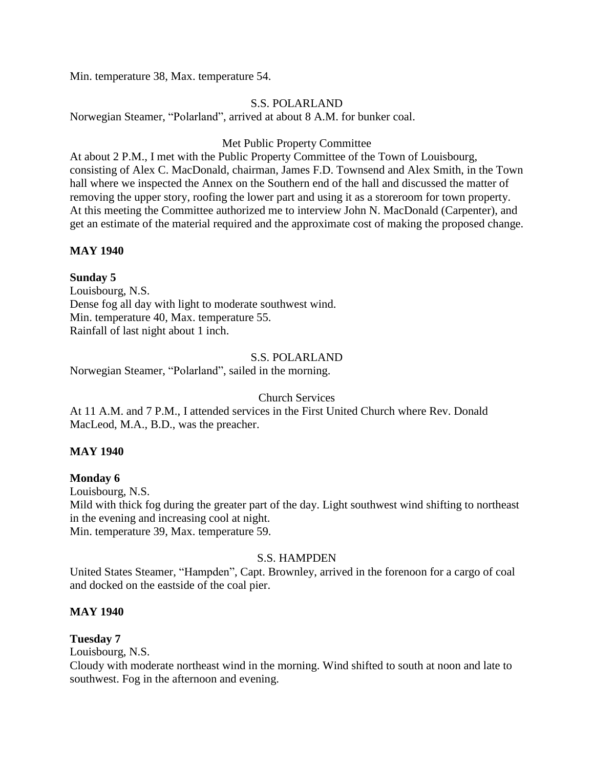Min. temperature 38, Max. temperature 54.

#### S.S. POLARLAND

Norwegian Steamer, "Polarland", arrived at about 8 A.M. for bunker coal.

#### Met Public Property Committee

At about 2 P.M., I met with the Public Property Committee of the Town of Louisbourg, consisting of Alex C. MacDonald, chairman, James F.D. Townsend and Alex Smith, in the Town hall where we inspected the Annex on the Southern end of the hall and discussed the matter of removing the upper story, roofing the lower part and using it as a storeroom for town property. At this meeting the Committee authorized me to interview John N. MacDonald (Carpenter), and get an estimate of the material required and the approximate cost of making the proposed change.

### **MAY 1940**

# **Sunday 5**

Louisbourg, N.S. Dense fog all day with light to moderate southwest wind. Min. temperature 40, Max. temperature 55. Rainfall of last night about 1 inch.

### S.S. POLARLAND

Norwegian Steamer, "Polarland", sailed in the morning.

#### Church Services

At 11 A.M. and 7 P.M., I attended services in the First United Church where Rev. Donald MacLeod, M.A., B.D., was the preacher.

#### **MAY 1940**

# **Monday 6**

Louisbourg, N.S. Mild with thick fog during the greater part of the day. Light southwest wind shifting to northeast in the evening and increasing cool at night. Min. temperature 39, Max. temperature 59.

#### S.S. HAMPDEN

United States Steamer, "Hampden", Capt. Brownley, arrived in the forenoon for a cargo of coal and docked on the eastside of the coal pier.

# **MAY 1940**

# **Tuesday 7**

Louisbourg, N.S.

Cloudy with moderate northeast wind in the morning. Wind shifted to south at noon and late to southwest. Fog in the afternoon and evening.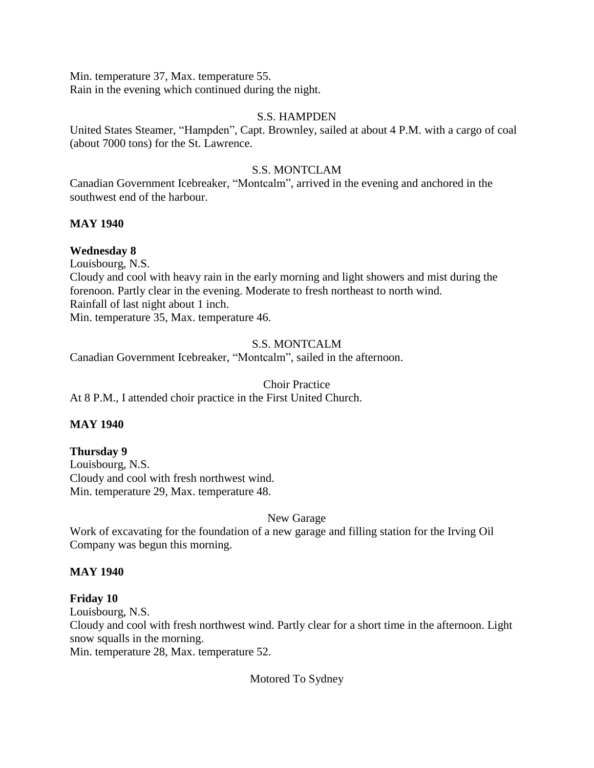Min. temperature 37, Max. temperature 55. Rain in the evening which continued during the night.

# S.S. HAMPDEN

United States Steamer, "Hampden", Capt. Brownley, sailed at about 4 P.M. with a cargo of coal (about 7000 tons) for the St. Lawrence.

# S.S. MONTCLAM

Canadian Government Icebreaker, "Montcalm", arrived in the evening and anchored in the southwest end of the harbour.

### **MAY 1940**

# **Wednesday 8**

Louisbourg, N.S.

Cloudy and cool with heavy rain in the early morning and light showers and mist during the forenoon. Partly clear in the evening. Moderate to fresh northeast to north wind. Rainfall of last night about 1 inch. Min. temperature 35, Max. temperature 46.

# S.S. MONTCALM

Canadian Government Icebreaker, "Montcalm", sailed in the afternoon.

#### Choir Practice

At 8 P.M., I attended choir practice in the First United Church.

# **MAY 1940**

#### **Thursday 9**

Louisbourg, N.S. Cloudy and cool with fresh northwest wind. Min. temperature 29, Max. temperature 48.

#### New Garage

Work of excavating for the foundation of a new garage and filling station for the Irving Oil Company was begun this morning.

#### **MAY 1940**

# **Friday 10**

Louisbourg, N.S.

Cloudy and cool with fresh northwest wind. Partly clear for a short time in the afternoon. Light snow squalls in the morning.

Min. temperature 28, Max. temperature 52.

Motored To Sydney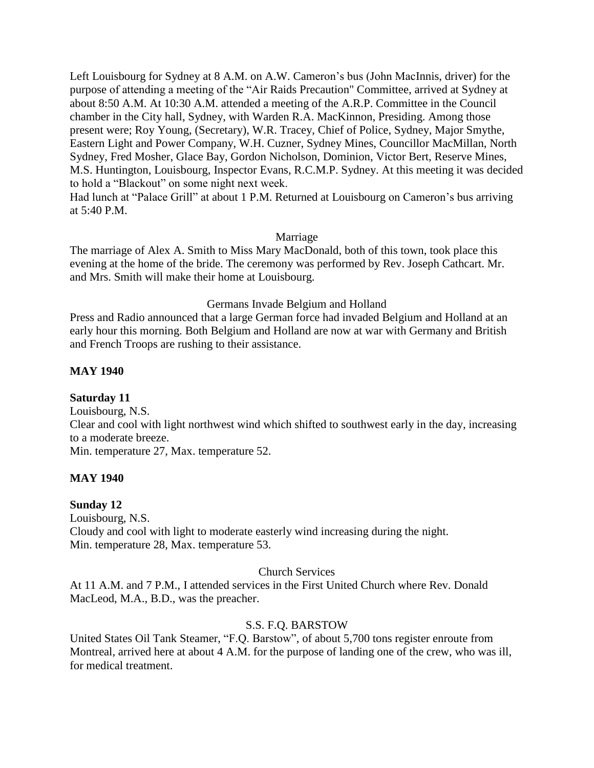Left Louisbourg for Sydney at 8 A.M. on A.W. Cameron's bus (John MacInnis, driver) for the purpose of attending a meeting of the "Air Raids Precaution" Committee, arrived at Sydney at about 8:50 A.M. At 10:30 A.M. attended a meeting of the A.R.P. Committee in the Council chamber in the City hall, Sydney, with Warden R.A. MacKinnon, Presiding. Among those present were; Roy Young, (Secretary), W.R. Tracey, Chief of Police, Sydney, Major Smythe, Eastern Light and Power Company, W.H. Cuzner, Sydney Mines, Councillor MacMillan, North Sydney, Fred Mosher, Glace Bay, Gordon Nicholson, Dominion, Victor Bert, Reserve Mines, M.S. Huntington, Louisbourg, Inspector Evans, R.C.M.P. Sydney. At this meeting it was decided to hold a "Blackout" on some night next week.

Had lunch at "Palace Grill" at about 1 P.M. Returned at Louisbourg on Cameron's bus arriving at 5:40 P.M.

#### Marriage

The marriage of Alex A. Smith to Miss Mary MacDonald, both of this town, took place this evening at the home of the bride. The ceremony was performed by Rev. Joseph Cathcart. Mr. and Mrs. Smith will make their home at Louisbourg.

#### Germans Invade Belgium and Holland

Press and Radio announced that a large German force had invaded Belgium and Holland at an early hour this morning. Both Belgium and Holland are now at war with Germany and British and French Troops are rushing to their assistance.

#### **MAY 1940**

#### **Saturday 11**

Louisbourg, N.S. Clear and cool with light northwest wind which shifted to southwest early in the day, increasing to a moderate breeze. Min. temperature 27, Max. temperature 52.

#### **MAY 1940**

#### **Sunday 12**

Louisbourg, N.S. Cloudy and cool with light to moderate easterly wind increasing during the night. Min. temperature 28, Max. temperature 53.

#### Church Services

At 11 A.M. and 7 P.M., I attended services in the First United Church where Rev. Donald MacLeod, M.A., B.D., was the preacher.

#### S.S. F.Q. BARSTOW

United States Oil Tank Steamer, "F.Q. Barstow", of about 5,700 tons register enroute from Montreal, arrived here at about 4 A.M. for the purpose of landing one of the crew, who was ill, for medical treatment.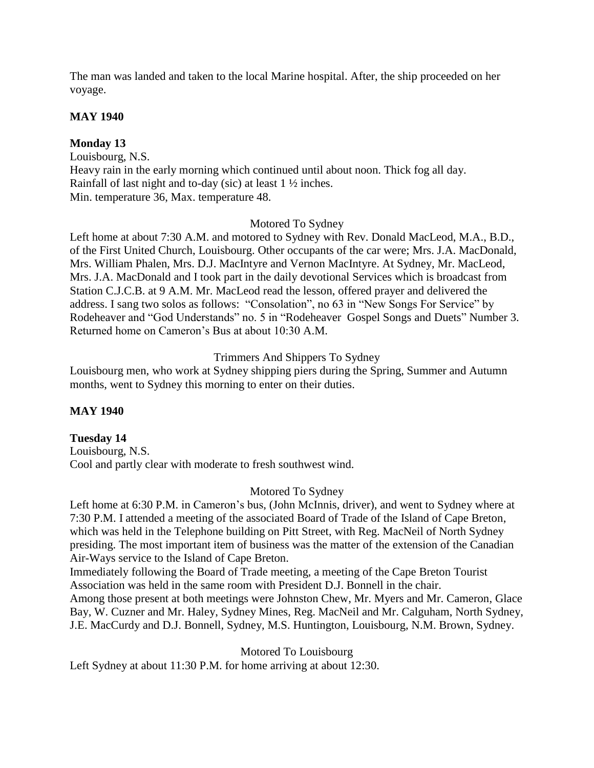The man was landed and taken to the local Marine hospital. After, the ship proceeded on her voyage.

### **MAY 1940**

### **Monday 13**

Louisbourg, N.S. Heavy rain in the early morning which continued until about noon. Thick fog all day. Rainfall of last night and to-day (sic) at least 1 ½ inches. Min. temperature 36, Max. temperature 48.

### Motored To Sydney

Left home at about 7:30 A.M. and motored to Sydney with Rev. Donald MacLeod, M.A., B.D., of the First United Church, Louisbourg. Other occupants of the car were; Mrs. J.A. MacDonald, Mrs. William Phalen, Mrs. D.J. MacIntyre and Vernon MacIntyre. At Sydney, Mr. MacLeod, Mrs. J.A. MacDonald and I took part in the daily devotional Services which is broadcast from Station C.J.C.B. at 9 A.M. Mr. MacLeod read the lesson, offered prayer and delivered the address. I sang two solos as follows: "Consolation", no 63 in "New Songs For Service" by Rodeheaver and "God Understands" no. 5 in "Rodeheaver Gospel Songs and Duets" Number 3. Returned home on Cameron's Bus at about 10:30 A.M.

# Trimmers And Shippers To Sydney

Louisbourg men, who work at Sydney shipping piers during the Spring, Summer and Autumn months, went to Sydney this morning to enter on their duties.

#### **MAY 1940**

# **Tuesday 14**

Louisbourg, N.S. Cool and partly clear with moderate to fresh southwest wind.

#### Motored To Sydney

Left home at 6:30 P.M. in Cameron's bus, (John McInnis, driver), and went to Sydney where at 7:30 P.M. I attended a meeting of the associated Board of Trade of the Island of Cape Breton, which was held in the Telephone building on Pitt Street, with Reg. MacNeil of North Sydney presiding. The most important item of business was the matter of the extension of the Canadian Air-Ways service to the Island of Cape Breton.

Immediately following the Board of Trade meeting, a meeting of the Cape Breton Tourist Association was held in the same room with President D.J. Bonnell in the chair.

Among those present at both meetings were Johnston Chew, Mr. Myers and Mr. Cameron, Glace Bay, W. Cuzner and Mr. Haley, Sydney Mines, Reg. MacNeil and Mr. Calguham, North Sydney, J.E. MacCurdy and D.J. Bonnell, Sydney, M.S. Huntington, Louisbourg, N.M. Brown, Sydney.

Motored To Louisbourg

Left Sydney at about 11:30 P.M. for home arriving at about 12:30.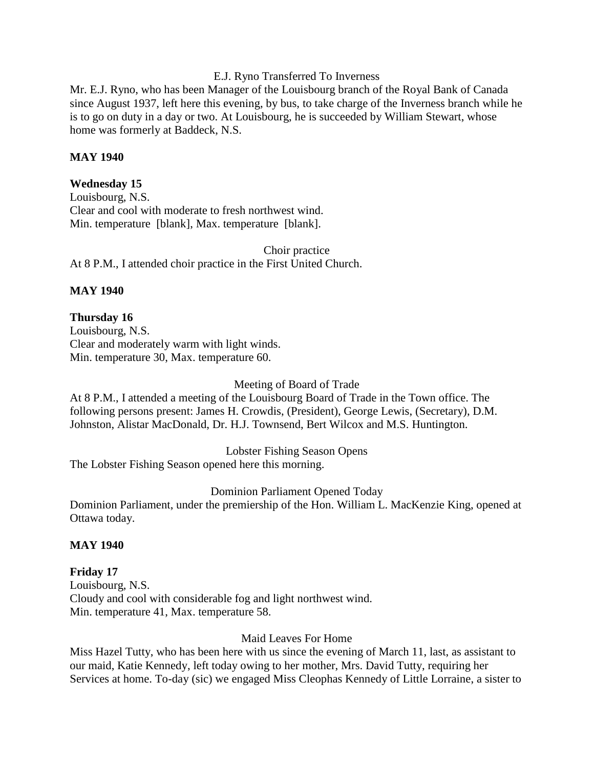#### E.J. Ryno Transferred To Inverness

Mr. E.J. Ryno, who has been Manager of the Louisbourg branch of the Royal Bank of Canada since August 1937, left here this evening, by bus, to take charge of the Inverness branch while he is to go on duty in a day or two. At Louisbourg, he is succeeded by William Stewart, whose home was formerly at Baddeck, N.S.

#### **MAY 1940**

### **Wednesday 15**

Louisbourg, N.S. Clear and cool with moderate to fresh northwest wind. Min. temperature [blank], Max. temperature [blank].

Choir practice At 8 P.M., I attended choir practice in the First United Church.

### **MAY 1940**

# **Thursday 16**

Louisbourg, N.S. Clear and moderately warm with light winds. Min. temperature 30, Max. temperature 60.

#### Meeting of Board of Trade

At 8 P.M., I attended a meeting of the Louisbourg Board of Trade in the Town office. The following persons present: James H. Crowdis, (President), George Lewis, (Secretary), D.M. Johnston, Alistar MacDonald, Dr. H.J. Townsend, Bert Wilcox and M.S. Huntington.

#### Lobster Fishing Season Opens

The Lobster Fishing Season opened here this morning.

#### Dominion Parliament Opened Today

Dominion Parliament, under the premiership of the Hon. William L. MacKenzie King, opened at Ottawa today.

#### **MAY 1940**

### **Friday 17** Louisbourg, N.S. Cloudy and cool with considerable fog and light northwest wind. Min. temperature 41, Max. temperature 58.

#### Maid Leaves For Home

Miss Hazel Tutty, who has been here with us since the evening of March 11, last, as assistant to our maid, Katie Kennedy, left today owing to her mother, Mrs. David Tutty, requiring her Services at home. To-day (sic) we engaged Miss Cleophas Kennedy of Little Lorraine, a sister to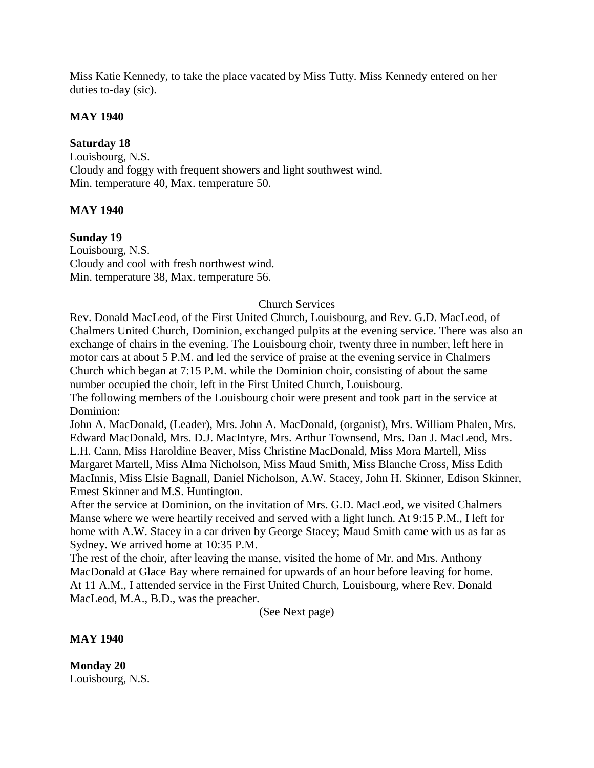Miss Katie Kennedy, to take the place vacated by Miss Tutty. Miss Kennedy entered on her duties to-day (sic).

### **MAY 1940**

### **Saturday 18**

Louisbourg, N.S. Cloudy and foggy with frequent showers and light southwest wind. Min. temperature 40, Max. temperature 50.

### **MAY 1940**

**Sunday 19**

Louisbourg, N.S. Cloudy and cool with fresh northwest wind. Min. temperature 38, Max. temperature 56.

### Church Services

Rev. Donald MacLeod, of the First United Church, Louisbourg, and Rev. G.D. MacLeod, of Chalmers United Church, Dominion, exchanged pulpits at the evening service. There was also an exchange of chairs in the evening. The Louisbourg choir, twenty three in number, left here in motor cars at about 5 P.M. and led the service of praise at the evening service in Chalmers Church which began at 7:15 P.M. while the Dominion choir, consisting of about the same number occupied the choir, left in the First United Church, Louisbourg.

The following members of the Louisbourg choir were present and took part in the service at Dominion:

John A. MacDonald, (Leader), Mrs. John A. MacDonald, (organist), Mrs. William Phalen, Mrs. Edward MacDonald, Mrs. D.J. MacIntyre, Mrs. Arthur Townsend, Mrs. Dan J. MacLeod, Mrs. L.H. Cann, Miss Haroldine Beaver, Miss Christine MacDonald, Miss Mora Martell, Miss Margaret Martell, Miss Alma Nicholson, Miss Maud Smith, Miss Blanche Cross, Miss Edith MacInnis, Miss Elsie Bagnall, Daniel Nicholson, A.W. Stacey, John H. Skinner, Edison Skinner, Ernest Skinner and M.S. Huntington.

After the service at Dominion, on the invitation of Mrs. G.D. MacLeod, we visited Chalmers Manse where we were heartily received and served with a light lunch. At 9:15 P.M., I left for home with A.W. Stacey in a car driven by George Stacey; Maud Smith came with us as far as Sydney. We arrived home at 10:35 P.M.

The rest of the choir, after leaving the manse, visited the home of Mr. and Mrs. Anthony MacDonald at Glace Bay where remained for upwards of an hour before leaving for home. At 11 A.M., I attended service in the First United Church, Louisbourg, where Rev. Donald MacLeod, M.A., B.D., was the preacher.

(See Next page)

**MAY 1940** 

**Monday 20** Louisbourg, N.S.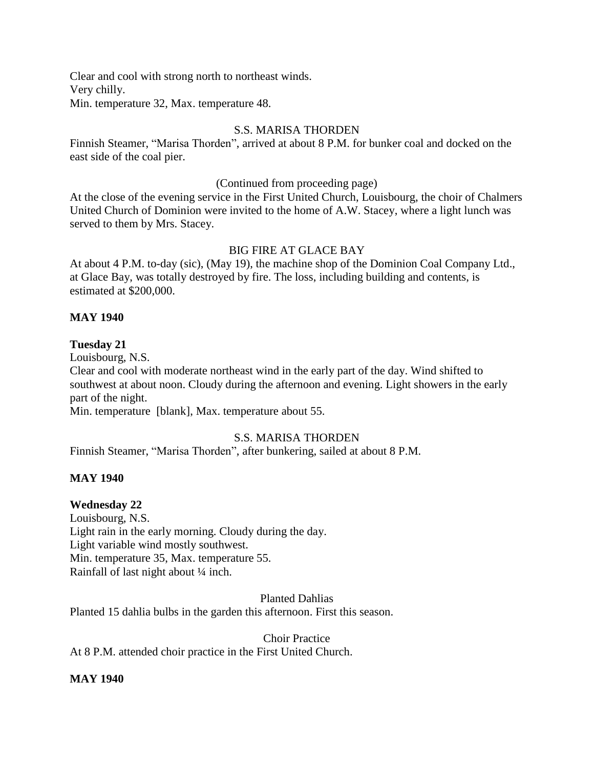Clear and cool with strong north to northeast winds. Very chilly. Min. temperature 32, Max. temperature 48.

# S.S. MARISA THORDEN

Finnish Steamer, "Marisa Thorden", arrived at about 8 P.M. for bunker coal and docked on the east side of the coal pier.

#### (Continued from proceeding page)

At the close of the evening service in the First United Church, Louisbourg, the choir of Chalmers United Church of Dominion were invited to the home of A.W. Stacey, where a light lunch was served to them by Mrs. Stacey.

# BIG FIRE AT GLACE BAY

At about 4 P.M. to-day (sic), (May 19), the machine shop of the Dominion Coal Company Ltd., at Glace Bay, was totally destroyed by fire. The loss, including building and contents, is estimated at \$200,000.

### **MAY 1940**

# **Tuesday 21**

Louisbourg, N.S.

Clear and cool with moderate northeast wind in the early part of the day. Wind shifted to southwest at about noon. Cloudy during the afternoon and evening. Light showers in the early part of the night.

Min. temperature [blank], Max. temperature about 55.

# S.S. MARISA THORDEN

Finnish Steamer, "Marisa Thorden", after bunkering, sailed at about 8 P.M.

#### **MAY 1940**

# **Wednesday 22**

Louisbourg, N.S. Light rain in the early morning. Cloudy during the day. Light variable wind mostly southwest. Min. temperature 35, Max. temperature 55. Rainfall of last night about ¼ inch.

Planted Dahlias

Planted 15 dahlia bulbs in the garden this afternoon. First this season.

Choir Practice

At 8 P.M. attended choir practice in the First United Church.

#### **MAY 1940**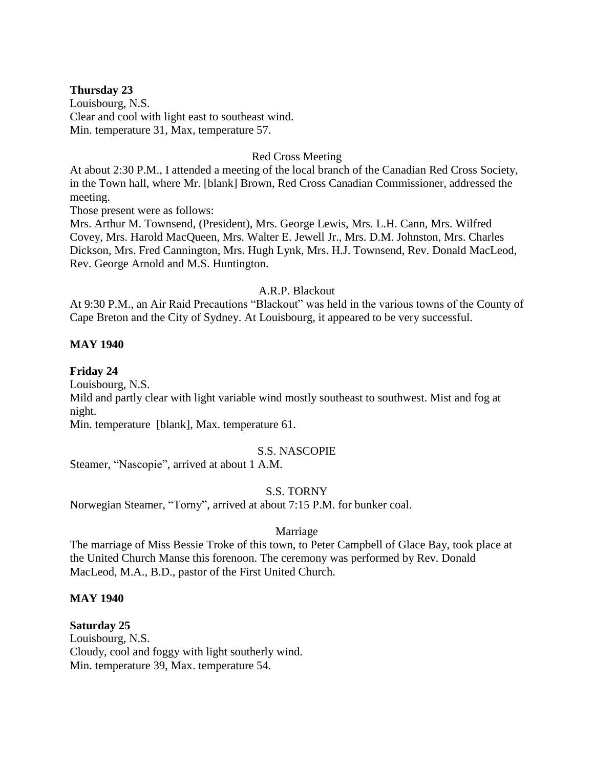#### **Thursday 23**

Louisbourg, N.S. Clear and cool with light east to southeast wind. Min. temperature 31, Max, temperature 57.

#### Red Cross Meeting

At about 2:30 P.M., I attended a meeting of the local branch of the Canadian Red Cross Society, in the Town hall, where Mr. [blank] Brown, Red Cross Canadian Commissioner, addressed the meeting.

Those present were as follows:

Mrs. Arthur M. Townsend, (President), Mrs. George Lewis, Mrs. L.H. Cann, Mrs. Wilfred Covey, Mrs. Harold MacQueen, Mrs. Walter E. Jewell Jr., Mrs. D.M. Johnston, Mrs. Charles Dickson, Mrs. Fred Cannington, Mrs. Hugh Lynk, Mrs. H.J. Townsend, Rev. Donald MacLeod, Rev. George Arnold and M.S. Huntington.

#### A.R.P. Blackout

At 9:30 P.M., an Air Raid Precautions "Blackout" was held in the various towns of the County of Cape Breton and the City of Sydney. At Louisbourg, it appeared to be very successful.

#### **MAY 1940**

#### **Friday 24**

Louisbourg, N.S.

Mild and partly clear with light variable wind mostly southeast to southwest. Mist and fog at night.

Min. temperature [blank], Max. temperature 61.

#### S.S. NASCOPIE

Steamer, "Nascopie", arrived at about 1 A.M.

#### S.S. TORNY

Norwegian Steamer, "Torny", arrived at about 7:15 P.M. for bunker coal.

#### Marriage

The marriage of Miss Bessie Troke of this town, to Peter Campbell of Glace Bay, took place at the United Church Manse this forenoon. The ceremony was performed by Rev. Donald MacLeod, M.A., B.D., pastor of the First United Church.

#### **MAY 1940**

#### **Saturday 25**

Louisbourg, N.S. Cloudy, cool and foggy with light southerly wind. Min. temperature 39, Max. temperature 54.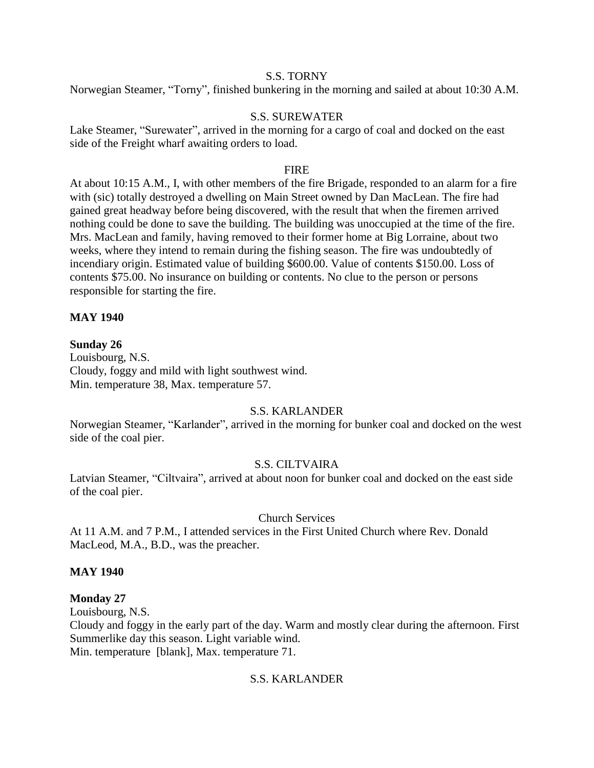#### S.S. TORNY

Norwegian Steamer, "Torny", finished bunkering in the morning and sailed at about 10:30 A.M.

### S.S. SUREWATER

Lake Steamer, "Surewater", arrived in the morning for a cargo of coal and docked on the east side of the Freight wharf awaiting orders to load.

#### **FIRE**

At about 10:15 A.M., I, with other members of the fire Brigade, responded to an alarm for a fire with (sic) totally destroyed a dwelling on Main Street owned by Dan MacLean. The fire had gained great headway before being discovered, with the result that when the firemen arrived nothing could be done to save the building. The building was unoccupied at the time of the fire. Mrs. MacLean and family, having removed to their former home at Big Lorraine, about two weeks, where they intend to remain during the fishing season. The fire was undoubtedly of incendiary origin. Estimated value of building \$600.00. Value of contents \$150.00. Loss of contents \$75.00. No insurance on building or contents. No clue to the person or persons responsible for starting the fire.

#### **MAY 1940**

# **Sunday 26**

Louisbourg, N.S. Cloudy, foggy and mild with light southwest wind. Min. temperature 38, Max. temperature 57.

#### S.S. KARLANDER

Norwegian Steamer, "Karlander", arrived in the morning for bunker coal and docked on the west side of the coal pier.

#### S.S. CILTVAIRA

Latvian Steamer, "Ciltvaira", arrived at about noon for bunker coal and docked on the east side of the coal pier.

#### Church Services

At 11 A.M. and 7 P.M., I attended services in the First United Church where Rev. Donald MacLeod, M.A., B.D., was the preacher.

#### **MAY 1940**

# **Monday 27**

Louisbourg, N.S.

Cloudy and foggy in the early part of the day. Warm and mostly clear during the afternoon. First Summerlike day this season. Light variable wind.

Min. temperature [blank], Max. temperature 71.

# S.S. KARLANDER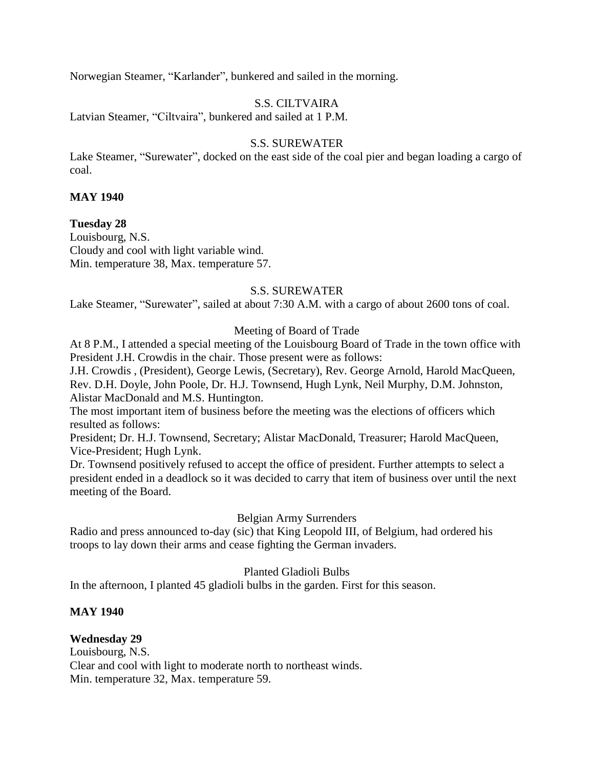Norwegian Steamer, "Karlander", bunkered and sailed in the morning.

# S.S. CILTVAIRA

Latvian Steamer, "Ciltvaira", bunkered and sailed at 1 P.M.

#### S.S. SUREWATER

Lake Steamer, "Surewater", docked on the east side of the coal pier and began loading a cargo of coal.

#### **MAY 1940**

**Tuesday 28** Louisbourg, N.S.

Cloudy and cool with light variable wind. Min. temperature 38, Max. temperature 57.

#### S.S. SUREWATER

Lake Steamer, "Surewater", sailed at about 7:30 A.M. with a cargo of about 2600 tons of coal.

#### Meeting of Board of Trade

At 8 P.M., I attended a special meeting of the Louisbourg Board of Trade in the town office with President J.H. Crowdis in the chair. Those present were as follows:

J.H. Crowdis , (President), George Lewis, (Secretary), Rev. George Arnold, Harold MacQueen, Rev. D.H. Doyle, John Poole, Dr. H.J. Townsend, Hugh Lynk, Neil Murphy, D.M. Johnston, Alistar MacDonald and M.S. Huntington.

The most important item of business before the meeting was the elections of officers which resulted as follows:

President; Dr. H.J. Townsend, Secretary; Alistar MacDonald, Treasurer; Harold MacQueen, Vice-President; Hugh Lynk.

Dr. Townsend positively refused to accept the office of president. Further attempts to select a president ended in a deadlock so it was decided to carry that item of business over until the next meeting of the Board.

#### Belgian Army Surrenders

Radio and press announced to-day (sic) that King Leopold III, of Belgium, had ordered his troops to lay down their arms and cease fighting the German invaders.

#### Planted Gladioli Bulbs

In the afternoon, I planted 45 gladioli bulbs in the garden. First for this season.

#### **MAY 1940**

#### **Wednesday 29**

Louisbourg, N.S. Clear and cool with light to moderate north to northeast winds. Min. temperature 32, Max. temperature 59.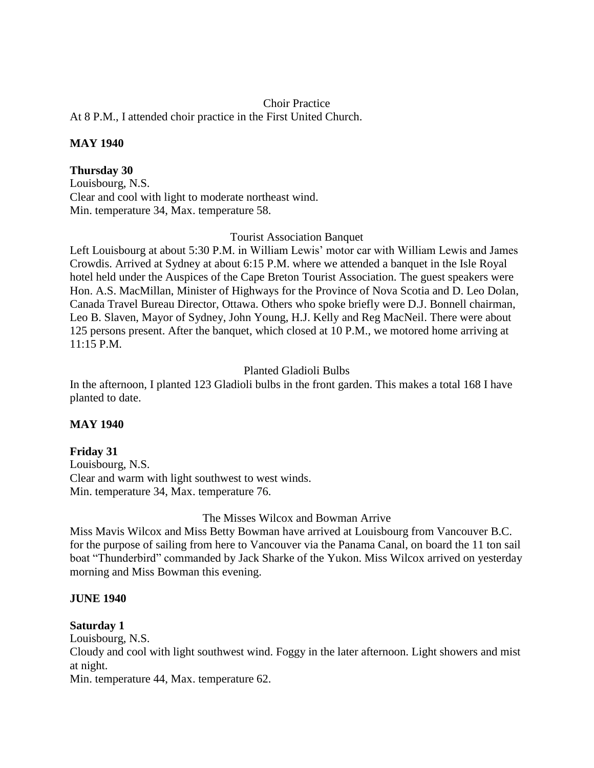## Choir Practice

At 8 P.M., I attended choir practice in the First United Church.

# **MAY 1940**

# **Thursday 30**

Louisbourg, N.S. Clear and cool with light to moderate northeast wind. Min. temperature 34, Max. temperature 58.

## Tourist Association Banquet

Left Louisbourg at about 5:30 P.M. in William Lewis' motor car with William Lewis and James Crowdis. Arrived at Sydney at about 6:15 P.M. where we attended a banquet in the Isle Royal hotel held under the Auspices of the Cape Breton Tourist Association. The guest speakers were Hon. A.S. MacMillan, Minister of Highways for the Province of Nova Scotia and D. Leo Dolan, Canada Travel Bureau Director, Ottawa. Others who spoke briefly were D.J. Bonnell chairman, Leo B. Slaven, Mayor of Sydney, John Young, H.J. Kelly and Reg MacNeil. There were about 125 persons present. After the banquet, which closed at 10 P.M., we motored home arriving at  $11.15$  PM

# Planted Gladioli Bulbs

In the afternoon, I planted 123 Gladioli bulbs in the front garden. This makes a total 168 I have planted to date.

# **MAY 1940**

# **Friday 31**

Louisbourg, N.S. Clear and warm with light southwest to west winds. Min. temperature 34, Max. temperature 76.

The Misses Wilcox and Bowman Arrive

Miss Mavis Wilcox and Miss Betty Bowman have arrived at Louisbourg from Vancouver B.C. for the purpose of sailing from here to Vancouver via the Panama Canal, on board the 11 ton sail boat "Thunderbird" commanded by Jack Sharke of the Yukon. Miss Wilcox arrived on yesterday morning and Miss Bowman this evening.

# **JUNE 1940**

# **Saturday 1**

Louisbourg, N.S.

Cloudy and cool with light southwest wind. Foggy in the later afternoon. Light showers and mist at night.

Min. temperature 44, Max. temperature 62.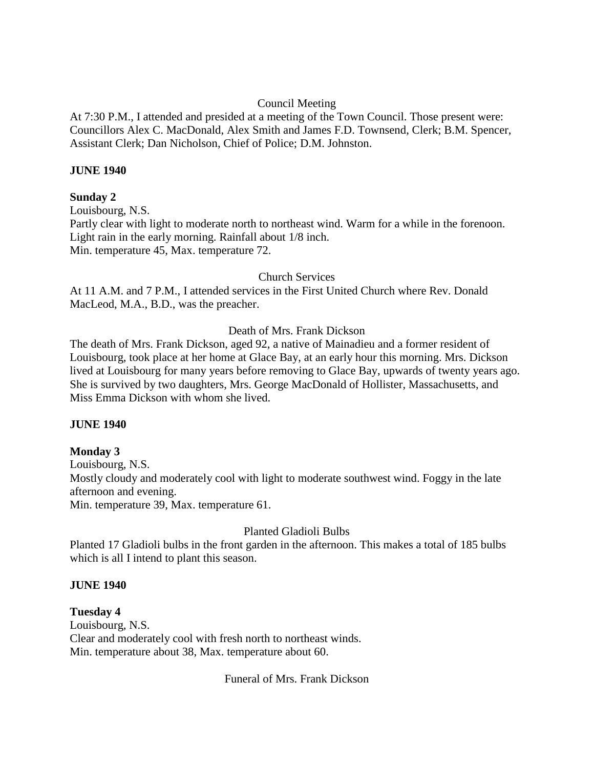# Council Meeting

At 7:30 P.M., I attended and presided at a meeting of the Town Council. Those present were: Councillors Alex C. MacDonald, Alex Smith and James F.D. Townsend, Clerk; B.M. Spencer, Assistant Clerk; Dan Nicholson, Chief of Police; D.M. Johnston.

# **JUNE 1940**

## **Sunday 2**

Louisbourg, N.S. Partly clear with light to moderate north to northeast wind. Warm for a while in the forenoon. Light rain in the early morning. Rainfall about 1/8 inch. Min. temperature 45, Max. temperature 72.

# Church Services

At 11 A.M. and 7 P.M., I attended services in the First United Church where Rev. Donald MacLeod, M.A., B.D., was the preacher.

# Death of Mrs. Frank Dickson

The death of Mrs. Frank Dickson, aged 92, a native of Mainadieu and a former resident of Louisbourg, took place at her home at Glace Bay, at an early hour this morning. Mrs. Dickson lived at Louisbourg for many years before removing to Glace Bay, upwards of twenty years ago. She is survived by two daughters, Mrs. George MacDonald of Hollister, Massachusetts, and Miss Emma Dickson with whom she lived.

#### **JUNE 1940**

# **Monday 3**

Louisbourg, N.S. Mostly cloudy and moderately cool with light to moderate southwest wind. Foggy in the late afternoon and evening. Min. temperature 39, Max. temperature 61.

# Planted Gladioli Bulbs

Planted 17 Gladioli bulbs in the front garden in the afternoon. This makes a total of 185 bulbs which is all I intend to plant this season.

# **JUNE 1940**

**Tuesday 4** Louisbourg, N.S. Clear and moderately cool with fresh north to northeast winds. Min. temperature about 38, Max. temperature about 60.

Funeral of Mrs. Frank Dickson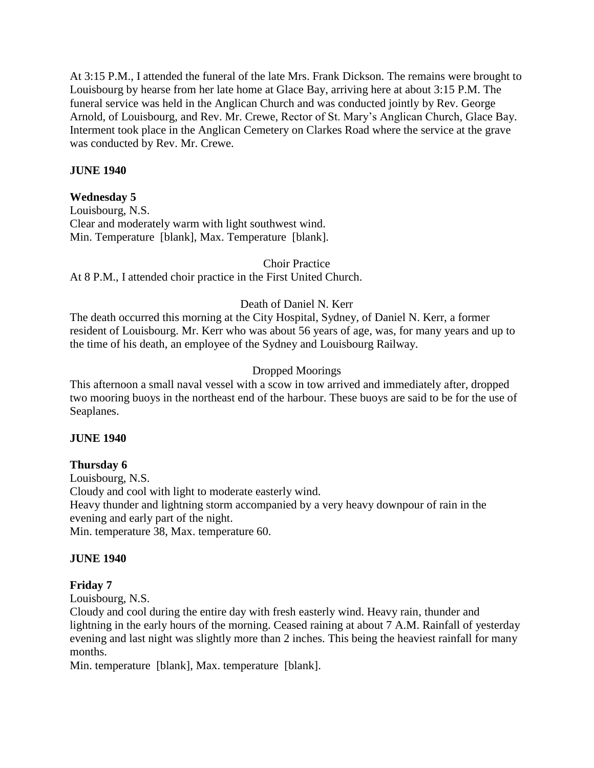At 3:15 P.M., I attended the funeral of the late Mrs. Frank Dickson. The remains were brought to Louisbourg by hearse from her late home at Glace Bay, arriving here at about 3:15 P.M. The funeral service was held in the Anglican Church and was conducted jointly by Rev. George Arnold, of Louisbourg, and Rev. Mr. Crewe, Rector of St. Mary's Anglican Church, Glace Bay. Interment took place in the Anglican Cemetery on Clarkes Road where the service at the grave was conducted by Rev. Mr. Crewe.

# **JUNE 1940**

# **Wednesday 5**

Louisbourg, N.S. Clear and moderately warm with light southwest wind. Min. Temperature [blank], Max. Temperature [blank].

Choir Practice

At 8 P.M., I attended choir practice in the First United Church.

# Death of Daniel N. Kerr

The death occurred this morning at the City Hospital, Sydney, of Daniel N. Kerr, a former resident of Louisbourg. Mr. Kerr who was about 56 years of age, was, for many years and up to the time of his death, an employee of the Sydney and Louisbourg Railway.

# Dropped Moorings

This afternoon a small naval vessel with a scow in tow arrived and immediately after, dropped two mooring buoys in the northeast end of the harbour. These buoys are said to be for the use of Seaplanes.

# **JUNE 1940**

# **Thursday 6**

Louisbourg, N.S. Cloudy and cool with light to moderate easterly wind. Heavy thunder and lightning storm accompanied by a very heavy downpour of rain in the evening and early part of the night. Min. temperature 38, Max. temperature 60.

# **JUNE 1940**

# **Friday 7**

Louisbourg, N.S.

Cloudy and cool during the entire day with fresh easterly wind. Heavy rain, thunder and lightning in the early hours of the morning. Ceased raining at about 7 A.M. Rainfall of yesterday evening and last night was slightly more than 2 inches. This being the heaviest rainfall for many months.

Min. temperature [blank], Max. temperature [blank].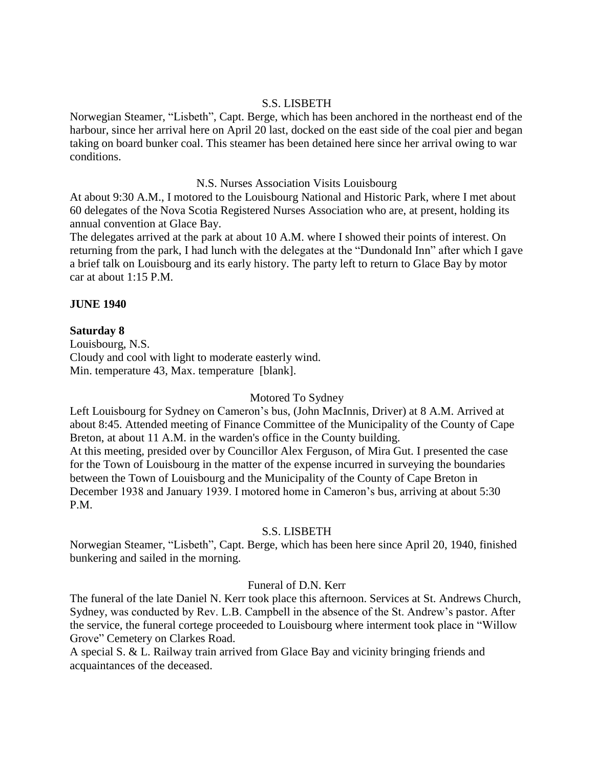## S.S. LISBETH

Norwegian Steamer, "Lisbeth", Capt. Berge, which has been anchored in the northeast end of the harbour, since her arrival here on April 20 last, docked on the east side of the coal pier and began taking on board bunker coal. This steamer has been detained here since her arrival owing to war conditions.

## N.S. Nurses Association Visits Louisbourg

At about 9:30 A.M., I motored to the Louisbourg National and Historic Park, where I met about 60 delegates of the Nova Scotia Registered Nurses Association who are, at present, holding its annual convention at Glace Bay.

The delegates arrived at the park at about 10 A.M. where I showed their points of interest. On returning from the park, I had lunch with the delegates at the "Dundonald Inn" after which I gave a brief talk on Louisbourg and its early history. The party left to return to Glace Bay by motor car at about 1:15 P.M.

# **JUNE 1940**

## **Saturday 8**

Louisbourg, N.S. Cloudy and cool with light to moderate easterly wind. Min. temperature 43, Max. temperature [blank].

#### Motored To Sydney

Left Louisbourg for Sydney on Cameron's bus, (John MacInnis, Driver) at 8 A.M. Arrived at about 8:45. Attended meeting of Finance Committee of the Municipality of the County of Cape Breton, at about 11 A.M. in the warden's office in the County building. At this meeting, presided over by Councillor Alex Ferguson, of Mira Gut. I presented the case for the Town of Louisbourg in the matter of the expense incurred in surveying the boundaries between the Town of Louisbourg and the Municipality of the County of Cape Breton in December 1938 and January 1939. I motored home in Cameron's bus, arriving at about 5:30 P.M.

#### S.S. LISBETH

Norwegian Steamer, "Lisbeth", Capt. Berge, which has been here since April 20, 1940, finished bunkering and sailed in the morning.

# Funeral of D.N. Kerr

The funeral of the late Daniel N. Kerr took place this afternoon. Services at St. Andrews Church, Sydney, was conducted by Rev. L.B. Campbell in the absence of the St. Andrew's pastor. After the service, the funeral cortege proceeded to Louisbourg where interment took place in "Willow Grove" Cemetery on Clarkes Road.

A special S. & L. Railway train arrived from Glace Bay and vicinity bringing friends and acquaintances of the deceased.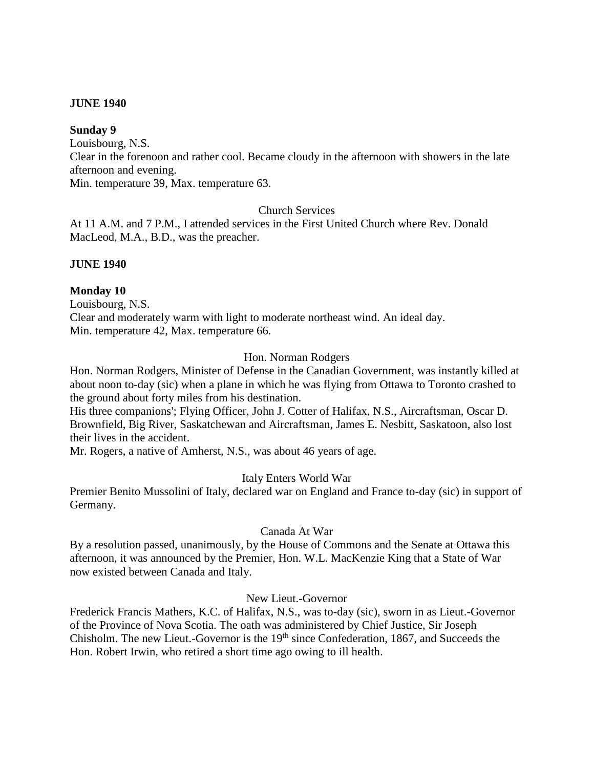#### **Sunday 9**

Louisbourg, N.S.

Clear in the forenoon and rather cool. Became cloudy in the afternoon with showers in the late afternoon and evening.

Min. temperature 39, Max. temperature 63.

## Church Services

At 11 A.M. and 7 P.M., I attended services in the First United Church where Rev. Donald MacLeod, M.A., B.D., was the preacher.

## **JUNE 1940**

# **Monday 10**

Louisbourg, N.S. Clear and moderately warm with light to moderate northeast wind. An ideal day. Min. temperature 42, Max. temperature 66.

# Hon. Norman Rodgers

Hon. Norman Rodgers, Minister of Defense in the Canadian Government, was instantly killed at about noon to-day (sic) when a plane in which he was flying from Ottawa to Toronto crashed to the ground about forty miles from his destination.

His three companions'; Flying Officer, John J. Cotter of Halifax, N.S., Aircraftsman, Oscar D. Brownfield, Big River, Saskatchewan and Aircraftsman, James E. Nesbitt, Saskatoon, also lost their lives in the accident.

Mr. Rogers, a native of Amherst, N.S., was about 46 years of age.

# Italy Enters World War

Premier Benito Mussolini of Italy, declared war on England and France to-day (sic) in support of Germany.

# Canada At War

By a resolution passed, unanimously, by the House of Commons and the Senate at Ottawa this afternoon, it was announced by the Premier, Hon. W.L. MacKenzie King that a State of War now existed between Canada and Italy.

## New Lieut.-Governor

Frederick Francis Mathers, K.C. of Halifax, N.S., was to-day (sic), sworn in as Lieut.-Governor of the Province of Nova Scotia. The oath was administered by Chief Justice, Sir Joseph Chisholm. The new Lieut.-Governor is the  $19<sup>th</sup>$  since Confederation, 1867, and Succeeds the Hon. Robert Irwin, who retired a short time ago owing to ill health.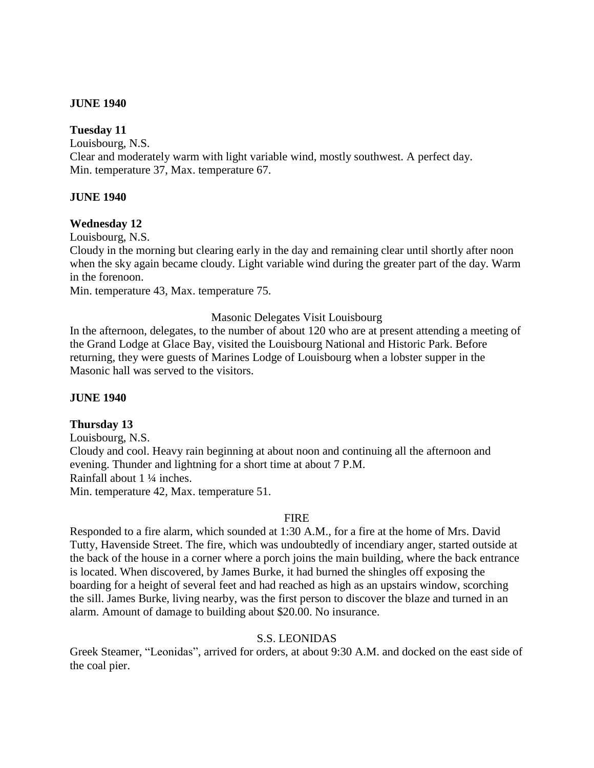#### **Tuesday 11**

Louisbourg, N.S. Clear and moderately warm with light variable wind, mostly southwest. A perfect day. Min. temperature 37, Max. temperature 67.

## **JUNE 1940**

# **Wednesday 12**

Louisbourg, N.S.

Cloudy in the morning but clearing early in the day and remaining clear until shortly after noon when the sky again became cloudy. Light variable wind during the greater part of the day. Warm in the forenoon.

Min. temperature 43, Max. temperature 75.

## Masonic Delegates Visit Louisbourg

In the afternoon, delegates, to the number of about 120 who are at present attending a meeting of the Grand Lodge at Glace Bay, visited the Louisbourg National and Historic Park. Before returning, they were guests of Marines Lodge of Louisbourg when a lobster supper in the Masonic hall was served to the visitors.

#### **JUNE 1940**

# **Thursday 13**

Louisbourg, N.S. Cloudy and cool. Heavy rain beginning at about noon and continuing all the afternoon and evening. Thunder and lightning for a short time at about 7 P.M. Rainfall about 1 ¼ inches. Min. temperature 42, Max. temperature 51.

#### FIRE

Responded to a fire alarm, which sounded at 1:30 A.M., for a fire at the home of Mrs. David Tutty, Havenside Street. The fire, which was undoubtedly of incendiary anger, started outside at the back of the house in a corner where a porch joins the main building, where the back entrance is located. When discovered, by James Burke, it had burned the shingles off exposing the boarding for a height of several feet and had reached as high as an upstairs window, scorching the sill. James Burke, living nearby, was the first person to discover the blaze and turned in an alarm. Amount of damage to building about \$20.00. No insurance.

#### S.S. LEONIDAS

Greek Steamer, "Leonidas", arrived for orders, at about 9:30 A.M. and docked on the east side of the coal pier.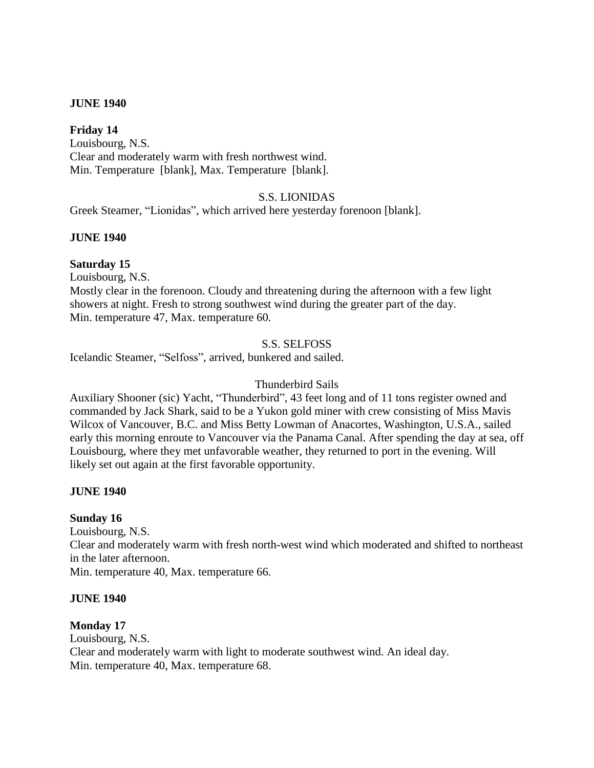## **Friday 14**

Louisbourg, N.S. Clear and moderately warm with fresh northwest wind. Min. Temperature [blank], Max. Temperature [blank].

## S.S. LIONIDAS

Greek Steamer, "Lionidas", which arrived here yesterday forenoon [blank].

#### **JUNE 1940**

#### **Saturday 15**

Louisbourg, N.S.

Mostly clear in the forenoon. Cloudy and threatening during the afternoon with a few light showers at night. Fresh to strong southwest wind during the greater part of the day. Min. temperature 47, Max. temperature 60.

## S.S. SELFOSS

Icelandic Steamer, "Selfoss", arrived, bunkered and sailed.

#### Thunderbird Sails

Auxiliary Shooner (sic) Yacht, "Thunderbird", 43 feet long and of 11 tons register owned and commanded by Jack Shark, said to be a Yukon gold miner with crew consisting of Miss Mavis Wilcox of Vancouver, B.C. and Miss Betty Lowman of Anacortes, Washington, U.S.A., sailed early this morning enroute to Vancouver via the Panama Canal. After spending the day at sea, off Louisbourg, where they met unfavorable weather, they returned to port in the evening. Will likely set out again at the first favorable opportunity.

#### **JUNE 1940**

#### **Sunday 16**

Louisbourg, N.S. Clear and moderately warm with fresh north-west wind which moderated and shifted to northeast in the later afternoon. Min. temperature 40, Max. temperature 66.

#### **JUNE 1940**

#### **Monday 17**

Louisbourg, N.S. Clear and moderately warm with light to moderate southwest wind. An ideal day. Min. temperature 40, Max. temperature 68.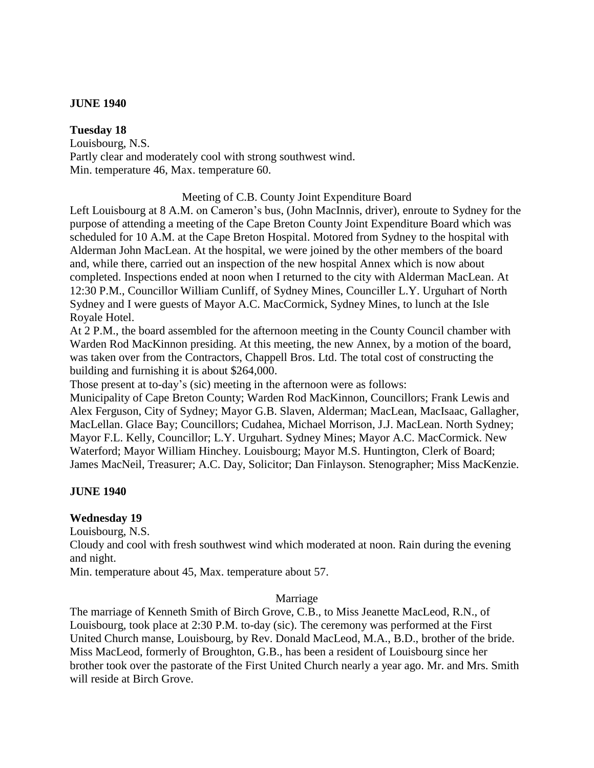## **Tuesday 18**

Louisbourg, N.S. Partly clear and moderately cool with strong southwest wind. Min. temperature 46, Max. temperature 60.

Meeting of C.B. County Joint Expenditure Board

Left Louisbourg at 8 A.M. on Cameron's bus, (John MacInnis, driver), enroute to Sydney for the purpose of attending a meeting of the Cape Breton County Joint Expenditure Board which was scheduled for 10 A.M. at the Cape Breton Hospital. Motored from Sydney to the hospital with Alderman John MacLean. At the hospital, we were joined by the other members of the board and, while there, carried out an inspection of the new hospital Annex which is now about completed. Inspections ended at noon when I returned to the city with Alderman MacLean. At 12:30 P.M., Councillor William Cunliff, of Sydney Mines, Counciller L.Y. Urguhart of North Sydney and I were guests of Mayor A.C. MacCormick, Sydney Mines, to lunch at the Isle Royale Hotel.

At 2 P.M., the board assembled for the afternoon meeting in the County Council chamber with Warden Rod MacKinnon presiding. At this meeting, the new Annex, by a motion of the board, was taken over from the Contractors, Chappell Bros. Ltd. The total cost of constructing the building and furnishing it is about \$264,000.

Those present at to-day's (sic) meeting in the afternoon were as follows:

Municipality of Cape Breton County; Warden Rod MacKinnon, Councillors; Frank Lewis and Alex Ferguson, City of Sydney; Mayor G.B. Slaven, Alderman; MacLean, MacIsaac, Gallagher, MacLellan. Glace Bay; Councillors; Cudahea, Michael Morrison, J.J. MacLean. North Sydney; Mayor F.L. Kelly, Councillor; L.Y. Urguhart. Sydney Mines; Mayor A.C. MacCormick. New Waterford; Mayor William Hinchey. Louisbourg; Mayor M.S. Huntington, Clerk of Board; James MacNeil, Treasurer; A.C. Day, Solicitor; Dan Finlayson. Stenographer; Miss MacKenzie.

# **JUNE 1940**

# **Wednesday 19**

Louisbourg, N.S.

Cloudy and cool with fresh southwest wind which moderated at noon. Rain during the evening and night.

Min. temperature about 45, Max. temperature about 57.

#### Marriage

The marriage of Kenneth Smith of Birch Grove, C.B., to Miss Jeanette MacLeod, R.N., of Louisbourg, took place at 2:30 P.M. to-day (sic). The ceremony was performed at the First United Church manse, Louisbourg, by Rev. Donald MacLeod, M.A., B.D., brother of the bride. Miss MacLeod, formerly of Broughton, G.B., has been a resident of Louisbourg since her brother took over the pastorate of the First United Church nearly a year ago. Mr. and Mrs. Smith will reside at Birch Grove.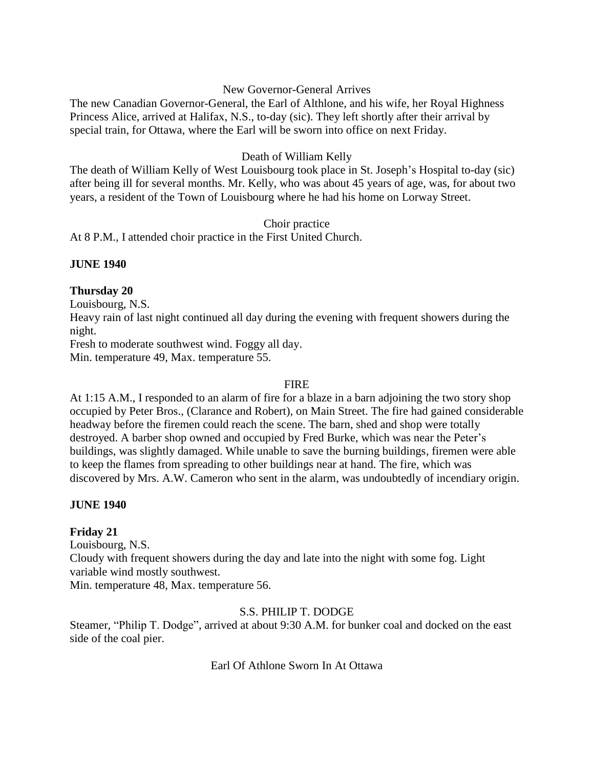# New Governor-General Arrives

The new Canadian Governor-General, the Earl of Althlone, and his wife, her Royal Highness Princess Alice, arrived at Halifax, N.S., to-day (sic). They left shortly after their arrival by special train, for Ottawa, where the Earl will be sworn into office on next Friday.

# Death of William Kelly

The death of William Kelly of West Louisbourg took place in St. Joseph's Hospital to-day (sic) after being ill for several months. Mr. Kelly, who was about 45 years of age, was, for about two years, a resident of the Town of Louisbourg where he had his home on Lorway Street.

# Choir practice

At 8 P.M., I attended choir practice in the First United Church.

# **JUNE 1940**

# **Thursday 20**

Louisbourg, N.S.

Heavy rain of last night continued all day during the evening with frequent showers during the night.

Fresh to moderate southwest wind. Foggy all day.

Min. temperature 49, Max. temperature 55.

# FIRE

At 1:15 A.M., I responded to an alarm of fire for a blaze in a barn adjoining the two story shop occupied by Peter Bros., (Clarance and Robert), on Main Street. The fire had gained considerable headway before the firemen could reach the scene. The barn, shed and shop were totally destroyed. A barber shop owned and occupied by Fred Burke, which was near the Peter's buildings, was slightly damaged. While unable to save the burning buildings, firemen were able to keep the flames from spreading to other buildings near at hand. The fire, which was discovered by Mrs. A.W. Cameron who sent in the alarm, was undoubtedly of incendiary origin.

# **JUNE 1940**

# **Friday 21**

Louisbourg, N.S. Cloudy with frequent showers during the day and late into the night with some fog. Light variable wind mostly southwest.

Min. temperature 48, Max. temperature 56.

# S.S. PHILIP T. DODGE

Steamer, "Philip T. Dodge", arrived at about 9:30 A.M. for bunker coal and docked on the east side of the coal pier.

Earl Of Athlone Sworn In At Ottawa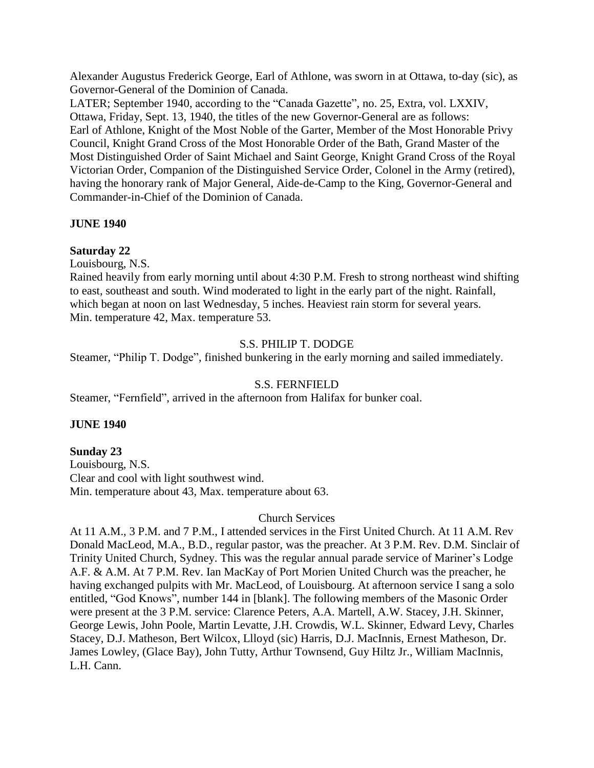Alexander Augustus Frederick George, Earl of Athlone, was sworn in at Ottawa, to-day (sic), as Governor-General of the Dominion of Canada.

LATER; September 1940, according to the "Canada Gazette", no. 25, Extra, vol. LXXIV, Ottawa, Friday, Sept. 13, 1940, the titles of the new Governor-General are as follows: Earl of Athlone, Knight of the Most Noble of the Garter, Member of the Most Honorable Privy Council, Knight Grand Cross of the Most Honorable Order of the Bath, Grand Master of the Most Distinguished Order of Saint Michael and Saint George, Knight Grand Cross of the Royal Victorian Order, Companion of the Distinguished Service Order, Colonel in the Army (retired), having the honorary rank of Major General, Aide-de-Camp to the King, Governor-General and Commander-in-Chief of the Dominion of Canada.

# **JUNE 1940**

## **Saturday 22**

Louisbourg, N.S.

Rained heavily from early morning until about 4:30 P.M. Fresh to strong northeast wind shifting to east, southeast and south. Wind moderated to light in the early part of the night. Rainfall, which began at noon on last Wednesday, 5 inches. Heaviest rain storm for several years. Min. temperature 42, Max. temperature 53.

# S.S. PHILIP T. DODGE

Steamer, "Philip T. Dodge", finished bunkering in the early morning and sailed immediately.

# S.S. FERNFIELD

Steamer, "Fernfield", arrived in the afternoon from Halifax for bunker coal.

#### **JUNE 1940**

#### **Sunday 23**

Louisbourg, N.S. Clear and cool with light southwest wind. Min. temperature about 43, Max. temperature about 63.

#### Church Services

At 11 A.M., 3 P.M. and 7 P.M., I attended services in the First United Church. At 11 A.M. Rev Donald MacLeod, M.A., B.D., regular pastor, was the preacher. At 3 P.M. Rev. D.M. Sinclair of Trinity United Church, Sydney. This was the regular annual parade service of Mariner's Lodge A.F. & A.M. At 7 P.M. Rev. Ian MacKay of Port Morien United Church was the preacher, he having exchanged pulpits with Mr. MacLeod, of Louisbourg. At afternoon service I sang a solo entitled, "God Knows", number 144 in [blank]. The following members of the Masonic Order were present at the 3 P.M. service: Clarence Peters, A.A. Martell, A.W. Stacey, J.H. Skinner, George Lewis, John Poole, Martin Levatte, J.H. Crowdis, W.L. Skinner, Edward Levy, Charles Stacey, D.J. Matheson, Bert Wilcox, Llloyd (sic) Harris, D.J. MacInnis, Ernest Matheson, Dr. James Lowley, (Glace Bay), John Tutty, Arthur Townsend, Guy Hiltz Jr., William MacInnis, L.H. Cann.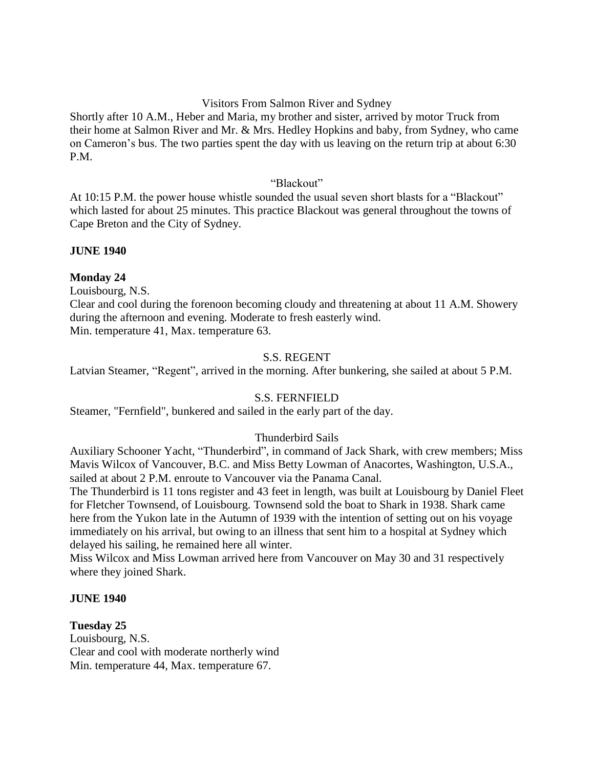# Visitors From Salmon River and Sydney

Shortly after 10 A.M., Heber and Maria, my brother and sister, arrived by motor Truck from their home at Salmon River and Mr. & Mrs. Hedley Hopkins and baby, from Sydney, who came on Cameron's bus. The two parties spent the day with us leaving on the return trip at about 6:30 P.M.

# "Blackout"

At 10:15 P.M. the power house whistle sounded the usual seven short blasts for a "Blackout" which lasted for about 25 minutes. This practice Blackout was general throughout the towns of Cape Breton and the City of Sydney.

# **JUNE 1940**

# **Monday 24**

Louisbourg, N.S.

Clear and cool during the forenoon becoming cloudy and threatening at about 11 A.M. Showery during the afternoon and evening. Moderate to fresh easterly wind. Min. temperature 41, Max. temperature 63.

# S.S. REGENT

Latvian Steamer, "Regent", arrived in the morning. After bunkering, she sailed at about 5 P.M.

# S.S. FERNFIELD

Steamer, "Fernfield", bunkered and sailed in the early part of the day.

# Thunderbird Sails

Auxiliary Schooner Yacht, "Thunderbird", in command of Jack Shark, with crew members; Miss Mavis Wilcox of Vancouver, B.C. and Miss Betty Lowman of Anacortes, Washington, U.S.A., sailed at about 2 P.M. enroute to Vancouver via the Panama Canal.

The Thunderbird is 11 tons register and 43 feet in length, was built at Louisbourg by Daniel Fleet for Fletcher Townsend, of Louisbourg. Townsend sold the boat to Shark in 1938. Shark came here from the Yukon late in the Autumn of 1939 with the intention of setting out on his voyage immediately on his arrival, but owing to an illness that sent him to a hospital at Sydney which delayed his sailing, he remained here all winter.

Miss Wilcox and Miss Lowman arrived here from Vancouver on May 30 and 31 respectively where they joined Shark.

# **JUNE 1940**

# **Tuesday 25**

Louisbourg, N.S. Clear and cool with moderate northerly wind Min. temperature 44, Max. temperature 67.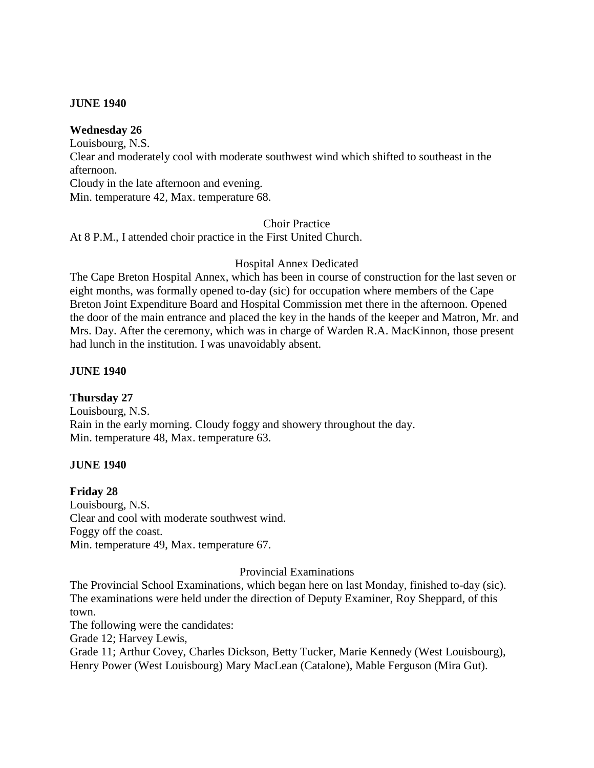## **Wednesday 26**

Louisbourg, N.S. Clear and moderately cool with moderate southwest wind which shifted to southeast in the afternoon. Cloudy in the late afternoon and evening. Min. temperature 42, Max. temperature 68.

Choir Practice

At 8 P.M., I attended choir practice in the First United Church.

#### Hospital Annex Dedicated

The Cape Breton Hospital Annex, which has been in course of construction for the last seven or eight months, was formally opened to-day (sic) for occupation where members of the Cape Breton Joint Expenditure Board and Hospital Commission met there in the afternoon. Opened the door of the main entrance and placed the key in the hands of the keeper and Matron, Mr. and Mrs. Day. After the ceremony, which was in charge of Warden R.A. MacKinnon, those present had lunch in the institution. I was unavoidably absent.

## **JUNE 1940**

# **Thursday 27**

Louisbourg, N.S. Rain in the early morning. Cloudy foggy and showery throughout the day. Min. temperature 48, Max. temperature 63.

#### **JUNE 1940**

#### **Friday 28**

Louisbourg, N.S. Clear and cool with moderate southwest wind. Foggy off the coast. Min. temperature 49, Max. temperature 67.

#### Provincial Examinations

The Provincial School Examinations, which began here on last Monday, finished to-day (sic). The examinations were held under the direction of Deputy Examiner, Roy Sheppard, of this town.

The following were the candidates:

Grade 12; Harvey Lewis,

Grade 11; Arthur Covey, Charles Dickson, Betty Tucker, Marie Kennedy (West Louisbourg), Henry Power (West Louisbourg) Mary MacLean (Catalone), Mable Ferguson (Mira Gut).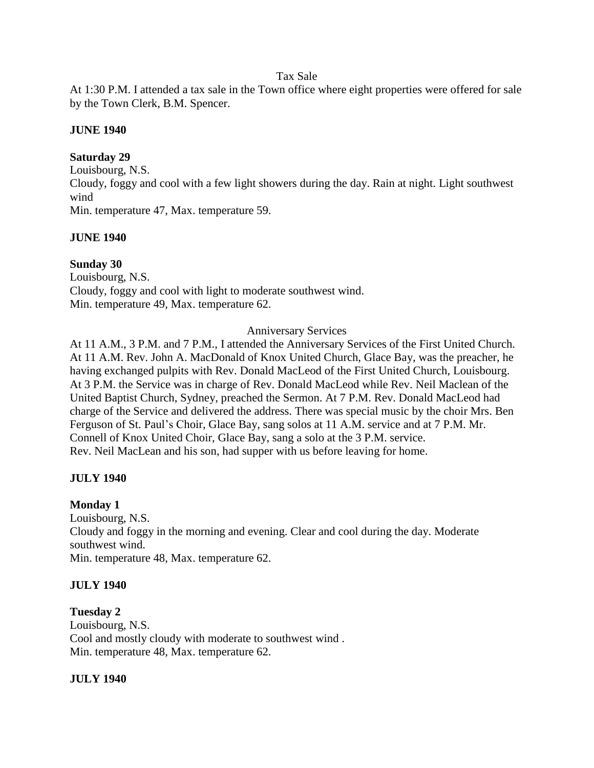# Tax Sale

At 1:30 P.M. I attended a tax sale in the Town office where eight properties were offered for sale by the Town Clerk, B.M. Spencer.

# **JUNE 1940**

# **Saturday 29**

Louisbourg, N.S. Cloudy, foggy and cool with a few light showers during the day. Rain at night. Light southwest wind Min. temperature 47, Max. temperature 59.

# **JUNE 1940**

# **Sunday 30**

Louisbourg, N.S. Cloudy, foggy and cool with light to moderate southwest wind. Min. temperature 49, Max. temperature 62.

# Anniversary Services

At 11 A.M., 3 P.M. and 7 P.M., I attended the Anniversary Services of the First United Church. At 11 A.M. Rev. John A. MacDonald of Knox United Church, Glace Bay, was the preacher, he having exchanged pulpits with Rev. Donald MacLeod of the First United Church, Louisbourg. At 3 P.M. the Service was in charge of Rev. Donald MacLeod while Rev. Neil Maclean of the United Baptist Church, Sydney, preached the Sermon. At 7 P.M. Rev. Donald MacLeod had charge of the Service and delivered the address. There was special music by the choir Mrs. Ben Ferguson of St. Paul's Choir, Glace Bay, sang solos at 11 A.M. service and at 7 P.M. Mr. Connell of Knox United Choir, Glace Bay, sang a solo at the 3 P.M. service. Rev. Neil MacLean and his son, had supper with us before leaving for home.

# **JULY 1940**

# **Monday 1**

Louisbourg, N.S. Cloudy and foggy in the morning and evening. Clear and cool during the day. Moderate southwest wind. Min. temperature 48, Max. temperature 62.

# **JULY 1940**

# **Tuesday 2**

Louisbourg, N.S. Cool and mostly cloudy with moderate to southwest wind . Min. temperature 48, Max. temperature 62.

# **JULY 1940**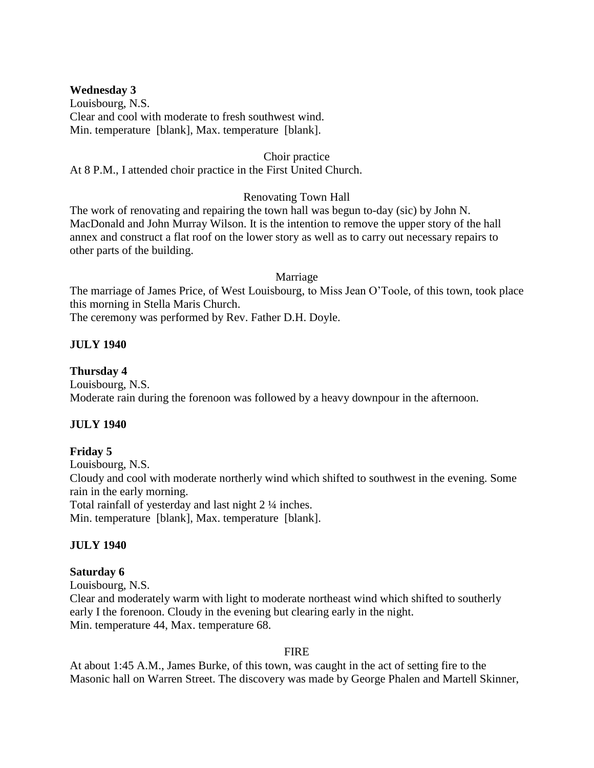# **Wednesday 3**

Louisbourg, N.S. Clear and cool with moderate to fresh southwest wind. Min. temperature [blank], Max. temperature [blank].

#### Choir practice

At 8 P.M., I attended choir practice in the First United Church.

# Renovating Town Hall

The work of renovating and repairing the town hall was begun to-day (sic) by John N. MacDonald and John Murray Wilson. It is the intention to remove the upper story of the hall annex and construct a flat roof on the lower story as well as to carry out necessary repairs to other parts of the building.

## Marriage

The marriage of James Price, of West Louisbourg, to Miss Jean O'Toole, of this town, took place this morning in Stella Maris Church.

The ceremony was performed by Rev. Father D.H. Doyle.

# **JULY 1940**

# **Thursday 4**

Louisbourg, N.S. Moderate rain during the forenoon was followed by a heavy downpour in the afternoon.

# **JULY 1940**

# **Friday 5**

Louisbourg, N.S. Cloudy and cool with moderate northerly wind which shifted to southwest in the evening. Some rain in the early morning. Total rainfall of yesterday and last night 2 ¼ inches. Min. temperature [blank], Max. temperature [blank].

# **JULY 1940**

# **Saturday 6**

Louisbourg, N.S. Clear and moderately warm with light to moderate northeast wind which shifted to southerly early I the forenoon. Cloudy in the evening but clearing early in the night. Min. temperature 44, Max. temperature 68.

#### FIRE

At about 1:45 A.M., James Burke, of this town, was caught in the act of setting fire to the Masonic hall on Warren Street. The discovery was made by George Phalen and Martell Skinner,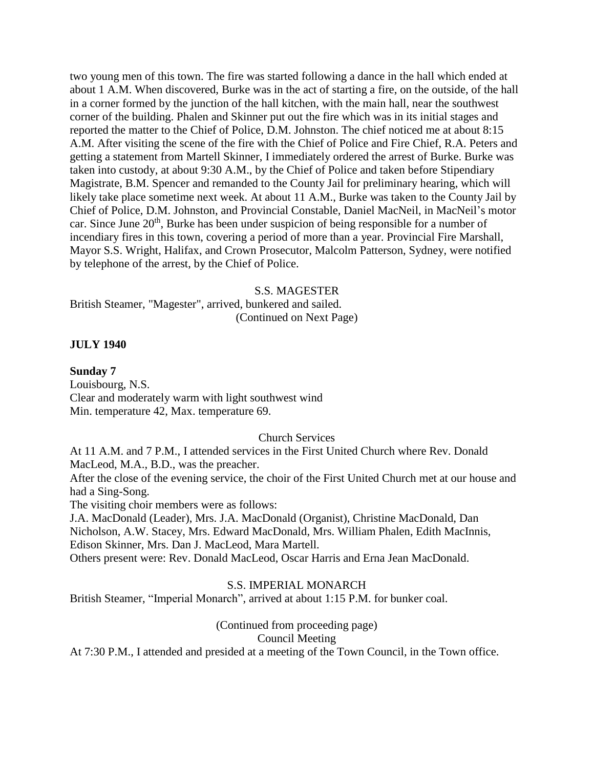two young men of this town. The fire was started following a dance in the hall which ended at about 1 A.M. When discovered, Burke was in the act of starting a fire, on the outside, of the hall in a corner formed by the junction of the hall kitchen, with the main hall, near the southwest corner of the building. Phalen and Skinner put out the fire which was in its initial stages and reported the matter to the Chief of Police, D.M. Johnston. The chief noticed me at about 8:15 A.M. After visiting the scene of the fire with the Chief of Police and Fire Chief, R.A. Peters and getting a statement from Martell Skinner, I immediately ordered the arrest of Burke. Burke was taken into custody, at about 9:30 A.M., by the Chief of Police and taken before Stipendiary Magistrate, B.M. Spencer and remanded to the County Jail for preliminary hearing, which will likely take place sometime next week. At about 11 A.M., Burke was taken to the County Jail by Chief of Police, D.M. Johnston, and Provincial Constable, Daniel MacNeil, in MacNeil's motor car. Since June  $20<sup>th</sup>$ , Burke has been under suspicion of being responsible for a number of incendiary fires in this town, covering a period of more than a year. Provincial Fire Marshall, Mayor S.S. Wright, Halifax, and Crown Prosecutor, Malcolm Patterson, Sydney, were notified by telephone of the arrest, by the Chief of Police.

#### S.S. MAGESTER

British Steamer, "Magester", arrived, bunkered and sailed. (Continued on Next Page)

#### **JULY 1940**

#### **Sunday 7**

Louisbourg, N.S. Clear and moderately warm with light southwest wind Min. temperature 42, Max. temperature 69.

#### Church Services

At 11 A.M. and 7 P.M., I attended services in the First United Church where Rev. Donald MacLeod, M.A., B.D., was the preacher.

After the close of the evening service, the choir of the First United Church met at our house and had a Sing-Song.

The visiting choir members were as follows:

J.A. MacDonald (Leader), Mrs. J.A. MacDonald (Organist), Christine MacDonald, Dan Nicholson, A.W. Stacey, Mrs. Edward MacDonald, Mrs. William Phalen, Edith MacInnis, Edison Skinner, Mrs. Dan J. MacLeod, Mara Martell. Others present were: Rev. Donald MacLeod, Oscar Harris and Erna Jean MacDonald.

#### S.S. IMPERIAL MONARCH

British Steamer, "Imperial Monarch", arrived at about 1:15 P.M. for bunker coal.

(Continued from proceeding page) Council Meeting

At 7:30 P.M., I attended and presided at a meeting of the Town Council, in the Town office.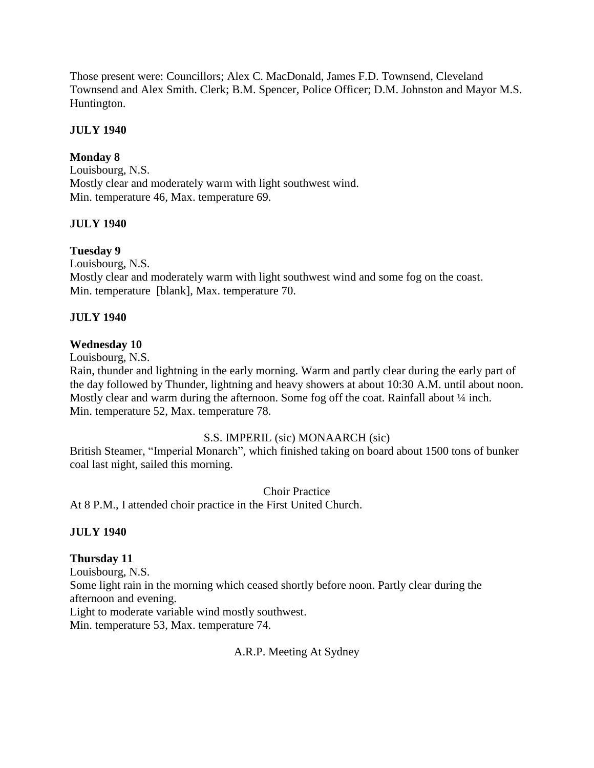Those present were: Councillors; Alex C. MacDonald, James F.D. Townsend, Cleveland Townsend and Alex Smith. Clerk; B.M. Spencer, Police Officer; D.M. Johnston and Mayor M.S. Huntington.

# **JULY 1940**

# **Monday 8**

Louisbourg, N.S. Mostly clear and moderately warm with light southwest wind. Min. temperature 46, Max. temperature 69.

# **JULY 1940**

# **Tuesday 9**

Louisbourg, N.S. Mostly clear and moderately warm with light southwest wind and some fog on the coast. Min. temperature [blank], Max. temperature 70.

# **JULY 1940**

# **Wednesday 10**

Louisbourg, N.S.

Rain, thunder and lightning in the early morning. Warm and partly clear during the early part of the day followed by Thunder, lightning and heavy showers at about 10:30 A.M. until about noon. Mostly clear and warm during the afternoon. Some fog off the coat. Rainfall about  $\frac{1}{4}$  inch. Min. temperature 52, Max. temperature 78.

# S.S. IMPERIL (sic) MONAARCH (sic)

British Steamer, "Imperial Monarch", which finished taking on board about 1500 tons of bunker coal last night, sailed this morning.

Choir Practice

At 8 P.M., I attended choir practice in the First United Church.

# **JULY 1940**

# **Thursday 11**

Louisbourg, N.S. Some light rain in the morning which ceased shortly before noon. Partly clear during the afternoon and evening. Light to moderate variable wind mostly southwest. Min. temperature 53, Max. temperature 74.

# A.R.P. Meeting At Sydney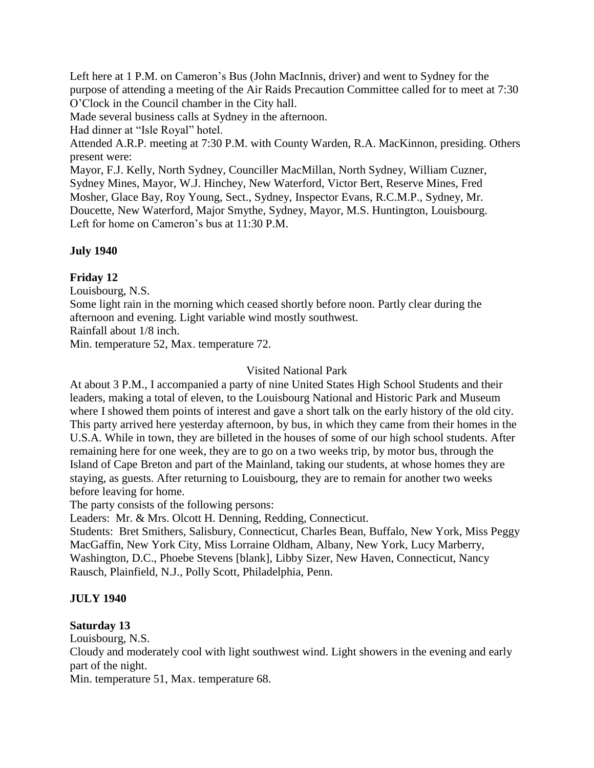Left here at 1 P.M. on Cameron's Bus (John MacInnis, driver) and went to Sydney for the purpose of attending a meeting of the Air Raids Precaution Committee called for to meet at 7:30 O'Clock in the Council chamber in the City hall.

Made several business calls at Sydney in the afternoon.

Had dinner at "Isle Royal" hotel.

Attended A.R.P. meeting at 7:30 P.M. with County Warden, R.A. MacKinnon, presiding. Others present were:

Mayor, F.J. Kelly, North Sydney, Counciller MacMillan, North Sydney, William Cuzner, Sydney Mines, Mayor, W.J. Hinchey, New Waterford, Victor Bert, Reserve Mines, Fred Mosher, Glace Bay, Roy Young, Sect., Sydney, Inspector Evans, R.C.M.P., Sydney, Mr. Doucette, New Waterford, Major Smythe, Sydney, Mayor, M.S. Huntington, Louisbourg. Left for home on Cameron's bus at 11:30 P.M.

# **July 1940**

# **Friday 12**

Louisbourg, N.S.

Some light rain in the morning which ceased shortly before noon. Partly clear during the afternoon and evening. Light variable wind mostly southwest.

Rainfall about 1/8 inch.

Min. temperature 52, Max. temperature 72.

# Visited National Park

At about 3 P.M., I accompanied a party of nine United States High School Students and their leaders, making a total of eleven, to the Louisbourg National and Historic Park and Museum where I showed them points of interest and gave a short talk on the early history of the old city. This party arrived here yesterday afternoon, by bus, in which they came from their homes in the U.S.A. While in town, they are billeted in the houses of some of our high school students. After remaining here for one week, they are to go on a two weeks trip, by motor bus, through the Island of Cape Breton and part of the Mainland, taking our students, at whose homes they are staying, as guests. After returning to Louisbourg, they are to remain for another two weeks before leaving for home.

The party consists of the following persons:

Leaders: Mr. & Mrs. Olcott H. Denning, Redding, Connecticut.

Students: Bret Smithers, Salisbury, Connecticut, Charles Bean, Buffalo, New York, Miss Peggy MacGaffin, New York City, Miss Lorraine Oldham, Albany, New York, Lucy Marberry, Washington, D.C., Phoebe Stevens [blank], Libby Sizer, New Haven, Connecticut, Nancy Rausch, Plainfield, N.J., Polly Scott, Philadelphia, Penn.

# **JULY 1940**

# **Saturday 13**

Louisbourg, N.S.

Cloudy and moderately cool with light southwest wind. Light showers in the evening and early part of the night.

Min. temperature 51, Max. temperature 68.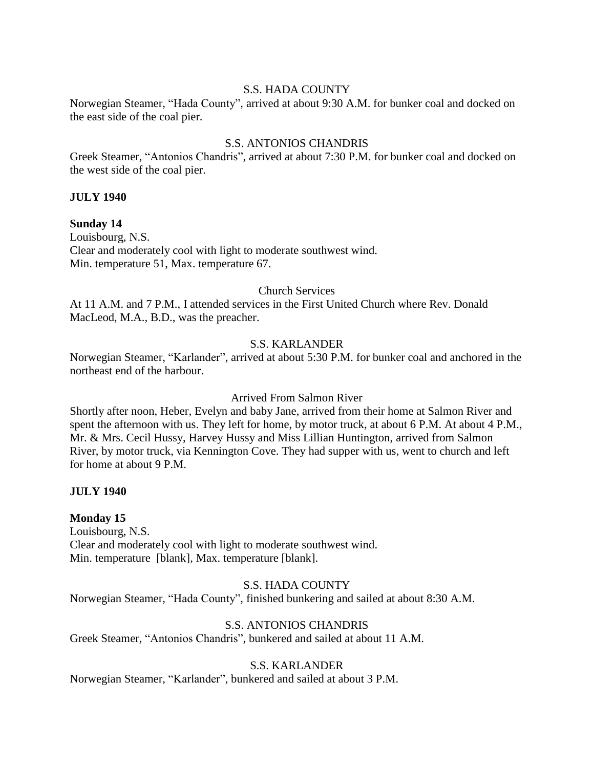## S.S. HADA COUNTY

Norwegian Steamer, "Hada County", arrived at about 9:30 A.M. for bunker coal and docked on the east side of the coal pier.

# S.S. ANTONIOS CHANDRIS

Greek Steamer, "Antonios Chandris", arrived at about 7:30 P.M. for bunker coal and docked on the west side of the coal pier.

# **JULY 1940**

**Sunday 14** Louisbourg, N.S. Clear and moderately cool with light to moderate southwest wind. Min. temperature 51, Max. temperature 67.

## Church Services

At 11 A.M. and 7 P.M., I attended services in the First United Church where Rev. Donald MacLeod, M.A., B.D., was the preacher.

# S.S. KARLANDER

Norwegian Steamer, "Karlander", arrived at about 5:30 P.M. for bunker coal and anchored in the northeast end of the harbour.

Arrived From Salmon River

Shortly after noon, Heber, Evelyn and baby Jane, arrived from their home at Salmon River and spent the afternoon with us. They left for home, by motor truck, at about 6 P.M. At about 4 P.M., Mr. & Mrs. Cecil Hussy, Harvey Hussy and Miss Lillian Huntington, arrived from Salmon River, by motor truck, via Kennington Cove. They had supper with us, went to church and left for home at about 9 P.M.

# **JULY 1940**

# **Monday 15**

Louisbourg, N.S. Clear and moderately cool with light to moderate southwest wind. Min. temperature [blank], Max. temperature [blank].

# S.S. HADA COUNTY

Norwegian Steamer, "Hada County", finished bunkering and sailed at about 8:30 A.M.

# S.S. ANTONIOS CHANDRIS

Greek Steamer, "Antonios Chandris", bunkered and sailed at about 11 A.M.

# S.S. KARLANDER

Norwegian Steamer, "Karlander", bunkered and sailed at about 3 P.M.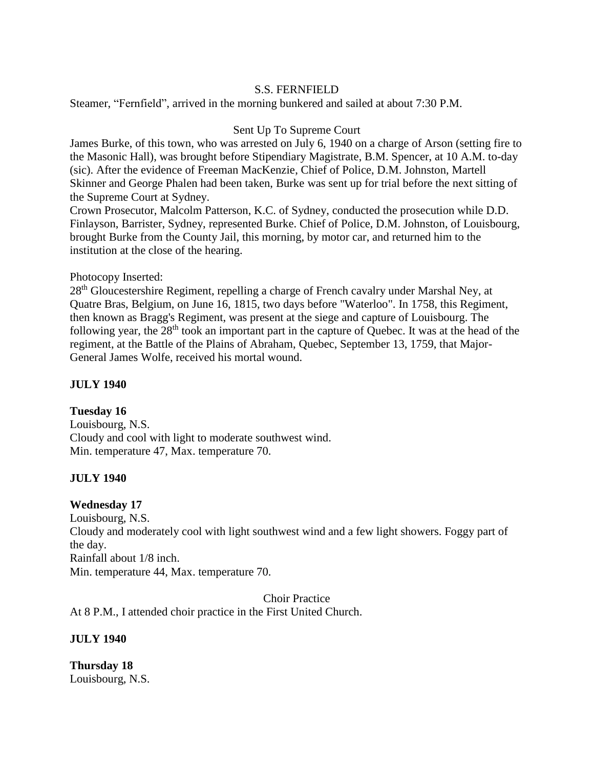# S.S. FERNFIELD

Steamer, "Fernfield", arrived in the morning bunkered and sailed at about 7:30 P.M.

# Sent Up To Supreme Court

James Burke, of this town, who was arrested on July 6, 1940 on a charge of Arson (setting fire to the Masonic Hall), was brought before Stipendiary Magistrate, B.M. Spencer, at 10 A.M. to-day (sic). After the evidence of Freeman MacKenzie, Chief of Police, D.M. Johnston, Martell Skinner and George Phalen had been taken, Burke was sent up for trial before the next sitting of the Supreme Court at Sydney.

Crown Prosecutor, Malcolm Patterson, K.C. of Sydney, conducted the prosecution while D.D. Finlayson, Barrister, Sydney, represented Burke. Chief of Police, D.M. Johnston, of Louisbourg, brought Burke from the County Jail, this morning, by motor car, and returned him to the institution at the close of the hearing.

# Photocopy Inserted:

28<sup>th</sup> Gloucestershire Regiment, repelling a charge of French cavalry under Marshal Ney, at Quatre Bras, Belgium, on June 16, 1815, two days before "Waterloo". In 1758, this Regiment, then known as Bragg's Regiment, was present at the siege and capture of Louisbourg. The following year, the  $28<sup>th</sup>$  took an important part in the capture of Quebec. It was at the head of the regiment, at the Battle of the Plains of Abraham, Quebec, September 13, 1759, that Major-General James Wolfe, received his mortal wound.

# **JULY 1940**

# **Tuesday 16**

Louisbourg, N.S. Cloudy and cool with light to moderate southwest wind. Min. temperature 47, Max. temperature 70.

# **JULY 1940**

# **Wednesday 17**

Louisbourg, N.S. Cloudy and moderately cool with light southwest wind and a few light showers. Foggy part of the day. Rainfall about 1/8 inch. Min. temperature 44, Max. temperature 70.

Choir Practice

At 8 P.M., I attended choir practice in the First United Church.

**JULY 1940** 

**Thursday 18** Louisbourg, N.S.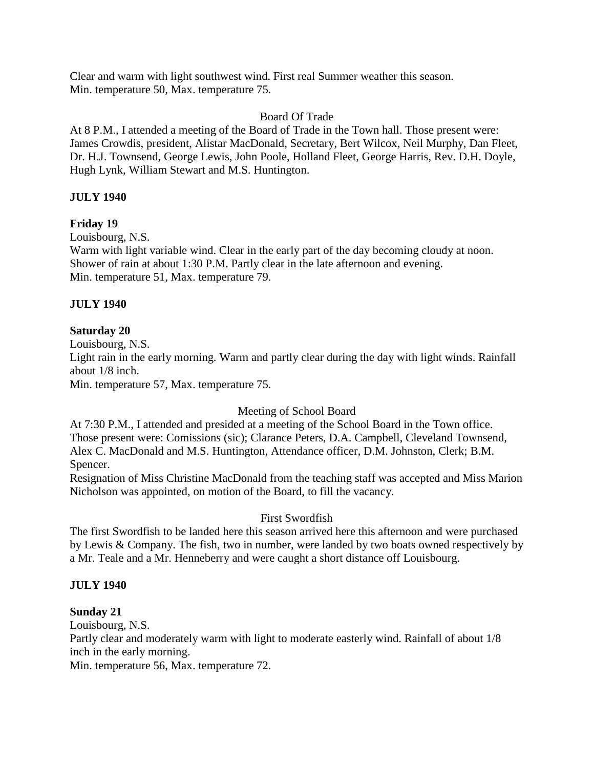Clear and warm with light southwest wind. First real Summer weather this season. Min. temperature 50, Max. temperature 75.

# Board Of Trade

At 8 P.M., I attended a meeting of the Board of Trade in the Town hall. Those present were: James Crowdis, president, Alistar MacDonald, Secretary, Bert Wilcox, Neil Murphy, Dan Fleet, Dr. H.J. Townsend, George Lewis, John Poole, Holland Fleet, George Harris, Rev. D.H. Doyle, Hugh Lynk, William Stewart and M.S. Huntington.

# **JULY 1940**

# **Friday 19**

Louisbourg, N.S.

Warm with light variable wind. Clear in the early part of the day becoming cloudy at noon. Shower of rain at about 1:30 P.M. Partly clear in the late afternoon and evening. Min. temperature 51, Max. temperature 79.

# **JULY 1940**

# **Saturday 20**

Louisbourg, N.S.

Light rain in the early morning. Warm and partly clear during the day with light winds. Rainfall about 1/8 inch.

Min. temperature 57, Max. temperature 75.

# Meeting of School Board

At 7:30 P.M., I attended and presided at a meeting of the School Board in the Town office. Those present were: Comissions (sic); Clarance Peters, D.A. Campbell, Cleveland Townsend, Alex C. MacDonald and M.S. Huntington, Attendance officer, D.M. Johnston, Clerk; B.M. Spencer.

Resignation of Miss Christine MacDonald from the teaching staff was accepted and Miss Marion Nicholson was appointed, on motion of the Board, to fill the vacancy.

# First Swordfish

The first Swordfish to be landed here this season arrived here this afternoon and were purchased by Lewis & Company. The fish, two in number, were landed by two boats owned respectively by a Mr. Teale and a Mr. Henneberry and were caught a short distance off Louisbourg.

# **JULY 1940**

# **Sunday 21**

Louisbourg, N.S.

Partly clear and moderately warm with light to moderate easterly wind. Rainfall of about 1/8 inch in the early morning.

Min. temperature 56, Max. temperature 72.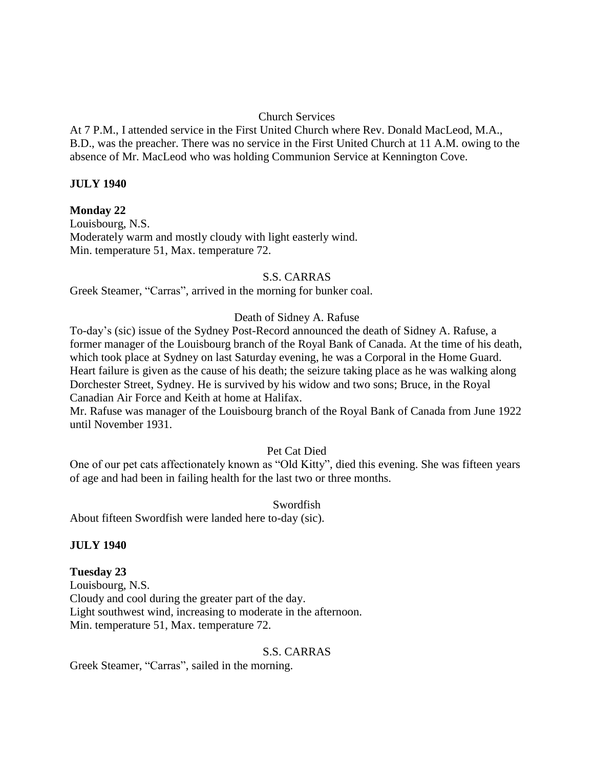# Church Services

At 7 P.M., I attended service in the First United Church where Rev. Donald MacLeod, M.A., B.D., was the preacher. There was no service in the First United Church at 11 A.M. owing to the absence of Mr. MacLeod who was holding Communion Service at Kennington Cove.

# **JULY 1940**

# **Monday 22**

Louisbourg, N.S. Moderately warm and mostly cloudy with light easterly wind. Min. temperature 51, Max. temperature 72.

## S.S. CARRAS

Greek Steamer, "Carras", arrived in the morning for bunker coal.

# Death of Sidney A. Rafuse

To-day's (sic) issue of the Sydney Post-Record announced the death of Sidney A. Rafuse, a former manager of the Louisbourg branch of the Royal Bank of Canada. At the time of his death, which took place at Sydney on last Saturday evening, he was a Corporal in the Home Guard. Heart failure is given as the cause of his death; the seizure taking place as he was walking along Dorchester Street, Sydney. He is survived by his widow and two sons; Bruce, in the Royal Canadian Air Force and Keith at home at Halifax.

Mr. Rafuse was manager of the Louisbourg branch of the Royal Bank of Canada from June 1922 until November 1931.

# Pet Cat Died

One of our pet cats affectionately known as "Old Kitty", died this evening. She was fifteen years of age and had been in failing health for the last two or three months.

# Swordfish

About fifteen Swordfish were landed here to-day (sic).

# **JULY 1940**

# **Tuesday 23**

Louisbourg, N.S. Cloudy and cool during the greater part of the day. Light southwest wind, increasing to moderate in the afternoon. Min. temperature 51, Max. temperature 72.

#### S.S. CARRAS

Greek Steamer, "Carras", sailed in the morning.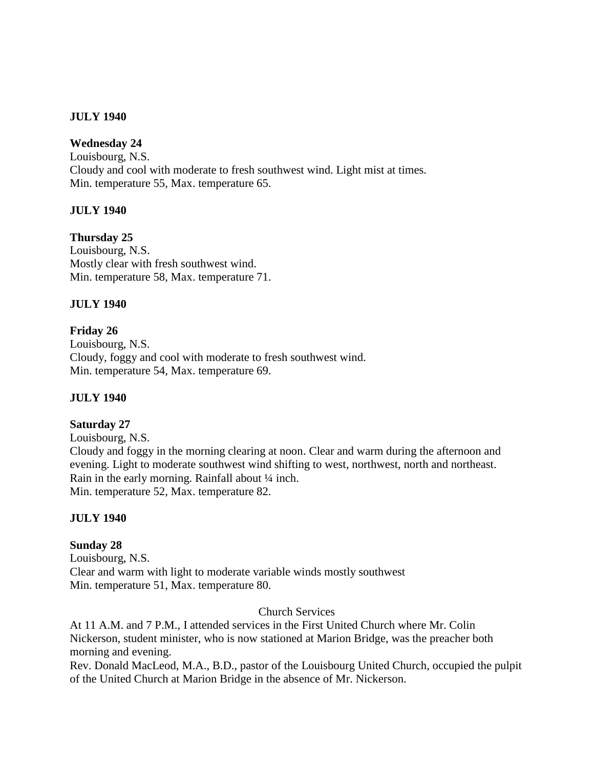# **JULY 1940**

# **Wednesday 24**

Louisbourg, N.S. Cloudy and cool with moderate to fresh southwest wind. Light mist at times. Min. temperature 55, Max. temperature 65.

# **JULY 1940**

**Thursday 25** Louisbourg, N.S. Mostly clear with fresh southwest wind.

Min. temperature 58, Max. temperature 71.

# **JULY 1940**

**Friday 26**

Louisbourg, N.S. Cloudy, foggy and cool with moderate to fresh southwest wind. Min. temperature 54, Max. temperature 69.

# **JULY 1940**

# **Saturday 27**

Louisbourg, N.S. Cloudy and foggy in the morning clearing at noon. Clear and warm during the afternoon and evening. Light to moderate southwest wind shifting to west, northwest, north and northeast. Rain in the early morning. Rainfall about ¼ inch. Min. temperature 52, Max. temperature 82.

# **JULY 1940**

# **Sunday 28**

Louisbourg, N.S. Clear and warm with light to moderate variable winds mostly southwest Min. temperature 51, Max. temperature 80.

#### Church Services

At 11 A.M. and 7 P.M., I attended services in the First United Church where Mr. Colin Nickerson, student minister, who is now stationed at Marion Bridge, was the preacher both morning and evening.

Rev. Donald MacLeod, M.A., B.D., pastor of the Louisbourg United Church, occupied the pulpit of the United Church at Marion Bridge in the absence of Mr. Nickerson.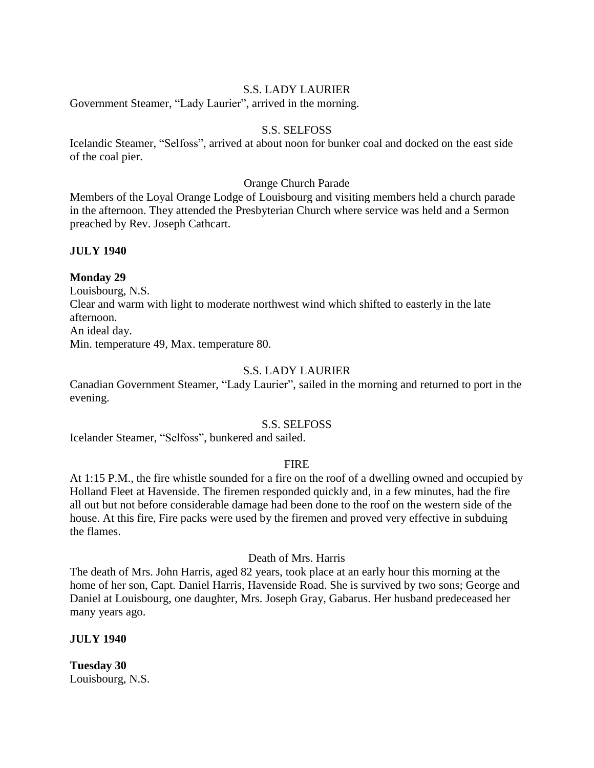## S.S. LADY LAURIER

Government Steamer, "Lady Laurier", arrived in the morning.

#### S.S. SELFOSS

Icelandic Steamer, "Selfoss", arrived at about noon for bunker coal and docked on the east side of the coal pier.

## Orange Church Parade

Members of the Loyal Orange Lodge of Louisbourg and visiting members held a church parade in the afternoon. They attended the Presbyterian Church where service was held and a Sermon preached by Rev. Joseph Cathcart.

# **JULY 1940**

## **Monday 29**

Louisbourg, N.S. Clear and warm with light to moderate northwest wind which shifted to easterly in the late afternoon. An ideal day. Min. temperature 49, Max. temperature 80.

# S.S. LADY LAURIER

Canadian Government Steamer, "Lady Laurier", sailed in the morning and returned to port in the evening.

#### S.S. SELFOSS

Icelander Steamer, "Selfoss", bunkered and sailed.

#### FIRE

At 1:15 P.M., the fire whistle sounded for a fire on the roof of a dwelling owned and occupied by Holland Fleet at Havenside. The firemen responded quickly and, in a few minutes, had the fire all out but not before considerable damage had been done to the roof on the western side of the house. At this fire, Fire packs were used by the firemen and proved very effective in subduing the flames.

Death of Mrs. Harris

The death of Mrs. John Harris, aged 82 years, took place at an early hour this morning at the home of her son, Capt. Daniel Harris, Havenside Road. She is survived by two sons; George and Daniel at Louisbourg, one daughter, Mrs. Joseph Gray, Gabarus. Her husband predeceased her many years ago.

#### **JULY 1940**

**Tuesday 30** Louisbourg, N.S.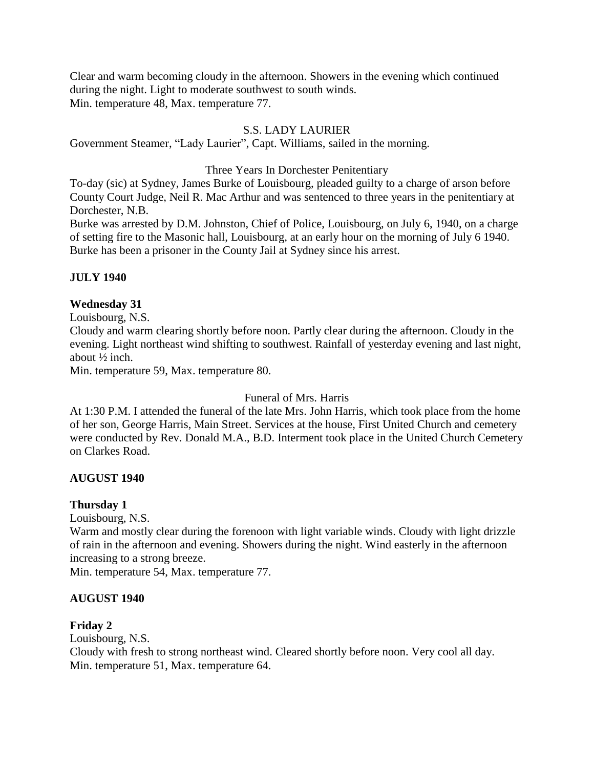Clear and warm becoming cloudy in the afternoon. Showers in the evening which continued during the night. Light to moderate southwest to south winds. Min. temperature 48, Max. temperature 77.

# S.S. LADY LAURIER

Government Steamer, "Lady Laurier", Capt. Williams, sailed in the morning.

# Three Years In Dorchester Penitentiary

To-day (sic) at Sydney, James Burke of Louisbourg, pleaded guilty to a charge of arson before County Court Judge, Neil R. Mac Arthur and was sentenced to three years in the penitentiary at Dorchester, N.B.

Burke was arrested by D.M. Johnston, Chief of Police, Louisbourg, on July 6, 1940, on a charge of setting fire to the Masonic hall, Louisbourg, at an early hour on the morning of July 6 1940. Burke has been a prisoner in the County Jail at Sydney since his arrest.

# **JULY 1940**

# **Wednesday 31**

Louisbourg, N.S.

Cloudy and warm clearing shortly before noon. Partly clear during the afternoon. Cloudy in the evening. Light northeast wind shifting to southwest. Rainfall of yesterday evening and last night, about ½ inch.

Min. temperature 59, Max. temperature 80.

# Funeral of Mrs. Harris

At 1:30 P.M. I attended the funeral of the late Mrs. John Harris, which took place from the home of her son, George Harris, Main Street. Services at the house, First United Church and cemetery were conducted by Rev. Donald M.A., B.D. Interment took place in the United Church Cemetery on Clarkes Road.

# **AUGUST 1940**

# **Thursday 1**

Louisbourg, N.S.

Warm and mostly clear during the forenoon with light variable winds. Cloudy with light drizzle of rain in the afternoon and evening. Showers during the night. Wind easterly in the afternoon increasing to a strong breeze.

Min. temperature 54, Max. temperature 77.

# **AUGUST 1940**

# **Friday 2**

Louisbourg, N.S. Cloudy with fresh to strong northeast wind. Cleared shortly before noon. Very cool all day. Min. temperature 51, Max. temperature 64.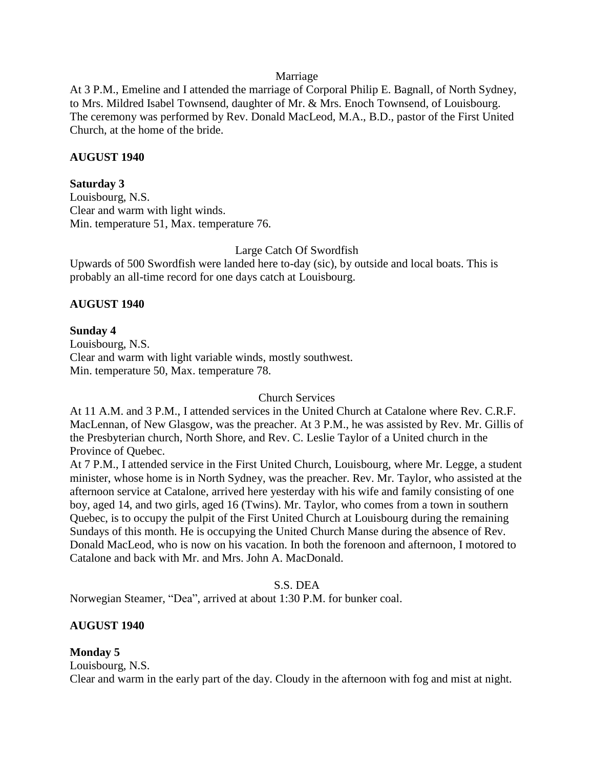## Marriage

At 3 P.M., Emeline and I attended the marriage of Corporal Philip E. Bagnall, of North Sydney, to Mrs. Mildred Isabel Townsend, daughter of Mr. & Mrs. Enoch Townsend, of Louisbourg. The ceremony was performed by Rev. Donald MacLeod, M.A., B.D., pastor of the First United Church, at the home of the bride.

# **AUGUST 1940**

## **Saturday 3**

Louisbourg, N.S. Clear and warm with light winds. Min. temperature 51, Max. temperature 76.

## Large Catch Of Swordfish

Upwards of 500 Swordfish were landed here to-day (sic), by outside and local boats. This is probably an all-time record for one days catch at Louisbourg.

# **AUGUST 1940**

## **Sunday 4**

Louisbourg, N.S. Clear and warm with light variable winds, mostly southwest. Min. temperature 50, Max. temperature 78.

Church Services

At 11 A.M. and 3 P.M., I attended services in the United Church at Catalone where Rev. C.R.F. MacLennan, of New Glasgow, was the preacher. At 3 P.M., he was assisted by Rev. Mr. Gillis of the Presbyterian church, North Shore, and Rev. C. Leslie Taylor of a United church in the Province of Quebec.

At 7 P.M., I attended service in the First United Church, Louisbourg, where Mr. Legge, a student minister, whose home is in North Sydney, was the preacher. Rev. Mr. Taylor, who assisted at the afternoon service at Catalone, arrived here yesterday with his wife and family consisting of one boy, aged 14, and two girls, aged 16 (Twins). Mr. Taylor, who comes from a town in southern Quebec, is to occupy the pulpit of the First United Church at Louisbourg during the remaining Sundays of this month. He is occupying the United Church Manse during the absence of Rev. Donald MacLeod, who is now on his vacation. In both the forenoon and afternoon, I motored to Catalone and back with Mr. and Mrs. John A. MacDonald.

S.S. DEA

Norwegian Steamer, "Dea", arrived at about 1:30 P.M. for bunker coal.

# **AUGUST 1940**

# **Monday 5**

Louisbourg, N.S.

Clear and warm in the early part of the day. Cloudy in the afternoon with fog and mist at night.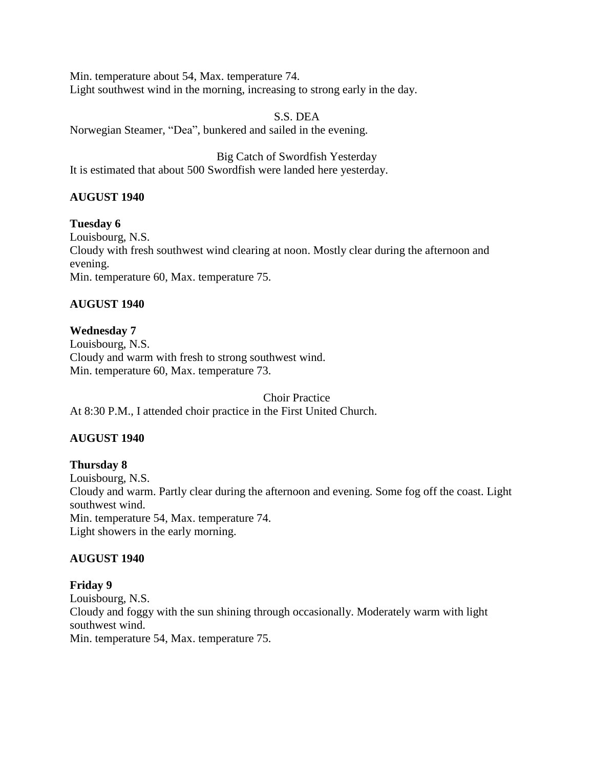Min. temperature about 54, Max. temperature 74. Light southwest wind in the morning, increasing to strong early in the day.

S.S. DEA Norwegian Steamer, "Dea", bunkered and sailed in the evening.

Big Catch of Swordfish Yesterday It is estimated that about 500 Swordfish were landed here yesterday.

# **AUGUST 1940**

**Tuesday 6** Louisbourg, N.S. Cloudy with fresh southwest wind clearing at noon. Mostly clear during the afternoon and evening. Min. temperature 60, Max. temperature 75.

# **AUGUST 1940**

# **Wednesday 7**

Louisbourg, N.S. Cloudy and warm with fresh to strong southwest wind. Min. temperature 60, Max. temperature 73.

Choir Practice At 8:30 P.M., I attended choir practice in the First United Church.

# **AUGUST 1940**

**Thursday 8** Louisbourg, N.S. Cloudy and warm. Partly clear during the afternoon and evening. Some fog off the coast. Light southwest wind. Min. temperature 54, Max. temperature 74. Light showers in the early morning.

# **AUGUST 1940**

# **Friday 9**

Louisbourg, N.S. Cloudy and foggy with the sun shining through occasionally. Moderately warm with light southwest wind. Min. temperature 54, Max. temperature 75.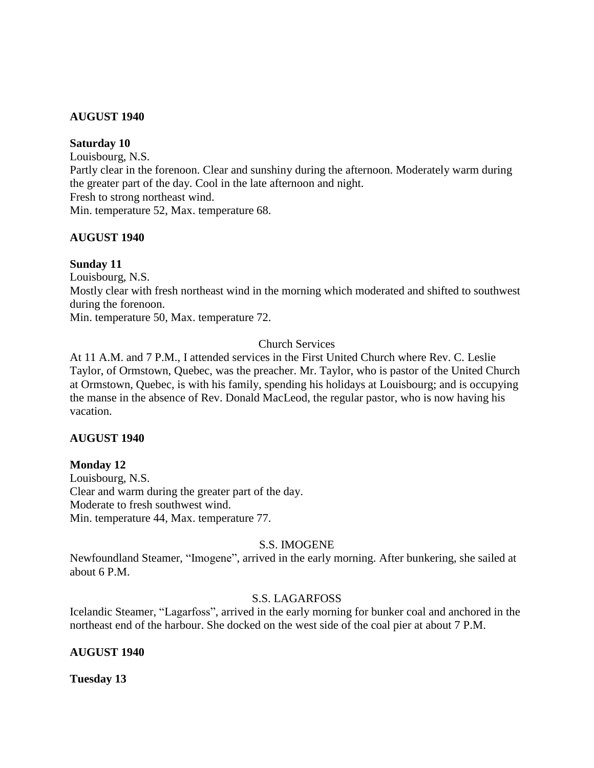# **AUGUST 1940**

## **Saturday 10**

Louisbourg, N.S. Partly clear in the forenoon. Clear and sunshiny during the afternoon. Moderately warm during the greater part of the day. Cool in the late afternoon and night. Fresh to strong northeast wind. Min. temperature 52, Max. temperature 68.

# **AUGUST 1940**

# **Sunday 11**

Louisbourg, N.S. Mostly clear with fresh northeast wind in the morning which moderated and shifted to southwest during the forenoon. Min. temperature 50, Max. temperature 72.

# Church Services

At 11 A.M. and 7 P.M., I attended services in the First United Church where Rev. C. Leslie Taylor, of Ormstown, Quebec, was the preacher. Mr. Taylor, who is pastor of the United Church at Ormstown, Quebec, is with his family, spending his holidays at Louisbourg; and is occupying the manse in the absence of Rev. Donald MacLeod, the regular pastor, who is now having his vacation.

# **AUGUST 1940**

# **Monday 12**

Louisbourg, N.S. Clear and warm during the greater part of the day. Moderate to fresh southwest wind. Min. temperature 44, Max. temperature 77.

# S.S. IMOGENE

Newfoundland Steamer, "Imogene", arrived in the early morning. After bunkering, she sailed at about 6 P.M.

# S.S. LAGARFOSS

Icelandic Steamer, "Lagarfoss", arrived in the early morning for bunker coal and anchored in the northeast end of the harbour. She docked on the west side of the coal pier at about 7 P.M.

# **AUGUST 1940**

**Tuesday 13**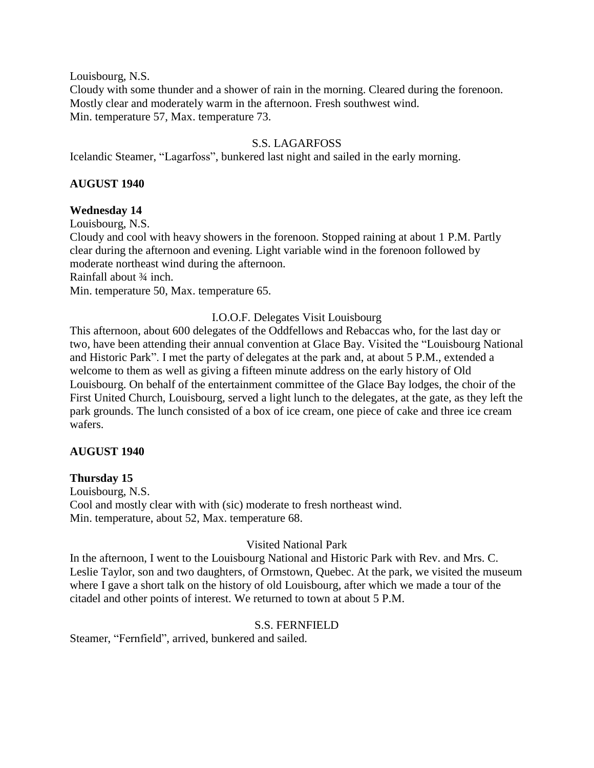Louisbourg, N.S.

Cloudy with some thunder and a shower of rain in the morning. Cleared during the forenoon. Mostly clear and moderately warm in the afternoon. Fresh southwest wind. Min. temperature 57, Max. temperature 73.

# S.S. LAGARFOSS

Icelandic Steamer, "Lagarfoss", bunkered last night and sailed in the early morning.

# **AUGUST 1940**

# **Wednesday 14**

Louisbourg, N.S.

Cloudy and cool with heavy showers in the forenoon. Stopped raining at about 1 P.M. Partly clear during the afternoon and evening. Light variable wind in the forenoon followed by moderate northeast wind during the afternoon.

Rainfall about ¾ inch.

Min. temperature 50, Max. temperature 65.

# I.O.O.F. Delegates Visit Louisbourg

This afternoon, about 600 delegates of the Oddfellows and Rebaccas who, for the last day or two, have been attending their annual convention at Glace Bay. Visited the "Louisbourg National and Historic Park". I met the party of delegates at the park and, at about 5 P.M., extended a welcome to them as well as giving a fifteen minute address on the early history of Old Louisbourg. On behalf of the entertainment committee of the Glace Bay lodges, the choir of the First United Church, Louisbourg, served a light lunch to the delegates, at the gate, as they left the park grounds. The lunch consisted of a box of ice cream, one piece of cake and three ice cream wafers.

# **AUGUST 1940**

# **Thursday 15**

Louisbourg, N.S. Cool and mostly clear with with (sic) moderate to fresh northeast wind. Min. temperature, about 52, Max. temperature 68.

# Visited National Park

In the afternoon, I went to the Louisbourg National and Historic Park with Rev. and Mrs. C. Leslie Taylor, son and two daughters, of Ormstown, Quebec. At the park, we visited the museum where I gave a short talk on the history of old Louisbourg, after which we made a tour of the citadel and other points of interest. We returned to town at about 5 P.M.

# S.S. FERNFIELD

Steamer, "Fernfield", arrived, bunkered and sailed.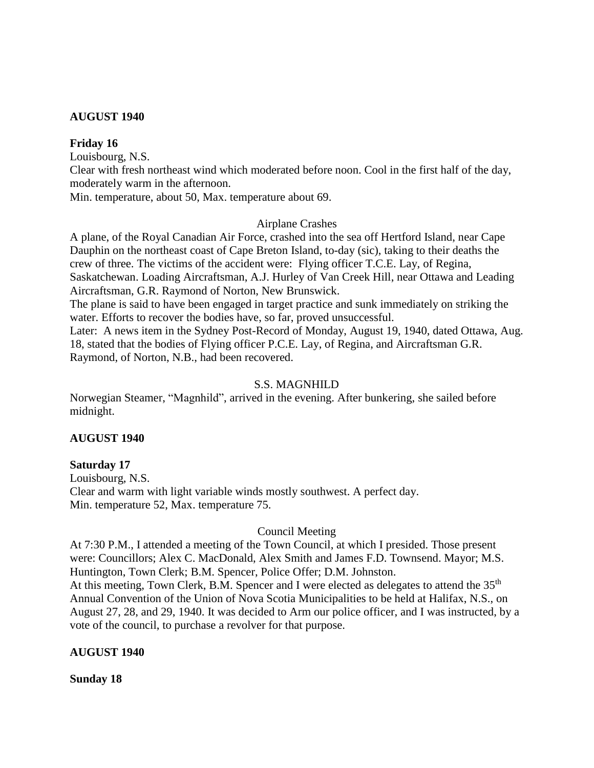# **AUGUST 1940**

# **Friday 16**

Louisbourg, N.S.

Clear with fresh northeast wind which moderated before noon. Cool in the first half of the day, moderately warm in the afternoon.

Min. temperature, about 50, Max. temperature about 69.

# Airplane Crashes

A plane, of the Royal Canadian Air Force, crashed into the sea off Hertford Island, near Cape Dauphin on the northeast coast of Cape Breton Island, to-day (sic), taking to their deaths the crew of three. The victims of the accident were: Flying officer T.C.E. Lay, of Regina, Saskatchewan. Loading Aircraftsman, A.J. Hurley of Van Creek Hill, near Ottawa and Leading Aircraftsman, G.R. Raymond of Norton, New Brunswick.

The plane is said to have been engaged in target practice and sunk immediately on striking the water. Efforts to recover the bodies have, so far, proved unsuccessful.

Later: A news item in the Sydney Post-Record of Monday, August 19, 1940, dated Ottawa, Aug. 18, stated that the bodies of Flying officer P.C.E. Lay, of Regina, and Aircraftsman G.R. Raymond, of Norton, N.B., had been recovered.

# S.S. MAGNHILD

Norwegian Steamer, "Magnhild", arrived in the evening. After bunkering, she sailed before midnight.

# **AUGUST 1940**

# **Saturday 17**

Louisbourg, N.S. Clear and warm with light variable winds mostly southwest. A perfect day. Min. temperature 52, Max. temperature 75.

# Council Meeting

At 7:30 P.M., I attended a meeting of the Town Council, at which I presided. Those present were: Councillors; Alex C. MacDonald, Alex Smith and James F.D. Townsend. Mayor; M.S. Huntington, Town Clerk; B.M. Spencer, Police Offer; D.M. Johnston. At this meeting, Town Clerk, B.M. Spencer and I were elected as delegates to attend the 35<sup>th</sup> Annual Convention of the Union of Nova Scotia Municipalities to be held at Halifax, N.S., on August 27, 28, and 29, 1940. It was decided to Arm our police officer, and I was instructed, by a vote of the council, to purchase a revolver for that purpose.

# **AUGUST 1940**

**Sunday 18**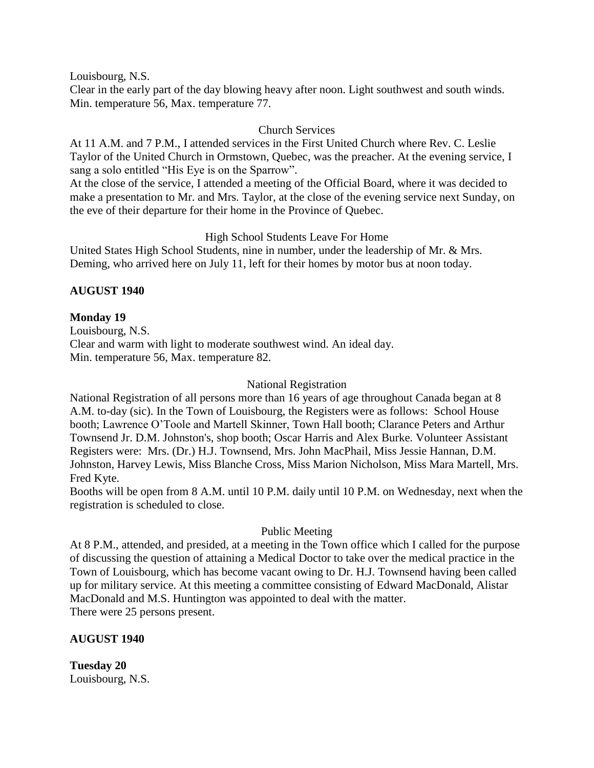Louisbourg, N.S.

Clear in the early part of the day blowing heavy after noon. Light southwest and south winds. Min. temperature 56, Max. temperature 77.

# Church Services

At 11 A.M. and 7 P.M., I attended services in the First United Church where Rev. C. Leslie Taylor of the United Church in Ormstown, Quebec, was the preacher. At the evening service, I sang a solo entitled "His Eye is on the Sparrow".

At the close of the service, I attended a meeting of the Official Board, where it was decided to make a presentation to Mr. and Mrs. Taylor, at the close of the evening service next Sunday, on the eve of their departure for their home in the Province of Quebec.

# High School Students Leave For Home

United States High School Students, nine in number, under the leadership of Mr. & Mrs. Deming, who arrived here on July 11, left for their homes by motor bus at noon today.

# **AUGUST 1940**

# **Monday 19**

Louisbourg, N.S. Clear and warm with light to moderate southwest wind. An ideal day. Min. temperature 56, Max. temperature 82.

# National Registration

National Registration of all persons more than 16 years of age throughout Canada began at 8 A.M. to-day (sic). In the Town of Louisbourg, the Registers were as follows: School House booth; Lawrence O'Toole and Martell Skinner, Town Hall booth; Clarance Peters and Arthur Townsend Jr. D.M. Johnston's, shop booth; Oscar Harris and Alex Burke. Volunteer Assistant Registers were: Mrs. (Dr.) H.J. Townsend, Mrs. John MacPhail, Miss Jessie Hannan, D.M. Johnston, Harvey Lewis, Miss Blanche Cross, Miss Marion Nicholson, Miss Mara Martell, Mrs. Fred Kyte.

Booths will be open from 8 A.M. until 10 P.M. daily until 10 P.M. on Wednesday, next when the registration is scheduled to close.

# Public Meeting

At 8 P.M., attended, and presided, at a meeting in the Town office which I called for the purpose of discussing the question of attaining a Medical Doctor to take over the medical practice in the Town of Louisbourg, which has become vacant owing to Dr. H.J. Townsend having been called up for military service. At this meeting a committee consisting of Edward MacDonald, Alistar MacDonald and M.S. Huntington was appointed to deal with the matter. There were 25 persons present.

# **AUGUST 1940**

**Tuesday 20** Louisbourg, N.S.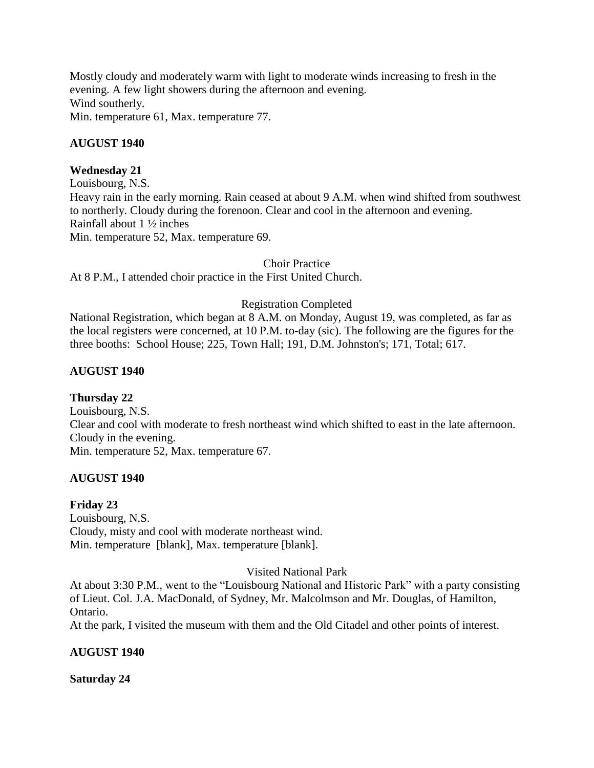Mostly cloudy and moderately warm with light to moderate winds increasing to fresh in the evening. A few light showers during the afternoon and evening. Wind southerly. Min. temperature 61, Max. temperature 77.

# **AUGUST 1940**

# **Wednesday 21**

Louisbourg, N.S. Heavy rain in the early morning. Rain ceased at about 9 A.M. when wind shifted from southwest to northerly. Cloudy during the forenoon. Clear and cool in the afternoon and evening. Rainfall about 1 ½ inches Min. temperature 52, Max. temperature 69.

# Choir Practice

At 8 P.M., I attended choir practice in the First United Church.

# Registration Completed

National Registration, which began at 8 A.M. on Monday, August 19, was completed, as far as the local registers were concerned, at 10 P.M. to-day (sic). The following are the figures for the three booths: School House; 225, Town Hall; 191, D.M. Johnston's; 171, Total; 617.

# **AUGUST 1940**

# **Thursday 22**

Louisbourg, N.S. Clear and cool with moderate to fresh northeast wind which shifted to east in the late afternoon. Cloudy in the evening. Min. temperature 52, Max. temperature 67.

# **AUGUST 1940**

# **Friday 23**

Louisbourg, N.S. Cloudy, misty and cool with moderate northeast wind. Min. temperature [blank], Max. temperature [blank].

# Visited National Park

At about 3:30 P.M., went to the "Louisbourg National and Historic Park" with a party consisting of Lieut. Col. J.A. MacDonald, of Sydney, Mr. Malcolmson and Mr. Douglas, of Hamilton, Ontario.

At the park, I visited the museum with them and the Old Citadel and other points of interest.

# **AUGUST 1940**

# **Saturday 24**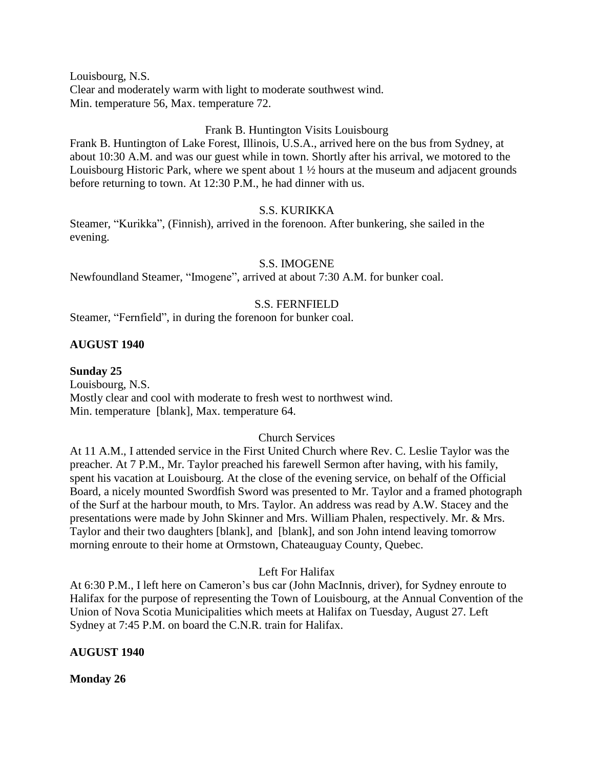Louisbourg, N.S. Clear and moderately warm with light to moderate southwest wind. Min. temperature 56, Max. temperature 72.

# Frank B. Huntington Visits Louisbourg

Frank B. Huntington of Lake Forest, Illinois, U.S.A., arrived here on the bus from Sydney, at about 10:30 A.M. and was our guest while in town. Shortly after his arrival, we motored to the Louisbourg Historic Park, where we spent about 1 ½ hours at the museum and adjacent grounds before returning to town. At 12:30 P.M., he had dinner with us.

# S.S. KURIKKA

Steamer, "Kurikka", (Finnish), arrived in the forenoon. After bunkering, she sailed in the evening.

# S.S. IMOGENE

Newfoundland Steamer, "Imogene", arrived at about 7:30 A.M. for bunker coal.

# S.S. FERNFIELD

Steamer, "Fernfield", in during the forenoon for bunker coal.

# **AUGUST 1940**

# **Sunday 25**

Louisbourg, N.S. Mostly clear and cool with moderate to fresh west to northwest wind. Min. temperature [blank], Max. temperature 64.

# Church Services

At 11 A.M., I attended service in the First United Church where Rev. C. Leslie Taylor was the preacher. At 7 P.M., Mr. Taylor preached his farewell Sermon after having, with his family, spent his vacation at Louisbourg. At the close of the evening service, on behalf of the Official Board, a nicely mounted Swordfish Sword was presented to Mr. Taylor and a framed photograph of the Surf at the harbour mouth, to Mrs. Taylor. An address was read by A.W. Stacey and the presentations were made by John Skinner and Mrs. William Phalen, respectively. Mr. & Mrs. Taylor and their two daughters [blank], and [blank], and son John intend leaving tomorrow morning enroute to their home at Ormstown, Chateauguay County, Quebec.

# Left For Halifax

At 6:30 P.M., I left here on Cameron's bus car (John MacInnis, driver), for Sydney enroute to Halifax for the purpose of representing the Town of Louisbourg, at the Annual Convention of the Union of Nova Scotia Municipalities which meets at Halifax on Tuesday, August 27. Left Sydney at 7:45 P.M. on board the C.N.R. train for Halifax.

# **AUGUST 1940**

**Monday 26**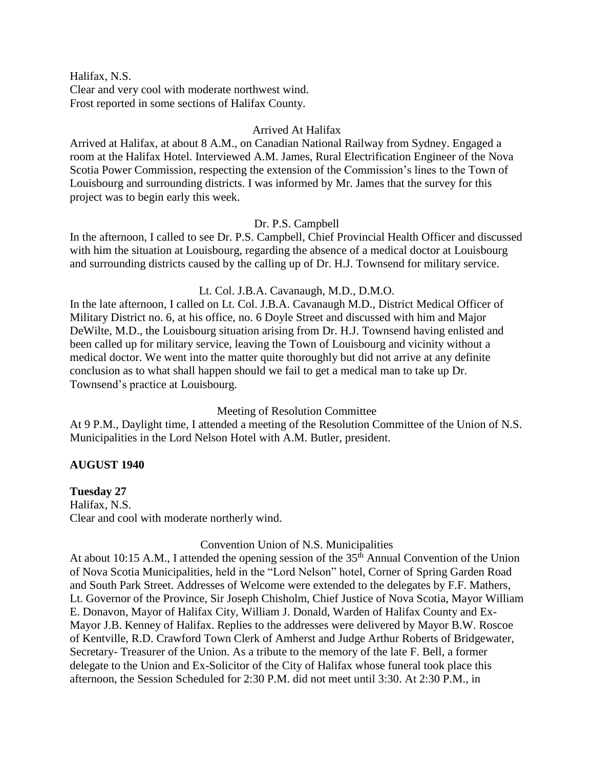Halifax, N.S. Clear and very cool with moderate northwest wind. Frost reported in some sections of Halifax County.

## Arrived At Halifax

Arrived at Halifax, at about 8 A.M., on Canadian National Railway from Sydney. Engaged a room at the Halifax Hotel. Interviewed A.M. James, Rural Electrification Engineer of the Nova Scotia Power Commission, respecting the extension of the Commission's lines to the Town of Louisbourg and surrounding districts. I was informed by Mr. James that the survey for this project was to begin early this week.

## Dr. P.S. Campbell

In the afternoon, I called to see Dr. P.S. Campbell, Chief Provincial Health Officer and discussed with him the situation at Louisbourg, regarding the absence of a medical doctor at Louisbourg and surrounding districts caused by the calling up of Dr. H.J. Townsend for military service.

# Lt. Col. J.B.A. Cavanaugh, M.D., D.M.O.

In the late afternoon, I called on Lt. Col. J.B.A. Cavanaugh M.D., District Medical Officer of Military District no. 6, at his office, no. 6 Doyle Street and discussed with him and Major DeWilte, M.D., the Louisbourg situation arising from Dr. H.J. Townsend having enlisted and been called up for military service, leaving the Town of Louisbourg and vicinity without a medical doctor. We went into the matter quite thoroughly but did not arrive at any definite conclusion as to what shall happen should we fail to get a medical man to take up Dr. Townsend's practice at Louisbourg.

# Meeting of Resolution Committee

At 9 P.M., Daylight time, I attended a meeting of the Resolution Committee of the Union of N.S. Municipalities in the Lord Nelson Hotel with A.M. Butler, president.

# **AUGUST 1940**

#### **Tuesday 27**

Halifax, N.S. Clear and cool with moderate northerly wind.

# Convention Union of N.S. Municipalities

At about 10:15 A.M., I attended the opening session of the  $35<sup>th</sup>$  Annual Convention of the Union of Nova Scotia Municipalities, held in the "Lord Nelson" hotel, Corner of Spring Garden Road and South Park Street. Addresses of Welcome were extended to the delegates by F.F. Mathers, Lt. Governor of the Province, Sir Joseph Chisholm, Chief Justice of Nova Scotia, Mayor William E. Donavon, Mayor of Halifax City, William J. Donald, Warden of Halifax County and Ex-Mayor J.B. Kenney of Halifax. Replies to the addresses were delivered by Mayor B.W. Roscoe of Kentville, R.D. Crawford Town Clerk of Amherst and Judge Arthur Roberts of Bridgewater, Secretary- Treasurer of the Union. As a tribute to the memory of the late F. Bell, a former delegate to the Union and Ex-Solicitor of the City of Halifax whose funeral took place this afternoon, the Session Scheduled for 2:30 P.M. did not meet until 3:30. At 2:30 P.M., in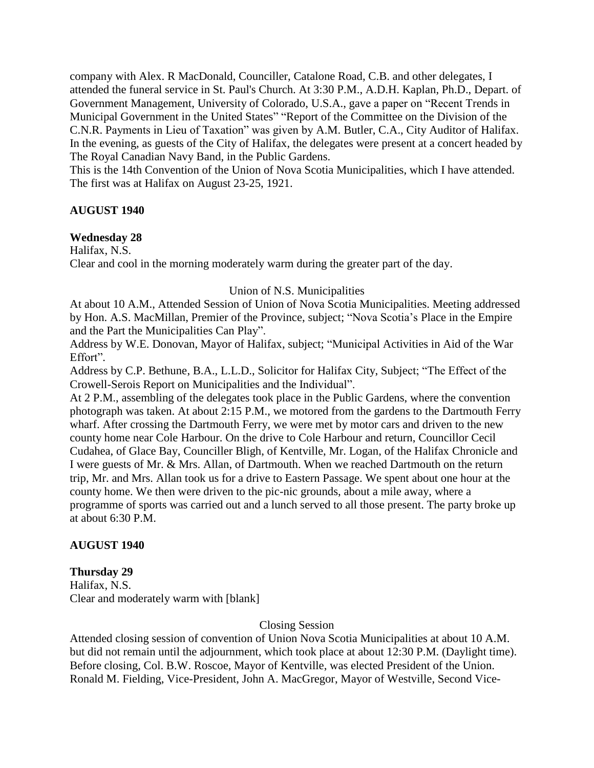company with Alex. R MacDonald, Counciller, Catalone Road, C.B. and other delegates, I attended the funeral service in St. Paul's Church. At 3:30 P.M., A.D.H. Kaplan, Ph.D., Depart. of Government Management, University of Colorado, U.S.A., gave a paper on "Recent Trends in Municipal Government in the United States" "Report of the Committee on the Division of the C.N.R. Payments in Lieu of Taxation" was given by A.M. Butler, C.A., City Auditor of Halifax. In the evening, as guests of the City of Halifax, the delegates were present at a concert headed by The Royal Canadian Navy Band, in the Public Gardens.

This is the 14th Convention of the Union of Nova Scotia Municipalities, which I have attended. The first was at Halifax on August 23-25, 1921.

# **AUGUST 1940**

## **Wednesday 28**

Halifax, N.S.

Clear and cool in the morning moderately warm during the greater part of the day.

## Union of N.S. Municipalities

At about 10 A.M., Attended Session of Union of Nova Scotia Municipalities. Meeting addressed by Hon. A.S. MacMillan, Premier of the Province, subject; "Nova Scotia's Place in the Empire and the Part the Municipalities Can Play".

Address by W.E. Donovan, Mayor of Halifax, subject; "Municipal Activities in Aid of the War Effort".

Address by C.P. Bethune, B.A., L.L.D., Solicitor for Halifax City, Subject; "The Effect of the Crowell-Serois Report on Municipalities and the Individual".

At 2 P.M., assembling of the delegates took place in the Public Gardens, where the convention photograph was taken. At about 2:15 P.M., we motored from the gardens to the Dartmouth Ferry wharf. After crossing the Dartmouth Ferry, we were met by motor cars and driven to the new county home near Cole Harbour. On the drive to Cole Harbour and return, Councillor Cecil Cudahea, of Glace Bay, Counciller Bligh, of Kentville, Mr. Logan, of the Halifax Chronicle and I were guests of Mr. & Mrs. Allan, of Dartmouth. When we reached Dartmouth on the return trip, Mr. and Mrs. Allan took us for a drive to Eastern Passage. We spent about one hour at the county home. We then were driven to the pic-nic grounds, about a mile away, where a programme of sports was carried out and a lunch served to all those present. The party broke up at about 6:30 P.M.

# **AUGUST 1940**

#### **Thursday 29**

Halifax, N.S. Clear and moderately warm with [blank]

# Closing Session

Attended closing session of convention of Union Nova Scotia Municipalities at about 10 A.M. but did not remain until the adjournment, which took place at about 12:30 P.M. (Daylight time). Before closing, Col. B.W. Roscoe, Mayor of Kentville, was elected President of the Union. Ronald M. Fielding, Vice-President, John A. MacGregor, Mayor of Westville, Second Vice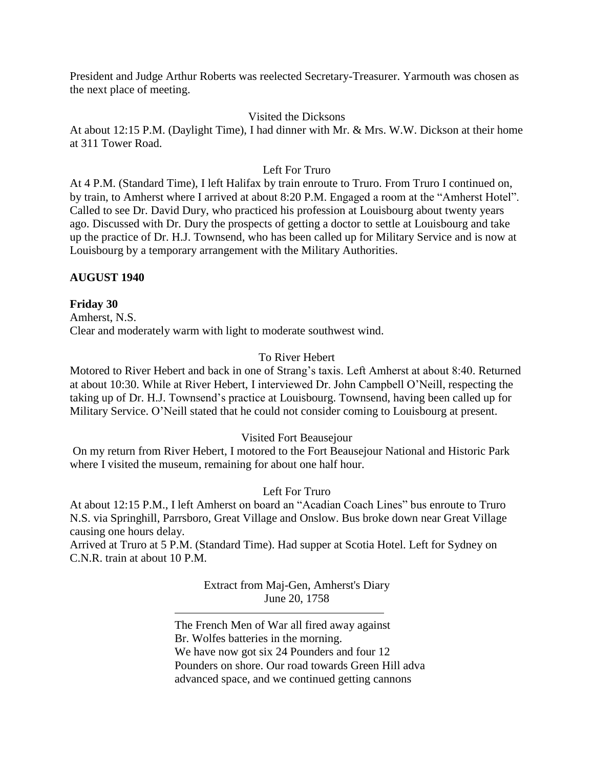President and Judge Arthur Roberts was reelected Secretary-Treasurer. Yarmouth was chosen as the next place of meeting.

# Visited the Dicksons

At about 12:15 P.M. (Daylight Time), I had dinner with Mr. & Mrs. W.W. Dickson at their home at 311 Tower Road.

# Left For Truro

At 4 P.M. (Standard Time), I left Halifax by train enroute to Truro. From Truro I continued on, by train, to Amherst where I arrived at about 8:20 P.M. Engaged a room at the "Amherst Hotel". Called to see Dr. David Dury, who practiced his profession at Louisbourg about twenty years ago. Discussed with Dr. Dury the prospects of getting a doctor to settle at Louisbourg and take up the practice of Dr. H.J. Townsend, who has been called up for Military Service and is now at Louisbourg by a temporary arrangement with the Military Authorities.

# **AUGUST 1940**

# **Friday 30**

Amherst, N.S. Clear and moderately warm with light to moderate southwest wind.

# To River Hebert

Motored to River Hebert and back in one of Strang's taxis. Left Amherst at about 8:40. Returned at about 10:30. While at River Hebert, I interviewed Dr. John Campbell O'Neill, respecting the taking up of Dr. H.J. Townsend's practice at Louisbourg. Townsend, having been called up for Military Service. O'Neill stated that he could not consider coming to Louisbourg at present.

# Visited Fort Beausejour

On my return from River Hebert, I motored to the Fort Beausejour National and Historic Park where I visited the museum, remaining for about one half hour.

# Left For Truro

At about 12:15 P.M., I left Amherst on board an "Acadian Coach Lines" bus enroute to Truro N.S. via Springhill, Parrsboro, Great Village and Onslow. Bus broke down near Great Village causing one hours delay.

Arrived at Truro at 5 P.M. (Standard Time). Had supper at Scotia Hotel. Left for Sydney on C.N.R. train at about 10 P.M.

> Extract from Maj-Gen, Amherst's Diary June 20, 1758

The French Men of War all fired away against Br. Wolfes batteries in the morning. We have now got six 24 Pounders and four 12 Pounders on shore. Our road towards Green Hill adva advanced space, and we continued getting cannons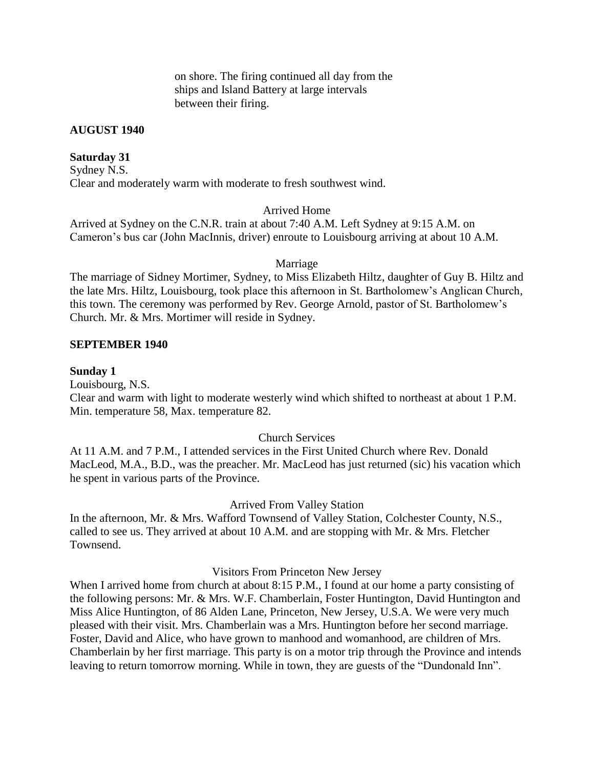on shore. The firing continued all day from the ships and Island Battery at large intervals between their firing.

## **AUGUST 1940**

## **Saturday 31**

Sydney N.S. Clear and moderately warm with moderate to fresh southwest wind.

# Arrived Home

Arrived at Sydney on the C.N.R. train at about 7:40 A.M. Left Sydney at 9:15 A.M. on Cameron's bus car (John MacInnis, driver) enroute to Louisbourg arriving at about 10 A.M.

#### Marriage

The marriage of Sidney Mortimer, Sydney, to Miss Elizabeth Hiltz, daughter of Guy B. Hiltz and the late Mrs. Hiltz, Louisbourg, took place this afternoon in St. Bartholomew's Anglican Church, this town. The ceremony was performed by Rev. George Arnold, pastor of St. Bartholomew's Church. Mr. & Mrs. Mortimer will reside in Sydney.

#### **SEPTEMBER 1940**

#### **Sunday 1**

Louisbourg, N.S. Clear and warm with light to moderate westerly wind which shifted to northeast at about 1 P.M. Min. temperature 58, Max. temperature 82.

# Church Services

At 11 A.M. and 7 P.M., I attended services in the First United Church where Rev. Donald MacLeod, M.A., B.D., was the preacher. Mr. MacLeod has just returned (sic) his vacation which he spent in various parts of the Province.

#### Arrived From Valley Station

In the afternoon, Mr. & Mrs. Wafford Townsend of Valley Station, Colchester County, N.S., called to see us. They arrived at about 10 A.M. and are stopping with Mr. & Mrs. Fletcher Townsend.

# Visitors From Princeton New Jersey

When I arrived home from church at about 8:15 P.M., I found at our home a party consisting of the following persons: Mr. & Mrs. W.F. Chamberlain, Foster Huntington, David Huntington and Miss Alice Huntington, of 86 Alden Lane, Princeton, New Jersey, U.S.A. We were very much pleased with their visit. Mrs. Chamberlain was a Mrs. Huntington before her second marriage. Foster, David and Alice, who have grown to manhood and womanhood, are children of Mrs. Chamberlain by her first marriage. This party is on a motor trip through the Province and intends leaving to return tomorrow morning. While in town, they are guests of the "Dundonald Inn".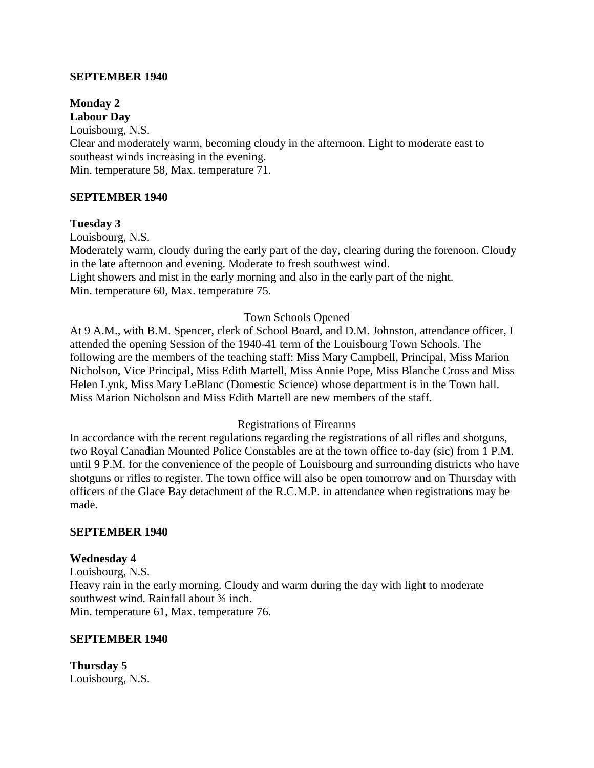### **SEPTEMBER 1940**

#### **Monday 2 Labour Day**

Louisbourg, N.S. Clear and moderately warm, becoming cloudy in the afternoon. Light to moderate east to southeast winds increasing in the evening. Min. temperature 58, Max. temperature 71.

### **SEPTEMBER 1940**

#### **Tuesday 3**

Louisbourg, N.S.

Moderately warm, cloudy during the early part of the day, clearing during the forenoon. Cloudy in the late afternoon and evening. Moderate to fresh southwest wind.

Light showers and mist in the early morning and also in the early part of the night. Min. temperature 60, Max. temperature 75.

#### Town Schools Opened

At 9 A.M., with B.M. Spencer, clerk of School Board, and D.M. Johnston, attendance officer, I attended the opening Session of the 1940-41 term of the Louisbourg Town Schools. The following are the members of the teaching staff: Miss Mary Campbell, Principal, Miss Marion Nicholson, Vice Principal, Miss Edith Martell, Miss Annie Pope, Miss Blanche Cross and Miss Helen Lynk, Miss Mary LeBlanc (Domestic Science) whose department is in the Town hall. Miss Marion Nicholson and Miss Edith Martell are new members of the staff.

#### Registrations of Firearms

In accordance with the recent regulations regarding the registrations of all rifles and shotguns, two Royal Canadian Mounted Police Constables are at the town office to-day (sic) from 1 P.M. until 9 P.M. for the convenience of the people of Louisbourg and surrounding districts who have shotguns or rifles to register. The town office will also be open tomorrow and on Thursday with officers of the Glace Bay detachment of the R.C.M.P. in attendance when registrations may be made.

#### **SEPTEMBER 1940**

#### **Wednesday 4**

Louisbourg, N.S. Heavy rain in the early morning. Cloudy and warm during the day with light to moderate southwest wind. Rainfall about 3/4 inch. Min. temperature 61, Max. temperature 76.

#### **SEPTEMBER 1940**

**Thursday 5** Louisbourg, N.S.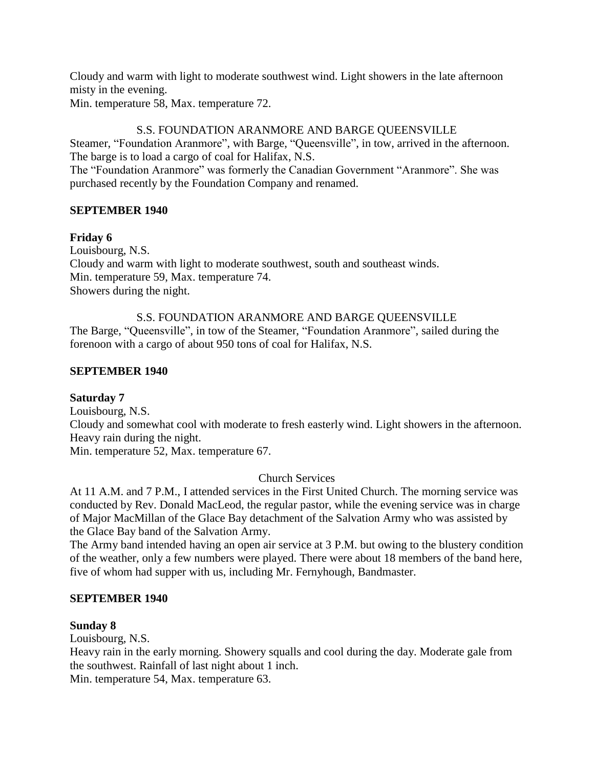Cloudy and warm with light to moderate southwest wind. Light showers in the late afternoon misty in the evening.

Min. temperature 58, Max. temperature 72.

# S.S. FOUNDATION ARANMORE AND BARGE QUEENSVILLE

Steamer, "Foundation Aranmore", with Barge, "Queensville", in tow, arrived in the afternoon. The barge is to load a cargo of coal for Halifax, N.S.

The "Foundation Aranmore" was formerly the Canadian Government "Aranmore". She was purchased recently by the Foundation Company and renamed.

# **SEPTEMBER 1940**

## **Friday 6**

Louisbourg, N.S. Cloudy and warm with light to moderate southwest, south and southeast winds. Min. temperature 59, Max. temperature 74. Showers during the night.

S.S. FOUNDATION ARANMORE AND BARGE QUEENSVILLE The Barge, "Queensville", in tow of the Steamer, "Foundation Aranmore", sailed during the forenoon with a cargo of about 950 tons of coal for Halifax, N.S.

## **SEPTEMBER 1940**

# **Saturday 7**

Louisbourg, N.S. Cloudy and somewhat cool with moderate to fresh easterly wind. Light showers in the afternoon. Heavy rain during the night. Min. temperature 52, Max. temperature 67.

# Church Services

At 11 A.M. and 7 P.M., I attended services in the First United Church. The morning service was conducted by Rev. Donald MacLeod, the regular pastor, while the evening service was in charge of Major MacMillan of the Glace Bay detachment of the Salvation Army who was assisted by the Glace Bay band of the Salvation Army.

The Army band intended having an open air service at 3 P.M. but owing to the blustery condition of the weather, only a few numbers were played. There were about 18 members of the band here, five of whom had supper with us, including Mr. Fernyhough, Bandmaster.

### **SEPTEMBER 1940**

# **Sunday 8**

Louisbourg, N.S.

Heavy rain in the early morning. Showery squalls and cool during the day. Moderate gale from the southwest. Rainfall of last night about 1 inch.

Min. temperature 54, Max. temperature 63.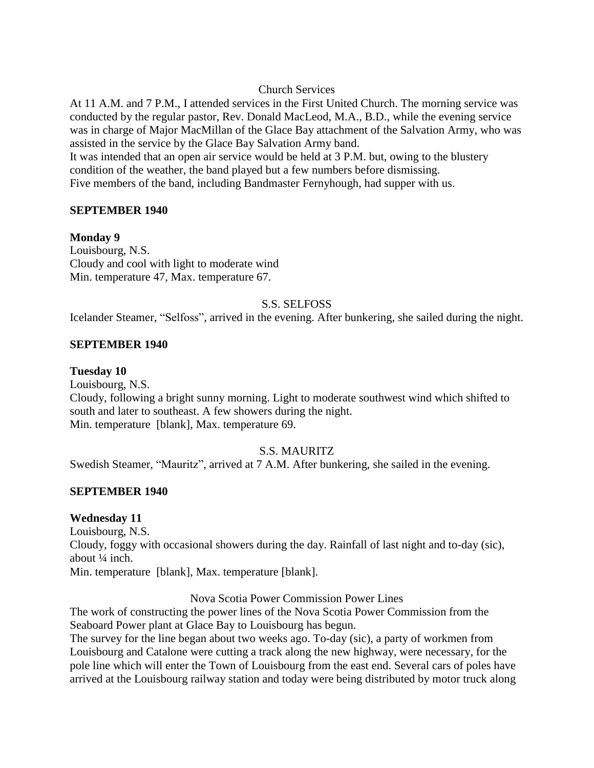### Church Services

At 11 A.M. and 7 P.M., I attended services in the First United Church. The morning service was conducted by the regular pastor, Rev. Donald MacLeod, M.A., B.D., while the evening service was in charge of Major MacMillan of the Glace Bay attachment of the Salvation Army, who was assisted in the service by the Glace Bay Salvation Army band.

It was intended that an open air service would be held at 3 P.M. but, owing to the blustery condition of the weather, the band played but a few numbers before dismissing. Five members of the band, including Bandmaster Fernyhough, had supper with us.

## **SEPTEMBER 1940**

## **Monday 9**

Louisbourg, N.S. Cloudy and cool with light to moderate wind Min. temperature 47, Max. temperature 67.

## S.S. SELFOSS

Icelander Steamer, "Selfoss", arrived in the evening. After bunkering, she sailed during the night.

### **SEPTEMBER 1940**

### **Tuesday 10**

Louisbourg, N.S.

Cloudy, following a bright sunny morning. Light to moderate southwest wind which shifted to south and later to southeast. A few showers during the night. Min. temperature [blank], Max. temperature 69.

### S.S. MAURITZ

Swedish Steamer, "Mauritz", arrived at 7 A.M. After bunkering, she sailed in the evening.

### **SEPTEMBER 1940**

### **Wednesday 11**

Louisbourg, N.S. Cloudy, foggy with occasional showers during the day. Rainfall of last night and to-day (sic), about ¼ inch. Min. temperature [blank], Max. temperature [blank].

Nova Scotia Power Commission Power Lines

The work of constructing the power lines of the Nova Scotia Power Commission from the Seaboard Power plant at Glace Bay to Louisbourg has begun.

The survey for the line began about two weeks ago. To-day (sic), a party of workmen from Louisbourg and Catalone were cutting a track along the new highway, were necessary, for the pole line which will enter the Town of Louisbourg from the east end. Several cars of poles have arrived at the Louisbourg railway station and today were being distributed by motor truck along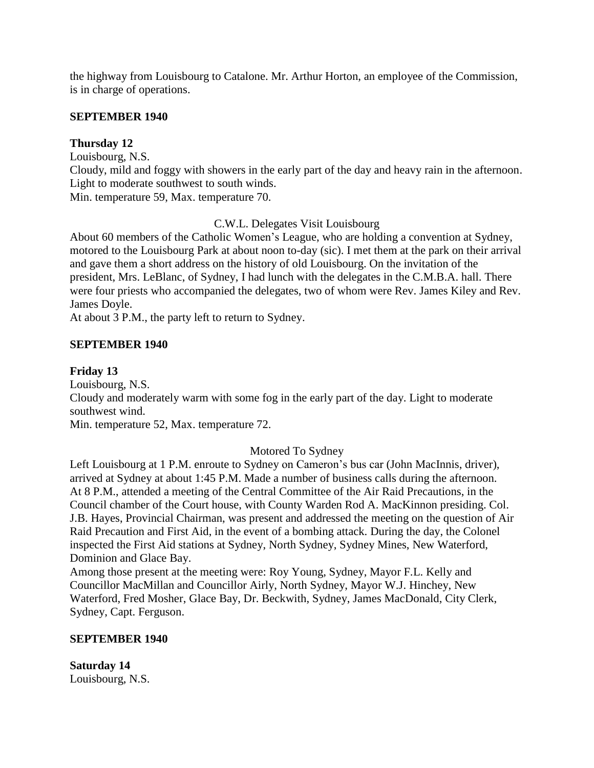the highway from Louisbourg to Catalone. Mr. Arthur Horton, an employee of the Commission, is in charge of operations.

### **SEPTEMBER 1940**

## **Thursday 12**

Louisbourg, N.S.

Cloudy, mild and foggy with showers in the early part of the day and heavy rain in the afternoon. Light to moderate southwest to south winds.

Min. temperature 59, Max. temperature 70.

## C.W.L. Delegates Visit Louisbourg

About 60 members of the Catholic Women's League, who are holding a convention at Sydney, motored to the Louisbourg Park at about noon to-day (sic). I met them at the park on their arrival and gave them a short address on the history of old Louisbourg. On the invitation of the president, Mrs. LeBlanc, of Sydney, I had lunch with the delegates in the C.M.B.A. hall. There were four priests who accompanied the delegates, two of whom were Rev. James Kiley and Rev. James Doyle.

At about 3 P.M., the party left to return to Sydney.

## **SEPTEMBER 1940**

## **Friday 13**

Louisbourg, N.S.

Cloudy and moderately warm with some fog in the early part of the day. Light to moderate southwest wind.

Min. temperature 52, Max. temperature 72.

# Motored To Sydney

Left Louisbourg at 1 P.M. enroute to Sydney on Cameron's bus car (John MacInnis, driver), arrived at Sydney at about 1:45 P.M. Made a number of business calls during the afternoon. At 8 P.M., attended a meeting of the Central Committee of the Air Raid Precautions, in the Council chamber of the Court house, with County Warden Rod A. MacKinnon presiding. Col. J.B. Hayes, Provincial Chairman, was present and addressed the meeting on the question of Air Raid Precaution and First Aid, in the event of a bombing attack. During the day, the Colonel inspected the First Aid stations at Sydney, North Sydney, Sydney Mines, New Waterford, Dominion and Glace Bay.

Among those present at the meeting were: Roy Young, Sydney, Mayor F.L. Kelly and Councillor MacMillan and Councillor Airly, North Sydney, Mayor W.J. Hinchey, New Waterford, Fred Mosher, Glace Bay, Dr. Beckwith, Sydney, James MacDonald, City Clerk, Sydney, Capt. Ferguson.

### **SEPTEMBER 1940**

**Saturday 14** Louisbourg, N.S.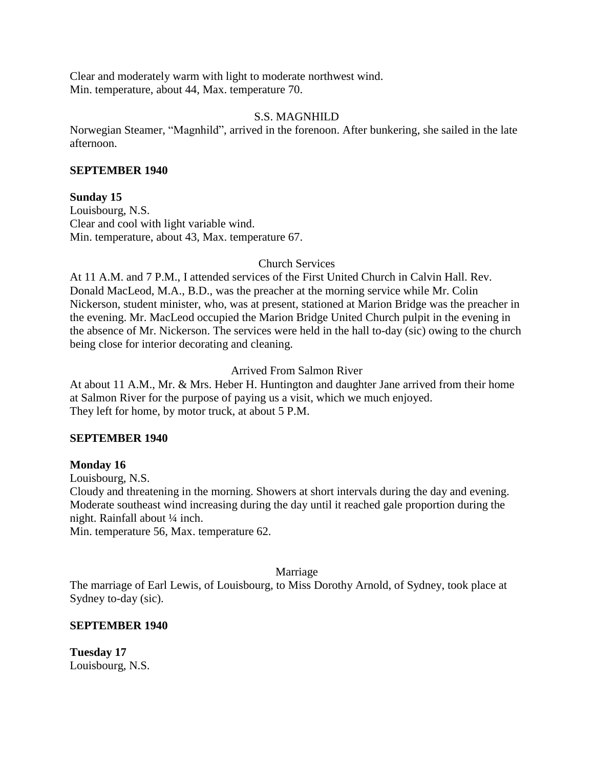Clear and moderately warm with light to moderate northwest wind. Min. temperature, about 44, Max. temperature 70.

## S.S. MAGNHILD

Norwegian Steamer, "Magnhild", arrived in the forenoon. After bunkering, she sailed in the late afternoon.

#### **SEPTEMBER 1940**

### **Sunday 15**

Louisbourg, N.S. Clear and cool with light variable wind. Min. temperature, about 43, Max. temperature 67.

Church Services

At 11 A.M. and 7 P.M., I attended services of the First United Church in Calvin Hall. Rev. Donald MacLeod, M.A., B.D., was the preacher at the morning service while Mr. Colin Nickerson, student minister, who, was at present, stationed at Marion Bridge was the preacher in the evening. Mr. MacLeod occupied the Marion Bridge United Church pulpit in the evening in the absence of Mr. Nickerson. The services were held in the hall to-day (sic) owing to the church being close for interior decorating and cleaning.

Arrived From Salmon River

At about 11 A.M., Mr. & Mrs. Heber H. Huntington and daughter Jane arrived from their home at Salmon River for the purpose of paying us a visit, which we much enjoyed. They left for home, by motor truck, at about 5 P.M.

### **SEPTEMBER 1940**

### **Monday 16**

Louisbourg, N.S.

Cloudy and threatening in the morning. Showers at short intervals during the day and evening. Moderate southeast wind increasing during the day until it reached gale proportion during the night. Rainfall about ¼ inch.

Min. temperature 56, Max. temperature 62.

### Marriage

The marriage of Earl Lewis, of Louisbourg, to Miss Dorothy Arnold, of Sydney, took place at Sydney to-day (sic).

### **SEPTEMBER 1940**

**Tuesday 17** Louisbourg, N.S.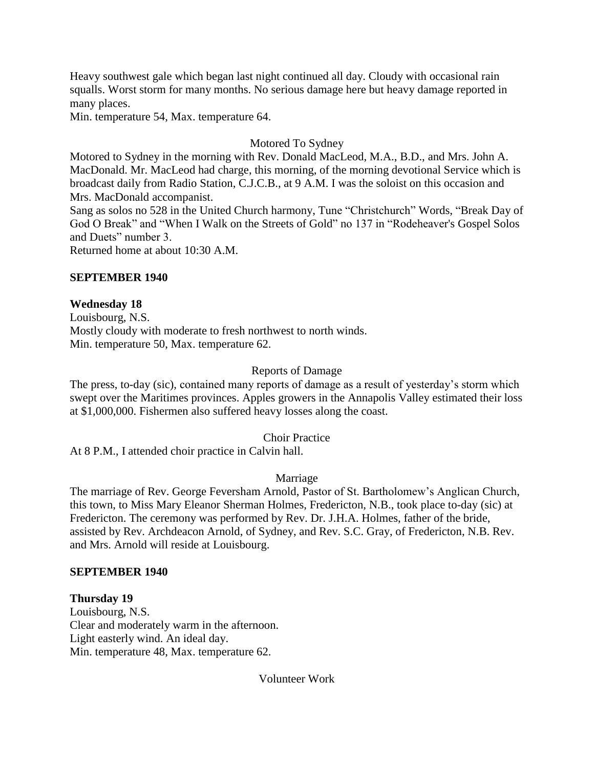Heavy southwest gale which began last night continued all day. Cloudy with occasional rain squalls. Worst storm for many months. No serious damage here but heavy damage reported in many places.

Min. temperature 54, Max. temperature 64.

# Motored To Sydney

Motored to Sydney in the morning with Rev. Donald MacLeod, M.A., B.D., and Mrs. John A. MacDonald. Mr. MacLeod had charge, this morning, of the morning devotional Service which is broadcast daily from Radio Station, C.J.C.B., at 9 A.M. I was the soloist on this occasion and Mrs. MacDonald accompanist.

Sang as solos no 528 in the United Church harmony, Tune "Christchurch" Words, "Break Day of God O Break" and "When I Walk on the Streets of Gold" no 137 in "Rodeheaver's Gospel Solos and Duets" number 3.

Returned home at about 10:30 A.M.

# **SEPTEMBER 1940**

## **Wednesday 18**

Louisbourg, N.S. Mostly cloudy with moderate to fresh northwest to north winds. Min. temperature 50, Max. temperature 62.

# Reports of Damage

The press, to-day (sic), contained many reports of damage as a result of yesterday's storm which swept over the Maritimes provinces. Apples growers in the Annapolis Valley estimated their loss at \$1,000,000. Fishermen also suffered heavy losses along the coast.

### Choir Practice

At 8 P.M., I attended choir practice in Calvin hall.

### Marriage

The marriage of Rev. George Feversham Arnold, Pastor of St. Bartholomew's Anglican Church, this town, to Miss Mary Eleanor Sherman Holmes, Fredericton, N.B., took place to-day (sic) at Fredericton. The ceremony was performed by Rev. Dr. J.H.A. Holmes, father of the bride, assisted by Rev. Archdeacon Arnold, of Sydney, and Rev. S.C. Gray, of Fredericton, N.B. Rev. and Mrs. Arnold will reside at Louisbourg.

### **SEPTEMBER 1940**

# **Thursday 19**

Louisbourg, N.S. Clear and moderately warm in the afternoon. Light easterly wind. An ideal day. Min. temperature 48, Max. temperature 62.

Volunteer Work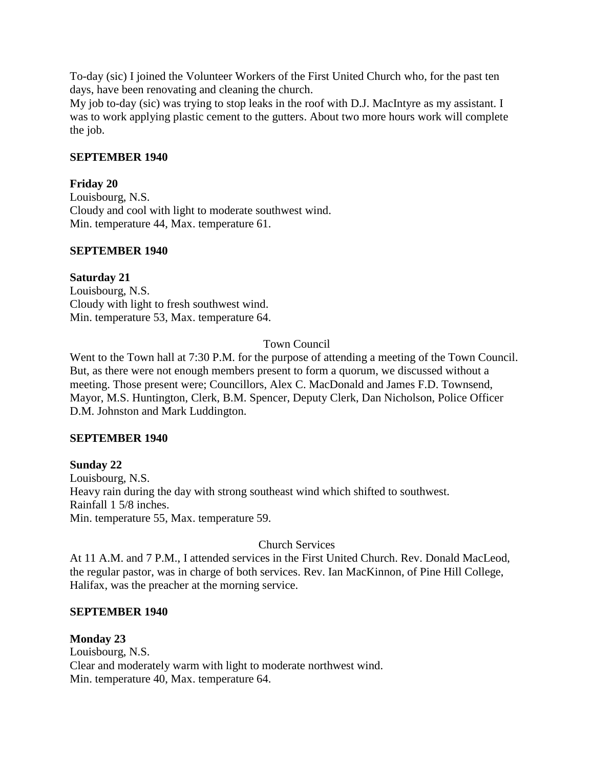To-day (sic) I joined the Volunteer Workers of the First United Church who, for the past ten days, have been renovating and cleaning the church.

My job to-day (sic) was trying to stop leaks in the roof with D.J. MacIntyre as my assistant. I was to work applying plastic cement to the gutters. About two more hours work will complete the job.

### **SEPTEMBER 1940**

## **Friday 20**

Louisbourg, N.S. Cloudy and cool with light to moderate southwest wind. Min. temperature 44, Max. temperature 61.

### **SEPTEMBER 1940**

# **Saturday 21**

Louisbourg, N.S. Cloudy with light to fresh southwest wind. Min. temperature 53, Max. temperature 64.

# Town Council

Went to the Town hall at 7:30 P.M. for the purpose of attending a meeting of the Town Council. But, as there were not enough members present to form a quorum, we discussed without a meeting. Those present were; Councillors, Alex C. MacDonald and James F.D. Townsend, Mayor, M.S. Huntington, Clerk, B.M. Spencer, Deputy Clerk, Dan Nicholson, Police Officer D.M. Johnston and Mark Luddington.

### **SEPTEMBER 1940**

## **Sunday 22** Louisbourg, N.S. Heavy rain during the day with strong southeast wind which shifted to southwest. Rainfall 1 5/8 inches. Min. temperature 55, Max. temperature 59.

# Church Services

At 11 A.M. and 7 P.M., I attended services in the First United Church. Rev. Donald MacLeod, the regular pastor, was in charge of both services. Rev. Ian MacKinnon, of Pine Hill College, Halifax, was the preacher at the morning service.

### **SEPTEMBER 1940**

### **Monday 23** Louisbourg, N.S. Clear and moderately warm with light to moderate northwest wind. Min. temperature 40, Max. temperature 64.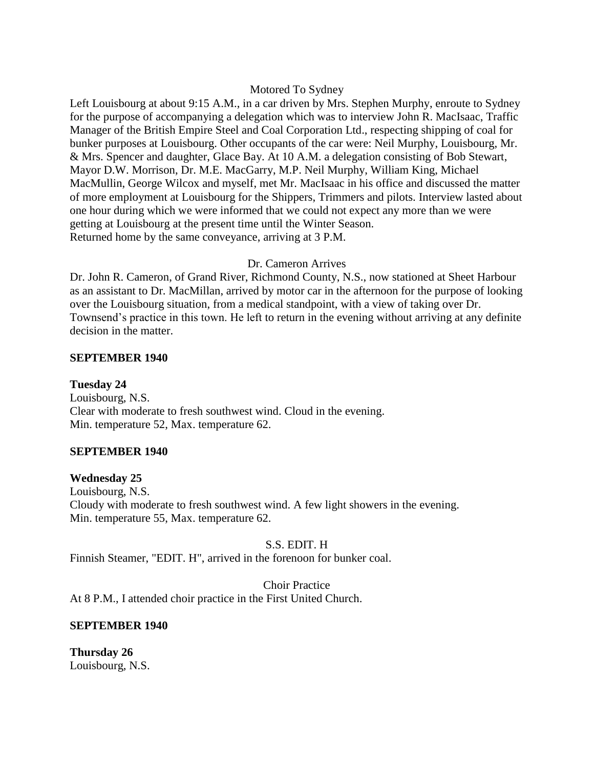#### Motored To Sydney

Left Louisbourg at about 9:15 A.M., in a car driven by Mrs. Stephen Murphy, enroute to Sydney for the purpose of accompanying a delegation which was to interview John R. MacIsaac, Traffic Manager of the British Empire Steel and Coal Corporation Ltd., respecting shipping of coal for bunker purposes at Louisbourg. Other occupants of the car were: Neil Murphy, Louisbourg, Mr. & Mrs. Spencer and daughter, Glace Bay. At 10 A.M. a delegation consisting of Bob Stewart, Mayor D.W. Morrison, Dr. M.E. MacGarry, M.P. Neil Murphy, William King, Michael MacMullin, George Wilcox and myself, met Mr. MacIsaac in his office and discussed the matter of more employment at Louisbourg for the Shippers, Trimmers and pilots. Interview lasted about one hour during which we were informed that we could not expect any more than we were getting at Louisbourg at the present time until the Winter Season. Returned home by the same conveyance, arriving at 3 P.M.

#### Dr. Cameron Arrives

Dr. John R. Cameron, of Grand River, Richmond County, N.S., now stationed at Sheet Harbour as an assistant to Dr. MacMillan, arrived by motor car in the afternoon for the purpose of looking over the Louisbourg situation, from a medical standpoint, with a view of taking over Dr. Townsend's practice in this town. He left to return in the evening without arriving at any definite decision in the matter.

### **SEPTEMBER 1940**

**Tuesday 24** Louisbourg, N.S. Clear with moderate to fresh southwest wind. Cloud in the evening. Min. temperature 52, Max. temperature 62.

### **SEPTEMBER 1940**

#### **Wednesday 25**

Louisbourg, N.S. Cloudy with moderate to fresh southwest wind. A few light showers in the evening. Min. temperature 55, Max. temperature 62.

### S.S. EDIT. H

Finnish Steamer, "EDIT. H", arrived in the forenoon for bunker coal.

Choir Practice At 8 P.M., I attended choir practice in the First United Church.

#### **SEPTEMBER 1940**

**Thursday 26** Louisbourg, N.S.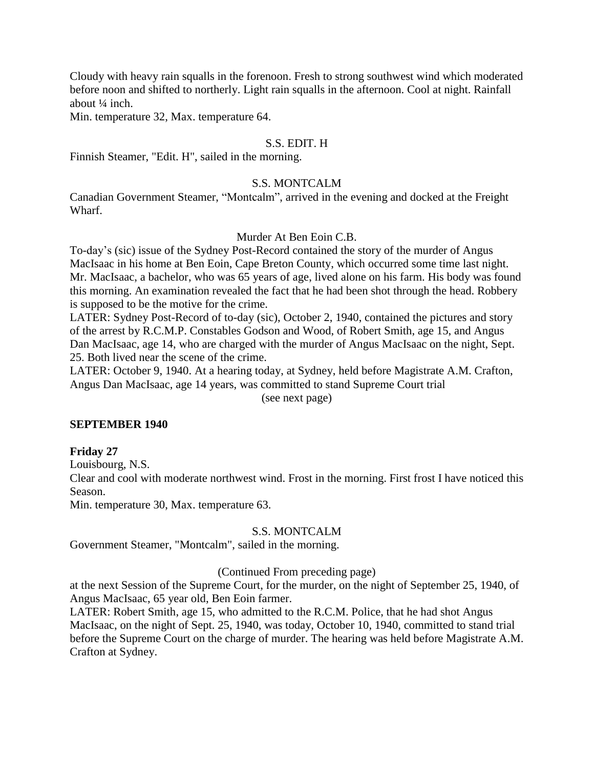Cloudy with heavy rain squalls in the forenoon. Fresh to strong southwest wind which moderated before noon and shifted to northerly. Light rain squalls in the afternoon. Cool at night. Rainfall about ¼ inch.

Min. temperature 32, Max. temperature 64.

### S.S. EDIT. H

Finnish Steamer, "Edit. H", sailed in the morning.

### S.S. MONTCALM

Canadian Government Steamer, "Montcalm", arrived in the evening and docked at the Freight Wharf.

#### Murder At Ben Eoin C.B.

To-day's (sic) issue of the Sydney Post-Record contained the story of the murder of Angus MacIsaac in his home at Ben Eoin, Cape Breton County, which occurred some time last night. Mr. MacIsaac, a bachelor, who was 65 years of age, lived alone on his farm. His body was found this morning. An examination revealed the fact that he had been shot through the head. Robbery is supposed to be the motive for the crime.

LATER: Sydney Post-Record of to-day (sic), October 2, 1940, contained the pictures and story of the arrest by R.C.M.P. Constables Godson and Wood, of Robert Smith, age 15, and Angus Dan MacIsaac, age 14, who are charged with the murder of Angus MacIsaac on the night, Sept. 25. Both lived near the scene of the crime.

LATER: October 9, 1940. At a hearing today, at Sydney, held before Magistrate A.M. Crafton, Angus Dan MacIsaac, age 14 years, was committed to stand Supreme Court trial (see next page)

#### **SEPTEMBER 1940**

#### **Friday 27**

Louisbourg, N.S.

Clear and cool with moderate northwest wind. Frost in the morning. First frost I have noticed this Season.

Min. temperature 30, Max. temperature 63.

#### S.S. MONTCALM

Government Steamer, "Montcalm", sailed in the morning.

#### (Continued From preceding page)

at the next Session of the Supreme Court, for the murder, on the night of September 25, 1940, of Angus MacIsaac, 65 year old, Ben Eoin farmer.

LATER: Robert Smith, age 15, who admitted to the R.C.M. Police, that he had shot Angus MacIsaac, on the night of Sept. 25, 1940, was today, October 10, 1940, committed to stand trial before the Supreme Court on the charge of murder. The hearing was held before Magistrate A.M. Crafton at Sydney.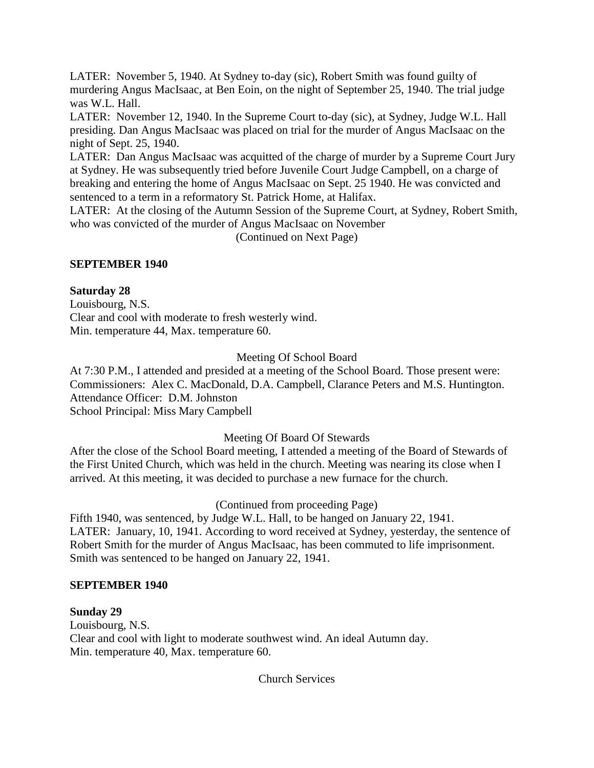LATER: November 5, 1940. At Sydney to-day (sic), Robert Smith was found guilty of murdering Angus MacIsaac, at Ben Eoin, on the night of September 25, 1940. The trial judge was W.L. Hall.

LATER: November 12, 1940. In the Supreme Court to-day (sic), at Sydney, Judge W.L. Hall presiding. Dan Angus MacIsaac was placed on trial for the murder of Angus MacIsaac on the night of Sept. 25, 1940.

LATER: Dan Angus MacIsaac was acquitted of the charge of murder by a Supreme Court Jury at Sydney. He was subsequently tried before Juvenile Court Judge Campbell, on a charge of breaking and entering the home of Angus MacIsaac on Sept. 25 1940. He was convicted and sentenced to a term in a reformatory St. Patrick Home, at Halifax.

LATER: At the closing of the Autumn Session of the Supreme Court, at Sydney, Robert Smith, who was convicted of the murder of Angus MacIsaac on November

(Continued on Next Page)

# **SEPTEMBER 1940**

## **Saturday 28**

Louisbourg, N.S. Clear and cool with moderate to fresh westerly wind. Min. temperature 44, Max. temperature 60.

# Meeting Of School Board

At 7:30 P.M., I attended and presided at a meeting of the School Board. Those present were: Commissioners: Alex C. MacDonald, D.A. Campbell, Clarance Peters and M.S. Huntington. Attendance Officer: D.M. Johnston School Principal: Miss Mary Campbell

# Meeting Of Board Of Stewards

After the close of the School Board meeting, I attended a meeting of the Board of Stewards of the First United Church, which was held in the church. Meeting was nearing its close when I arrived. At this meeting, it was decided to purchase a new furnace for the church.

(Continued from proceeding Page)

Fifth 1940, was sentenced, by Judge W.L. Hall, to be hanged on January 22, 1941. LATER: January, 10, 1941. According to word received at Sydney, yesterday, the sentence of Robert Smith for the murder of Angus MacIsaac, has been commuted to life imprisonment. Smith was sentenced to be hanged on January 22, 1941.

### **SEPTEMBER 1940**

### **Sunday 29**

Louisbourg, N.S. Clear and cool with light to moderate southwest wind. An ideal Autumn day. Min. temperature 40, Max. temperature 60.

Church Services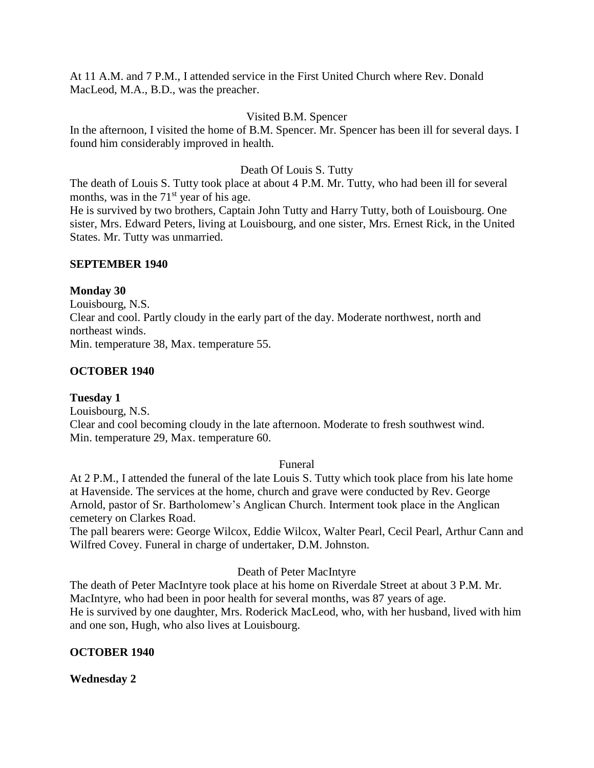At 11 A.M. and 7 P.M., I attended service in the First United Church where Rev. Donald MacLeod, M.A., B.D., was the preacher.

## Visited B.M. Spencer

In the afternoon, I visited the home of B.M. Spencer. Mr. Spencer has been ill for several days. I found him considerably improved in health.

# Death Of Louis S. Tutty

The death of Louis S. Tutty took place at about 4 P.M. Mr. Tutty, who had been ill for several months, was in the  $71<sup>st</sup>$  year of his age.

He is survived by two brothers, Captain John Tutty and Harry Tutty, both of Louisbourg. One sister, Mrs. Edward Peters, living at Louisbourg, and one sister, Mrs. Ernest Rick, in the United States. Mr. Tutty was unmarried.

## **SEPTEMBER 1940**

# **Monday 30**

Louisbourg, N.S. Clear and cool. Partly cloudy in the early part of the day. Moderate northwest, north and northeast winds. Min. temperature 38, Max. temperature 55.

# **OCTOBER 1940**

# **Tuesday 1**

Louisbourg, N.S. Clear and cool becoming cloudy in the late afternoon. Moderate to fresh southwest wind. Min. temperature 29, Max. temperature 60.

### Funeral

At 2 P.M., I attended the funeral of the late Louis S. Tutty which took place from his late home at Havenside. The services at the home, church and grave were conducted by Rev. George Arnold, pastor of Sr. Bartholomew's Anglican Church. Interment took place in the Anglican cemetery on Clarkes Road.

The pall bearers were: George Wilcox, Eddie Wilcox, Walter Pearl, Cecil Pearl, Arthur Cann and Wilfred Covey. Funeral in charge of undertaker, D.M. Johnston.

# Death of Peter MacIntyre

The death of Peter MacIntyre took place at his home on Riverdale Street at about 3 P.M. Mr. MacIntyre, who had been in poor health for several months, was 87 years of age. He is survived by one daughter, Mrs. Roderick MacLeod, who, with her husband, lived with him and one son, Hugh, who also lives at Louisbourg.

# **OCTOBER 1940**

# **Wednesday 2**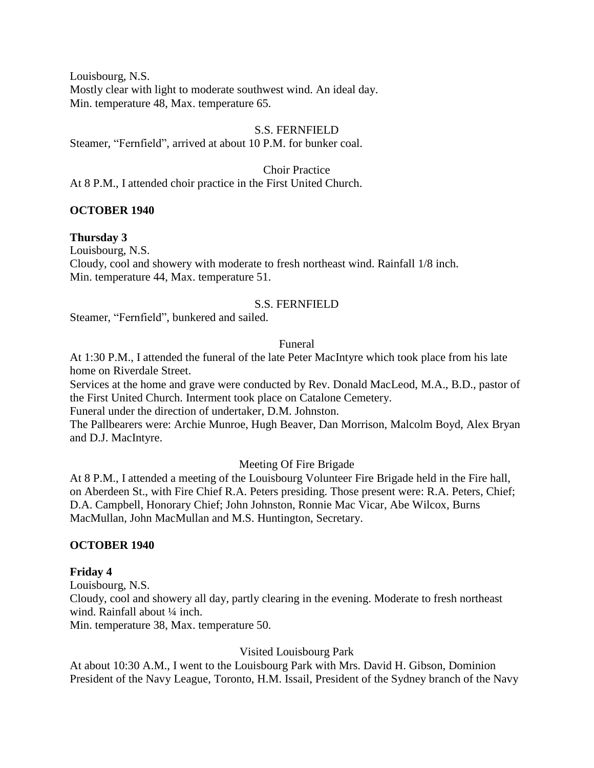Louisbourg, N.S. Mostly clear with light to moderate southwest wind. An ideal day. Min. temperature 48, Max. temperature 65.

### S.S. FERNFIELD

Steamer, "Fernfield", arrived at about 10 P.M. for bunker coal.

Choir Practice At 8 P.M., I attended choir practice in the First United Church.

#### **OCTOBER 1940**

#### **Thursday 3**

Louisbourg, N.S. Cloudy, cool and showery with moderate to fresh northeast wind. Rainfall 1/8 inch. Min. temperature 44, Max. temperature 51.

### S.S. FERNFIELD

Steamer, "Fernfield", bunkered and sailed.

#### Funeral

At 1:30 P.M., I attended the funeral of the late Peter MacIntyre which took place from his late home on Riverdale Street.

Services at the home and grave were conducted by Rev. Donald MacLeod, M.A., B.D., pastor of the First United Church. Interment took place on Catalone Cemetery.

Funeral under the direction of undertaker, D.M. Johnston.

The Pallbearers were: Archie Munroe, Hugh Beaver, Dan Morrison, Malcolm Boyd, Alex Bryan and D.J. MacIntyre.

### Meeting Of Fire Brigade

At 8 P.M., I attended a meeting of the Louisbourg Volunteer Fire Brigade held in the Fire hall, on Aberdeen St., with Fire Chief R.A. Peters presiding. Those present were: R.A. Peters, Chief; D.A. Campbell, Honorary Chief; John Johnston, Ronnie Mac Vicar, Abe Wilcox, Burns MacMullan, John MacMullan and M.S. Huntington, Secretary.

### **OCTOBER 1940**

### **Friday 4**

Louisbourg, N.S. Cloudy, cool and showery all day, partly clearing in the evening. Moderate to fresh northeast wind. Rainfall about 1/4 inch. Min. temperature 38, Max. temperature 50.

#### Visited Louisbourg Park

At about 10:30 A.M., I went to the Louisbourg Park with Mrs. David H. Gibson, Dominion President of the Navy League, Toronto, H.M. Issail, President of the Sydney branch of the Navy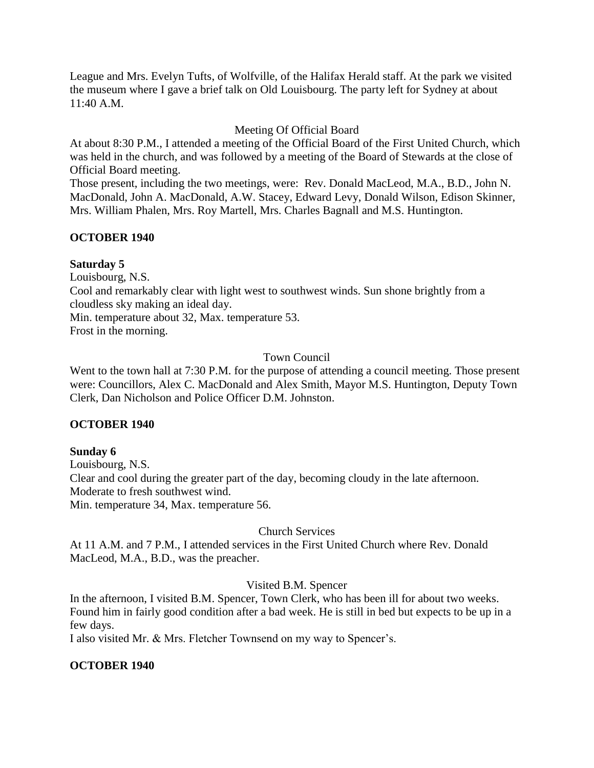League and Mrs. Evelyn Tufts, of Wolfville, of the Halifax Herald staff. At the park we visited the museum where I gave a brief talk on Old Louisbourg. The party left for Sydney at about 11:40 A.M.

# Meeting Of Official Board

At about 8:30 P.M., I attended a meeting of the Official Board of the First United Church, which was held in the church, and was followed by a meeting of the Board of Stewards at the close of Official Board meeting.

Those present, including the two meetings, were: Rev. Donald MacLeod, M.A., B.D., John N. MacDonald, John A. MacDonald, A.W. Stacey, Edward Levy, Donald Wilson, Edison Skinner, Mrs. William Phalen, Mrs. Roy Martell, Mrs. Charles Bagnall and M.S. Huntington.

# **OCTOBER 1940**

# **Saturday 5**

Louisbourg, N.S.

Cool and remarkably clear with light west to southwest winds. Sun shone brightly from a cloudless sky making an ideal day.

Min. temperature about 32, Max. temperature 53.

Frost in the morning.

# Town Council

Went to the town hall at 7:30 P.M. for the purpose of attending a council meeting. Those present were: Councillors, Alex C. MacDonald and Alex Smith, Mayor M.S. Huntington, Deputy Town Clerk, Dan Nicholson and Police Officer D.M. Johnston.

# **OCTOBER 1940**

# **Sunday 6**

Louisbourg, N.S. Clear and cool during the greater part of the day, becoming cloudy in the late afternoon. Moderate to fresh southwest wind. Min. temperature 34, Max. temperature 56.

# Church Services

At 11 A.M. and 7 P.M., I attended services in the First United Church where Rev. Donald MacLeod, M.A., B.D., was the preacher.

# Visited B.M. Spencer

In the afternoon, I visited B.M. Spencer, Town Clerk, who has been ill for about two weeks. Found him in fairly good condition after a bad week. He is still in bed but expects to be up in a few days.

I also visited Mr. & Mrs. Fletcher Townsend on my way to Spencer's.

# **OCTOBER 1940**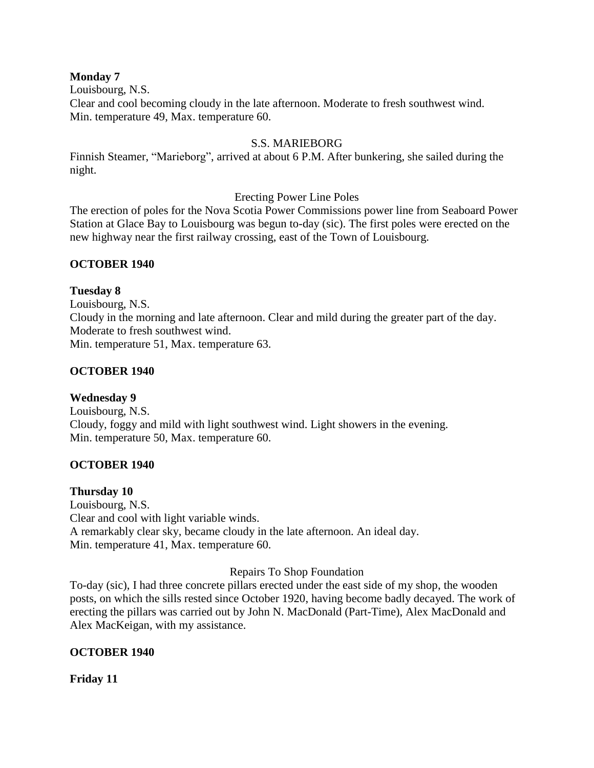### **Monday 7**

Louisbourg, N.S.

Clear and cool becoming cloudy in the late afternoon. Moderate to fresh southwest wind. Min. temperature 49, Max. temperature 60.

## S.S. MARIEBORG

Finnish Steamer, "Marieborg", arrived at about 6 P.M. After bunkering, she sailed during the night.

Erecting Power Line Poles

The erection of poles for the Nova Scotia Power Commissions power line from Seaboard Power Station at Glace Bay to Louisbourg was begun to-day (sic). The first poles were erected on the new highway near the first railway crossing, east of the Town of Louisbourg.

# **OCTOBER 1940**

## **Tuesday 8**

Louisbourg, N.S. Cloudy in the morning and late afternoon. Clear and mild during the greater part of the day. Moderate to fresh southwest wind. Min. temperature 51, Max. temperature 63.

# **OCTOBER 1940**

# **Wednesday 9**

Louisbourg, N.S. Cloudy, foggy and mild with light southwest wind. Light showers in the evening. Min. temperature 50, Max. temperature 60.

# **OCTOBER 1940**

# **Thursday 10**

Louisbourg, N.S. Clear and cool with light variable winds. A remarkably clear sky, became cloudy in the late afternoon. An ideal day. Min. temperature 41, Max. temperature 60.

# Repairs To Shop Foundation

To-day (sic), I had three concrete pillars erected under the east side of my shop, the wooden posts, on which the sills rested since October 1920, having become badly decayed. The work of erecting the pillars was carried out by John N. MacDonald (Part-Time), Alex MacDonald and Alex MacKeigan, with my assistance.

# **OCTOBER 1940**

**Friday 11**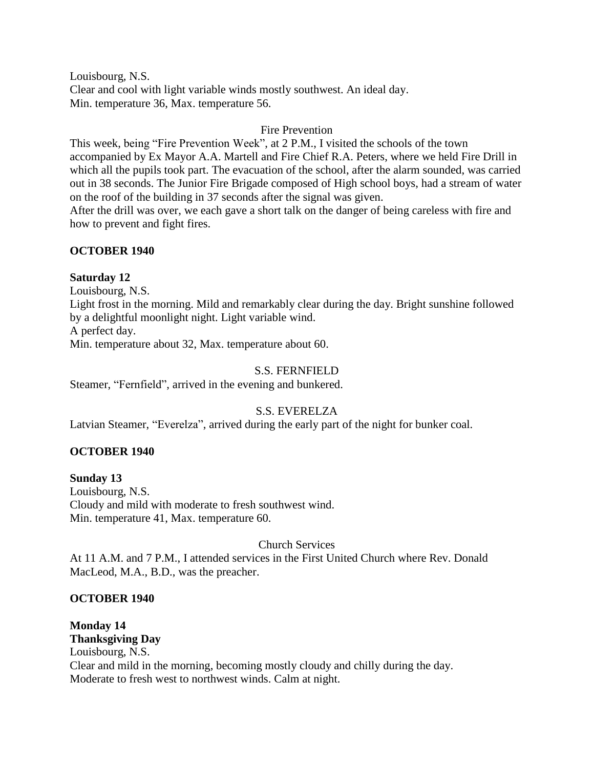Louisbourg, N.S. Clear and cool with light variable winds mostly southwest. An ideal day. Min. temperature 36, Max. temperature 56.

#### Fire Prevention

This week, being "Fire Prevention Week", at 2 P.M., I visited the schools of the town accompanied by Ex Mayor A.A. Martell and Fire Chief R.A. Peters, where we held Fire Drill in which all the pupils took part. The evacuation of the school, after the alarm sounded, was carried out in 38 seconds. The Junior Fire Brigade composed of High school boys, had a stream of water on the roof of the building in 37 seconds after the signal was given.

After the drill was over, we each gave a short talk on the danger of being careless with fire and how to prevent and fight fires.

### **OCTOBER 1940**

#### **Saturday 12**

Louisbourg, N.S. Light frost in the morning. Mild and remarkably clear during the day. Bright sunshine followed by a delightful moonlight night. Light variable wind. A perfect day. Min. temperature about 32, Max. temperature about 60.

#### S.S. FERNFIELD

Steamer, "Fernfield", arrived in the evening and bunkered.

## S.S. EVERELZA

Latvian Steamer, "Everelza", arrived during the early part of the night for bunker coal.

### **OCTOBER 1940**

**Sunday 13** Louisbourg, N.S. Cloudy and mild with moderate to fresh southwest wind. Min. temperature 41, Max. temperature 60.

#### Church Services

At 11 A.M. and 7 P.M., I attended services in the First United Church where Rev. Donald MacLeod, M.A., B.D., was the preacher.

#### **OCTOBER 1940**

**Monday 14 Thanksgiving Day** Louisbourg, N.S. Clear and mild in the morning, becoming mostly cloudy and chilly during the day. Moderate to fresh west to northwest winds. Calm at night.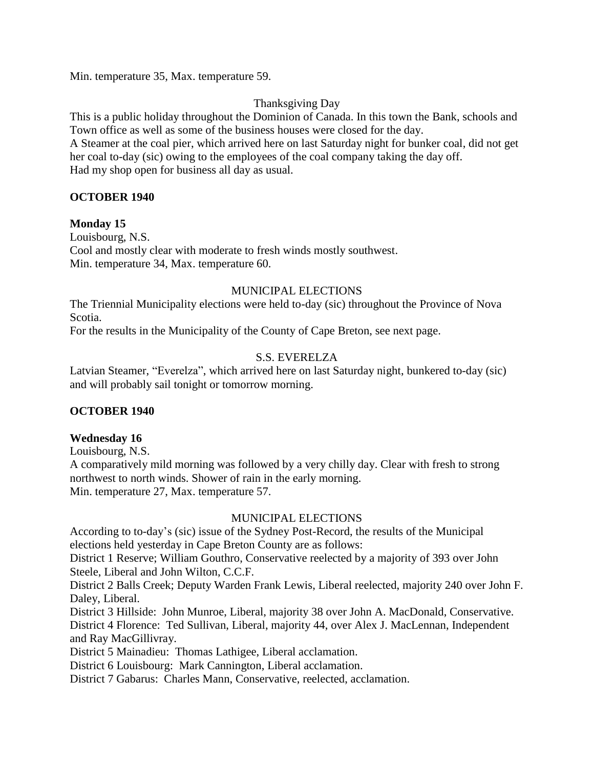Min. temperature 35, Max. temperature 59.

# Thanksgiving Day

This is a public holiday throughout the Dominion of Canada. In this town the Bank, schools and Town office as well as some of the business houses were closed for the day.

A Steamer at the coal pier, which arrived here on last Saturday night for bunker coal, did not get her coal to-day (sic) owing to the employees of the coal company taking the day off. Had my shop open for business all day as usual.

### **OCTOBER 1940**

### **Monday 15**

Louisbourg, N.S. Cool and mostly clear with moderate to fresh winds mostly southwest. Min. temperature 34, Max. temperature 60.

# MUNICIPAL ELECTIONS

The Triennial Municipality elections were held to-day (sic) throughout the Province of Nova Scotia.

For the results in the Municipality of the County of Cape Breton, see next page.

# S.S. EVERELZA

Latvian Steamer, "Everelza", which arrived here on last Saturday night, bunkered to-day (sic) and will probably sail tonight or tomorrow morning.

# **OCTOBER 1940**

### **Wednesday 16**

Louisbourg, N.S.

A comparatively mild morning was followed by a very chilly day. Clear with fresh to strong northwest to north winds. Shower of rain in the early morning. Min. temperature 27, Max. temperature 57.

### MUNICIPAL ELECTIONS

According to to-day's (sic) issue of the Sydney Post-Record, the results of the Municipal elections held yesterday in Cape Breton County are as follows:

District 1 Reserve; William Gouthro, Conservative reelected by a majority of 393 over John Steele, Liberal and John Wilton, C.C.F.

District 2 Balls Creek; Deputy Warden Frank Lewis, Liberal reelected, majority 240 over John F. Daley, Liberal.

District 3 Hillside: John Munroe, Liberal, majority 38 over John A. MacDonald, Conservative. District 4 Florence: Ted Sullivan, Liberal, majority 44, over Alex J. MacLennan, Independent and Ray MacGillivray.

District 5 Mainadieu: Thomas Lathigee, Liberal acclamation.

District 6 Louisbourg: Mark Cannington, Liberal acclamation.

District 7 Gabarus: Charles Mann, Conservative, reelected, acclamation.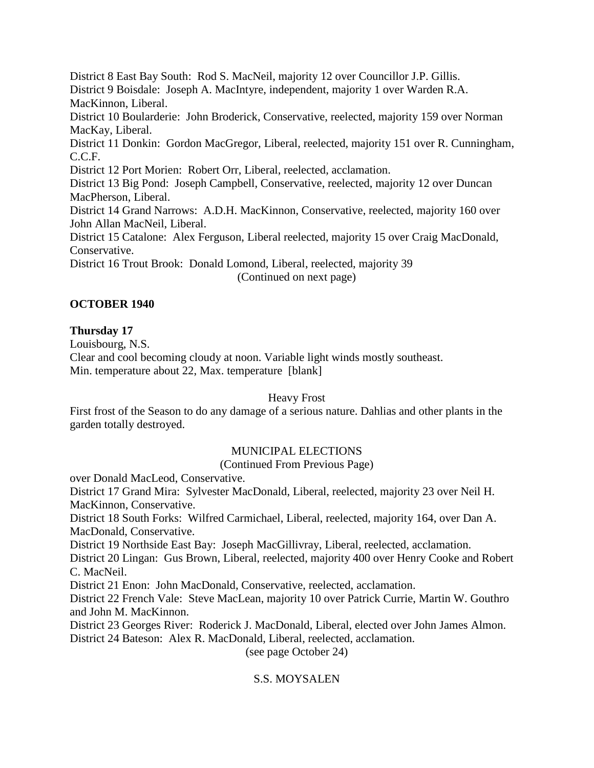District 8 East Bay South: Rod S. MacNeil, majority 12 over Councillor J.P. Gillis. District 9 Boisdale: Joseph A. MacIntyre, independent, majority 1 over Warden R.A. MacKinnon, Liberal. District 10 Boularderie: John Broderick, Conservative, reelected, majority 159 over Norman MacKay, Liberal. District 11 Donkin: Gordon MacGregor, Liberal, reelected, majority 151 over R. Cunningham, C.C.F. District 12 Port Morien: Robert Orr, Liberal, reelected, acclamation. District 13 Big Pond: Joseph Campbell, Conservative, reelected, majority 12 over Duncan MacPherson, Liberal. District 14 Grand Narrows: A.D.H. MacKinnon, Conservative, reelected, majority 160 over John Allan MacNeil, Liberal. District 15 Catalone: Alex Ferguson, Liberal reelected, majority 15 over Craig MacDonald, Conservative. District 16 Trout Brook: Donald Lomond, Liberal, reelected, majority 39 (Continued on next page)

# **OCTOBER 1940**

# **Thursday 17**

Louisbourg, N.S.

Clear and cool becoming cloudy at noon. Variable light winds mostly southeast. Min. temperature about 22, Max. temperature [blank]

### Heavy Frost

First frost of the Season to do any damage of a serious nature. Dahlias and other plants in the garden totally destroyed.

# MUNICIPAL ELECTIONS

(Continued From Previous Page)

over Donald MacLeod, Conservative.

District 17 Grand Mira: Sylvester MacDonald, Liberal, reelected, majority 23 over Neil H. MacKinnon, Conservative.

District 18 South Forks: Wilfred Carmichael, Liberal, reelected, majority 164, over Dan A. MacDonald, Conservative.

District 19 Northside East Bay: Joseph MacGillivray, Liberal, reelected, acclamation.

District 20 Lingan: Gus Brown, Liberal, reelected, majority 400 over Henry Cooke and Robert C. MacNeil.

District 21 Enon: John MacDonald, Conservative, reelected, acclamation.

District 22 French Vale: Steve MacLean, majority 10 over Patrick Currie, Martin W. Gouthro and John M. MacKinnon.

District 23 Georges River: Roderick J. MacDonald, Liberal, elected over John James Almon. District 24 Bateson: Alex R. MacDonald, Liberal, reelected, acclamation.

(see page October 24)

# S.S. MOYSALEN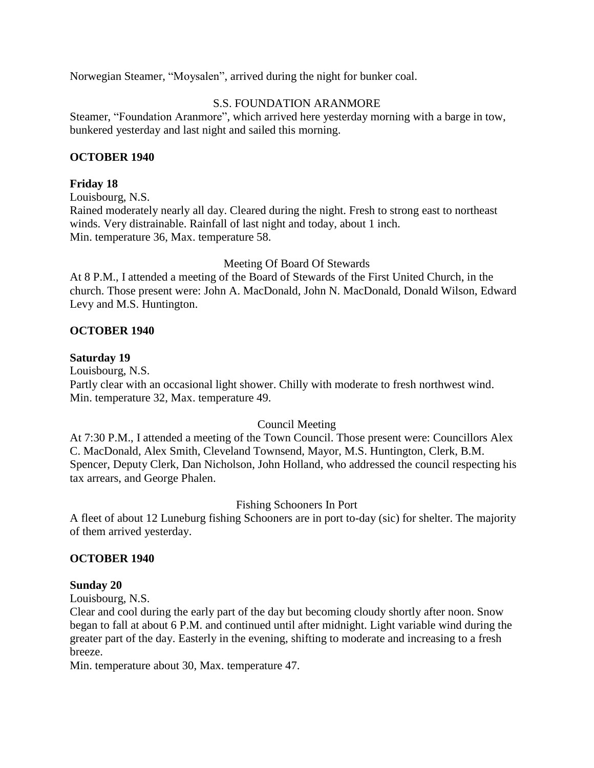Norwegian Steamer, "Moysalen", arrived during the night for bunker coal.

## S.S. FOUNDATION ARANMORE

Steamer, "Foundation Aranmore", which arrived here yesterday morning with a barge in tow, bunkered yesterday and last night and sailed this morning.

### **OCTOBER 1940**

## **Friday 18**

Louisbourg, N.S. Rained moderately nearly all day. Cleared during the night. Fresh to strong east to northeast winds. Very distrainable. Rainfall of last night and today, about 1 inch. Min. temperature 36, Max. temperature 58.

Meeting Of Board Of Stewards

At 8 P.M., I attended a meeting of the Board of Stewards of the First United Church, in the church. Those present were: John A. MacDonald, John N. MacDonald, Donald Wilson, Edward Levy and M.S. Huntington.

## **OCTOBER 1940**

### **Saturday 19**

Louisbourg, N.S. Partly clear with an occasional light shower. Chilly with moderate to fresh northwest wind. Min. temperature 32, Max. temperature 49.

# Council Meeting

At 7:30 P.M., I attended a meeting of the Town Council. Those present were: Councillors Alex C. MacDonald, Alex Smith, Cleveland Townsend, Mayor, M.S. Huntington, Clerk, B.M. Spencer, Deputy Clerk, Dan Nicholson, John Holland, who addressed the council respecting his tax arrears, and George Phalen.

# Fishing Schooners In Port

A fleet of about 12 Luneburg fishing Schooners are in port to-day (sic) for shelter. The majority of them arrived yesterday.

### **OCTOBER 1940**

### **Sunday 20**

Louisbourg, N.S.

Clear and cool during the early part of the day but becoming cloudy shortly after noon. Snow began to fall at about 6 P.M. and continued until after midnight. Light variable wind during the greater part of the day. Easterly in the evening, shifting to moderate and increasing to a fresh breeze.

Min. temperature about 30, Max. temperature 47.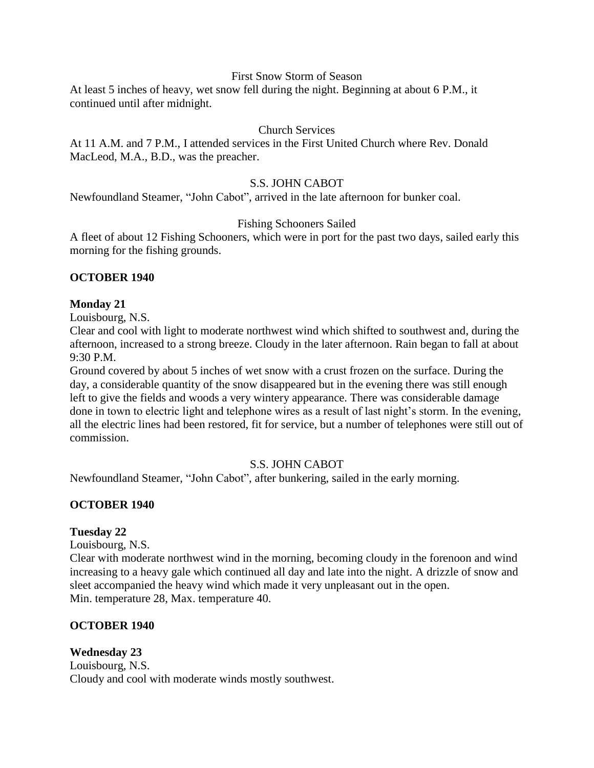### First Snow Storm of Season

At least 5 inches of heavy, wet snow fell during the night. Beginning at about 6 P.M., it continued until after midnight.

## Church Services

At 11 A.M. and 7 P.M., I attended services in the First United Church where Rev. Donald MacLeod, M.A., B.D., was the preacher.

### S.S. JOHN CABOT

Newfoundland Steamer, "John Cabot", arrived in the late afternoon for bunker coal.

## Fishing Schooners Sailed

A fleet of about 12 Fishing Schooners, which were in port for the past two days, sailed early this morning for the fishing grounds.

### **OCTOBER 1940**

### **Monday 21**

Louisbourg, N.S.

Clear and cool with light to moderate northwest wind which shifted to southwest and, during the afternoon, increased to a strong breeze. Cloudy in the later afternoon. Rain began to fall at about 9:30 P.M.

Ground covered by about 5 inches of wet snow with a crust frozen on the surface. During the day, a considerable quantity of the snow disappeared but in the evening there was still enough left to give the fields and woods a very wintery appearance. There was considerable damage done in town to electric light and telephone wires as a result of last night's storm. In the evening, all the electric lines had been restored, fit for service, but a number of telephones were still out of commission.

# S.S. JOHN CABOT

Newfoundland Steamer, "John Cabot", after bunkering, sailed in the early morning.

### **OCTOBER 1940**

### **Tuesday 22**

Louisbourg, N.S.

Clear with moderate northwest wind in the morning, becoming cloudy in the forenoon and wind increasing to a heavy gale which continued all day and late into the night. A drizzle of snow and sleet accompanied the heavy wind which made it very unpleasant out in the open. Min. temperature 28, Max. temperature 40.

### **OCTOBER 1940**

### **Wednesday 23**

Louisbourg, N.S. Cloudy and cool with moderate winds mostly southwest.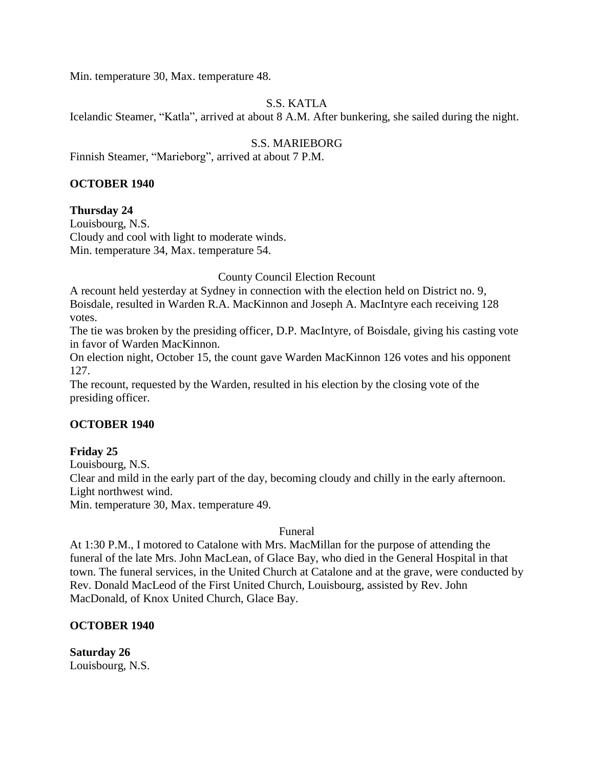Min. temperature 30, Max. temperature 48.

# S.S. KATLA

Icelandic Steamer, "Katla", arrived at about 8 A.M. After bunkering, she sailed during the night.

# S.S. MARIEBORG

Finnish Steamer, "Marieborg", arrived at about 7 P.M.

### **OCTOBER 1940**

### **Thursday 24**

Louisbourg, N.S. Cloudy and cool with light to moderate winds. Min. temperature 34, Max. temperature 54.

### County Council Election Recount

A recount held yesterday at Sydney in connection with the election held on District no. 9, Boisdale, resulted in Warden R.A. MacKinnon and Joseph A. MacIntyre each receiving 128 votes.

The tie was broken by the presiding officer, D.P. MacIntyre, of Boisdale, giving his casting vote in favor of Warden MacKinnon.

On election night, October 15, the count gave Warden MacKinnon 126 votes and his opponent 127.

The recount, requested by the Warden, resulted in his election by the closing vote of the presiding officer.

### **OCTOBER 1940**

### **Friday 25**

Louisbourg, N.S. Clear and mild in the early part of the day, becoming cloudy and chilly in the early afternoon. Light northwest wind. Min. temperature 30, Max. temperature 49.

### Funeral

At 1:30 P.M., I motored to Catalone with Mrs. MacMillan for the purpose of attending the funeral of the late Mrs. John MacLean, of Glace Bay, who died in the General Hospital in that town. The funeral services, in the United Church at Catalone and at the grave, were conducted by Rev. Donald MacLeod of the First United Church, Louisbourg, assisted by Rev. John MacDonald, of Knox United Church, Glace Bay.

### **OCTOBER 1940**

**Saturday 26** Louisbourg, N.S.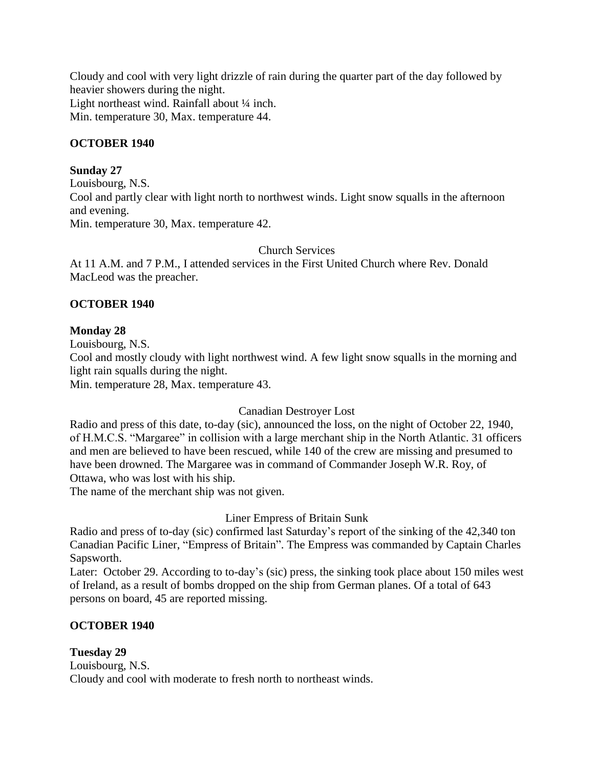Cloudy and cool with very light drizzle of rain during the quarter part of the day followed by heavier showers during the night.

Light northeast wind. Rainfall about ¼ inch. Min. temperature 30, Max. temperature 44.

## **OCTOBER 1940**

## **Sunday 27**

Louisbourg, N.S. Cool and partly clear with light north to northwest winds. Light snow squalls in the afternoon and evening. Min. temperature 30, Max. temperature 42.

Church Services

At 11 A.M. and 7 P.M., I attended services in the First United Church where Rev. Donald MacLeod was the preacher.

## **OCTOBER 1940**

## **Monday 28**

Louisbourg, N.S.

Cool and mostly cloudy with light northwest wind. A few light snow squalls in the morning and light rain squalls during the night.

Min. temperature 28, Max. temperature 43.

# Canadian Destroyer Lost

Radio and press of this date, to-day (sic), announced the loss, on the night of October 22, 1940, of H.M.C.S. "Margaree" in collision with a large merchant ship in the North Atlantic. 31 officers and men are believed to have been rescued, while 140 of the crew are missing and presumed to have been drowned. The Margaree was in command of Commander Joseph W.R. Roy, of Ottawa, who was lost with his ship.

The name of the merchant ship was not given.

### Liner Empress of Britain Sunk

Radio and press of to-day (sic) confirmed last Saturday's report of the sinking of the 42,340 ton Canadian Pacific Liner, "Empress of Britain". The Empress was commanded by Captain Charles Sapsworth.

Later: October 29. According to to-day's (sic) press, the sinking took place about 150 miles west of Ireland, as a result of bombs dropped on the ship from German planes. Of a total of 643 persons on board, 45 are reported missing.

# **OCTOBER 1940**

### **Tuesday 29**

Louisbourg, N.S. Cloudy and cool with moderate to fresh north to northeast winds.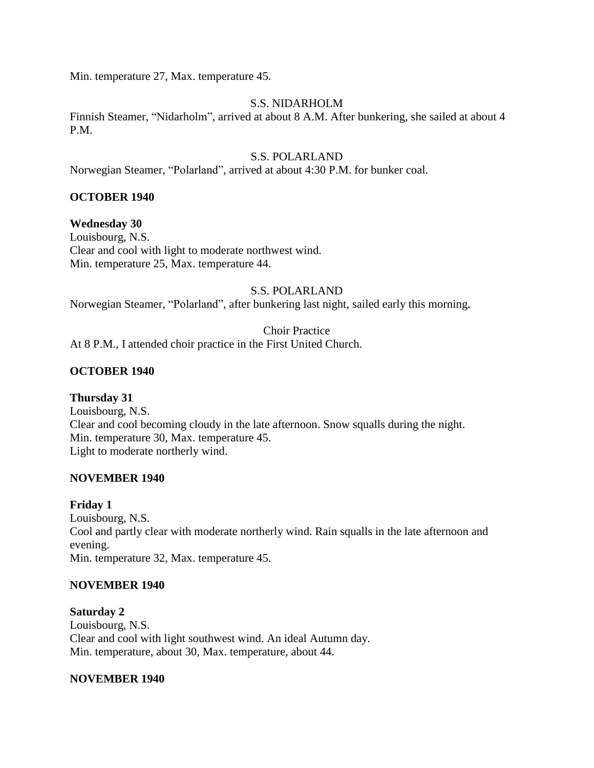Min. temperature 27, Max. temperature 45.

### S.S. NIDARHOLM

Finnish Steamer, "Nidarholm", arrived at about 8 A.M. After bunkering, she sailed at about 4 P.M.

### S.S. POLARLAND

Norwegian Steamer, "Polarland", arrived at about 4:30 P.M. for bunker coal.

### **OCTOBER 1940**

## **Wednesday 30**

Louisbourg, N.S. Clear and cool with light to moderate northwest wind. Min. temperature 25, Max. temperature 44.

#### S.S. POLARLAND

Norwegian Steamer, "Polarland", after bunkering last night, sailed early this morning.

Choir Practice At 8 P.M., I attended choir practice in the First United Church.

## **OCTOBER 1940**

# **Thursday 31**

Louisbourg, N.S. Clear and cool becoming cloudy in the late afternoon. Snow squalls during the night. Min. temperature 30, Max. temperature 45. Light to moderate northerly wind.

### **NOVEMBER 1940**

### **Friday 1**

Louisbourg, N.S. Cool and partly clear with moderate northerly wind. Rain squalls in the late afternoon and evening. Min. temperature 32, Max. temperature 45.

### **NOVEMBER 1940**

**Saturday 2** Louisbourg, N.S. Clear and cool with light southwest wind. An ideal Autumn day. Min. temperature, about 30, Max. temperature, about 44.

### **NOVEMBER 1940**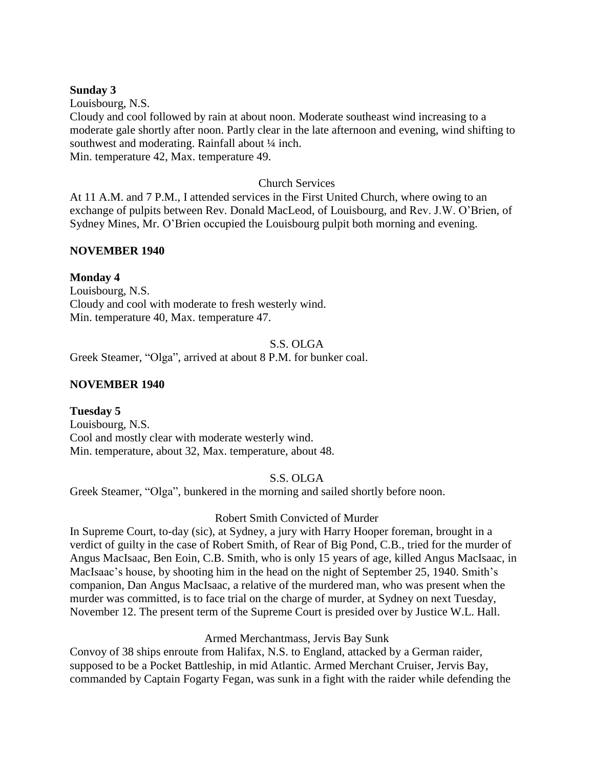#### **Sunday 3**

Louisbourg, N.S. Cloudy and cool followed by rain at about noon. Moderate southeast wind increasing to a moderate gale shortly after noon. Partly clear in the late afternoon and evening, wind shifting to southwest and moderating. Rainfall about  $\frac{1}{4}$  inch. Min. temperature 42, Max. temperature 49.

### Church Services

At 11 A.M. and 7 P.M., I attended services in the First United Church, where owing to an exchange of pulpits between Rev. Donald MacLeod, of Louisbourg, and Rev. J.W. O'Brien, of Sydney Mines, Mr. O'Brien occupied the Louisbourg pulpit both morning and evening.

### **NOVEMBER 1940**

## **Monday 4**

Louisbourg, N.S. Cloudy and cool with moderate to fresh westerly wind. Min. temperature 40, Max. temperature 47.

#### S.S. OLGA

Greek Steamer, "Olga", arrived at about 8 P.M. for bunker coal.

### **NOVEMBER 1940**

### **Tuesday 5**

Louisbourg, N.S. Cool and mostly clear with moderate westerly wind. Min. temperature, about 32, Max. temperature, about 48.

### S.S. OLGA

Greek Steamer, "Olga", bunkered in the morning and sailed shortly before noon.

### Robert Smith Convicted of Murder

In Supreme Court, to-day (sic), at Sydney, a jury with Harry Hooper foreman, brought in a verdict of guilty in the case of Robert Smith, of Rear of Big Pond, C.B., tried for the murder of Angus MacIsaac, Ben Eoin, C.B. Smith, who is only 15 years of age, killed Angus MacIsaac, in MacIsaac's house, by shooting him in the head on the night of September 25, 1940. Smith's companion, Dan Angus MacIsaac, a relative of the murdered man, who was present when the murder was committed, is to face trial on the charge of murder, at Sydney on next Tuesday, November 12. The present term of the Supreme Court is presided over by Justice W.L. Hall.

### Armed Merchantmass, Jervis Bay Sunk

Convoy of 38 ships enroute from Halifax, N.S. to England, attacked by a German raider, supposed to be a Pocket Battleship, in mid Atlantic. Armed Merchant Cruiser, Jervis Bay, commanded by Captain Fogarty Fegan, was sunk in a fight with the raider while defending the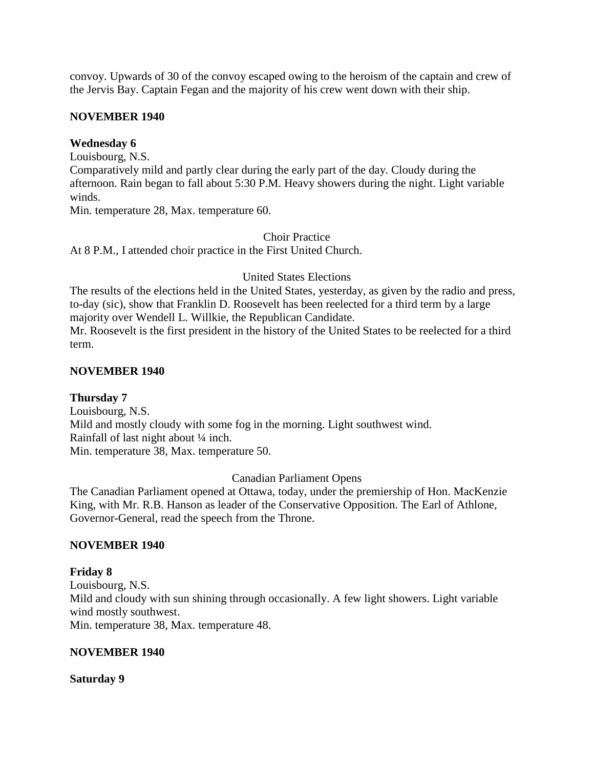convoy. Upwards of 30 of the convoy escaped owing to the heroism of the captain and crew of the Jervis Bay. Captain Fegan and the majority of his crew went down with their ship.

### **NOVEMBER 1940**

## **Wednesday 6**

Louisbourg, N.S.

Comparatively mild and partly clear during the early part of the day. Cloudy during the afternoon. Rain began to fall about 5:30 P.M. Heavy showers during the night. Light variable winds.

Min. temperature 28, Max. temperature 60.

Choir Practice

At 8 P.M., I attended choir practice in the First United Church.

United States Elections

The results of the elections held in the United States, yesterday, as given by the radio and press, to-day (sic), show that Franklin D. Roosevelt has been reelected for a third term by a large majority over Wendell L. Willkie, the Republican Candidate. Mr. Roosevelt is the first president in the history of the United States to be reelected for a third term.

## **NOVEMBER 1940**

# **Thursday 7**

Louisbourg, N.S. Mild and mostly cloudy with some fog in the morning. Light southwest wind. Rainfall of last night about ¼ inch. Min. temperature 38, Max. temperature 50.

### Canadian Parliament Opens

The Canadian Parliament opened at Ottawa, today, under the premiership of Hon. MacKenzie King, with Mr. R.B. Hanson as leader of the Conservative Opposition. The Earl of Athlone, Governor-General, read the speech from the Throne.

# **NOVEMBER 1940**

**Friday 8** Louisbourg, N.S. Mild and cloudy with sun shining through occasionally. A few light showers. Light variable wind mostly southwest. Min. temperature 38, Max. temperature 48.

### **NOVEMBER 1940**

### **Saturday 9**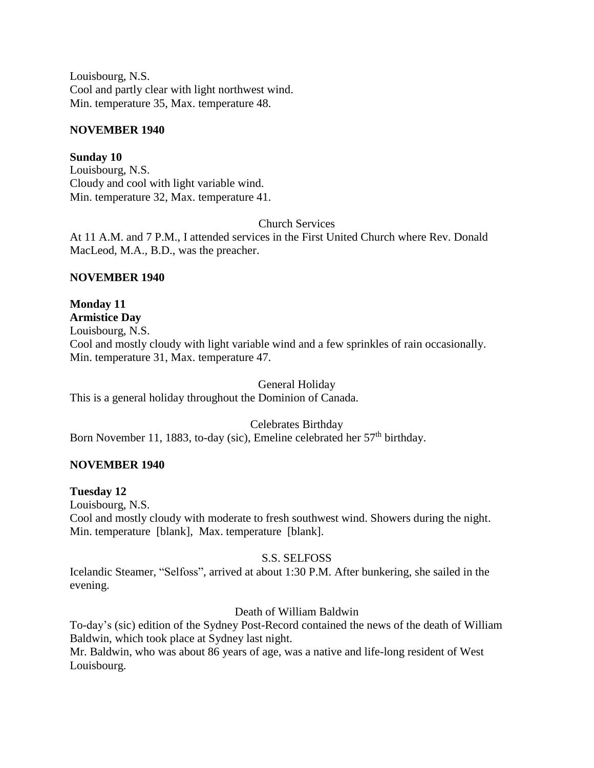Louisbourg, N.S. Cool and partly clear with light northwest wind. Min. temperature 35, Max. temperature 48.

## **NOVEMBER 1940**

**Sunday 10** Louisbourg, N.S. Cloudy and cool with light variable wind. Min. temperature 32, Max. temperature 41.

Church Services

At 11 A.M. and 7 P.M., I attended services in the First United Church where Rev. Donald MacLeod, M.A., B.D., was the preacher.

# **NOVEMBER 1940**

**Monday 11 Armistice Day** Louisbourg, N.S. Cool and mostly cloudy with light variable wind and a few sprinkles of rain occasionally. Min. temperature 31, Max. temperature 47.

General Holiday

This is a general holiday throughout the Dominion of Canada.

Celebrates Birthday Born November 11, 1883, to-day (sic), Emeline celebrated her 57<sup>th</sup> birthday.

# **NOVEMBER 1940**

### **Tuesday 12**

Louisbourg, N.S.

Cool and mostly cloudy with moderate to fresh southwest wind. Showers during the night. Min. temperature [blank], Max. temperature [blank].

### S.S. SELFOSS

Icelandic Steamer, "Selfoss", arrived at about 1:30 P.M. After bunkering, she sailed in the evening.

# Death of William Baldwin

To-day's (sic) edition of the Sydney Post-Record contained the news of the death of William Baldwin, which took place at Sydney last night.

Mr. Baldwin, who was about 86 years of age, was a native and life-long resident of West Louisbourg.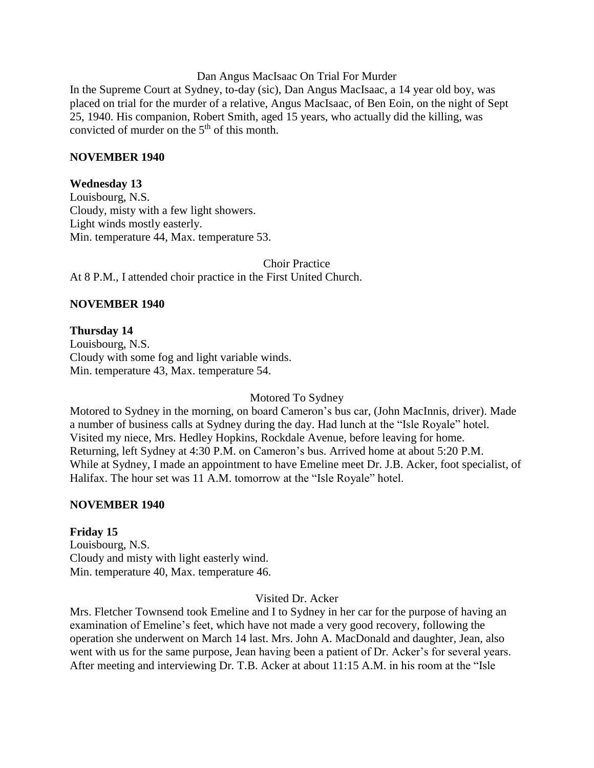#### Dan Angus MacIsaac On Trial For Murder

In the Supreme Court at Sydney, to-day (sic), Dan Angus MacIsaac, a 14 year old boy, was placed on trial for the murder of a relative, Angus MacIsaac, of Ben Eoin, on the night of Sept 25, 1940. His companion, Robert Smith, aged 15 years, who actually did the killing, was convicted of murder on the  $5<sup>th</sup>$  of this month.

#### **NOVEMBER 1940**

### **Wednesday 13**

Louisbourg, N.S. Cloudy, misty with a few light showers. Light winds mostly easterly. Min. temperature 44, Max. temperature 53.

Choir Practice At 8 P.M., I attended choir practice in the First United Church.

### **NOVEMBER 1940**

#### **Thursday 14**

Louisbourg, N.S. Cloudy with some fog and light variable winds. Min. temperature 43, Max. temperature 54.

#### Motored To Sydney

Motored to Sydney in the morning, on board Cameron's bus car, (John MacInnis, driver). Made a number of business calls at Sydney during the day. Had lunch at the "Isle Royale" hotel. Visited my niece, Mrs. Hedley Hopkins, Rockdale Avenue, before leaving for home. Returning, left Sydney at 4:30 P.M. on Cameron's bus. Arrived home at about 5:20 P.M. While at Sydney, I made an appointment to have Emeline meet Dr. J.B. Acker, foot specialist, of Halifax. The hour set was 11 A.M. tomorrow at the "Isle Royale" hotel.

#### **NOVEMBER 1940**

### **Friday 15**

Louisbourg, N.S. Cloudy and misty with light easterly wind. Min. temperature 40, Max. temperature 46.

#### Visited Dr. Acker

Mrs. Fletcher Townsend took Emeline and I to Sydney in her car for the purpose of having an examination of Emeline's feet, which have not made a very good recovery, following the operation she underwent on March 14 last. Mrs. John A. MacDonald and daughter, Jean, also went with us for the same purpose, Jean having been a patient of Dr. Acker's for several years. After meeting and interviewing Dr. T.B. Acker at about 11:15 A.M. in his room at the "Isle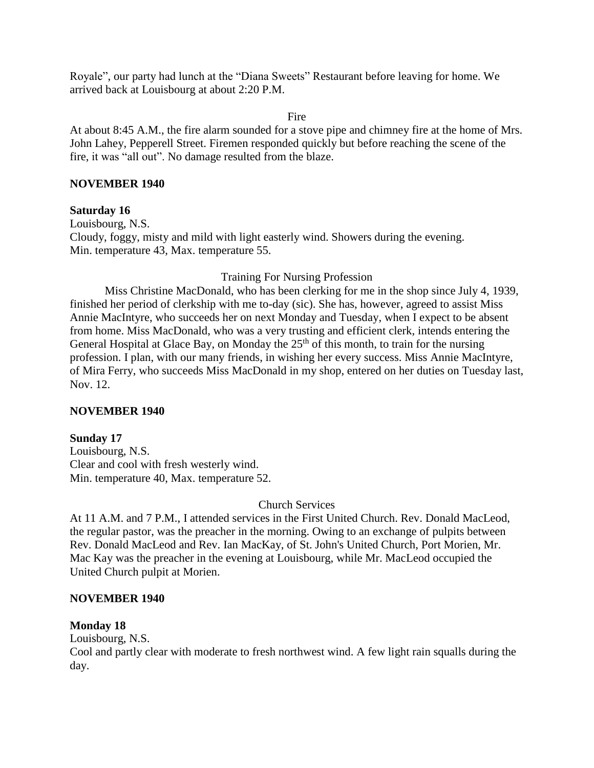Royale", our party had lunch at the "Diana Sweets" Restaurant before leaving for home. We arrived back at Louisbourg at about 2:20 P.M.

Fire

At about 8:45 A.M., the fire alarm sounded for a stove pipe and chimney fire at the home of Mrs. John Lahey, Pepperell Street. Firemen responded quickly but before reaching the scene of the fire, it was "all out". No damage resulted from the blaze.

### **NOVEMBER 1940**

### **Saturday 16**

Louisbourg, N.S. Cloudy, foggy, misty and mild with light easterly wind. Showers during the evening. Min. temperature 43, Max. temperature 55.

### Training For Nursing Profession

Miss Christine MacDonald, who has been clerking for me in the shop since July 4, 1939, finished her period of clerkship with me to-day (sic). She has, however, agreed to assist Miss Annie MacIntyre, who succeeds her on next Monday and Tuesday, when I expect to be absent from home. Miss MacDonald, who was a very trusting and efficient clerk, intends entering the General Hospital at Glace Bay, on Monday the  $25<sup>th</sup>$  of this month, to train for the nursing profession. I plan, with our many friends, in wishing her every success. Miss Annie MacIntyre, of Mira Ferry, who succeeds Miss MacDonald in my shop, entered on her duties on Tuesday last, Nov. 12.

### **NOVEMBER 1940**

### **Sunday 17**

Louisbourg, N.S. Clear and cool with fresh westerly wind. Min. temperature 40, Max. temperature 52.

# Church Services

At 11 A.M. and 7 P.M., I attended services in the First United Church. Rev. Donald MacLeod, the regular pastor, was the preacher in the morning. Owing to an exchange of pulpits between Rev. Donald MacLeod and Rev. Ian MacKay, of St. John's United Church, Port Morien, Mr. Mac Kay was the preacher in the evening at Louisbourg, while Mr. MacLeod occupied the United Church pulpit at Morien.

### **NOVEMBER 1940**

### **Monday 18**

Louisbourg, N.S.

Cool and partly clear with moderate to fresh northwest wind. A few light rain squalls during the day.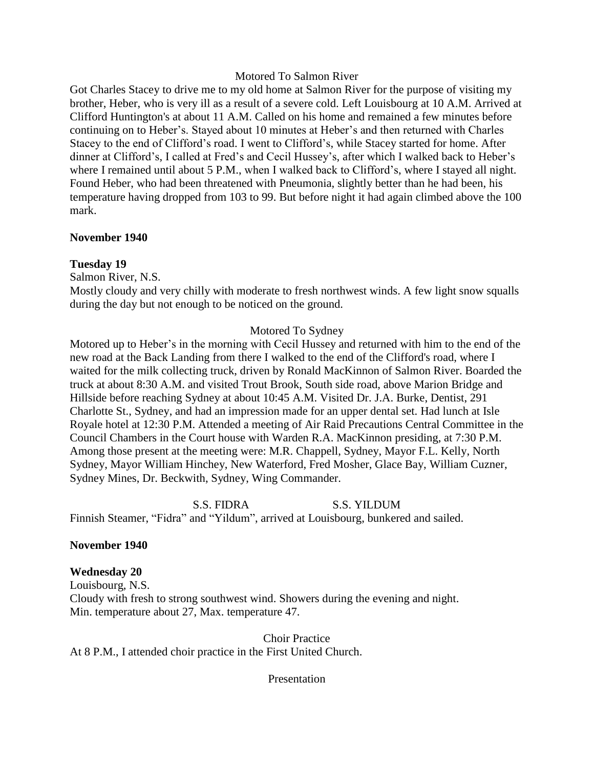#### Motored To Salmon River

Got Charles Stacey to drive me to my old home at Salmon River for the purpose of visiting my brother, Heber, who is very ill as a result of a severe cold. Left Louisbourg at 10 A.M. Arrived at Clifford Huntington's at about 11 A.M. Called on his home and remained a few minutes before continuing on to Heber's. Stayed about 10 minutes at Heber's and then returned with Charles Stacey to the end of Clifford's road. I went to Clifford's, while Stacey started for home. After dinner at Clifford's, I called at Fred's and Cecil Hussey's, after which I walked back to Heber's where I remained until about 5 P.M., when I walked back to Clifford's, where I stayed all night. Found Heber, who had been threatened with Pneumonia, slightly better than he had been, his temperature having dropped from 103 to 99. But before night it had again climbed above the 100 mark.

#### **November 1940**

### **Tuesday 19**

Salmon River, N.S.

Mostly cloudy and very chilly with moderate to fresh northwest winds. A few light snow squalls during the day but not enough to be noticed on the ground.

#### Motored To Sydney

Motored up to Heber's in the morning with Cecil Hussey and returned with him to the end of the new road at the Back Landing from there I walked to the end of the Clifford's road, where I waited for the milk collecting truck, driven by Ronald MacKinnon of Salmon River. Boarded the truck at about 8:30 A.M. and visited Trout Brook, South side road, above Marion Bridge and Hillside before reaching Sydney at about 10:45 A.M. Visited Dr. J.A. Burke, Dentist, 291 Charlotte St., Sydney, and had an impression made for an upper dental set. Had lunch at Isle Royale hotel at 12:30 P.M. Attended a meeting of Air Raid Precautions Central Committee in the Council Chambers in the Court house with Warden R.A. MacKinnon presiding, at 7:30 P.M. Among those present at the meeting were: M.R. Chappell, Sydney, Mayor F.L. Kelly, North Sydney, Mayor William Hinchey, New Waterford, Fred Mosher, Glace Bay, William Cuzner, Sydney Mines, Dr. Beckwith, Sydney, Wing Commander.

S.S. FIDRA S.S. YILDUM Finnish Steamer, "Fidra" and "Yildum", arrived at Louisbourg, bunkered and sailed.

#### **November 1940**

**Wednesday 20** Louisbourg, N.S. Cloudy with fresh to strong southwest wind. Showers during the evening and night. Min. temperature about 27, Max. temperature 47.

Choir Practice At 8 P.M., I attended choir practice in the First United Church.

Presentation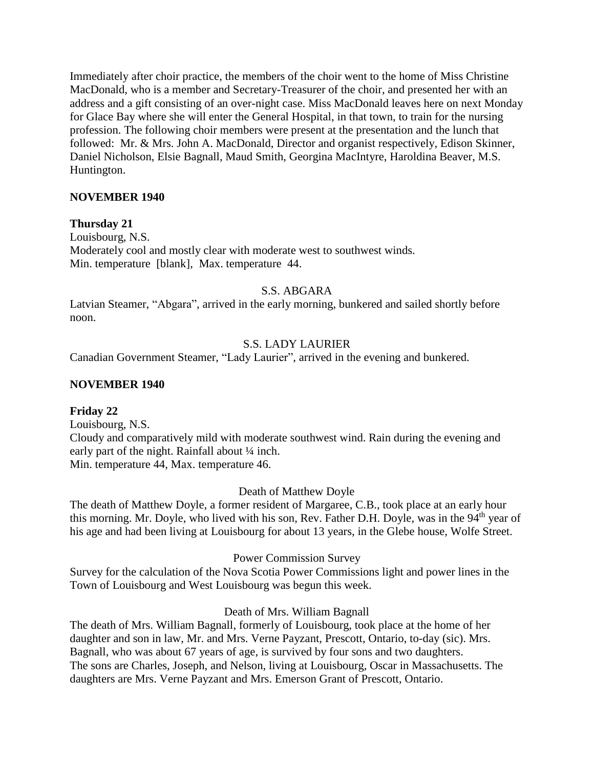Immediately after choir practice, the members of the choir went to the home of Miss Christine MacDonald, who is a member and Secretary-Treasurer of the choir, and presented her with an address and a gift consisting of an over-night case. Miss MacDonald leaves here on next Monday for Glace Bay where she will enter the General Hospital, in that town, to train for the nursing profession. The following choir members were present at the presentation and the lunch that followed: Mr. & Mrs. John A. MacDonald, Director and organist respectively, Edison Skinner, Daniel Nicholson, Elsie Bagnall, Maud Smith, Georgina MacIntyre, Haroldina Beaver, M.S. Huntington.

### **NOVEMBER 1940**

### **Thursday 21**

Louisbourg, N.S. Moderately cool and mostly clear with moderate west to southwest winds. Min. temperature [blank], Max. temperature 44.

### S.S. ABGARA

Latvian Steamer, "Abgara", arrived in the early morning, bunkered and sailed shortly before noon.

## S.S. LADY LAURIER

Canadian Government Steamer, "Lady Laurier", arrived in the evening and bunkered.

### **NOVEMBER 1940**

### **Friday 22**

Louisbourg, N.S. Cloudy and comparatively mild with moderate southwest wind. Rain during the evening and early part of the night. Rainfall about  $\frac{1}{4}$  inch. Min. temperature 44, Max. temperature 46.

### Death of Matthew Doyle

The death of Matthew Doyle, a former resident of Margaree, C.B., took place at an early hour this morning. Mr. Doyle, who lived with his son, Rev. Father D.H. Doyle, was in the 94<sup>th</sup> year of his age and had been living at Louisbourg for about 13 years, in the Glebe house, Wolfe Street.

Power Commission Survey

Survey for the calculation of the Nova Scotia Power Commissions light and power lines in the Town of Louisbourg and West Louisbourg was begun this week.

### Death of Mrs. William Bagnall

The death of Mrs. William Bagnall, formerly of Louisbourg, took place at the home of her daughter and son in law, Mr. and Mrs. Verne Payzant, Prescott, Ontario, to-day (sic). Mrs. Bagnall, who was about 67 years of age, is survived by four sons and two daughters. The sons are Charles, Joseph, and Nelson, living at Louisbourg, Oscar in Massachusetts. The daughters are Mrs. Verne Payzant and Mrs. Emerson Grant of Prescott, Ontario.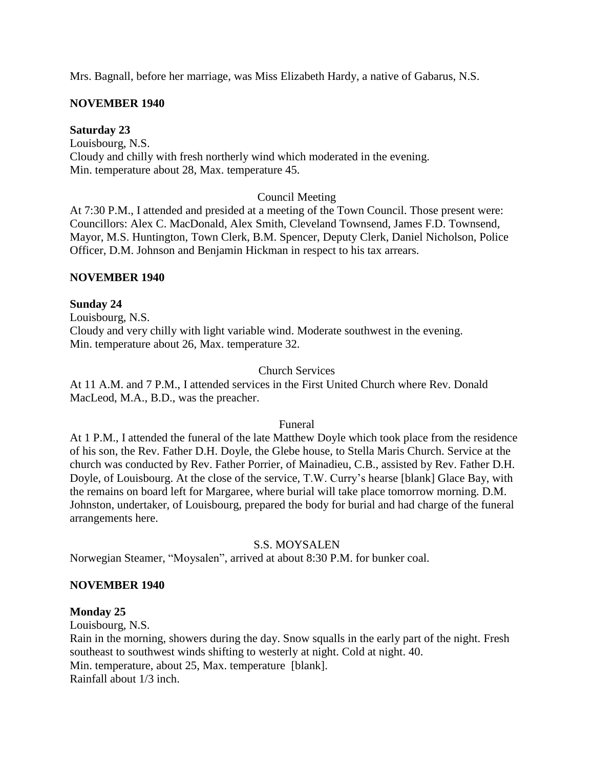Mrs. Bagnall, before her marriage, was Miss Elizabeth Hardy, a native of Gabarus, N.S.

# **NOVEMBER 1940**

## **Saturday 23**

Louisbourg, N.S. Cloudy and chilly with fresh northerly wind which moderated in the evening. Min. temperature about 28, Max. temperature 45.

## Council Meeting

At 7:30 P.M., I attended and presided at a meeting of the Town Council. Those present were: Councillors: Alex C. MacDonald, Alex Smith, Cleveland Townsend, James F.D. Townsend, Mayor, M.S. Huntington, Town Clerk, B.M. Spencer, Deputy Clerk, Daniel Nicholson, Police Officer, D.M. Johnson and Benjamin Hickman in respect to his tax arrears.

### **NOVEMBER 1940**

## **Sunday 24**

Louisbourg, N.S. Cloudy and very chilly with light variable wind. Moderate southwest in the evening. Min. temperature about 26, Max. temperature 32.

### Church Services

At 11 A.M. and 7 P.M., I attended services in the First United Church where Rev. Donald MacLeod, M.A., B.D., was the preacher.

### Funeral

At 1 P.M., I attended the funeral of the late Matthew Doyle which took place from the residence of his son, the Rev. Father D.H. Doyle, the Glebe house, to Stella Maris Church. Service at the church was conducted by Rev. Father Porrier, of Mainadieu, C.B., assisted by Rev. Father D.H. Doyle, of Louisbourg. At the close of the service, T.W. Curry's hearse [blank] Glace Bay, with the remains on board left for Margaree, where burial will take place tomorrow morning. D.M. Johnston, undertaker, of Louisbourg, prepared the body for burial and had charge of the funeral arrangements here.

### S.S. MOYSALEN

Norwegian Steamer, "Moysalen", arrived at about 8:30 P.M. for bunker coal.

### **NOVEMBER 1940**

### **Monday 25**

Louisbourg, N.S.

Rain in the morning, showers during the day. Snow squalls in the early part of the night. Fresh southeast to southwest winds shifting to westerly at night. Cold at night. 40. Min. temperature, about 25, Max. temperature [blank]. Rainfall about 1/3 inch.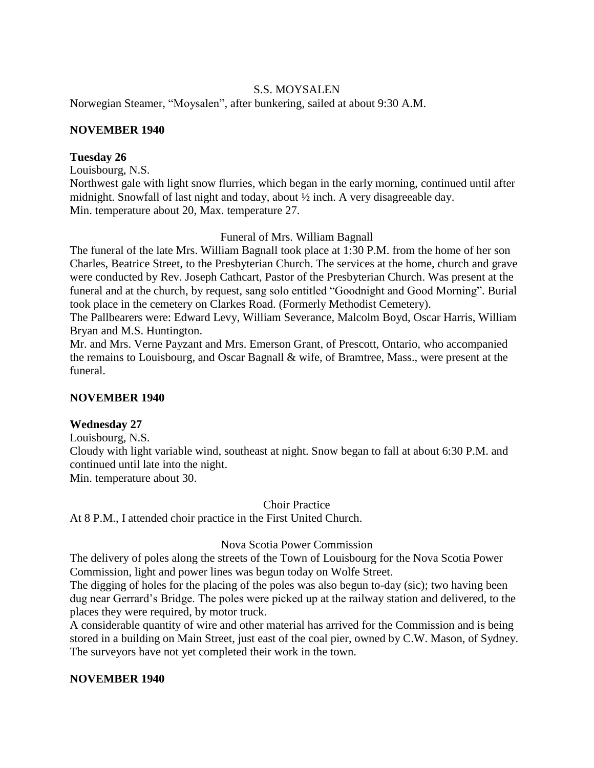## S.S. MOYSALEN

Norwegian Steamer, "Moysalen", after bunkering, sailed at about 9:30 A.M.

### **NOVEMBER 1940**

### **Tuesday 26**

Louisbourg, N.S.

Northwest gale with light snow flurries, which began in the early morning, continued until after midnight. Snowfall of last night and today, about ½ inch. A very disagreeable day. Min. temperature about 20, Max. temperature 27.

### Funeral of Mrs. William Bagnall

The funeral of the late Mrs. William Bagnall took place at 1:30 P.M. from the home of her son Charles, Beatrice Street, to the Presbyterian Church. The services at the home, church and grave were conducted by Rev. Joseph Cathcart, Pastor of the Presbyterian Church. Was present at the funeral and at the church, by request, sang solo entitled "Goodnight and Good Morning". Burial took place in the cemetery on Clarkes Road. (Formerly Methodist Cemetery).

The Pallbearers were: Edward Levy, William Severance, Malcolm Boyd, Oscar Harris, William Bryan and M.S. Huntington.

Mr. and Mrs. Verne Payzant and Mrs. Emerson Grant, of Prescott, Ontario, who accompanied the remains to Louisbourg, and Oscar Bagnall & wife, of Bramtree, Mass., were present at the funeral.

### **NOVEMBER 1940**

# **Wednesday 27**

Louisbourg, N.S.

Cloudy with light variable wind, southeast at night. Snow began to fall at about 6:30 P.M. and continued until late into the night.

Min. temperature about 30.

Choir Practice

At 8 P.M., I attended choir practice in the First United Church.

### Nova Scotia Power Commission

The delivery of poles along the streets of the Town of Louisbourg for the Nova Scotia Power Commission, light and power lines was begun today on Wolfe Street.

The digging of holes for the placing of the poles was also begun to-day (sic); two having been dug near Gerrard's Bridge. The poles were picked up at the railway station and delivered, to the places they were required, by motor truck.

A considerable quantity of wire and other material has arrived for the Commission and is being stored in a building on Main Street, just east of the coal pier, owned by C.W. Mason, of Sydney. The surveyors have not yet completed their work in the town.

### **NOVEMBER 1940**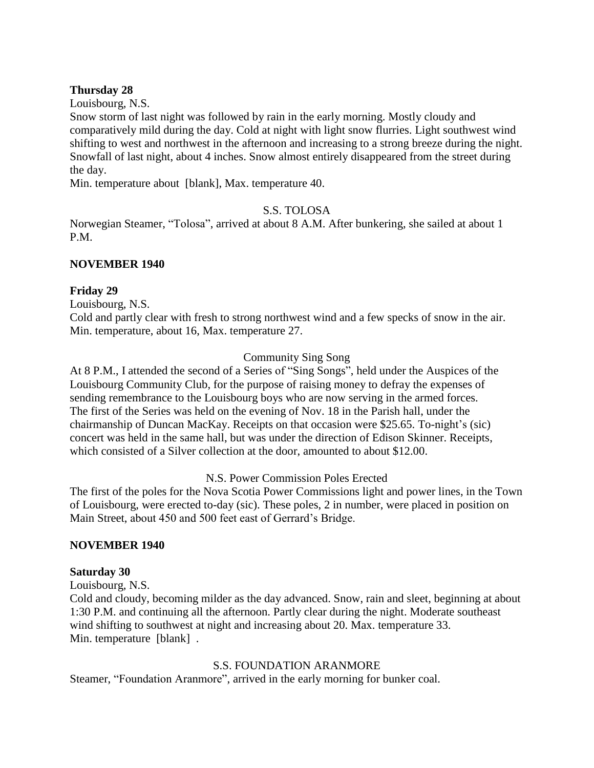## **Thursday 28**

Louisbourg, N.S.

Snow storm of last night was followed by rain in the early morning. Mostly cloudy and comparatively mild during the day. Cold at night with light snow flurries. Light southwest wind shifting to west and northwest in the afternoon and increasing to a strong breeze during the night. Snowfall of last night, about 4 inches. Snow almost entirely disappeared from the street during the day.

Min. temperature about [blank], Max. temperature 40.

## S.S. TOLOSA

Norwegian Steamer, "Tolosa", arrived at about 8 A.M. After bunkering, she sailed at about 1 P.M.

### **NOVEMBER 1940**

### **Friday 29**

Louisbourg, N.S.

Cold and partly clear with fresh to strong northwest wind and a few specks of snow in the air. Min. temperature, about 16, Max. temperature 27.

# Community Sing Song

At 8 P.M., I attended the second of a Series of "Sing Songs", held under the Auspices of the Louisbourg Community Club, for the purpose of raising money to defray the expenses of sending remembrance to the Louisbourg boys who are now serving in the armed forces. The first of the Series was held on the evening of Nov. 18 in the Parish hall, under the chairmanship of Duncan MacKay. Receipts on that occasion were \$25.65. To-night's (sic) concert was held in the same hall, but was under the direction of Edison Skinner. Receipts, which consisted of a Silver collection at the door, amounted to about \$12.00.

### N.S. Power Commission Poles Erected

The first of the poles for the Nova Scotia Power Commissions light and power lines, in the Town of Louisbourg, were erected to-day (sic). These poles, 2 in number, were placed in position on Main Street, about 450 and 500 feet east of Gerrard's Bridge.

### **NOVEMBER 1940**

### **Saturday 30**

Louisbourg, N.S.

Cold and cloudy, becoming milder as the day advanced. Snow, rain and sleet, beginning at about 1:30 P.M. and continuing all the afternoon. Partly clear during the night. Moderate southeast wind shifting to southwest at night and increasing about 20. Max. temperature 33. Min. temperature [blank] .

### S.S. FOUNDATION ARANMORE

Steamer, "Foundation Aranmore", arrived in the early morning for bunker coal.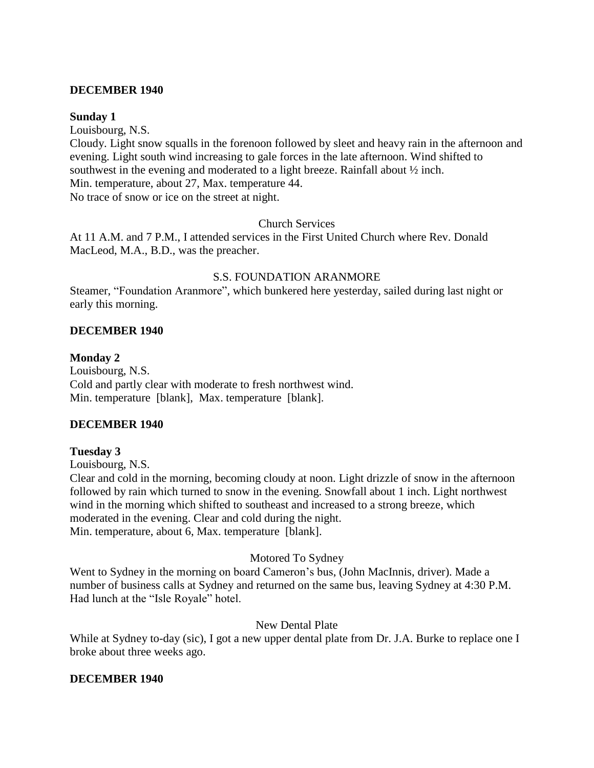#### **DECEMBER 1940**

#### **Sunday 1**

Louisbourg, N.S. Cloudy. Light snow squalls in the forenoon followed by sleet and heavy rain in the afternoon and evening. Light south wind increasing to gale forces in the late afternoon. Wind shifted to southwest in the evening and moderated to a light breeze. Rainfall about ½ inch. Min. temperature, about 27, Max. temperature 44. No trace of snow or ice on the street at night.

### Church Services

At 11 A.M. and 7 P.M., I attended services in the First United Church where Rev. Donald MacLeod, M.A., B.D., was the preacher.

### S.S. FOUNDATION ARANMORE

Steamer, "Foundation Aranmore", which bunkered here yesterday, sailed during last night or early this morning.

### **DECEMBER 1940**

### **Monday 2**

Louisbourg, N.S. Cold and partly clear with moderate to fresh northwest wind. Min. temperature [blank], Max. temperature [blank].

### **DECEMBER 1940**

### **Tuesday 3**

Louisbourg, N.S.

Clear and cold in the morning, becoming cloudy at noon. Light drizzle of snow in the afternoon followed by rain which turned to snow in the evening. Snowfall about 1 inch. Light northwest wind in the morning which shifted to southeast and increased to a strong breeze, which moderated in the evening. Clear and cold during the night. Min. temperature, about 6, Max. temperature [blank].

### Motored To Sydney

Went to Sydney in the morning on board Cameron's bus, (John MacInnis, driver). Made a number of business calls at Sydney and returned on the same bus, leaving Sydney at 4:30 P.M. Had lunch at the "Isle Royale" hotel.

### New Dental Plate

While at Sydney to-day (sic), I got a new upper dental plate from Dr. J.A. Burke to replace one I broke about three weeks ago.

### **DECEMBER 1940**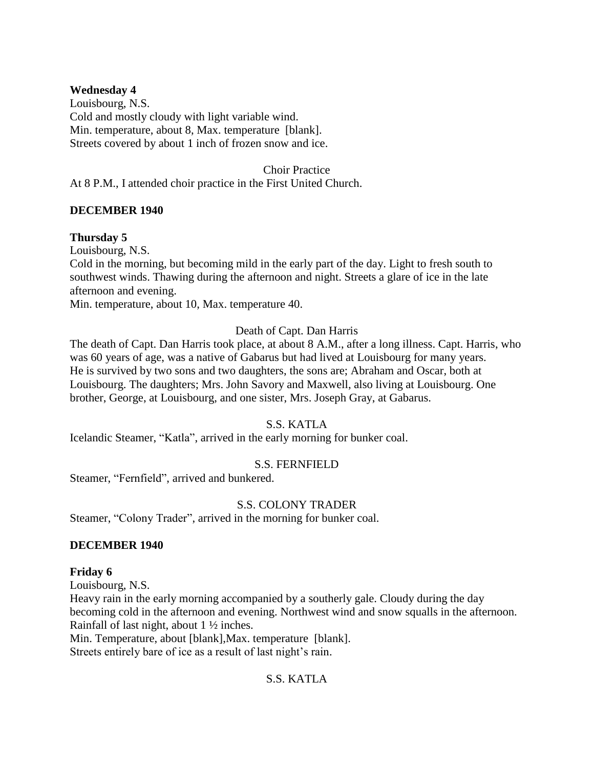## **Wednesday 4**

Louisbourg, N.S. Cold and mostly cloudy with light variable wind. Min. temperature, about 8, Max. temperature [blank]. Streets covered by about 1 inch of frozen snow and ice.

Choir Practice

At 8 P.M., I attended choir practice in the First United Church.

## **DECEMBER 1940**

## **Thursday 5**

Louisbourg, N.S.

Cold in the morning, but becoming mild in the early part of the day. Light to fresh south to southwest winds. Thawing during the afternoon and night. Streets a glare of ice in the late afternoon and evening.

Min. temperature, about 10, Max. temperature 40.

### Death of Capt. Dan Harris

The death of Capt. Dan Harris took place, at about 8 A.M., after a long illness. Capt. Harris, who was 60 years of age, was a native of Gabarus but had lived at Louisbourg for many years. He is survived by two sons and two daughters, the sons are; Abraham and Oscar, both at Louisbourg. The daughters; Mrs. John Savory and Maxwell, also living at Louisbourg. One brother, George, at Louisbourg, and one sister, Mrs. Joseph Gray, at Gabarus.

### S.S. KATLA

Icelandic Steamer, "Katla", arrived in the early morning for bunker coal.

### S.S. FERNFIELD

Steamer, "Fernfield", arrived and bunkered.

### S.S. COLONY TRADER

Steamer, "Colony Trader", arrived in the morning for bunker coal.

### **DECEMBER 1940**

#### **Friday 6**

Louisbourg, N.S. Heavy rain in the early morning accompanied by a southerly gale. Cloudy during the day becoming cold in the afternoon and evening. Northwest wind and snow squalls in the afternoon. Rainfall of last night, about 1 ½ inches.

Min. Temperature, about [blank],Max. temperature [blank].

Streets entirely bare of ice as a result of last night's rain.

# S.S. KATLA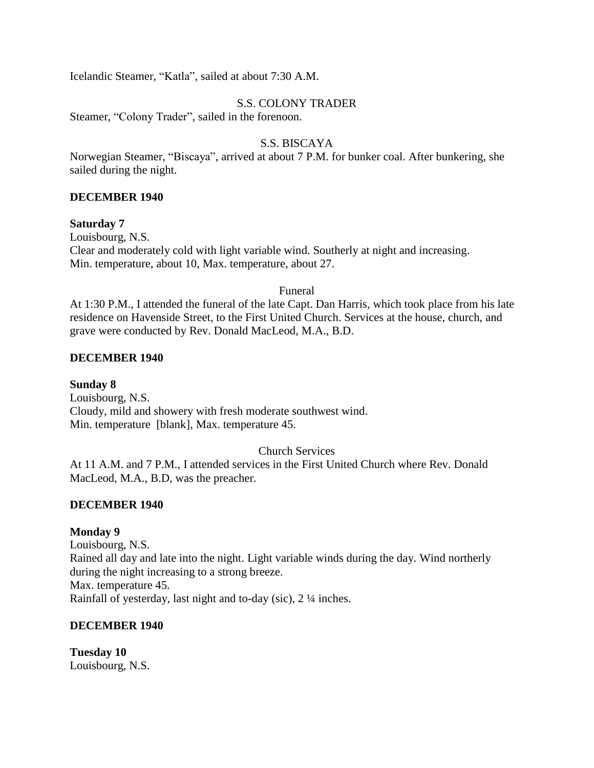Icelandic Steamer, "Katla", sailed at about 7:30 A.M.

## S.S. COLONY TRADER

Steamer, "Colony Trader", sailed in the forenoon.

## S.S. BISCAYA

Norwegian Steamer, "Biscaya", arrived at about 7 P.M. for bunker coal. After bunkering, she sailed during the night.

## **DECEMBER 1940**

### **Saturday 7**

Louisbourg, N.S. Clear and moderately cold with light variable wind. Southerly at night and increasing. Min. temperature, about 10, Max. temperature, about 27.

### Funeral

At 1:30 P.M., I attended the funeral of the late Capt. Dan Harris, which took place from his late residence on Havenside Street, to the First United Church. Services at the house, church, and grave were conducted by Rev. Donald MacLeod, M.A., B.D.

### **DECEMBER 1940**

**Sunday 8** Louisbourg, N.S. Cloudy, mild and showery with fresh moderate southwest wind. Min. temperature [blank], Max. temperature 45.

# Church Services

At 11 A.M. and 7 P.M., I attended services in the First United Church where Rev. Donald MacLeod, M.A., B.D, was the preacher.

### **DECEMBER 1940**

### **Monday 9**

Louisbourg, N.S. Rained all day and late into the night. Light variable winds during the day. Wind northerly during the night increasing to a strong breeze. Max. temperature 45. Rainfall of yesterday, last night and to-day (sic), 2 ¼ inches.

### **DECEMBER 1940**

**Tuesday 10** Louisbourg, N.S.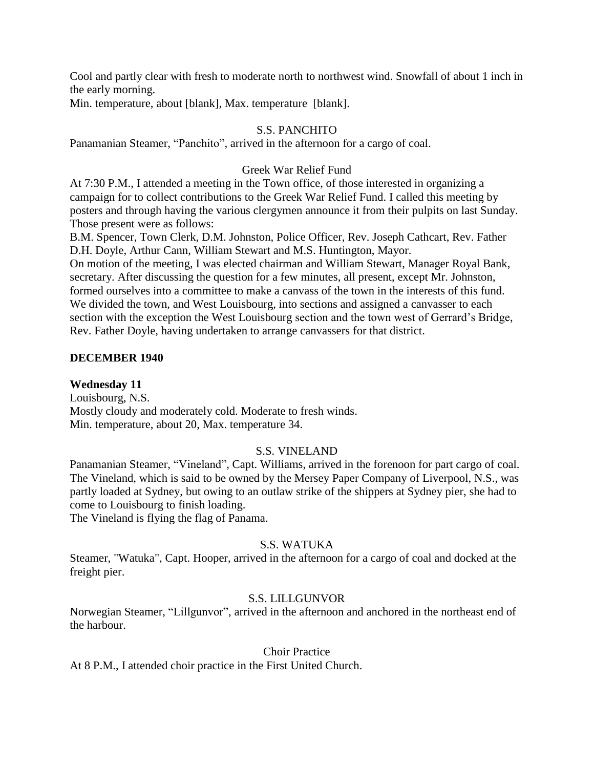Cool and partly clear with fresh to moderate north to northwest wind. Snowfall of about 1 inch in the early morning.

Min. temperature, about [blank], Max. temperature [blank].

# S.S. PANCHITO

Panamanian Steamer, "Panchito", arrived in the afternoon for a cargo of coal.

# Greek War Relief Fund

At 7:30 P.M., I attended a meeting in the Town office, of those interested in organizing a campaign for to collect contributions to the Greek War Relief Fund. I called this meeting by posters and through having the various clergymen announce it from their pulpits on last Sunday. Those present were as follows:

B.M. Spencer, Town Clerk, D.M. Johnston, Police Officer, Rev. Joseph Cathcart, Rev. Father D.H. Doyle, Arthur Cann, William Stewart and M.S. Huntington, Mayor.

On motion of the meeting, I was elected chairman and William Stewart, Manager Royal Bank, secretary. After discussing the question for a few minutes, all present, except Mr. Johnston, formed ourselves into a committee to make a canvass of the town in the interests of this fund. We divided the town, and West Louisbourg, into sections and assigned a canvasser to each section with the exception the West Louisbourg section and the town west of Gerrard's Bridge, Rev. Father Doyle, having undertaken to arrange canvassers for that district.

# **DECEMBER 1940**

# **Wednesday 11**

Louisbourg, N.S. Mostly cloudy and moderately cold. Moderate to fresh winds. Min. temperature, about 20, Max. temperature 34.

# S.S. VINELAND

Panamanian Steamer, "Vineland", Capt. Williams, arrived in the forenoon for part cargo of coal. The Vineland, which is said to be owned by the Mersey Paper Company of Liverpool, N.S., was partly loaded at Sydney, but owing to an outlaw strike of the shippers at Sydney pier, she had to come to Louisbourg to finish loading.

The Vineland is flying the flag of Panama.

# S.S. WATUKA

Steamer, "Watuka", Capt. Hooper, arrived in the afternoon for a cargo of coal and docked at the freight pier.

# S.S. LILLGUNVOR

Norwegian Steamer, "Lillgunvor", arrived in the afternoon and anchored in the northeast end of the harbour.

### Choir Practice

At 8 P.M., I attended choir practice in the First United Church.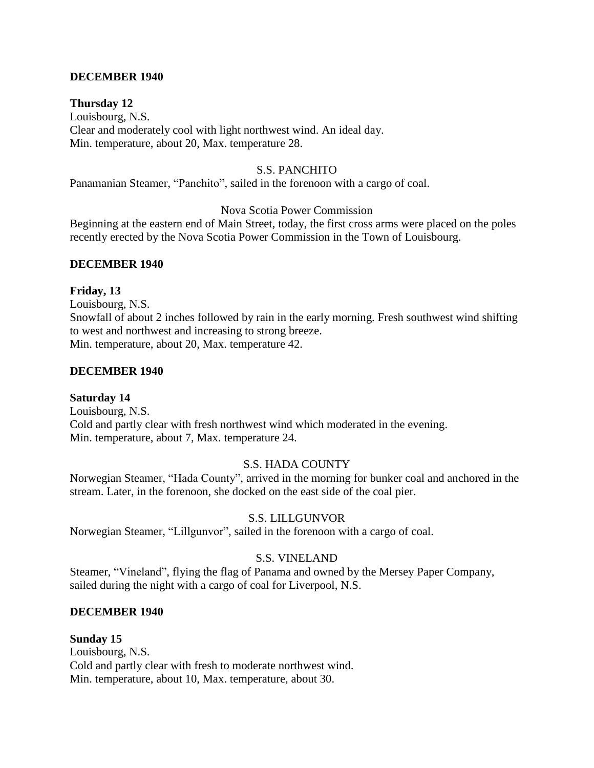## **DECEMBER 1940**

# **Thursday 12**

Louisbourg, N.S. Clear and moderately cool with light northwest wind. An ideal day. Min. temperature, about 20, Max. temperature 28.

### S.S. PANCHITO

Panamanian Steamer, "Panchito", sailed in the forenoon with a cargo of coal.

## Nova Scotia Power Commission

Beginning at the eastern end of Main Street, today, the first cross arms were placed on the poles recently erected by the Nova Scotia Power Commission in the Town of Louisbourg.

#### **DECEMBER 1940**

#### **Friday, 13**

Louisbourg, N.S. Snowfall of about 2 inches followed by rain in the early morning. Fresh southwest wind shifting to west and northwest and increasing to strong breeze. Min. temperature, about 20, Max. temperature 42.

#### **DECEMBER 1940**

## **Saturday 14**

Louisbourg, N.S. Cold and partly clear with fresh northwest wind which moderated in the evening. Min. temperature, about 7, Max. temperature 24.

## S.S. HADA COUNTY

Norwegian Steamer, "Hada County", arrived in the morning for bunker coal and anchored in the stream. Later, in the forenoon, she docked on the east side of the coal pier.

# S.S. LILLGUNVOR

Norwegian Steamer, "Lillgunvor", sailed in the forenoon with a cargo of coal.

#### S.S. VINELAND

Steamer, "Vineland", flying the flag of Panama and owned by the Mersey Paper Company, sailed during the night with a cargo of coal for Liverpool, N.S.

#### **DECEMBER 1940**

#### **Sunday 15**

Louisbourg, N.S. Cold and partly clear with fresh to moderate northwest wind. Min. temperature, about 10, Max. temperature, about 30.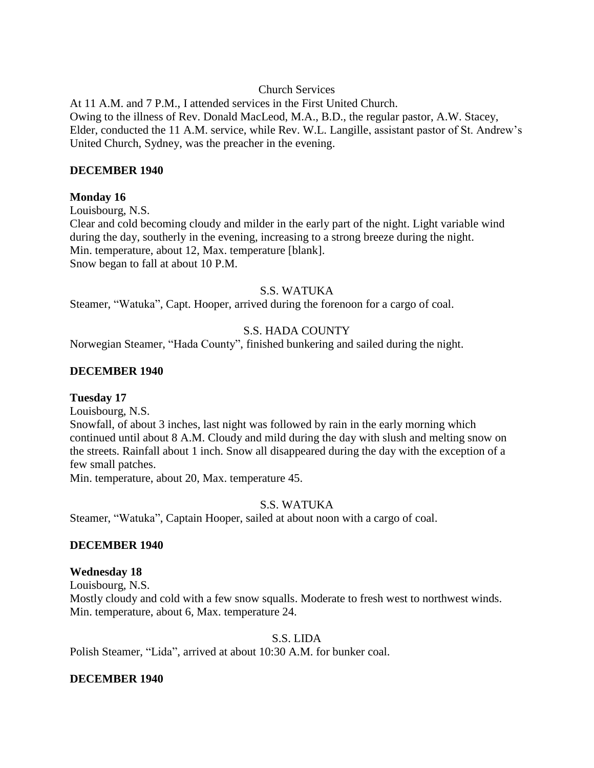# Church Services

At 11 A.M. and 7 P.M., I attended services in the First United Church. Owing to the illness of Rev. Donald MacLeod, M.A., B.D., the regular pastor, A.W. Stacey, Elder, conducted the 11 A.M. service, while Rev. W.L. Langille, assistant pastor of St. Andrew's United Church, Sydney, was the preacher in the evening.

## **DECEMBER 1940**

# **Monday 16**

Louisbourg, N.S.

Clear and cold becoming cloudy and milder in the early part of the night. Light variable wind during the day, southerly in the evening, increasing to a strong breeze during the night. Min. temperature, about 12, Max. temperature [blank]. Snow began to fall at about 10 P.M.

# S.S. WATUKA

Steamer, "Watuka", Capt. Hooper, arrived during the forenoon for a cargo of coal.

# S.S. HADA COUNTY

Norwegian Steamer, "Hada County", finished bunkering and sailed during the night.

# **DECEMBER 1940**

# **Tuesday 17**

Louisbourg, N.S.

Snowfall, of about 3 inches, last night was followed by rain in the early morning which continued until about 8 A.M. Cloudy and mild during the day with slush and melting snow on the streets. Rainfall about 1 inch. Snow all disappeared during the day with the exception of a few small patches.

Min. temperature, about 20, Max. temperature 45.

# S.S. WATUKA

Steamer, "Watuka", Captain Hooper, sailed at about noon with a cargo of coal.

# **DECEMBER 1940**

## **Wednesday 18**

Louisbourg, N.S.

Mostly cloudy and cold with a few snow squalls. Moderate to fresh west to northwest winds. Min. temperature, about 6, Max. temperature 24.

## S.S. LIDA

Polish Steamer, "Lida", arrived at about 10:30 A.M. for bunker coal.

## **DECEMBER 1940**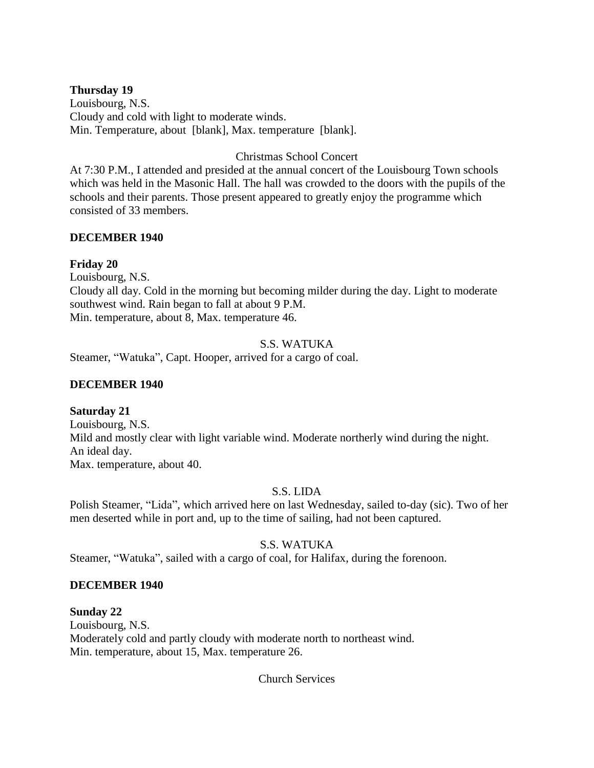# **Thursday 19**

Louisbourg, N.S. Cloudy and cold with light to moderate winds. Min. Temperature, about [blank], Max. temperature [blank].

## Christmas School Concert

At 7:30 P.M., I attended and presided at the annual concert of the Louisbourg Town schools which was held in the Masonic Hall. The hall was crowded to the doors with the pupils of the schools and their parents. Those present appeared to greatly enjoy the programme which consisted of 33 members.

# **DECEMBER 1940**

# **Friday 20**

Louisbourg, N.S. Cloudy all day. Cold in the morning but becoming milder during the day. Light to moderate southwest wind. Rain began to fall at about 9 P.M. Min. temperature, about 8, Max. temperature 46.

# S.S. WATUKA

Steamer, "Watuka", Capt. Hooper, arrived for a cargo of coal.

# **DECEMBER 1940**

## **Saturday 21**

Louisbourg, N.S. Mild and mostly clear with light variable wind. Moderate northerly wind during the night. An ideal day. Max. temperature, about 40.

## S.S. LIDA

Polish Steamer, "Lida", which arrived here on last Wednesday, sailed to-day (sic). Two of her men deserted while in port and, up to the time of sailing, had not been captured.

# S.S. WATUKA

Steamer, "Watuka", sailed with a cargo of coal, for Halifax, during the forenoon.

## **DECEMBER 1940**

**Sunday 22** Louisbourg, N.S. Moderately cold and partly cloudy with moderate north to northeast wind. Min. temperature, about 15, Max. temperature 26.

Church Services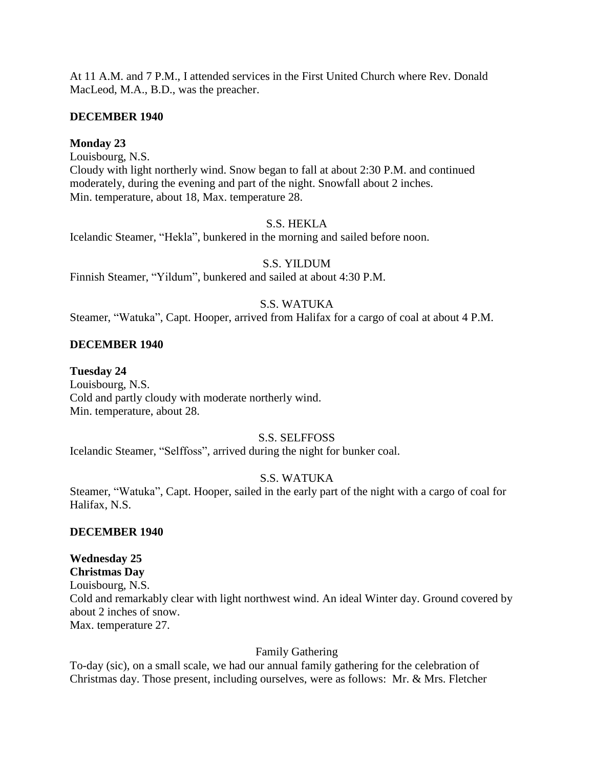At 11 A.M. and 7 P.M., I attended services in the First United Church where Rev. Donald MacLeod, M.A., B.D., was the preacher.

## **DECEMBER 1940**

## **Monday 23**

Louisbourg, N.S. Cloudy with light northerly wind. Snow began to fall at about 2:30 P.M. and continued moderately, during the evening and part of the night. Snowfall about 2 inches. Min. temperature, about 18, Max. temperature 28.

#### S.S. HEKLA

Icelandic Steamer, "Hekla", bunkered in the morning and sailed before noon.

#### S.S. YILDUM

Finnish Steamer, "Yildum", bunkered and sailed at about 4:30 P.M.

# S.S. WATUKA

Steamer, "Watuka", Capt. Hooper, arrived from Halifax for a cargo of coal at about 4 P.M.

#### **DECEMBER 1940**

#### **Tuesday 24**

Louisbourg, N.S. Cold and partly cloudy with moderate northerly wind. Min. temperature, about 28.

#### S.S. SELFFOSS

Icelandic Steamer, "Selffoss", arrived during the night for bunker coal.

## S.S. WATUKA

Steamer, "Watuka", Capt. Hooper, sailed in the early part of the night with a cargo of coal for Halifax, N.S.

#### **DECEMBER 1940**

## **Wednesday 25**

**Christmas Day** Louisbourg, N.S. Cold and remarkably clear with light northwest wind. An ideal Winter day. Ground covered by about 2 inches of snow. Max. temperature 27.

#### Family Gathering

To-day (sic), on a small scale, we had our annual family gathering for the celebration of Christmas day. Those present, including ourselves, were as follows: Mr. & Mrs. Fletcher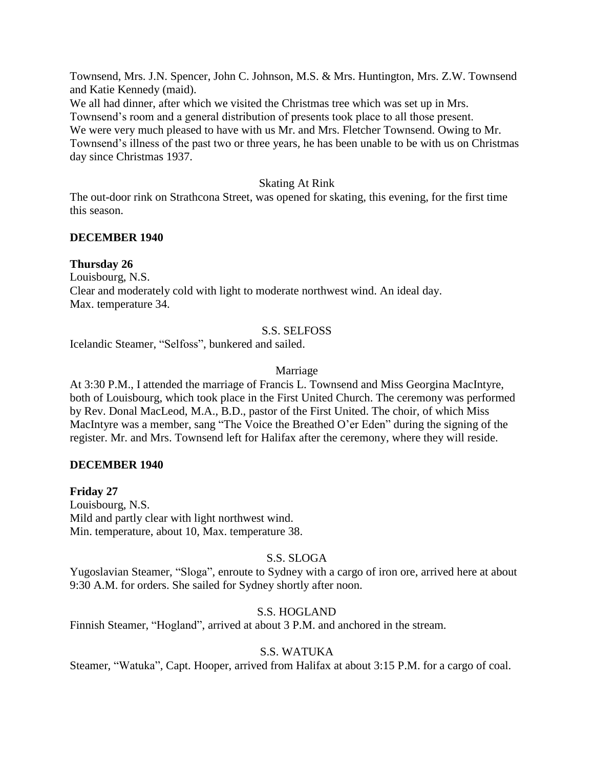Townsend, Mrs. J.N. Spencer, John C. Johnson, M.S. & Mrs. Huntington, Mrs. Z.W. Townsend and Katie Kennedy (maid).

We all had dinner, after which we visited the Christmas tree which was set up in Mrs. Townsend's room and a general distribution of presents took place to all those present. We were very much pleased to have with us Mr. and Mrs. Fletcher Townsend. Owing to Mr. Townsend's illness of the past two or three years, he has been unable to be with us on Christmas day since Christmas 1937.

# Skating At Rink

The out-door rink on Strathcona Street, was opened for skating, this evening, for the first time this season.

# **DECEMBER 1940**

# **Thursday 26**

Louisbourg, N.S. Clear and moderately cold with light to moderate northwest wind. An ideal day. Max. temperature 34.

# S.S. SELFOSS

Icelandic Steamer, "Selfoss", bunkered and sailed.

# Marriage

At 3:30 P.M., I attended the marriage of Francis L. Townsend and Miss Georgina MacIntyre, both of Louisbourg, which took place in the First United Church. The ceremony was performed by Rev. Donal MacLeod, M.A., B.D., pastor of the First United. The choir, of which Miss MacIntyre was a member, sang "The Voice the Breathed O'er Eden" during the signing of the register. Mr. and Mrs. Townsend left for Halifax after the ceremony, where they will reside.

# **DECEMBER 1940**

**Friday 27** Louisbourg, N.S. Mild and partly clear with light northwest wind. Min. temperature, about 10, Max. temperature 38.

# S.S. SLOGA

Yugoslavian Steamer, "Sloga", enroute to Sydney with a cargo of iron ore, arrived here at about 9:30 A.M. for orders. She sailed for Sydney shortly after noon.

# S.S. HOGLAND

Finnish Steamer, "Hogland", arrived at about 3 P.M. and anchored in the stream.

# S.S. WATUKA

Steamer, "Watuka", Capt. Hooper, arrived from Halifax at about 3:15 P.M. for a cargo of coal.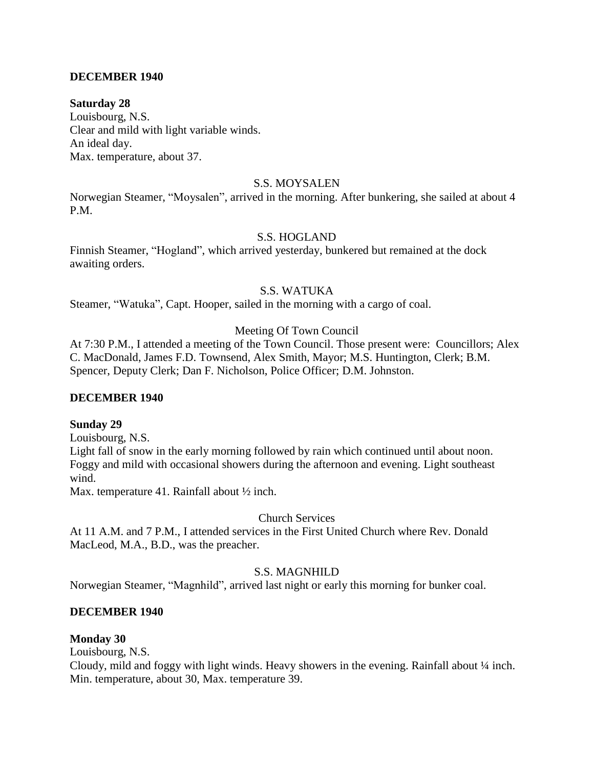## **DECEMBER 1940**

#### **Saturday 28**

Louisbourg, N.S. Clear and mild with light variable winds. An ideal day. Max. temperature, about 37.

#### S.S. MOYSALEN

Norwegian Steamer, "Moysalen", arrived in the morning. After bunkering, she sailed at about 4 P.M.

#### S.S. HOGLAND

Finnish Steamer, "Hogland", which arrived yesterday, bunkered but remained at the dock awaiting orders.

# S.S. WATUKA

Steamer, "Watuka", Capt. Hooper, sailed in the morning with a cargo of coal.

#### Meeting Of Town Council

At 7:30 P.M., I attended a meeting of the Town Council. Those present were: Councillors; Alex C. MacDonald, James F.D. Townsend, Alex Smith, Mayor; M.S. Huntington, Clerk; B.M. Spencer, Deputy Clerk; Dan F. Nicholson, Police Officer; D.M. Johnston.

#### **DECEMBER 1940**

#### **Sunday 29**

Louisbourg, N.S.

Light fall of snow in the early morning followed by rain which continued until about noon. Foggy and mild with occasional showers during the afternoon and evening. Light southeast wind.

Max. temperature 41. Rainfall about  $\frac{1}{2}$  inch.

#### Church Services

At 11 A.M. and 7 P.M., I attended services in the First United Church where Rev. Donald MacLeod, M.A., B.D., was the preacher.

## S.S. MAGNHILD

Norwegian Steamer, "Magnhild", arrived last night or early this morning for bunker coal.

#### **DECEMBER 1940**

#### **Monday 30**

Louisbourg, N.S.

Cloudy, mild and foggy with light winds. Heavy showers in the evening. Rainfall about ¼ inch. Min. temperature, about 30, Max. temperature 39.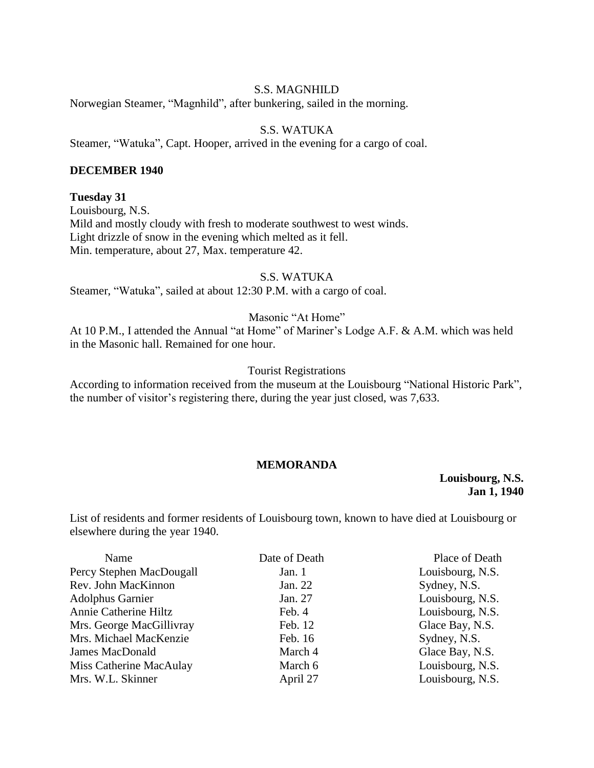### S.S. MAGNHILD

Norwegian Steamer, "Magnhild", after bunkering, sailed in the morning.

# S.S. WATUKA

Steamer, "Watuka", Capt. Hooper, arrived in the evening for a cargo of coal.

#### **DECEMBER 1940**

#### **Tuesday 31**

Louisbourg, N.S. Mild and mostly cloudy with fresh to moderate southwest to west winds. Light drizzle of snow in the evening which melted as it fell. Min. temperature, about 27, Max. temperature 42.

#### S.S. WATUKA

Steamer, "Watuka", sailed at about 12:30 P.M. with a cargo of coal.

### Masonic "At Home"

At 10 P.M., I attended the Annual "at Home" of Mariner's Lodge A.F. & A.M. which was held in the Masonic hall. Remained for one hour.

#### Tourist Registrations

According to information received from the museum at the Louisbourg "National Historic Park", the number of visitor's registering there, during the year just closed, was 7,633.

### **MEMORANDA**

#### **Louisbourg, N.S. Jan 1, 1940**

List of residents and former residents of Louisbourg town, known to have died at Louisbourg or elsewhere during the year 1940.

| Name                     | Date of Death | Place of Death   |
|--------------------------|---------------|------------------|
| Percy Stephen MacDougall | Jan. 1        | Louisbourg, N.S. |
| Rev. John MacKinnon      | Jan. 22       | Sydney, N.S.     |
| <b>Adolphus Garnier</b>  | Jan. 27       | Louisbourg, N.S. |
| Annie Catherine Hiltz    | Feb. 4        | Louisbourg, N.S. |
| Mrs. George MacGillivray | Feb. 12       | Glace Bay, N.S.  |
| Mrs. Michael MacKenzie   | Feb. 16       | Sydney, N.S.     |
| <b>James MacDonald</b>   | March 4       | Glace Bay, N.S.  |
| Miss Catherine MacAulay  | March 6       | Louisbourg, N.S. |
| Mrs. W.L. Skinner        | April 27      | Louisbourg, N.S. |